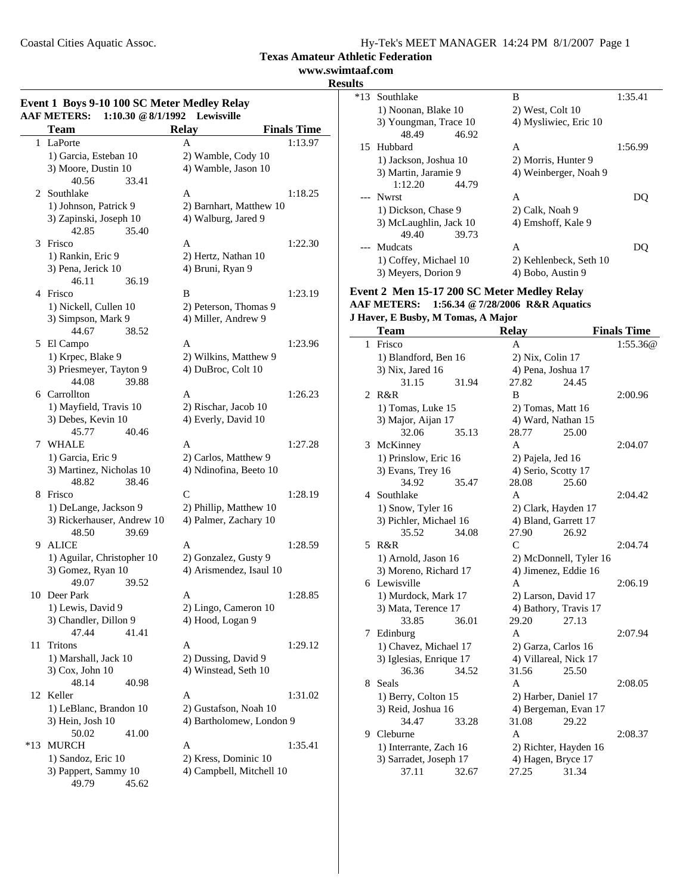**www.swimtaaf.com**

# **Results**

| Event 1 Boys 9-10 100 SC Meter Medley Relay<br><b>AAF METERS:</b><br>1:10.30 @ 8/1/1992 |                                         |                                                 |                    |  |
|-----------------------------------------------------------------------------------------|-----------------------------------------|-------------------------------------------------|--------------------|--|
|                                                                                         | Team                                    | Lewisville<br><b>Relay</b>                      | <b>Finals Time</b> |  |
| 1                                                                                       | LaPorte                                 | A                                               | 1:13.97            |  |
|                                                                                         | 1) Garcia, Esteban 10                   | 2) Wamble, Cody 10                              |                    |  |
|                                                                                         | 3) Moore, Dustin 10                     | 4) Wamble, Jason 10                             |                    |  |
|                                                                                         | 40.56<br>33.41                          |                                                 |                    |  |
| 2                                                                                       | Southlake                               | A                                               | 1:18.25            |  |
|                                                                                         | 1) Johnson, Patrick 9                   | 2) Barnhart, Matthew 10                         |                    |  |
|                                                                                         | 3) Zapinski, Joseph 10                  | 4) Walburg, Jared 9                             |                    |  |
|                                                                                         | 42.85<br>35.40                          |                                                 |                    |  |
| 3                                                                                       | Frisco                                  | A                                               | 1:22.30            |  |
|                                                                                         | 1) Rankin, Eric 9                       | 2) Hertz, Nathan 10                             |                    |  |
|                                                                                         | 3) Pena, Jerick 10                      | 4) Bruni, Ryan 9                                |                    |  |
|                                                                                         | 46.11<br>36.19                          |                                                 |                    |  |
|                                                                                         | 4 Frisco                                | B                                               | 1:23.19            |  |
|                                                                                         | 1) Nickell, Cullen 10                   | 2) Peterson, Thomas 9                           |                    |  |
|                                                                                         | 3) Simpson, Mark 9                      | 4) Miller, Andrew 9                             |                    |  |
|                                                                                         | 44.67<br>38.52                          |                                                 |                    |  |
| 5                                                                                       | El Campo                                | A                                               | 1:23.96            |  |
|                                                                                         | 1) Krpec, Blake 9                       | 2) Wilkins, Matthew 9                           |                    |  |
|                                                                                         | 3) Priesmeyer, Tayton 9                 | 4) DuBroc, Colt 10                              |                    |  |
|                                                                                         | 44.08<br>39.88                          |                                                 |                    |  |
|                                                                                         | 6 Carrollton                            | A                                               | 1:26.23            |  |
|                                                                                         | 1) Mayfield, Travis 10                  | 2) Rischar, Jacob 10                            |                    |  |
|                                                                                         | 3) Debes, Kevin 10                      | 4) Everly, David 10                             |                    |  |
|                                                                                         | 45.77<br>40.46                          |                                                 |                    |  |
| 7                                                                                       | WHALE                                   | A                                               | 1:27.28            |  |
|                                                                                         | 1) Garcia, Eric 9                       | 2) Carlos, Matthew 9                            |                    |  |
|                                                                                         | 3) Martinez, Nicholas 10                | 4) Ndinofina, Beeto 10                          |                    |  |
|                                                                                         | 38.46<br>48.82                          |                                                 |                    |  |
| 8                                                                                       | Frisco                                  | C                                               | 1:28.19            |  |
|                                                                                         | 1) DeLange, Jackson 9                   | 2) Phillip, Matthew 10                          |                    |  |
|                                                                                         | 3) Rickerhauser, Andrew 10              | 4) Palmer, Zachary 10                           |                    |  |
|                                                                                         | 48.50<br>39.69                          |                                                 |                    |  |
| 9                                                                                       | <b>ALICE</b>                            | А                                               | 1:28.59            |  |
|                                                                                         | 1) Aguilar, Christopher 10              |                                                 |                    |  |
|                                                                                         | 3) Gomez, Ryan 10                       | 2) Gonzalez, Gusty 9<br>4) Arismendez, Isaul 10 |                    |  |
|                                                                                         | 49.07<br>39.52                          |                                                 |                    |  |
|                                                                                         | 10 Deer Park                            | A                                               | 1:28.85            |  |
|                                                                                         | 1) Lewis, David 9                       | 2) Lingo, Cameron 10                            |                    |  |
|                                                                                         | 3) Chandler, Dillon 9                   | 4) Hood, Logan 9                                |                    |  |
|                                                                                         | 47.44<br>41.41                          |                                                 |                    |  |
| 11                                                                                      | <b>Tritons</b>                          |                                                 |                    |  |
|                                                                                         |                                         | A                                               | 1:29.12            |  |
|                                                                                         | 1) Marshall, Jack 10<br>3) Cox, John 10 | 2) Dussing, David 9<br>4) Winstead, Seth 10     |                    |  |
|                                                                                         | 48.14                                   |                                                 |                    |  |
|                                                                                         | 40.98                                   |                                                 |                    |  |
| 12                                                                                      | Keller                                  | A                                               | 1:31.02            |  |
|                                                                                         | 1) LeBlanc, Brandon 10                  | 2) Gustafson, Noah 10                           |                    |  |
|                                                                                         | 3) Hein, Josh 10                        | 4) Bartholomew, London 9                        |                    |  |
|                                                                                         | 50.02<br>41.00                          |                                                 |                    |  |
| $*13$                                                                                   | <b>MURCH</b>                            | A                                               | 1:35.41            |  |
|                                                                                         | 1) Sandoz, Eric 10                      | 2) Kress, Dominic 10                            |                    |  |
|                                                                                         | 3) Pappert, Sammy 10                    | 4) Campbell, Mitchell 10                        |                    |  |
|                                                                                         | 49.79<br>45.62                          |                                                 |                    |  |

| τs    |                        |                        |         |
|-------|------------------------|------------------------|---------|
| $*13$ | Southlake              | B                      | 1:35.41 |
|       | 1) Noonan, Blake 10    | 2) West, Colt 10       |         |
|       | 3) Youngman, Trace 10  | 4) Mysliwiec, Eric 10  |         |
|       | 48.49<br>46.92         |                        |         |
|       | 15 Hubbard             | A                      | 1:56.99 |
|       | 1) Jackson, Joshua 10  | 2) Morris, Hunter 9    |         |
|       | 3) Martin, Jaramie 9   | 4) Weinberger, Noah 9  |         |
|       | 1:12.20<br>44.79       |                        |         |
|       | --- Nwrst              | A                      |         |
|       | 1) Dickson, Chase 9    | 2) Calk, Noah 9        |         |
|       | 3) McLaughlin, Jack 10 | 4) Emshoff, Kale 9     |         |
|       | 49.40<br>39.73         |                        |         |
|       | --- Mudcats            | A                      |         |
|       | 1) Coffey, Michael 10  | 2) Kehlenbeck, Seth 10 |         |
|       | 3) Meyers, Dorion 9    | 4) Bobo, Austin 9      |         |
|       |                        |                        |         |

# **Event 2 Men 15-17 200 SC Meter Medley Relay**

| 1:56.34 @ 7/28/2006 R&R Aquatics<br><b>AAF METERS:</b> |
|--------------------------------------------------------|
|                                                        |

# **J Haver, E Busby, M Tomas, A Major**

|    | <b>Team</b>             |       | <b>Relay</b>          |                        | <b>Finals Time</b> |
|----|-------------------------|-------|-----------------------|------------------------|--------------------|
|    | 1 Frisco                |       | A                     |                        | 1:55.36@           |
|    | 1) Blandford, Ben 16    |       | 2) Nix, Colin 17      |                        |                    |
|    | 3) Nix, Jared 16        |       | 4) Pena, Joshua 17    |                        |                    |
|    | 31.15                   | 31.94 | 27.82                 | 24.45                  |                    |
| 2  | R&R                     |       | B                     |                        | 2:00.96            |
|    | 1) Tomas, Luke 15       |       | 2) Tomas, Matt 16     |                        |                    |
|    | 3) Major, Aijan 17      |       | 4) Ward, Nathan 15    |                        |                    |
|    | 32.06                   | 35.13 | 28.77                 | 25.00                  |                    |
|    | 3 McKinney              |       | A                     |                        | 2:04.07            |
|    | 1) Prinslow, Eric 16    |       | 2) Pajela, Jed 16     |                        |                    |
|    | 3) Evans, Trey 16       |       | 4) Serio, Scotty 17   |                        |                    |
|    | 34.92                   | 35.47 | 28.08                 | 25.60                  |                    |
|    | 4 Southlake             |       | A                     |                        | 2:04.42            |
|    | 1) Snow, Tyler 16       |       | 2) Clark, Hayden 17   |                        |                    |
|    | 3) Pichler, Michael 16  |       | 4) Bland, Garrett 17  |                        |                    |
|    | 35.52                   | 34.08 | 27.90                 | 26.92                  |                    |
| 5. | R&R                     |       | $\mathcal{C}$         |                        | 2:04.74            |
|    | 1) Arnold, Jason 16     |       |                       | 2) McDonnell, Tyler 16 |                    |
|    | 3) Moreno, Richard 17   |       | 4) Jimenez, Eddie 16  |                        |                    |
|    | 6 Lewisville            |       | A                     |                        | 2:06.19            |
|    | 1) Murdock, Mark 17     |       | 2) Larson, David 17   |                        |                    |
|    | 3) Mata, Terence 17     |       | 4) Bathory, Travis 17 |                        |                    |
|    | 33.85                   | 36.01 | 29.20                 | 27.13                  |                    |
| 7  | Edinburg                |       | A                     |                        | 2:07.94            |
|    | 1) Chavez, Michael 17   |       | 2) Garza, Carlos 16   |                        |                    |
|    | 3) Iglesias, Enrique 17 |       | 4) Villareal, Nick 17 |                        |                    |
|    | 36.36                   | 34.52 | 31.56                 | 25.50                  |                    |
| 8  | Seals                   |       | A                     |                        | 2:08.05            |
|    | 1) Berry, Colton 15     |       | 2) Harber, Daniel 17  |                        |                    |
|    | 3) Reid, Joshua 16      |       |                       | 4) Bergeman, Evan 17   |                    |
|    | 34.47                   | 33.28 | 31.08                 | 29.22                  |                    |
| 9  | Cleburne                |       | A                     |                        | 2:08.37            |
|    | 1) Interrante, Zach 16  |       |                       | 2) Richter, Hayden 16  |                    |
|    | 3) Sarradet, Joseph 17  |       | 4) Hagen, Bryce 17    |                        |                    |
|    | 37.11                   | 32.67 | 27.25                 | 31.34                  |                    |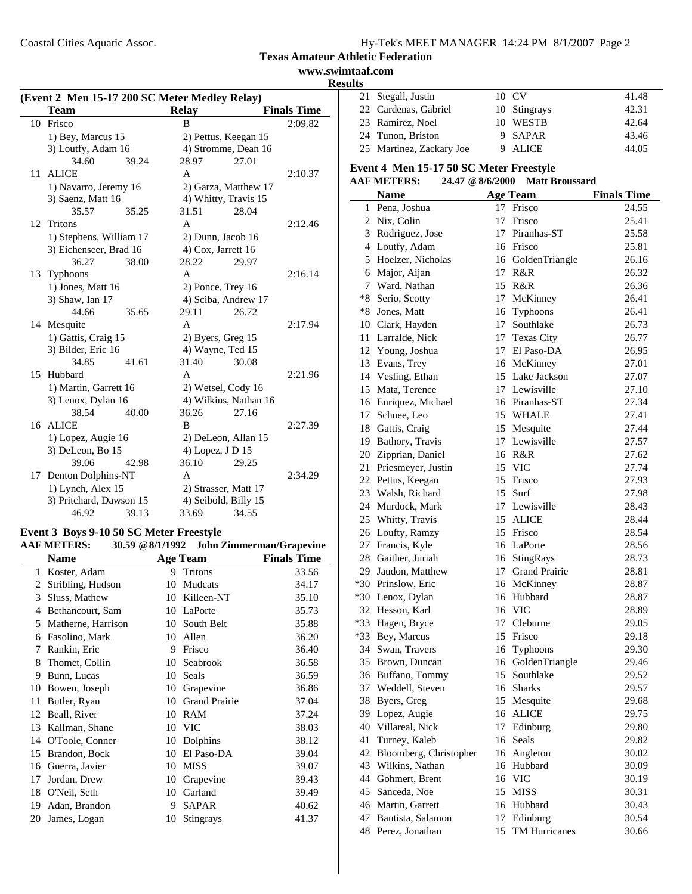Coastal Cities Aquatic Assoc.

|  | Hy-Tek's MEET MANAGER 14:24 PM 8/1/2007 Page 2 |  |  |
|--|------------------------------------------------|--|--|
|  |                                                |  |  |

# **Texas Amateur Athletic Federation**

**www.swimtaaf.com Results**

|    | <b>Team</b>             |       | <b>Relay</b> |                       | <b>Finals Time</b> |
|----|-------------------------|-------|--------------|-----------------------|--------------------|
|    | 10 Frisco               |       | B            |                       | 2:09.82            |
|    | 1) Bey, Marcus 15       |       |              | 2) Pettus, Keegan 15  |                    |
|    | 3) Loutfy, Adam 16      |       |              | 4) Stromme, Dean 16   |                    |
|    | 34.60                   | 39.24 | 28.97        | 27.01                 |                    |
| 11 | <b>ALICE</b>            |       | A            |                       | 2:10.37            |
|    | 1) Navarro, Jeremy 16   |       |              | 2) Garza, Matthew 17  |                    |
|    | 3) Saenz, Matt 16       |       |              | 4) Whitty, Travis 15  |                    |
|    | 35.57                   | 35.25 | 31.51        | 28.04                 |                    |
| 12 | Tritons                 |       | A            |                       | 2:12.46            |
|    | 1) Stephens, William 17 |       |              | 2) Dunn, Jacob 16     |                    |
|    | 3) Eichenseer, Brad 16  |       |              | 4) Cox, Jarrett 16    |                    |
|    | 36.27                   | 38.00 | 28.22        | 29.97                 |                    |
|    | 13 Typhoons             |       | A            |                       | 2:16.14            |
|    | 1) Jones, Matt 16       |       |              | 2) Ponce, Trey 16     |                    |
|    | 3) Shaw, Ian 17         |       |              | 4) Sciba, Andrew 17   |                    |
|    | 44.66                   | 35.65 | 29.11        | 26.72                 |                    |
|    | 14 Mesquite             |       | A            |                       | 2:17.94            |
|    | 1) Gattis, Craig 15     |       |              | 2) Byers, Greg 15     |                    |
|    | 3) Bilder, Eric 16      |       |              | 4) Wayne, Ted 15      |                    |
|    | 34.85                   | 41.61 | 31.40        | 30.08                 |                    |
|    | 15 Hubbard              |       | A            |                       | 2:21.96            |
|    | 1) Martin, Garrett 16   |       |              | 2) Wetsel, Cody 16    |                    |
|    | 3) Lenox, Dylan 16      |       |              | 4) Wilkins, Nathan 16 |                    |
|    | 38.54                   | 40.00 | 36.26        | 27.16                 |                    |
|    | 16 ALICE                |       | B            |                       | 2:27.39            |
|    | 1) Lopez, Augie 16      |       |              | 2) DeLeon, Allan 15   |                    |
|    | 3) DeLeon, Bo 15        |       |              | 4) Lopez, J D 15      |                    |
|    | 39.06                   | 42.98 | 36.10        | 29.25                 |                    |
|    | 17 Denton Dolphins-NT   |       | A            |                       | 2:34.29            |
|    | 1) Lynch, Alex 15       |       |              | 2) Strasser, Matt 17  |                    |
|    | 3) Pritchard, Dawson 15 |       |              | 4) Seibold, Billy 15  |                    |
|    | 46.92                   | 39.13 | 33.69        | 34.55                 |                    |

# **AAF METERS: 30.59 @8/1/1992 John Zimmerman/Grapevine**

|    | <b>Name</b>        |    | <b>Age Team</b>      | <b>Finals Time</b> |
|----|--------------------|----|----------------------|--------------------|
| 1  | Koster, Adam       | 9  | Tritons              | 33.56              |
| 2  | Stribling, Hudson  | 10 | Mudcats              | 34.17              |
| 3  | Sluss, Mathew      | 10 | Killeen-NT           | 35.10              |
| 4  | Bethancourt, Sam   | 10 | LaPorte              | 35.73              |
| 5  | Matherne, Harrison | 10 | South Belt           | 35.88              |
| 6  | Fasolino, Mark     | 10 | Allen                | 36.20              |
| 7  | Rankin, Eric       | 9  | Frisco               | 36.40              |
| 8  | Thomet, Collin     | 10 | Seabrook             | 36.58              |
| 9  | Bunn, Lucas        | 10 | Seals                | 36.59              |
| 10 | Bowen, Joseph      | 10 | Grapevine            | 36.86              |
| 11 | Butler, Ryan       | 10 | <b>Grand Prairie</b> | 37.04              |
| 12 | Beall, River       | 10 | RAM                  | 37.24              |
| 13 | Kallman, Shane     | 10 | <b>VIC</b>           | 38.03              |
| 14 | O'Toole, Conner    | 10 | Dolphins             | 38.12              |
| 15 | Brandon, Bock      | 10 | El Paso-DA           | 39.04              |
| 16 | Guerra, Javier     | 10 | <b>MISS</b>          | 39.07              |
| 17 | Jordan, Drew       | 10 | Grapevine            | 39.43              |
| 18 | O'Neil, Seth       | 10 | Garland              | 39.49              |
| 19 | Adan, Brandon      | 9  | <b>SAPAR</b>         | 40.62              |
| 20 | James, Logan       | 10 | <b>Stingrays</b>     | 41.37              |

| . |                          |              |       |
|---|--------------------------|--------------|-------|
|   | 21 Stegall, Justin       | 10 CV        | 41.48 |
|   | 22 Cardenas, Gabriel     | 10 Stingrays | 42.31 |
|   | 23 Ramirez, Noel         | 10 WESTB     | 42.64 |
|   | 24 Tunon, Briston        | 9 SAPAR      | 43.46 |
|   | 25 Martinez, Zackary Joe | ALICE        | 44.05 |

#### **Event 4 Men 15-17 50 SC Meter Freestyle**

#### **AAF METERS: 24.47 @8/6/2000 Matt Broussard**

|    |                        | $\psi$ o/v/ $\omega$ | <b>IVLAUL DI UUSSAI U</b> |                    |
|----|------------------------|----------------------|---------------------------|--------------------|
|    | <b>Name</b>            |                      | <b>Age Team</b>           | <b>Finals Time</b> |
|    | 1 Pena, Joshua         |                      | 17 Frisco                 | 24.55              |
|    | 2 Nix, Colin           |                      | 17 Frisco                 | 25.41              |
|    | 3 Rodriguez, Jose      |                      | 17 Piranhas-ST            | 25.58              |
|    | 4 Loutfy, Adam         |                      | 16 Frisco                 | 25.81              |
|    | 5 Hoelzer, Nicholas    |                      | 16 GoldenTriangle         | 26.16              |
|    | 6 Major, Aijan         |                      | 17 R&R                    | 26.32              |
|    | 7 Ward, Nathan         |                      | 15 R&R                    | 26.36              |
|    | *8 Serio, Scotty       |                      | 17 McKinney               | 26.41              |
|    | *8 Jones, Matt         |                      | 16 Typhoons               | 26.41              |
|    | 10 Clark, Hayden       |                      | 17 Southlake              | 26.73              |
|    | 11 Larralde, Nick      |                      | 17 Texas City             | 26.77              |
|    | 12 Young, Joshua       |                      | 17 El Paso-DA             | 26.95              |
|    | 13 Evans, Trey         |                      | 16 McKinney               | 27.01              |
|    | 14 Vesling, Ethan      |                      | 15 Lake Jackson           | 27.07              |
|    | 15 Mata, Terence       |                      | 17 Lewisville             | 27.10              |
|    | 16 Enriquez, Michael   |                      | 16 Piranhas-ST            | 27.34              |
|    | 17 Schnee, Leo         |                      | 15 WHALE                  | 27.41              |
|    | 18 Gattis, Craig       |                      | 15 Mesquite               | 27.44              |
|    | 19 Bathory, Travis     |                      | 17 Lewisville             | 27.57              |
|    | 20 Zipprian, Daniel    |                      | 16 R&R                    | 27.62              |
|    | 21 Priesmeyer, Justin  |                      | 15 VIC                    | 27.74              |
|    | 22 Pettus, Keegan      |                      | 15 Frisco                 | 27.93              |
|    | 23 Walsh, Richard      |                      | 15 Surf                   | 27.98              |
|    | 24 Murdock, Mark       |                      | 17 Lewisville             | 28.43              |
|    | 25 Whitty, Travis      |                      | 15 ALICE                  | 28.44              |
|    | 26 Loufty, Ramzy       |                      | 15 Frisco                 | 28.54              |
|    | 27 Francis, Kyle       |                      | 16 LaPorte                | 28.56              |
|    | 28 Gaither, Juriah     |                      | 16 StingRays              | 28.73              |
|    | 29 Jaudon, Matthew     |                      | 17 Grand Prairie          | 28.81              |
|    | *30 Prinslow, Eric     |                      | 16 McKinney               | 28.87              |
|    | *30 Lenox, Dylan       |                      | 16 Hubbard                | 28.87              |
|    | 32 Hesson, Karl        |                      | 16 VIC                    | 28.89              |
|    | *33 Hagen, Bryce       |                      | 17 Cleburne               | 29.05              |
|    | *33 Bey, Marcus        |                      | 15 Frisco                 | 29.18              |
|    | 34 Swan, Travers       |                      | 16 Typhoons               | 29.30              |
|    | 35 Brown, Duncan       |                      | 16 GoldenTriangle         | 29.46              |
|    | 36 Buffano, Tommy      |                      | 15 Southlake              | 29.52              |
|    | 37 Weddell, Steven     |                      | 16 Sharks                 | 29.57              |
|    | 38 Byers, Greg         |                      | 15 Mesquite               | 29.68              |
| 39 | Lopez, Augie           |                      | 16 ALICE                  | 29.75              |
| 40 | Villareal, Nick        | 17                   | Edinburg                  | 29.80              |
| 41 | Turney, Kaleb          |                      | 16 Seals                  | 29.82              |
| 42 | Bloomberg, Christopher |                      | 16 Angleton               | 30.02              |
| 43 | Wilkins, Nathan        | 16                   | Hubbard                   | 30.09              |
| 44 | Gohmert, Brent         | 16                   | <b>VIC</b>                | 30.19              |
| 45 | Sanceda, Noe           | 15                   | <b>MISS</b>               | 30.31              |
|    | 46 Martin, Garrett     | 16                   | Hubbard                   | 30.43              |
|    | 47 Bautista, Salamon   | 17                   | Edinburg                  | 30.54              |
|    | 48 Perez, Jonathan     | 15                   | TM Hurricanes             | 30.66              |
|    |                        |                      |                           |                    |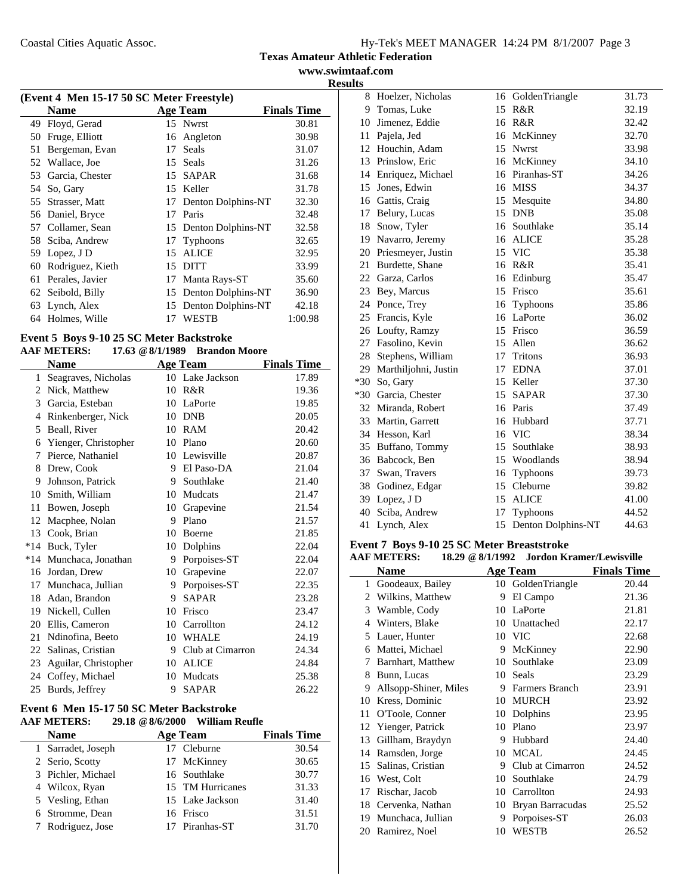#### **Texas Amateur Athletic Federation www.swimtaaf.com**

**Results**

| (Event 4 Men 15-17 50 SC Meter Freestyle) |                   |    |                       |                    |  |  |
|-------------------------------------------|-------------------|----|-----------------------|--------------------|--|--|
|                                           | <b>Name</b>       |    | <b>Age Team</b>       | <b>Finals Time</b> |  |  |
| 49                                        | Floyd, Gerad      |    | 15 Nwrst              | 30.81              |  |  |
| 50                                        | Fruge, Elliott    | 16 | Angleton              | 30.98              |  |  |
| 51                                        | Bergeman, Evan    | 17 | <b>Seals</b>          | 31.07              |  |  |
| 52                                        | Wallace, Joe      | 15 | Seals                 | 31.26              |  |  |
| 53                                        | Garcia, Chester   | 15 | <b>SAPAR</b>          | 31.68              |  |  |
| 54                                        | So, Gary          | 15 | Keller                | 31.78              |  |  |
| 55                                        | Strasser, Matt    | 17 | Denton Dolphins-NT    | 32.30              |  |  |
|                                           | 56 Daniel, Bryce  | 17 | Paris                 | 32.48              |  |  |
| 57                                        | Collamer, Sean    |    | 15 Denton Dolphins-NT | 32.58              |  |  |
| 58                                        | Sciba, Andrew     | 17 | Typhoons              | 32.65              |  |  |
| 59                                        | Lopez, J D        | 15 | <b>ALICE</b>          | 32.95              |  |  |
| 60                                        | Rodriguez, Kieth  | 15 | DITT                  | 33.99              |  |  |
| 61                                        | Perales, Javier   | 17 | Manta Rays-ST         | 35.60              |  |  |
|                                           | 62 Seibold, Billy | 15 | Denton Dolphins-NT    | 36.90              |  |  |
| 63                                        | Lynch, Alex       | 15 | Denton Dolphins-NT    | 42.18              |  |  |
| 64                                        | Holmes, Wille     | 17 | <b>WESTB</b>          | 1:00.98            |  |  |

#### **Event 5 Boys 9-10 25 SC Meter Backstroke AAF METERS: 17.63 @8/1/1989 Brandon Moore**

|       | ааг иштемо.            |    | $17.03 \approx 0.111767$ Detail to the New York |                    |
|-------|------------------------|----|-------------------------------------------------|--------------------|
|       | Name                   |    | <b>Age Team</b>                                 | <b>Finals Time</b> |
| 1     | Seagraves, Nicholas    |    | 10 Lake Jackson                                 | 17.89              |
| 2     | Nick, Matthew          | 10 | R&R                                             | 19.36              |
| 3     | Garcia, Esteban        | 10 | LaPorte                                         | 19.85              |
| 4     | Rinkenberger, Nick     | 10 | <b>DNB</b>                                      | 20.05              |
| 5     | Beall, River           | 10 | RAM                                             | 20.42              |
| 6     | Yienger, Christopher   | 10 | Plano                                           | 20.60              |
| 7     | Pierce, Nathaniel      | 10 | Lewisville                                      | 20.87              |
| 8     | Drew, Cook             | 9  | El Paso-DA                                      | 21.04              |
| 9     | Johnson, Patrick       | 9  | Southlake                                       | 21.40              |
| 10    | Smith, William         | 10 | Mudcats                                         | 21.47              |
| 11    | Bowen, Joseph          | 10 | Grapevine                                       | 21.54              |
| 12    | Macphee, Nolan         | 9  | Plano                                           | 21.57              |
| 13    | Cook, Brian            | 10 | Boerne                                          | 21.85              |
| $*14$ | Buck, Tyler            | 10 | Dolphins                                        | 22.04              |
|       | *14 Munchaca, Jonathan | 9  | Porpoises-ST                                    | 22.04              |
| 16    | Jordan, Drew           | 10 | Grapevine                                       | 22.07              |
| 17    | Munchaca, Jullian      | 9  | Porpoises-ST                                    | 22.35              |
| 18    | Adan, Brandon          | 9  | <b>SAPAR</b>                                    | 23.28              |
| 19    | Nickell, Cullen        | 10 | Frisco                                          | 23.47              |
| 20    | Ellis, Cameron         | 10 | Carrollton                                      | 24.12              |
| 21    | Ndinofina, Beeto       | 10 | WHALE                                           | 24.19              |
| 22    | Salinas, Cristian      | 9  | Club at Cimarron                                | 24.34              |
| 23    | Aguilar, Christopher   | 10 | <b>ALICE</b>                                    | 24.84              |
| 24    | Coffey, Michael        | 10 | Mudcats                                         | 25.38              |
| 25    | Burds, Jeffrey         | 9  | <b>SAPAR</b>                                    | 26.22              |
|       |                        |    |                                                 |                    |

#### **Event 6 Men 15-17 50 SC Meter Backstroke AAF METERS: 29.18 @8/6/2000 William Reufle**

| <b>Name</b>        | <b>Age Team</b>  | <b>Finals Time</b> |
|--------------------|------------------|--------------------|
| 1 Sarradet, Joseph | 17 Cleburne      | 30.54              |
| 2 Serio, Scotty    | 17 McKinney      | 30.65              |
| 3 Pichler, Michael | 16 Southlake     | 30.77              |
| 4 Wilcox, Ryan     | 15 TM Hurricanes | 31.33              |
| 5 Vesling, Ethan   | 15 Lake Jackson  | 31.40              |
| 6 Stromme, Dean    | 16 Frisco        | 31.51              |
| 7 Rodriguez, Jose  | 17 Piranhas-ST   | 31.70              |

| 8  | Hoelzer, Nicholas     |    | 16 GoldenTriangle  | 31.73 |
|----|-----------------------|----|--------------------|-------|
| 9  | Tomas, Luke           | 15 | R&R                | 32.19 |
| 10 | Jimenez, Eddie        |    | 16 R&R             | 32.42 |
| 11 | Pajela, Jed           |    | 16 McKinney        | 32.70 |
|    | 12 Houchin, Adam      |    | 15 Nwrst           | 33.98 |
| 13 | Prinslow, Eric        |    | 16 McKinney        | 34.10 |
| 14 | Enriquez, Michael     |    | 16 Piranhas-ST     | 34.26 |
| 15 | Jones, Edwin          |    | 16 MISS            | 34.37 |
|    | 16 Gattis, Craig      |    | 15 Mesquite        | 34.80 |
| 17 | Belury, Lucas         |    | 15 DNB             | 35.08 |
| 18 | Snow, Tyler           | 16 | Southlake          | 35.14 |
| 19 | Navarro, Jeremy       |    | 16 ALICE           | 35.28 |
|    | 20 Priesmeyer, Justin |    | 15 VIC             | 35.38 |
| 21 | Burdette, Shane       |    | 16 R&R             | 35.41 |
|    | 22 Garza, Carlos      |    | 16 Edinburg        | 35.47 |
| 23 | Bey, Marcus           | 15 | Frisco             | 35.61 |
| 24 | Ponce, Trey           | 16 | Typhoons           | 35.86 |
|    | 25 Francis, Kyle      |    | 16 LaPorte         | 36.02 |
|    | 26 Loufty, Ramzy      |    | 15 Frisco          | 36.59 |
|    | 27 Fasolino, Kevin    | 15 | Allen              | 36.62 |
| 28 | Stephens, William     | 17 | <b>Tritons</b>     | 36.93 |
| 29 | Marthiljohni, Justin  |    | 17 EDNA            | 37.01 |
|    | *30 So, Gary          |    | 15 Keller          | 37.30 |
|    | *30 Garcia, Chester   |    | 15 SAPAR           | 37.30 |
|    | 32 Miranda, Robert    |    | 16 Paris           | 37.49 |
| 33 | Martin, Garrett       | 16 | Hubbard            | 37.71 |
| 34 | Hesson, Karl          |    | 16 VIC             | 38.34 |
| 35 | Buffano, Tommy        |    | 15 Southlake       | 38.93 |
|    | 36 Babcock, Ben       |    | 15 Woodlands       | 38.94 |
| 37 | Swan, Travers         | 16 | Typhoons           | 39.73 |
| 38 | Godinez, Edgar        | 15 | Cleburne           | 39.82 |
| 39 | Lopez, J D            |    | 15 ALICE           | 41.00 |
|    | 40 Sciba, Andrew      |    | 17 Typhoons        | 44.52 |
| 41 | Lynch, Alex           | 15 | Denton Dolphins-NT | 44.63 |

# **Event 7 Boys 9-10 25 SC Meter Breaststroke**

# **AAF METERS: 18.29 @8/1/1992 Jordon Kramer/Lewisville**

|    | <b>Name</b>           |    | <b>Age Team</b>       | <b>Finals Time</b> |
|----|-----------------------|----|-----------------------|--------------------|
| 1  | Goodeaux, Bailey      | 10 | GoldenTriangle        | 20.44              |
| 2  | Wilkins, Matthew      | 9  | El Campo              | 21.36              |
| 3  | Wamble, Cody          | 10 | LaPorte               | 21.81              |
| 4  | Winters, Blake        | 10 | Unattached            | 22.17              |
| 5  | Lauer, Hunter         | 10 | <b>VIC</b>            | 22.68              |
| 6  | Mattei, Michael       | 9  | McKinney              | 22.90              |
| 7  | Barnhart, Matthew     | 10 | Southlake             | 23.09              |
| 8  | Bunn, Lucas           | 10 | Seals                 | 23.29              |
| 9  | Allsopp-Shiner, Miles | 9  | <b>Farmers Branch</b> | 23.91              |
| 10 | Kress, Dominic        | 10 | <b>MURCH</b>          | 23.92              |
| 11 | O'Toole, Conner       | 10 | Dolphins              | 23.95              |
| 12 | Yienger, Patrick      | 10 | Plano                 | 23.97              |
| 13 | Gillham, Braydyn      | 9  | Hubbard               | 24.40              |
| 14 | Ramsden, Jorge        | 10 | <b>MCAL</b>           | 24.45              |
| 15 | Salinas, Cristian     | 9  | Club at Cimarron      | 24.52              |
| 16 | West, Colt            | 10 | Southlake             | 24.79              |
| 17 | Rischar, Jacob        | 10 | Carrollton            | 24.93              |
| 18 | Cervenka, Nathan      | 10 | Bryan Barracudas      | 25.52              |
| 19 | Munchaca, Jullian     | 9  | Porpoises-ST          | 26.03              |
| 20 | Ramirez, Noel         | 10 | <b>WESTB</b>          | 26.52              |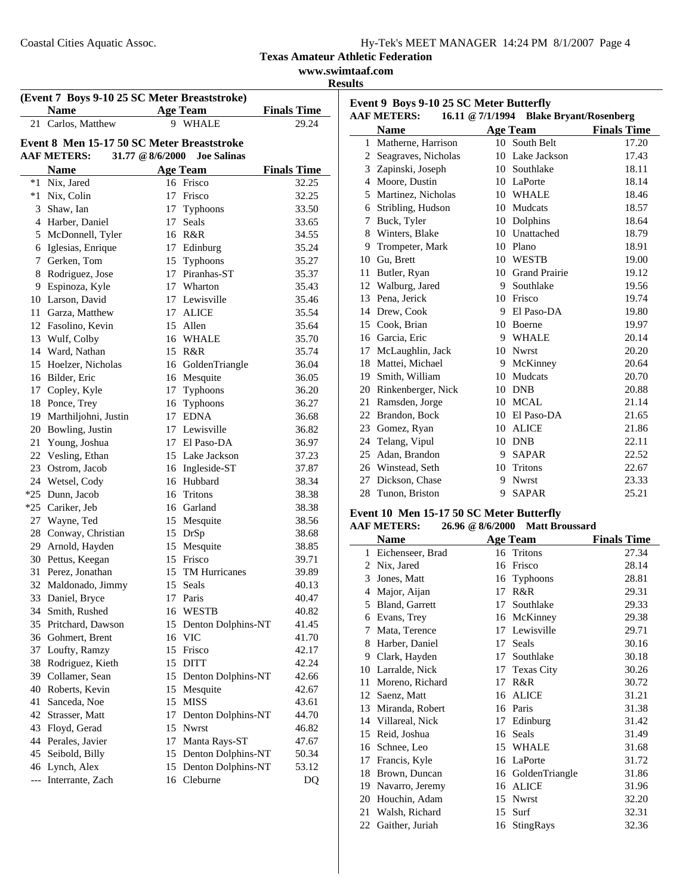| www.swimtaaf.com |
|------------------|
|------------------|

**Results**

|    | (Event 7 Boys 9-10 25 SC Meter Breaststroke) |                   |                               |                    |
|----|----------------------------------------------|-------------------|-------------------------------|--------------------|
|    | <b>Name</b>                                  |                   | <b>Age Team</b>               | <b>Finals Time</b> |
|    | 21 Carlos, Matthew                           |                   | 9 WHALE                       | 29.24              |
|    | Event 8 Men 15-17 50 SC Meter Breaststroke   |                   |                               |                    |
|    | <b>AAF METERS:</b>                           | 31.77 $@8/6/2000$ | <b>Joe Salinas</b>            |                    |
|    | <b>Name</b>                                  |                   | <b>Age Team</b>               | <b>Finals Time</b> |
|    | *1 Nix, Jared                                |                   | 16 Frisco                     | 32.25              |
|    | *1 Nix, Colin                                |                   | 17 Frisco                     | 32.25              |
|    | 3 Shaw, Ian                                  | 17                | Typhoons                      | 33.50              |
|    | 4 Harber, Daniel                             | 17                | Seals                         | 33.65              |
|    | 5 McDonnell, Tyler                           |                   | 16 R&R                        | 34.55              |
|    | 6 Iglesias, Enrique                          |                   | 17 Edinburg                   | 35.24              |
|    | 7 Gerken, Tom                                |                   |                               | 35.27              |
|    |                                              |                   | 15 Typhoons<br>17 Piranhas-ST |                    |
|    | 8 Rodriguez, Jose                            |                   |                               | 35.37              |
|    | 9 Espinoza, Kyle                             |                   | 17 Wharton                    | 35.43              |
|    | 10 Larson, David                             |                   | 17 Lewisville                 | 35.46              |
|    | 11 Garza, Matthew                            |                   | 17 ALICE                      | 35.54              |
|    | 12 Fasolino, Kevin                           |                   | 15 Allen                      | 35.64              |
|    | 13 Wulf, Colby                               |                   | 16 WHALE                      | 35.70              |
|    | 14 Ward, Nathan                              |                   | 15 R&R                        | 35.74              |
| 15 | Hoelzer, Nicholas                            |                   | 16 GoldenTriangle             | 36.04              |
|    | 16 Bilder, Eric                              |                   | 16 Mesquite                   | 36.05              |
|    | 17 Copley, Kyle                              | 17                | Typhoons                      | 36.20              |
| 18 | Ponce, Trey                                  |                   | 16 Typhoons                   | 36.27              |
|    | 19 Marthiljohni, Justin                      |                   | 17 EDNA                       | 36.68              |
|    | 20 Bowling, Justin                           |                   | 17 Lewisville                 | 36.82              |
|    | 21 Young, Joshua                             |                   | 17 El Paso-DA                 | 36.97              |
|    | 22 Vesling, Ethan                            |                   | 15 Lake Jackson               | 37.23              |
|    | 23 Ostrom, Jacob                             |                   | 16 Ingleside-ST               | 37.87              |
|    | 24 Wetsel, Cody                              |                   | 16 Hubbard                    | 38.34              |
|    | *25 Dunn, Jacob                              | 16                | Tritons                       | 38.38              |
|    | *25 Cariker, Jeb                             |                   | 16 Garland                    | 38.38              |
|    | 27 Wayne, Ted                                | 15                | Mesquite                      | 38.56              |
|    | 28 Conway, Christian                         | 15                | DrSp                          | 38.68              |
|    | 29 Arnold, Hayden                            |                   | 15 Mesquite                   | 38.85              |
|    | 30 Pettus, Keegan                            |                   | 15 Frisco                     | 39.71              |
| 31 | Perez, Jonathan                              | 15                | <b>TM Hurricanes</b>          | 39.89              |
| 32 | Maldonado, Jimmy                             | 15                | Seals                         | 40.13              |
| 33 | Daniel, Bryce                                | 17                | Paris                         | 40.47              |
|    | 34 Smith, Rushed                             | 16                | WESTB                         | 40.82              |
| 35 | Pritchard, Dawson                            | 15                | Denton Dolphins-NT            | 41.45              |
|    | 36 Gohmert, Brent                            |                   | 16 VIC                        | 41.70              |
|    | 37 Loufty, Ramzy                             | 15                | Frisco                        | 42.17              |
| 38 | Rodriguez, Kieth                             | 15                | <b>DITT</b>                   | 42.24              |
|    | 39 Collamer, Sean                            | 15                | Denton Dolphins-NT            | 42.66              |
|    | 40 Roberts, Kevin                            | 15                | Mesquite                      | 42.67              |
| 41 | Sanceda, Noe                                 | 15                | <b>MISS</b>                   | 43.61              |
|    | 42 Strasser, Matt                            | 17                | Denton Dolphins-NT            | 44.70              |
|    | 43 Floyd, Gerad                              | 15                | Nwrst                         | 46.82              |
|    | 44 Perales, Javier                           | 17                | Manta Rays-ST                 | 47.67              |
|    | 45 Seibold, Billy                            |                   | 15 Denton Dolphins-NT         | 50.34              |
|    | 46 Lynch, Alex                               | 15                | Denton Dolphins-NT            | 53.12              |
|    | --- Interrante, Zach                         |                   | 16 Cleburne                   | DQ                 |
|    |                                              |                   |                               |                    |

| Event 9 Boys 9-10 25 SC Meter Butterfly                                 |                       |    |                  |                    |  |  |
|-------------------------------------------------------------------------|-----------------------|----|------------------|--------------------|--|--|
| <b>AAF METERS:</b><br>16.11 @ 7/1/1994<br><b>Blake Bryant/Rosenberg</b> |                       |    |                  |                    |  |  |
|                                                                         | Name                  |    | <b>Age Team</b>  | <b>Finals Time</b> |  |  |
|                                                                         | 1 Matherne, Harrison  |    | 10 South Belt    | 17.20              |  |  |
|                                                                         | 2 Seagraves, Nicholas | 10 | Lake Jackson     | 17.43              |  |  |
|                                                                         | 3 Zapinski, Joseph    |    | 10 Southlake     | 18.11              |  |  |
|                                                                         | 4 Moore, Dustin       |    | 10 LaPorte       | 18.14              |  |  |
| 5                                                                       | Martinez, Nicholas    |    | 10 WHALE         | 18.46              |  |  |
| 6                                                                       | Stribling, Hudson     | 10 | Mudcats          | 18.57              |  |  |
| 7                                                                       | Buck, Tyler           | 10 | Dolphins         | 18.64              |  |  |
| 8                                                                       | Winters, Blake        |    | 10 Unattached    | 18.79              |  |  |
| 9                                                                       | Trompeter, Mark       |    | 10 Plano         | 18.91              |  |  |
| 10                                                                      | Gu, Brett             | 10 | <b>WESTB</b>     | 19.00              |  |  |
| 11                                                                      | Butler, Ryan          |    | 10 Grand Prairie | 19.12              |  |  |
|                                                                         | 12 Walburg, Jared     | 9  | Southlake        | 19.56              |  |  |
|                                                                         | 13 Pena, Jerick       | 10 | Frisco           | 19.74              |  |  |
|                                                                         | 14 Drew, Cook         | 9  | El Paso-DA       | 19.80              |  |  |
| 15                                                                      | Cook, Brian           | 10 | <b>Boerne</b>    | 19.97              |  |  |
|                                                                         | 16 Garcia, Eric       |    | 9 WHALE          | 20.14              |  |  |
|                                                                         | 17 McLaughlin, Jack   | 10 | <b>Nwrst</b>     | 20.20              |  |  |
|                                                                         | 18 Mattei, Michael    | 9  | McKinney         | 20.64              |  |  |
|                                                                         | 19 Smith, William     | 10 | Mudcats          | 20.70              |  |  |
| 20                                                                      | Rinkenberger, Nick    | 10 | <b>DNB</b>       | 20.88              |  |  |
|                                                                         | 21 Ramsden, Jorge     |    | 10 MCAL          | 21.14              |  |  |
| 22                                                                      | Brandon, Bock         |    | 10 El Paso-DA    | 21.65              |  |  |
|                                                                         | 23 Gomez, Ryan        | 10 | <b>ALICE</b>     | 21.86              |  |  |
| 24                                                                      | Telang, Vipul         | 10 | <b>DNB</b>       | 22.11              |  |  |
| 25                                                                      | Adan, Brandon         | 9  | <b>SAPAR</b>     | 22.52              |  |  |
|                                                                         | 26 Winstead, Seth     | 10 | Tritons          | 22.67              |  |  |
| 27                                                                      | Dickson, Chase        | 9  | <b>Nwrst</b>     | 23.33              |  |  |
| 28                                                                      | Tunon, Briston        | 9  | <b>SAPAR</b>     | 25.21              |  |  |

# **Event 10 Men 15-17 50 SC Meter Butterfly**

|  | <b>AAF METERS:</b> |  | $26.96 \& 8/6/2000$ | <b>Matt Broussard</b> |
|--|--------------------|--|---------------------|-----------------------|
|--|--------------------|--|---------------------|-----------------------|

|    | Name             |    | <b>Age Team</b>   | <b>Finals Time</b> |
|----|------------------|----|-------------------|--------------------|
| 1  | Eichenseer, Brad |    | 16 Tritons        | 27.34              |
| 2  | Nix, Jared       | 16 | Frisco            | 28.14              |
| 3  | Jones, Matt      | 16 | <b>Typhoons</b>   | 28.81              |
| 4  | Major, Aijan     | 17 | R&R               | 29.31              |
| 5  | Bland, Garrett   | 17 | Southlake         | 29.33              |
| 6  | Evans, Trey      |    | 16 McKinney       | 29.38              |
| 7  | Mata, Terence    | 17 | Lewisville        | 29.71              |
| 8  | Harber, Daniel   | 17 | Seals             | 30.16              |
| 9  | Clark, Hayden    | 17 | Southlake         | 30.18              |
| 10 | Larralde, Nick   | 17 | <b>Texas City</b> | 30.26              |
| 11 | Moreno, Richard  | 17 | R&R               | 30.72              |
| 12 | Saenz, Matt      | 16 | <b>ALICE</b>      | 31.21              |
| 13 | Miranda, Robert  |    | 16 Paris          | 31.38              |
| 14 | Villareal, Nick  | 17 | Edinburg          | 31.42              |
| 15 | Reid, Joshua     | 16 | Seals             | 31.49              |
| 16 | Schnee, Leo      | 15 | <b>WHALE</b>      | 31.68              |
| 17 | Francis, Kyle    | 16 | LaPorte           | 31.72              |
| 18 | Brown, Duncan    |    | 16 GoldenTriangle | 31.86              |
| 19 | Navarro, Jeremy  | 16 | <b>ALICE</b>      | 31.96              |
| 20 | Houchin, Adam    | 15 | <b>Nwrst</b>      | 32.20              |
| 21 | Walsh, Richard   | 15 | Surf              | 32.31              |
| 22 | Gaither, Juriah  | 16 | StingRays         | 32.36              |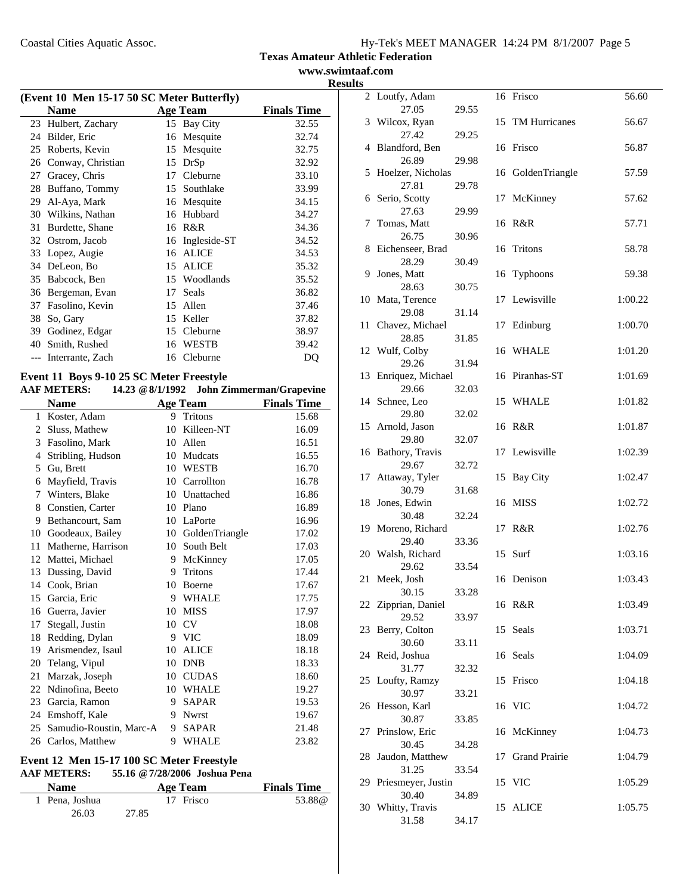**www.swimtaaf.com Results**

| (Event 10 Men 15-17 50 SC Meter Butterfly) |                     |    |                 |                    |  |  |
|--------------------------------------------|---------------------|----|-----------------|--------------------|--|--|
|                                            | <b>Name</b>         |    | <b>Age Team</b> | <b>Finals Time</b> |  |  |
|                                            | 23 Hulbert, Zachary | 15 | Bay City        | 32.55              |  |  |
| 24                                         | Bilder, Eric        | 16 | Mesquite        | 32.74              |  |  |
| 25                                         | Roberts, Kevin      | 15 | Mesquite        | 32.75              |  |  |
| 26                                         | Conway, Christian   | 15 | DrSp            | 32.92              |  |  |
| 27                                         | Gracey, Chris       | 17 | Cleburne        | 33.10              |  |  |
| 28                                         | Buffano, Tommy      | 15 | Southlake       | 33.99              |  |  |
| 29                                         | Al-Aya, Mark        | 16 | Mesquite        | 34.15              |  |  |
| 30                                         | Wilkins, Nathan     | 16 | Hubbard         | 34.27              |  |  |
| 31                                         | Burdette, Shane     | 16 | R&R             | 34.36              |  |  |
| 32                                         | Ostrom, Jacob       | 16 | Ingleside-ST    | 34.52              |  |  |
| 33                                         | Lopez, Augie        | 16 | <b>ALICE</b>    | 34.53              |  |  |
| 34                                         | DeLeon, Bo          | 15 | <b>ALICE</b>    | 35.32              |  |  |
| 35                                         | Babcock, Ben        | 15 | Woodlands       | 35.52              |  |  |
| 36                                         | Bergeman, Evan      | 17 | Seals           | 36.82              |  |  |
| 37                                         | Fasolino, Kevin     | 15 | Allen           | 37.46              |  |  |
| 38                                         | So, Gary            | 15 | Keller          | 37.82              |  |  |
| 39                                         | Godinez, Edgar      | 15 | Cleburne        | 38.97              |  |  |
| 40                                         | Smith, Rushed       | 16 | WESTB           | 39.42              |  |  |
|                                            | Interrante, Zach    | 16 | Cleburne        | DQ                 |  |  |
|                                            |                     |    |                 |                    |  |  |

## **Event 11 Boys 9-10 25 SC Meter Freestyle**

|              | $\frac{1}{2}$ and $\frac{1}{2}$ and $\frac{1}{2}$ are not allowed as a set of $\frac{1}{2}$<br><b>AAF METERS:</b> |    | 14.23 @ 8/1/1992 John Zimmerman/Grapevine |                    |
|--------------|-------------------------------------------------------------------------------------------------------------------|----|-------------------------------------------|--------------------|
|              | <b>Name</b>                                                                                                       |    | Age Team                                  | <b>Finals Time</b> |
| $\mathbf{1}$ | Koster, Adam                                                                                                      |    | 9 Tritons                                 | 15.68              |
| 2            | Sluss, Mathew                                                                                                     | 10 | Killeen-NT                                | 16.09              |
| 3            | Fasolino, Mark                                                                                                    | 10 | Allen                                     | 16.51              |
| 4            | Stribling, Hudson                                                                                                 |    | 10 Mudcats                                | 16.55              |
| 5            | Gu, Brett                                                                                                         |    | 10 WESTB                                  | 16.70              |
| 6            | Mayfield, Travis                                                                                                  |    | 10 Carrollton                             | 16.78              |
| 7            | Winters, Blake                                                                                                    |    | 10 Unattached                             | 16.86              |
| 8            | Constien, Carter                                                                                                  | 10 | Plano                                     | 16.89              |
| 9            | Bethancourt, Sam                                                                                                  |    | 10 LaPorte                                | 16.96              |
| 10           | Goodeaux, Bailey                                                                                                  |    | 10 GoldenTriangle                         | 17.02              |
| 11           | Matherne, Harrison                                                                                                |    | 10 South Belt                             | 17.03              |
| 12           | Mattei, Michael                                                                                                   | 9  | McKinney                                  | 17.05              |
| 13           | Dussing, David                                                                                                    | 9  | Tritons                                   | 17.44              |
|              | 14 Cook, Brian                                                                                                    | 10 | Boerne                                    | 17.67              |
| 15           | Garcia, Eric                                                                                                      | 9  | <b>WHALE</b>                              | 17.75              |
| 16           | Guerra, Javier                                                                                                    | 10 | <b>MISS</b>                               | 17.97              |
| 17           | Stegall, Justin                                                                                                   | 10 | <b>CV</b>                                 | 18.08              |
| 18           | Redding, Dylan                                                                                                    | 9  | <b>VIC</b>                                | 18.09              |
| 19           | Arismendez, Isaul                                                                                                 | 10 | <b>ALICE</b>                              | 18.18              |
| 20           | Telang, Vipul                                                                                                     | 10 | <b>DNB</b>                                | 18.33              |
| 21           | Marzak, Joseph                                                                                                    | 10 | <b>CUDAS</b>                              | 18.60              |
| 22           | Ndinofina, Beeto                                                                                                  |    | 10 WHALE                                  | 19.27              |
| 23           | Garcia, Ramon                                                                                                     | 9  | <b>SAPAR</b>                              | 19.53              |
| 24           | Emshoff, Kale                                                                                                     | 9  | <b>Nwrst</b>                              | 19.67              |
| 25           | Samudio-Roustin, Marc-A                                                                                           | 9  | <b>SAPAR</b>                              | 21.48              |
|              | 26 Carlos, Matthew                                                                                                | 9  | <b>WHALE</b>                              | 23.82              |

# **Event 12 Men 15-17 100 SC Meter Freestyle**

# **AAF METERS: 55.16 @7/28/2006 Joshua Pena**

| <b>Name</b>    | Age Team  | <b>Finals Time</b> |
|----------------|-----------|--------------------|
| 1 Pena. Joshua | 17 Frisco | 53.88@             |
| 26.03          | 27.85     |                    |

|    | 2 Loutfy, Adam             |       |    | 16 Frisco            | 56.60   |
|----|----------------------------|-------|----|----------------------|---------|
|    | 27.05                      | 29.55 |    |                      |         |
|    | 3 Wilcox, Ryan             |       | 15 | TM Hurricanes        | 56.67   |
|    | 27.42                      | 29.25 |    |                      |         |
| 4  | Blandford, Ben             |       |    | 16 Frisco            | 56.87   |
| 5  | 26.89<br>Hoelzer, Nicholas | 29.98 |    | 16 GoldenTriangle    | 57.59   |
|    | 27.81                      | 29.78 |    |                      |         |
|    | 6 Serio, Scotty            |       | 17 | McKinney             | 57.62   |
|    | 27.63                      | 29.99 |    |                      |         |
| 7  | Tomas, Matt                |       |    | 16 R&R               | 57.71   |
|    | 26.75                      | 30.96 |    |                      |         |
| 8  | Eichenseer, Brad           |       | 16 | Tritons              | 58.78   |
|    | 28.29                      | 30.49 |    |                      |         |
| 9. | Jones, Matt                |       | 16 | <b>Typhoons</b>      | 59.38   |
|    | 28.63                      | 30.75 |    |                      |         |
|    | 10 Mata, Terence           |       | 17 | Lewisville           | 1:00.22 |
|    | 29.08                      | 31.14 |    |                      |         |
|    | 11 Chavez, Michael         |       | 17 | Edinburg             | 1:00.70 |
|    | 28.85                      | 31.85 |    |                      |         |
| 12 | Wulf, Colby                |       | 16 | WHALE                | 1:01.20 |
| 13 | 29.26<br>Enriquez, Michael | 31.94 |    | 16 Piranhas-ST       | 1:01.69 |
|    | 29.66                      | 32.03 |    |                      |         |
|    | 14 Schnee, Leo             |       |    | 15 WHALE             | 1:01.82 |
|    | 29.80                      | 32.02 |    |                      |         |
|    | 15 Arnold, Jason           |       |    | 16 R&R               | 1:01.87 |
|    | 29.80                      | 32.07 |    |                      |         |
| 16 | Bathory, Travis            |       |    | 17 Lewisville        | 1:02.39 |
|    | 29.67                      | 32.72 |    |                      |         |
| 17 | Attaway, Tyler             |       | 15 | <b>Bay City</b>      | 1:02.47 |
|    | 30.79                      | 31.68 |    |                      |         |
| 18 | Jones, Edwin               |       | 16 | <b>MISS</b>          | 1:02.72 |
|    | 30.48                      | 32.24 |    | R&R                  |         |
| 19 | Moreno, Richard<br>29.40   | 33.36 | 17 |                      | 1:02.76 |
| 20 | Walsh, Richard             |       | 15 | Surf                 | 1:03.16 |
|    | 29.62                      | 33.54 |    |                      |         |
| 21 | Meek, Josh                 |       |    | 16 Denison           | 1:03.43 |
|    | 30.15                      | 33.28 |    |                      |         |
|    | 22 Zipprian, Daniel        |       |    | 16 R&R               | 1:03.49 |
|    | 29.52                      | 33.97 |    |                      |         |
| 23 | Berry, Colton              |       | 15 | Seals                | 1:03.71 |
|    | 30.60                      | 33.11 |    |                      |         |
| 24 | Reid, Joshua               |       | 16 | Seals                | 1:04.09 |
|    | 31.77                      | 32.32 |    |                      |         |
|    | 25 Loufty, Ramzy<br>30.97  |       |    | 15 Frisco            | 1:04.18 |
| 26 | Hesson, Karl               | 33.21 |    | 16 VIC               | 1:04.72 |
|    | 30.87                      | 33.85 |    |                      |         |
| 27 | Prinslow, Eric             |       |    | 16 McKinney          | 1:04.73 |
|    | 30.45                      | 34.28 |    |                      |         |
| 28 | Jaudon, Matthew            |       | 17 | <b>Grand Prairie</b> | 1:04.79 |
|    | 31.25                      | 33.54 |    |                      |         |
| 29 | Priesmeyer, Justin         |       |    | 15 VIC               | 1:05.29 |
|    | 30.40                      | 34.89 |    |                      |         |
|    | 30 Whitty, Travis          |       | 15 | <b>ALICE</b>         | 1:05.75 |
|    | 31.58                      | 34.17 |    |                      |         |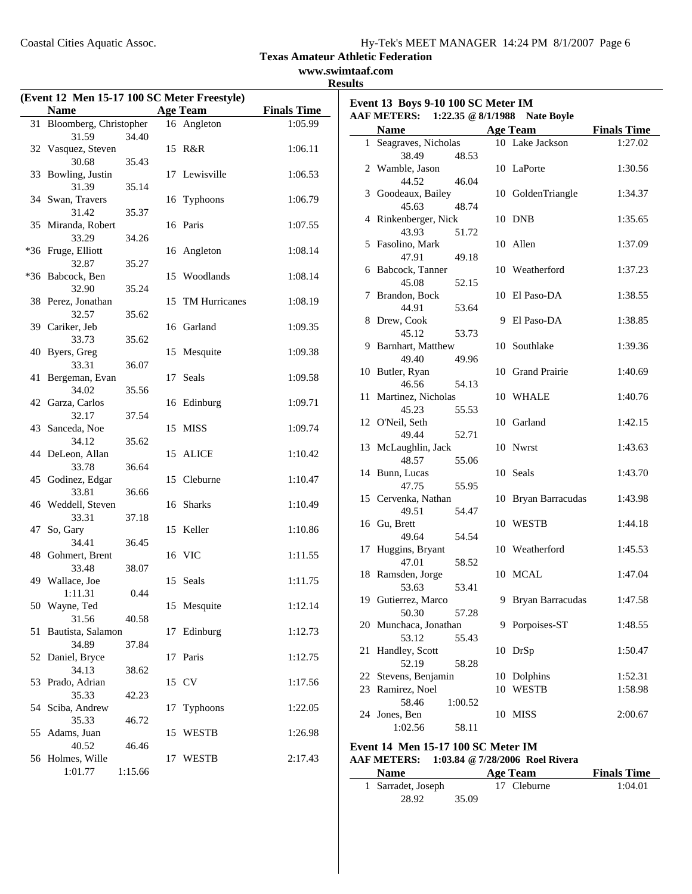**Event 13 Boys 9-10 100 SC Meter IM**

**Texas Amateur Athletic Federation**

**www.swimtaaf.com Results**

|    | (Event 12 Men 15-17 100 SC Meter Freestyle)          |         |    |                      |         |  |  |  |
|----|------------------------------------------------------|---------|----|----------------------|---------|--|--|--|
|    | <b>Name</b><br><b>Age Team</b><br><b>Finals Time</b> |         |    |                      |         |  |  |  |
| 31 | Bloomberg, Christopher                               |         |    | 16 Angleton          | 1:05.99 |  |  |  |
|    | 31.59                                                | 34.40   |    |                      |         |  |  |  |
|    | 32 Vasquez, Steven                                   |         |    | 15 R&R               | 1:06.11 |  |  |  |
|    | 30.68                                                | 35.43   |    |                      |         |  |  |  |
| 33 | Bowling, Justin                                      |         | 17 | Lewisville           | 1:06.53 |  |  |  |
|    | 31.39                                                | 35.14   |    |                      |         |  |  |  |
|    | 34 Swan, Travers                                     |         |    | 16 Typhoons          | 1:06.79 |  |  |  |
|    | 31.42                                                | 35.37   |    |                      |         |  |  |  |
|    | 35 Miranda, Robert                                   |         |    | 16 Paris             | 1:07.55 |  |  |  |
|    | 33.29                                                | 34.26   |    |                      |         |  |  |  |
|    | *36 Fruge, Elliott                                   |         | 16 | Angleton             | 1:08.14 |  |  |  |
|    | 32.87                                                | 35.27   |    |                      |         |  |  |  |
|    | *36 Babcock, Ben                                     |         | 15 | Woodlands            | 1:08.14 |  |  |  |
|    | 32.90                                                | 35.24   |    | <b>TM Hurricanes</b> |         |  |  |  |
| 38 | Perez, Jonathan<br>32.57                             |         | 15 |                      | 1:08.19 |  |  |  |
|    | 39 Cariker, Jeb                                      | 35.62   |    | 16 Garland           | 1:09.35 |  |  |  |
|    | 33.73                                                | 35.62   |    |                      |         |  |  |  |
| 40 | Byers, Greg                                          |         |    | 15 Mesquite          | 1:09.38 |  |  |  |
|    | 33.31                                                | 36.07   |    |                      |         |  |  |  |
| 41 | Bergeman, Evan                                       |         | 17 | Seals                | 1:09.58 |  |  |  |
|    | 34.02                                                | 35.56   |    |                      |         |  |  |  |
|    | 42 Garza, Carlos                                     |         |    | 16 Edinburg          | 1:09.71 |  |  |  |
|    | 32.17                                                | 37.54   |    |                      |         |  |  |  |
|    | 43 Sanceda, Noe                                      |         | 15 | <b>MISS</b>          | 1:09.74 |  |  |  |
|    | 34.12                                                | 35.62   |    |                      |         |  |  |  |
|    | 44 DeLeon, Allan                                     |         | 15 | <b>ALICE</b>         | 1:10.42 |  |  |  |
|    | 33.78                                                | 36.64   |    |                      |         |  |  |  |
|    | 45 Godinez, Edgar                                    |         |    | 15 Cleburne          | 1:10.47 |  |  |  |
|    | 33.81                                                | 36.66   |    |                      |         |  |  |  |
|    | 46 Weddell, Steven                                   |         |    | 16 Sharks            | 1:10.49 |  |  |  |
|    | 33.31                                                | 37.18   |    |                      |         |  |  |  |
| 47 | So, Gary                                             |         |    | 15 Keller            | 1:10.86 |  |  |  |
|    | 34.41                                                | 36.45   |    |                      |         |  |  |  |
|    | 48 Gohmert, Brent                                    |         |    | 16 VIC               | 1:11.55 |  |  |  |
|    | 33.48                                                | 38.07   |    | 15 Seals             |         |  |  |  |
|    | 49 Wallace, Joe                                      | 0.44    |    |                      | 1:11.75 |  |  |  |
|    | 1:11.31<br>50 Wayne, Ted                             |         | 15 | Mesquite             | 1:12.14 |  |  |  |
|    | 31.56                                                | 40.58   |    |                      |         |  |  |  |
| 51 | Bautista, Salamon                                    |         | 17 | Edinburg             | 1:12.73 |  |  |  |
|    | 34.89                                                | 37.84   |    |                      |         |  |  |  |
|    | 52 Daniel, Bryce                                     |         | 17 | Paris                | 1:12.75 |  |  |  |
|    | 34.13                                                | 38.62   |    |                      |         |  |  |  |
| 53 | Prado, Adrian                                        |         |    | 15 CV                | 1:17.56 |  |  |  |
|    | 35.33                                                | 42.23   |    |                      |         |  |  |  |
|    | 54 Sciba, Andrew                                     |         | 17 | Typhoons             | 1:22.05 |  |  |  |
|    | 35.33                                                | 46.72   |    |                      |         |  |  |  |
|    | 55 Adams, Juan                                       |         | 15 | <b>WESTB</b>         | 1:26.98 |  |  |  |
|    | 40.52                                                | 46.46   |    |                      |         |  |  |  |
|    | 56 Holmes, Wille                                     |         | 17 | <b>WESTB</b>         | 2:17.43 |  |  |  |
|    | 1:01.77                                              | 1:15.66 |    |                      |         |  |  |  |

|    | <b>AAF METERS:</b>       | 1:22.35 $@ 8/1/1988$ |    | <b>Nate Boyle</b>   |                    |
|----|--------------------------|----------------------|----|---------------------|--------------------|
|    | <b>Name</b>              |                      |    | <b>Age Team</b>     | <b>Finals Time</b> |
|    | 1 Seagraves, Nicholas    |                      |    | 10 Lake Jackson     | 1:27.02            |
|    | 38.49                    | 48.53                |    |                     |                    |
|    | 2 Wamble, Jason          |                      |    | 10 LaPorte          | 1:30.56            |
|    | 44.52                    | 46.04                |    |                     |                    |
|    | 3 Goodeaux, Bailey       |                      |    | 10 GoldenTriangle   | 1:34.37            |
|    | 45.63                    | 48.74                |    |                     |                    |
|    | 4 Rinkenberger, Nick     |                      |    | 10 DNB              | 1:35.65            |
|    | 43.93                    | 51.72                |    |                     |                    |
|    | 5 Fasolino, Mark         |                      |    | 10 Allen            | 1:37.09            |
|    | 47.91                    | 49.18                |    |                     |                    |
|    | 6 Babcock, Tanner        |                      |    | 10 Weatherford      | 1:37.23            |
|    | 45.08                    | 52.15                |    |                     |                    |
|    | 7 Brandon, Bock          |                      |    | 10 El Paso-DA       | 1:38.55            |
|    | 44.91                    | 53.64                |    |                     |                    |
|    | 8 Drew, Cook             |                      | 9  | El Paso-DA          | 1:38.85            |
|    | 45.12                    | 53.73                |    |                     |                    |
|    | 9 Barnhart, Matthew      |                      |    | 10 Southlake        | 1:39.36            |
|    | 49.40                    | 49.96                |    |                     |                    |
|    | 10 Butler, Ryan          |                      |    | 10 Grand Prairie    | 1:40.69            |
|    | 46.56                    | 54.13                |    |                     |                    |
| 11 | Martinez, Nicholas       |                      |    | 10 WHALE            | 1:40.76            |
|    | 45.23<br>12 O'Neil, Seth | 55.53                |    | 10 Garland          | 1:42.15            |
|    | 49.44                    | 52.71                |    |                     |                    |
|    | 13 McLaughlin, Jack      |                      |    | 10 Nwrst            | 1:43.63            |
|    | 48.57                    | 55.06                |    |                     |                    |
|    | 14 Bunn, Lucas           |                      |    | 10 Seals            | 1:43.70            |
|    | 47.75                    | 55.95                |    |                     |                    |
|    | 15 Cervenka, Nathan      |                      |    | 10 Bryan Barracudas | 1:43.98            |
|    | 49.51                    | 54.47                |    |                     |                    |
|    | 16 Gu, Brett             |                      |    | 10 WESTB            | 1:44.18            |
|    | 49.64                    | 54.54                |    |                     |                    |
| 17 | Huggins, Bryant          |                      |    | 10 Weatherford      | 1:45.53            |
|    | 47.01                    | 58.52                |    |                     |                    |
|    | 18 Ramsden, Jorge        |                      |    | 10 MCAL             | 1:47.04            |
|    | 53.63                    | 53.41                |    |                     |                    |
|    | 19 Gutierrez, Marco      |                      | 9  | Bryan Barracudas    | 1:47.58            |
|    | 50.30                    | 57.28                |    |                     |                    |
|    | 20 Munchaca, Jonathan    |                      |    | 9 Porpoises-ST      | 1:48.55            |
|    | 53.12                    | 55.43                |    |                     |                    |
| 21 | Handley, Scott           |                      | 10 | DrSp                | 1:50.47            |
|    | 52.19                    | 58.28                |    |                     |                    |
| 22 | Stevens, Benjamin        |                      | 10 | Dolphins            | 1:52.31            |
| 23 | Ramirez, Noel            |                      |    | 10 WESTB            | 1:58.98            |
|    | 58.46                    | 1:00.52              |    |                     |                    |
|    | 24 Jones, Ben            |                      | 10 | MISS                | 2:00.67            |
|    | 1:02.56                  | 58.11                |    |                     |                    |

#### **Event 14 Men 15-17 100 SC Meter IM AAF METERS: 1:03.84 @7/28/2006 Roel Rivera**

| <b>Name</b>        |       | Age Team    | <b>Finals Time</b> |
|--------------------|-------|-------------|--------------------|
| 1 Sarradet, Joseph |       | 17 Cleburne | 1:04.01            |
| 28.92              | 35.09 |             |                    |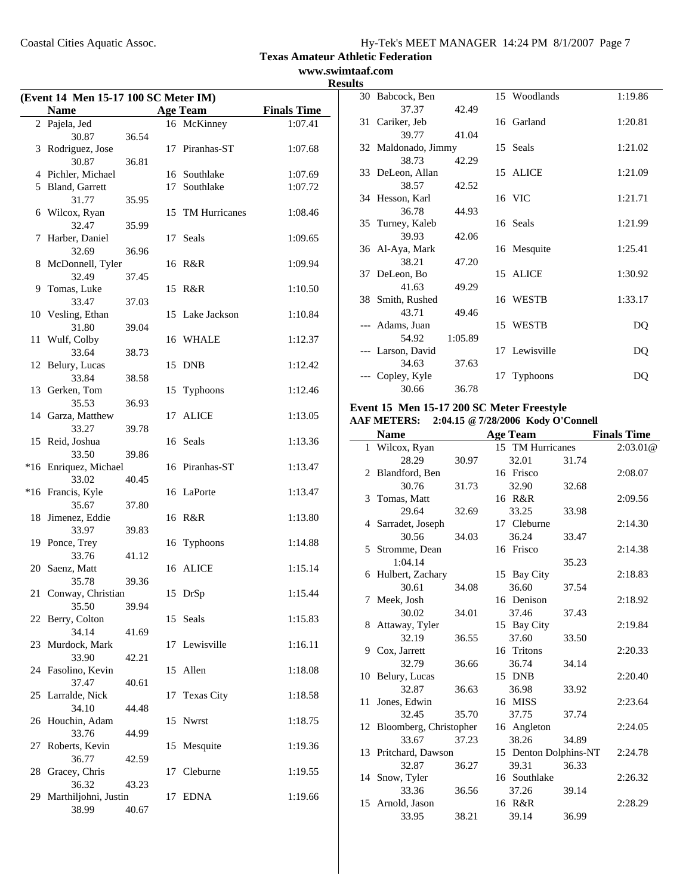**www.swimtaaf.com Results**

| (Event 14 Men 15-17 100 SC Meter IM) |                                |       |    |                   |                    |  |  |
|--------------------------------------|--------------------------------|-------|----|-------------------|--------------------|--|--|
|                                      | <b>Name</b>                    |       |    | <b>Age Team</b>   | <b>Finals Time</b> |  |  |
|                                      | 2 Pajela, Jed                  |       |    | 16 McKinney       | 1:07.41            |  |  |
|                                      | 30.87                          | 36.54 |    |                   |                    |  |  |
|                                      | 3 Rodriguez, Jose              |       |    | 17 Piranhas-ST    | 1:07.68            |  |  |
|                                      | 30.87                          | 36.81 |    |                   |                    |  |  |
|                                      | 4 Pichler, Michael             |       |    | 16 Southlake      | 1:07.69            |  |  |
|                                      | 5 Bland, Garrett<br>31.77      | 35.95 |    | 17 Southlake      | 1:07.72            |  |  |
|                                      | 6 Wilcox, Ryan                 |       |    | 15 TM Hurricanes  | 1:08.46            |  |  |
|                                      | 32.47                          | 35.99 |    |                   |                    |  |  |
| 7                                    | Harber, Daniel                 |       |    | 17 Seals          | 1:09.65            |  |  |
|                                      | 32.69                          | 36.96 |    |                   |                    |  |  |
|                                      | 8 McDonnell, Tyler             |       |    | 16 R&R            | 1:09.94            |  |  |
|                                      | 32.49                          | 37.45 |    |                   |                    |  |  |
| 9                                    | Tomas, Luke                    |       |    | 15 R&R            | 1:10.50            |  |  |
|                                      | 33.47                          | 37.03 |    |                   |                    |  |  |
|                                      | 10 Vesling, Ethan              |       |    | 15 Lake Jackson   | 1:10.84            |  |  |
|                                      | 31.80                          | 39.04 |    |                   |                    |  |  |
| 11                                   | Wulf, Colby                    |       |    | 16 WHALE          | 1:12.37            |  |  |
|                                      | 33.64                          | 38.73 |    |                   |                    |  |  |
|                                      | 12 Belury, Lucas               |       |    | 15 DNB            | 1:12.42            |  |  |
|                                      | 33.84                          | 38.58 |    |                   |                    |  |  |
|                                      | 13 Gerken, Tom                 |       |    | 15 Typhoons       | 1:12.46            |  |  |
|                                      | 35.53                          | 36.93 |    |                   |                    |  |  |
|                                      | 14 Garza, Matthew              |       | 17 | <b>ALICE</b>      | 1:13.05            |  |  |
|                                      | 33.27                          | 39.78 |    |                   |                    |  |  |
|                                      | 15 Reid, Joshua                |       |    | 16 Seals          | 1:13.36            |  |  |
|                                      | 33.50<br>*16 Enriquez, Michael | 39.86 |    | 16 Piranhas-ST    | 1:13.47            |  |  |
|                                      | 33.02                          | 40.45 |    |                   |                    |  |  |
|                                      | *16 Francis, Kyle              |       |    | 16 LaPorte        | 1:13.47            |  |  |
|                                      | 35.67                          | 37.80 |    |                   |                    |  |  |
| 18                                   | Jimenez, Eddie                 |       |    | 16 R&R            | 1:13.80            |  |  |
|                                      | 33.97                          | 39.83 |    |                   |                    |  |  |
|                                      | 19 Ponce, Trey                 |       | 16 | Typhoons          | 1:14.88            |  |  |
|                                      | 33.76                          | 41.12 |    |                   |                    |  |  |
|                                      | 20 Saenz, Matt                 |       |    | 16 ALICE          | 1:15.14            |  |  |
|                                      | 35.78                          | 39.36 |    |                   |                    |  |  |
|                                      | 21 Conway, Christian           |       |    | 15 DrSp           | 1:15.44            |  |  |
|                                      | 35.50                          | 39.94 |    |                   |                    |  |  |
|                                      | 22 Berry, Colton               |       | 15 | Seals             | 1:15.83            |  |  |
|                                      | 34.14                          | 41.69 |    |                   |                    |  |  |
|                                      | 23 Murdock, Mark               |       | 17 | Lewisville        | 1:16.11            |  |  |
|                                      | 33.90<br>24 Fasolino, Kevin    | 42.21 |    |                   |                    |  |  |
|                                      | 37.47                          | 40.61 | 15 | Allen             | 1:18.08            |  |  |
|                                      | 25 Larralde, Nick              |       | 17 | <b>Texas City</b> | 1:18.58            |  |  |
|                                      | 34.10                          | 44.48 |    |                   |                    |  |  |
| 26                                   | Houchin, Adam                  |       | 15 | <b>Nwrst</b>      | 1:18.75            |  |  |
|                                      | 33.76                          | 44.99 |    |                   |                    |  |  |
| 27                                   | Roberts, Kevin                 |       | 15 | Mesquite          | 1:19.36            |  |  |
|                                      | 36.77                          | 42.59 |    |                   |                    |  |  |
| 28                                   | Gracey, Chris                  |       | 17 | Cleburne          | 1:19.55            |  |  |
|                                      | 36.32                          | 43.23 |    |                   |                    |  |  |
| 29                                   | Marthiljohni, Justin           |       | 17 | <b>EDNA</b>       | 1:19.66            |  |  |
|                                      | 38.99                          | 40.67 |    |                   |                    |  |  |

| 30 Babcock, Ben     |         |    | 15 Woodlands    | 1:19.86 |
|---------------------|---------|----|-----------------|---------|
| 37.37               | 42.49   |    |                 |         |
| 31 Cariker, Jeb     |         |    | 16 Garland      | 1:20.81 |
| 39.77               | 41.04   |    |                 |         |
| 32 Maldonado, Jimmy |         |    | 15 Seals        | 1:21.02 |
| 38.73               | 42.29   |    |                 |         |
| 33 DeLeon, Allan    |         |    | 15 ALICE        | 1:21.09 |
| 38.57               | 42.52   |    |                 |         |
| 34 Hesson, Karl     |         |    | 16 VIC          | 1:21.71 |
| 36.78               | 44.93   |    |                 |         |
| 35 Turney, Kaleb    |         |    | 16 Seals        | 1:21.99 |
| 39.93               | 42.06   |    |                 |         |
| 36 Al-Aya, Mark     |         |    | 16 Mesquite     | 1:25.41 |
| 38.21               | 47.20   |    |                 |         |
| 37 DeLeon, Bo       |         |    | 15 ALICE        | 1:30.92 |
| 41.63               | 49.29   |    |                 |         |
| 38 Smith, Rushed    |         |    | 16 WESTB        | 1:33.17 |
| 43.71               | 49.46   |    |                 |         |
| --- Adams, Juan     |         |    | 15 WESTB        | DQ      |
| 54.92               | 1:05.89 |    |                 |         |
| --- Larson, David   |         |    | 17 Lewisville   | DQ      |
| 34.63               | 37.63   |    |                 |         |
| --- Copley, Kyle    |         | 17 | <b>Typhoons</b> | DO      |
| 30.66               | 36.78   |    |                 |         |

# **Event 15 Men 15-17 200 SC Meter Freestyle AAF METERS: 2:04.15 @7/28/2006 Kody O'Connell**

|    | <b>Name</b>               |       | <b>Age Team</b>       |       | <b>Finals Time</b> |
|----|---------------------------|-------|-----------------------|-------|--------------------|
|    | 1 Wilcox, Ryan            |       | 15 TM Hurricanes      |       | 2:03.01@           |
|    | 28.29                     | 30.97 | 32.01                 | 31.74 |                    |
|    | 2 Blandford, Ben          |       | 16 Frisco             |       | 2:08.07            |
|    | 30.76                     | 31.73 | 32.90                 | 32.68 |                    |
|    | 3 Tomas, Matt             |       | 16 R&R                |       | 2:09.56            |
|    | 29.64                     | 32.69 | 33.25                 | 33.98 |                    |
|    | 4 Sarradet, Joseph        |       | 17 Cleburne           |       | 2:14.30            |
|    | 30.56                     | 34.03 | 36.24                 | 33.47 |                    |
|    | 5 Stromme, Dean           |       | 16 Frisco             |       | 2:14.38            |
|    | 1:04.14                   |       |                       | 35.23 |                    |
|    | 6 Hulbert, Zachary        |       | 15 Bay City           |       | 2:18.83            |
|    | 30.61                     | 34.08 | 36.60                 | 37.54 |                    |
|    | 7 Meek, Josh              |       | 16 Denison            |       | 2:18.92            |
|    | 30.02                     | 34.01 | 37.46                 | 37.43 |                    |
|    | 8 Attaway, Tyler          |       | 15 Bay City           |       | 2:19.84            |
|    | 32.19                     | 36.55 | 37.60                 | 33.50 |                    |
|    | 9 Cox, Jarrett            |       | 16 Tritons            |       | 2:20.33            |
|    | 32.79                     | 36.66 | 36.74                 | 34.14 |                    |
|    | 10 Belury, Lucas          |       | 15 DNB                |       | 2:20.40            |
|    | 32.87                     | 36.63 | 36.98                 | 33.92 |                    |
| 11 | Jones, Edwin              |       | 16 MISS               |       | 2:23.64            |
|    | 32.45                     | 35.70 | 37.75                 | 37.74 |                    |
|    | 12 Bloomberg, Christopher |       | 16 Angleton           |       | 2:24.05            |
|    | 33.67                     | 37.23 | 38.26                 | 34.89 |                    |
|    | 13 Pritchard, Dawson      |       | 15 Denton Dolphins-NT |       | 2:24.78            |
|    | 32.87                     | 36.27 | 39.31                 | 36.33 |                    |
|    | 14 Snow, Tyler            |       | 16 Southlake          |       | 2:26.32            |
|    | 33.36                     | 36.56 | 37.26                 | 39.14 |                    |
|    | 15 Arnold, Jason          |       | 16 R&R                |       | 2:28.29            |
|    | 33.95                     | 38.21 | 39.14                 | 36.99 |                    |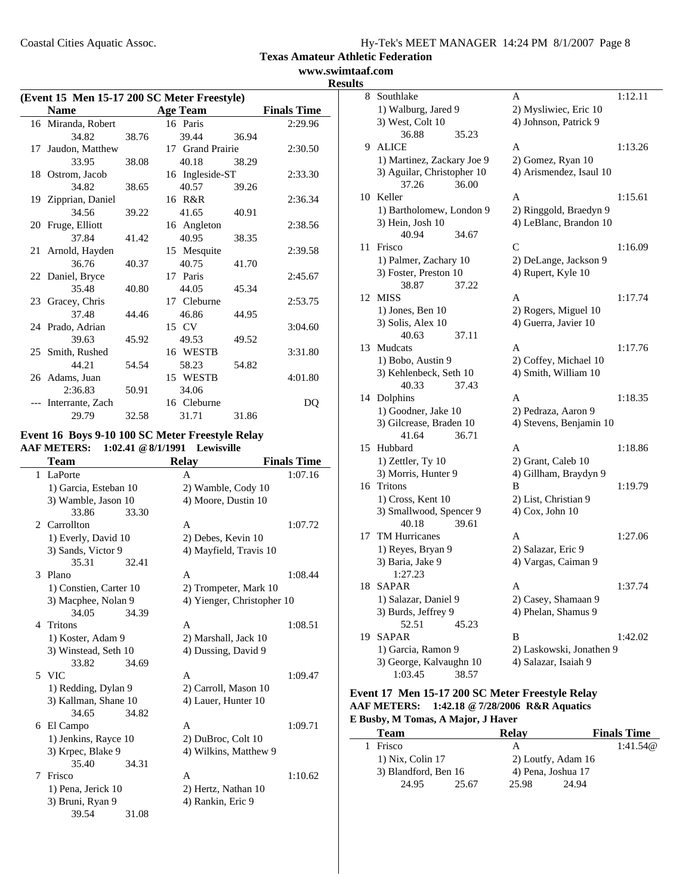**www.swimtaaf.com Results**

|               | (Event 15 Men 15-17 200 SC Meter Freestyle)                                                  |       |                   |                        |                               |  |  |  |
|---------------|----------------------------------------------------------------------------------------------|-------|-------------------|------------------------|-------------------------------|--|--|--|
|               | <b>Name</b>                                                                                  |       | <b>Age Team</b>   |                        | <b>Finals Time</b>            |  |  |  |
|               | 16 Miranda, Robert                                                                           |       | 16 Paris          |                        | 2:29.96                       |  |  |  |
|               | 34.82                                                                                        | 38.76 | 39.44             | 36.94                  |                               |  |  |  |
| 17            | Jaudon, Matthew                                                                              |       | 17 Grand Prairie  |                        | 2:30.50                       |  |  |  |
|               | 33.95                                                                                        | 38.08 | 40.18             | 38.29                  |                               |  |  |  |
|               | 18 Ostrom, Jacob                                                                             |       | 16 Ingleside-ST   |                        | 2:33.30                       |  |  |  |
|               | 34.82                                                                                        | 38.65 | 40.57             | 39.26                  |                               |  |  |  |
|               | 19 Zipprian, Daniel                                                                          |       | 16 R&R            |                        | 2:36.34                       |  |  |  |
|               | 34.56                                                                                        | 39.22 | 41.65             | 40.91                  |                               |  |  |  |
|               | 20 Fruge, Elliott                                                                            |       | 16 Angleton       |                        | 2:38.56                       |  |  |  |
|               | 37.84                                                                                        | 41.42 | 40.95             | 38.35                  |                               |  |  |  |
| 21            | Arnold, Hayden                                                                               |       | 15 Mesquite       |                        | 2:39.58                       |  |  |  |
|               | 36.76                                                                                        | 40.37 | 40.75             | 41.70                  |                               |  |  |  |
|               | 22 Daniel, Bryce                                                                             |       | 17 Paris          |                        | 2:45.67                       |  |  |  |
|               | 35.48                                                                                        | 40.80 | 44.05             | 45.34                  |                               |  |  |  |
|               | 23 Gracey, Chris                                                                             |       | 17 Cleburne       |                        | 2:53.75                       |  |  |  |
|               | 37.48                                                                                        | 44.46 | 46.86             | 44.95                  |                               |  |  |  |
|               | 24 Prado, Adrian                                                                             |       | 15 CV             |                        | 3:04.60                       |  |  |  |
|               | 39.63                                                                                        | 45.92 | 49.53             | 49.52                  |                               |  |  |  |
|               | 25 Smith, Rushed                                                                             |       | 16 WESTB          |                        | 3:31.80                       |  |  |  |
|               | 44.21                                                                                        | 54.54 | 58.23             | 54.82                  |                               |  |  |  |
|               | 26 Adams, Juan                                                                               |       | 15 WESTB          |                        | 4:01.80                       |  |  |  |
|               | 2:36.83                                                                                      | 50.91 | 34.06             |                        |                               |  |  |  |
|               | --- Interrante, Zach                                                                         |       | 16 Cleburne       |                        | DQ                            |  |  |  |
|               | 29.79                                                                                        | 32.58 | 31.71             | 31.86                  |                               |  |  |  |
|               |                                                                                              |       |                   |                        |                               |  |  |  |
|               | Event 16 Boys 9-10 100 SC Meter Freestyle Relay<br>AAF METERS: 1:02.41 @ 8/1/1991 Lewisville |       |                   |                        |                               |  |  |  |
|               |                                                                                              |       |                   |                        |                               |  |  |  |
| $\mathbf{1}$  | <b>Team</b><br>LaPorte                                                                       |       | <b>Relay</b><br>A |                        | <b>Finals Time</b><br>1:07.16 |  |  |  |
|               | 1) Garcia, Esteban 10                                                                        |       |                   | 2) Wamble, Cody 10     |                               |  |  |  |
|               | 3) Wamble, Jason 10                                                                          |       |                   | 4) Moore, Dustin 10    |                               |  |  |  |
|               | 33.86                                                                                        | 33.30 |                   |                        |                               |  |  |  |
| 2             | Carrollton                                                                                   |       | A                 |                        | 1:07.72                       |  |  |  |
|               |                                                                                              |       |                   | 2) Debes, Kevin 10     |                               |  |  |  |
|               | 1) Everly, David 10<br>3) Sands, Victor 9                                                    |       |                   | 4) Mayfield, Travis 10 |                               |  |  |  |
|               | 35.31                                                                                        | 32.41 |                   |                        |                               |  |  |  |
| $\mathcal{F}$ | Plano                                                                                        |       | A                 |                        | 1:08.44                       |  |  |  |
|               |                                                                                              |       |                   |                        |                               |  |  |  |
|               | 1) Constien, Carter 10                                                                       |       |                   | 2) Trompeter, Mark 10  |                               |  |  |  |

|    | 1) Constien, Carter 10 |       | 2) Trompeter, Mark 10      |         |  |
|----|------------------------|-------|----------------------------|---------|--|
|    | 3) Macphee, Nolan 9    |       | 4) Yienger, Christopher 10 |         |  |
|    | 34.05                  | 34.39 |                            |         |  |
| 4  | Tritons                |       | A                          | 1:08.51 |  |
|    | 1) Koster, Adam 9      |       | 2) Marshall, Jack 10       |         |  |
|    | 3) Winstead, Seth 10   |       | 4) Dussing, David 9        |         |  |
|    | 33.82                  | 34.69 |                            |         |  |
| 5. | <b>VIC</b>             |       | A                          | 1:09.47 |  |
|    | 1) Redding, Dylan 9    |       | 2) Carroll, Mason 10       |         |  |
|    | 3) Kallman, Shane 10   |       | 4) Lauer, Hunter 10        |         |  |
|    | 34.65                  | 34.82 |                            |         |  |
|    | 6 El Campo             |       | A                          | 1:09.71 |  |
|    | 1) Jenkins, Rayce 10   |       | 2) DuBroc, Colt 10         |         |  |
|    | 3) Krpec, Blake 9      |       | 4) Wilkins, Matthew 9      |         |  |
|    | 35.40                  | 34.31 |                            |         |  |
| 7  | Frisco                 |       | A                          | 1:10.62 |  |
|    | 1) Pena, Jerick 10     |       | 2) Hertz, Nathan 10        |         |  |
|    | 3) Bruni, Ryan 9       |       | 4) Rankin, Eric 9          |         |  |
|    | 39.54                  | 31.08 |                            |         |  |

| 8  | Southlake                                    |       | A                                       | 1:12.11 |
|----|----------------------------------------------|-------|-----------------------------------------|---------|
|    | 1) Walburg, Jared 9                          |       | 2) Mysliwiec, Eric 10                   |         |
|    | 3) West, Colt 10                             |       | 4) Johnson, Patrick 9                   |         |
|    | 36.88                                        | 35.23 |                                         |         |
| 9  | <b>ALICE</b>                                 |       | A                                       | 1:13.26 |
|    | 1) Martinez, Zackary Joe 9                   |       | 2) Gomez, Ryan 10                       |         |
|    | 3) Aguilar, Christopher 10                   |       | 4) Arismendez, Isaul 10                 |         |
|    | 37.26                                        | 36.00 |                                         |         |
| 10 | Keller                                       |       | А                                       | 1:15.61 |
|    | 1) Bartholomew, London 9                     |       | 2) Ringgold, Braedyn 9                  |         |
|    | 3) Hein, Josh 10                             |       | 4) LeBlanc, Brandon 10                  |         |
|    | 40.94                                        | 34.67 |                                         |         |
| 11 | Frisco                                       |       | C                                       | 1:16.09 |
|    | 1) Palmer, Zachary 10                        |       | 2) DeLange, Jackson 9                   |         |
|    | 3) Foster, Preston 10                        |       | 4) Rupert, Kyle 10                      |         |
|    | 38.87                                        | 37.22 |                                         |         |
| 12 | MISS                                         |       | A                                       | 1:17.74 |
|    | $1)$ Jones, Ben $10$                         |       | 2) Rogers, Miguel 10                    |         |
|    | 3) Solis, Alex 10                            |       | 4) Guerra, Javier 10                    |         |
|    | 40.63                                        | 37.11 |                                         |         |
| 13 | Mudcats                                      |       | A                                       | 1:17.76 |
|    | 1) Bobo, Austin 9                            |       | 2) Coffey, Michael 10                   |         |
|    | 3) Kehlenbeck, Seth 10                       |       | 4) Smith, William 10                    |         |
|    | 40.33                                        | 37.43 |                                         |         |
|    | 14 Dolphins                                  |       | A                                       | 1:18.35 |
|    | 1) Goodner, Jake 10                          |       | 2) Pedraza, Aaron 9                     |         |
|    | 3) Gilcrease, Braden 10                      |       | 4) Stevens, Benjamin 10                 |         |
|    | 41.64                                        | 36.71 |                                         |         |
| 15 | Hubbard                                      |       | A                                       | 1:18.86 |
|    | $1)$ Zettler, Ty $10$                        |       | 2) Grant, Caleb 10                      |         |
| 16 | 3) Morris, Hunter 9<br>Tritons               |       | 4) Gillham, Braydyn 9<br>B              | 1:19.79 |
|    |                                              |       |                                         |         |
|    | 1) Cross, Kent 10<br>3) Smallwood, Spencer 9 |       | 2) List, Christian 9<br>4) Cox, John 10 |         |
|    | 40.18                                        | 39.61 |                                         |         |
| 17 | <b>TM Hurricanes</b>                         |       | А                                       | 1:27.06 |
|    | 1) Reyes, Bryan 9                            |       | 2) Salazar, Eric 9                      |         |
|    | 3) Baria, Jake 9                             |       | 4) Vargas, Caiman 9                     |         |
|    | 1:27.23                                      |       |                                         |         |
| 18 | <b>SAPAR</b>                                 |       | А                                       | 1:37.74 |
|    | 1) Salazar, Daniel 9                         |       | 2) Casey, Shamaan 9                     |         |
|    | 3) Burds, Jeffrey 9                          |       | 4) Phelan, Shamus 9                     |         |
|    | 52.51                                        | 45.23 |                                         |         |
| 19 | SAPAR                                        |       | В                                       | 1:42.02 |
|    | 1) Garcia, Ramon 9                           |       | 2) Laskowski, Jonathen 9                |         |
|    | 3) George, Kalvaughn 10                      |       | 4) Salazar, Isaiah 9                    |         |
|    | 1:03.45                                      | 38.57 |                                         |         |

#### **Event 17 Men 15-17 200 SC Meter Freestyle Relay AAF METERS: 1:42.18 @7/28/2006 R&R Aquatics E Busby, M Tomas, A Major, J Haver**

| <b>Team</b> |                      |       | Relav              |                    | <b>Finals Time</b> |
|-------------|----------------------|-------|--------------------|--------------------|--------------------|
|             | Frisco               |       |                    |                    | 1:41.54@           |
|             | 1) Nix, Colin 17     |       |                    | 2) Loutfy, Adam 16 |                    |
|             | 3) Blandford, Ben 16 |       | 4) Pena, Joshua 17 |                    |                    |
|             | 24.95                | 25.67 | 25.98              | 24.94              |                    |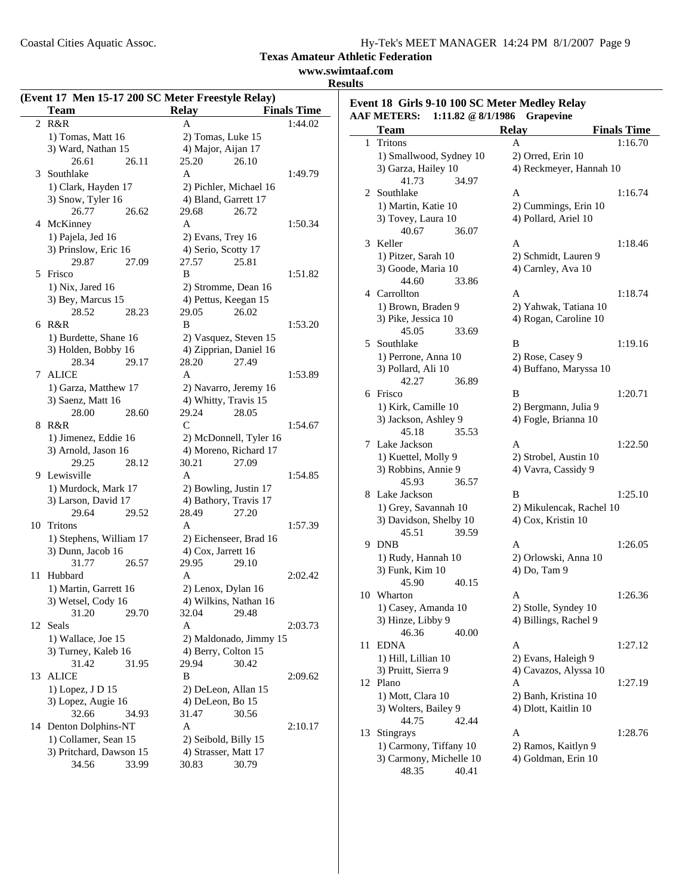Coastal Cities Aquatic Assoc.

**Texas Amateur Athletic Federation**

# **www.swimtaaf.com**

**Results**

|    |                                       |                                                   | Texas Amate<br><b>WWW</b> |
|----|---------------------------------------|---------------------------------------------------|---------------------------|
|    |                                       | (Event 17 Men 15-17 200 SC Meter Freestyle Relay) |                           |
|    | <b>Team</b>                           | <b>Relay</b>                                      | <b>Finals Time</b>        |
| 2  | R&R                                   | A                                                 | 1:44.02                   |
|    | 1) Tomas, Matt 16                     | 2) Tomas, Luke 15                                 |                           |
|    | 3) Ward, Nathan 15                    | 4) Major, Aijan 17                                |                           |
|    | 26.61<br>26.11                        | 25.20<br>26.10                                    |                           |
|    | 3 Southlake                           | A                                                 | 1:49.79                   |
|    | 1) Clark, Hayden 17                   | 2) Pichler, Michael 16                            |                           |
|    | 3) Snow, Tyler 16                     | 4) Bland, Garrett 17                              |                           |
|    | 26.77<br>26.62                        | 29.68<br>26.72                                    |                           |
|    | 4 McKinney                            | A                                                 | 1:50.34                   |
|    | 1) Pajela, Jed 16                     | 2) Evans, Trey 16                                 |                           |
|    | 3) Prinslow, Eric 16                  | 4) Serio, Scotty 17                               |                           |
|    | 29.87<br>27.09                        | 27.57<br>25.81                                    |                           |
| 5. | Frisco                                | B                                                 | 1:51.82                   |
|    | $1)$ Nix, Jared 16                    | 2) Stromme, Dean 16                               |                           |
|    | 3) Bey, Marcus 15                     | 4) Pettus, Keegan 15                              |                           |
|    | 28.52<br>28.23                        | 29.05<br>26.02                                    |                           |
|    | 6 R&R                                 | B                                                 | 1:53.20                   |
|    | 1) Burdette, Shane 16                 |                                                   |                           |
|    |                                       | 2) Vasquez, Steven 15                             |                           |
|    | 3) Holden, Bobby 16<br>28.34<br>29.17 | 4) Zipprian, Daniel 16<br>28.20<br>27.49          |                           |
| 7  | <b>ALICE</b>                          | A                                                 | 1:53.89                   |
|    |                                       |                                                   |                           |
|    | 1) Garza, Matthew 17                  | 2) Navarro, Jeremy 16                             |                           |
|    | 3) Saenz, Matt 16                     | 4) Whitty, Travis 15                              |                           |
|    | 28.00<br>28.60                        | 29.24<br>28.05                                    |                           |
| 8  | R&R                                   | C                                                 | 1:54.67                   |
|    | 1) Jimenez, Eddie 16                  | 2) McDonnell, Tyler 16                            |                           |
|    | 3) Arnold, Jason 16                   | 4) Moreno, Richard 17                             |                           |
|    | 29.25<br>28.12                        | 30.21<br>27.09                                    |                           |
|    | 9 Lewisville                          | A                                                 | 1:54.85                   |
|    | 1) Murdock, Mark 17                   | 2) Bowling, Justin 17                             |                           |
|    | 3) Larson, David 17                   | 4) Bathory, Travis 17                             |                           |
|    | 29.64<br>29.52                        | 28.49<br>27.20                                    |                           |
| 10 | Tritons                               | A                                                 | 1:57.39                   |
|    | 1) Stephens, William 17               | 2) Eichenseer, Brad 16                            |                           |
|    | 3) Dunn, Jacob 16                     | 4) Cox, Jarrett 16                                |                           |
|    | 31.77<br>26.57                        | 29.95 29.10                                       |                           |
| 11 | Hubbard                               | A                                                 | 2:02.42                   |
|    | 1) Martin, Garrett 16                 | 2) Lenox, Dylan 16                                |                           |
|    | 3) Wetsel, Cody 16                    | 4) Wilkins, Nathan 16                             |                           |
|    | 31.20<br>29.70                        | 29.48<br>32.04                                    |                           |
| 12 | Seals                                 | A                                                 | 2:03.73                   |
|    | 1) Wallace, Joe 15                    | 2) Maldonado, Jimmy 15                            |                           |
|    | 3) Turney, Kaleb 16                   | 4) Berry, Colton 15                               |                           |
|    | 31.42<br>31.95                        | 29.94<br>30.42                                    |                           |
| 13 | <b>ALICE</b>                          | B                                                 | 2:09.62                   |
|    | 1) Lopez, J D 15                      | 2) DeLeon, Allan 15                               |                           |
|    | 3) Lopez, Augie 16                    | 4) DeLeon, Bo 15                                  |                           |
|    | 32.66<br>34.93                        | 31.47<br>30.56                                    |                           |
|    | 14 Denton Dolphins-NT                 | A                                                 | 2:10.17                   |
|    | 1) Collamer, Sean 15                  | 2) Seibold, Billy 15                              |                           |
|    | 3) Pritchard, Dawson 15               | 4) Strasser, Matt 17                              |                           |
|    | 34.56<br>33.99                        | 30.83<br>30.79                                    |                           |

| llts |                                               |                          |                    |
|------|-----------------------------------------------|--------------------------|--------------------|
|      | Event 18 Girls 9-10 100 SC Meter Medley Relay |                          |                    |
|      | <b>AAF METERS:</b><br>1:11.82 @ 8/1/1986      | <b>Grapevine</b>         |                    |
|      | Team                                          | <b>Relay</b>             | <b>Finals Time</b> |
| 1    | Tritons                                       | A                        | 1:16.70            |
|      | 1) Smallwood, Sydney 10                       | 2) Orred, Erin 10        |                    |
|      | 3) Garza, Hailey 10                           | 4) Reckmeyer, Hannah 10  |                    |
|      | 41.73<br>34.97                                |                          |                    |
| 2    | Southlake                                     | A                        | 1:16.74            |
|      | 1) Martin, Katie 10                           | 2) Cummings, Erin 10     |                    |
|      | 3) Tovey, Laura 10                            | 4) Pollard, Ariel 10     |                    |
|      | 40.67<br>36.07                                |                          |                    |
| 3    | Keller                                        | A                        | 1:18.46            |
|      | 1) Pitzer, Sarah 10                           | 2) Schmidt, Lauren 9     |                    |
|      | 3) Goode, Maria 10                            | 4) Carnley, Ava 10       |                    |
|      | 44.60<br>33.86                                |                          |                    |
|      | 4 Carrollton                                  | A                        | 1:18.74            |
|      | 1) Brown, Braden 9                            | 2) Yahwak, Tatiana 10    |                    |
|      | 3) Pike, Jessica 10                           | 4) Rogan, Caroline 10    |                    |
|      | 45.05<br>33.69                                |                          |                    |
| 5    | Southlake                                     | B                        | 1:19.16            |
|      | 1) Perrone, Anna 10                           | 2) Rose, Casey 9         |                    |
|      | 3) Pollard, Ali 10                            | 4) Buffano, Maryssa 10   |                    |
|      | 42.27<br>36.89                                |                          |                    |
|      | 6 Frisco                                      | B                        | 1:20.71            |
|      | 1) Kirk, Camille 10                           | 2) Bergmann, Julia 9     |                    |
|      | 3) Jackson, Ashley 9                          | 4) Fogle, Brianna 10     |                    |
|      | 45.18<br>35.53                                |                          |                    |
| 7    | Lake Jackson                                  | A                        | 1:22.50            |
|      | 1) Kuettel, Molly 9                           | 2) Strobel, Austin 10    |                    |
|      | 3) Robbins, Annie 9                           | 4) Vavra, Cassidy 9      |                    |
|      | 45.93<br>36.57                                |                          |                    |
|      | 8 Lake Jackson                                | B                        | 1:25.10            |
|      | 1) Grey, Savannah 10                          | 2) Mikulencak, Rachel 10 |                    |
|      | 3) Davidson, Shelby 10                        | 4) Cox, Kristin 10       |                    |
|      | 45.51<br>39.59                                |                          |                    |
| 9    | <b>DNB</b>                                    | А                        | 1:26.05            |
|      | 1) Rudy, Hannah 10                            | 2) Orlowski, Anna 10     |                    |
|      | 3) Funk, Kim 10                               | 4) Do, Tam 9             |                    |
|      | 45.90<br>40.15                                |                          |                    |
|      | 10 Wharton                                    | A                        | 1:26.36            |
|      | 1) Casey, Amanda 10                           | 2) Stolle, Syndey 10     |                    |
|      | 3) Hinze, Libby 9                             | 4) Billings, Rachel 9    |                    |
|      | 46.36<br>40.00                                |                          |                    |
| 11   | <b>EDNA</b>                                   | A                        | 1:27.12            |
|      | 1) Hill, Lillian 10                           | 2) Evans, Haleigh 9      |                    |
|      | 3) Pruitt, Sierra 9                           | 4) Cavazos, Alyssa 10    |                    |
|      | 12 Plano                                      | A                        | 1:27.19            |
|      | 1) Mott, Clara 10                             | 2) Banh, Kristina 10     |                    |
|      | 3) Wolters, Bailey 9                          | 4) Dlott, Kaitlin 10     |                    |
|      | 44.75<br>42.44                                |                          |                    |
| 13   | Stingrays                                     | А                        | 1:28.76            |

1) Carmony, Tiffany 10 2) Ramos, Kaitlyn 9<br>3) Carmony, Michelle 10 4) Goldman, Erin 10

3) Carmony, Michelle 10<br> $48.35$   $40.41$ 

48.35 40.41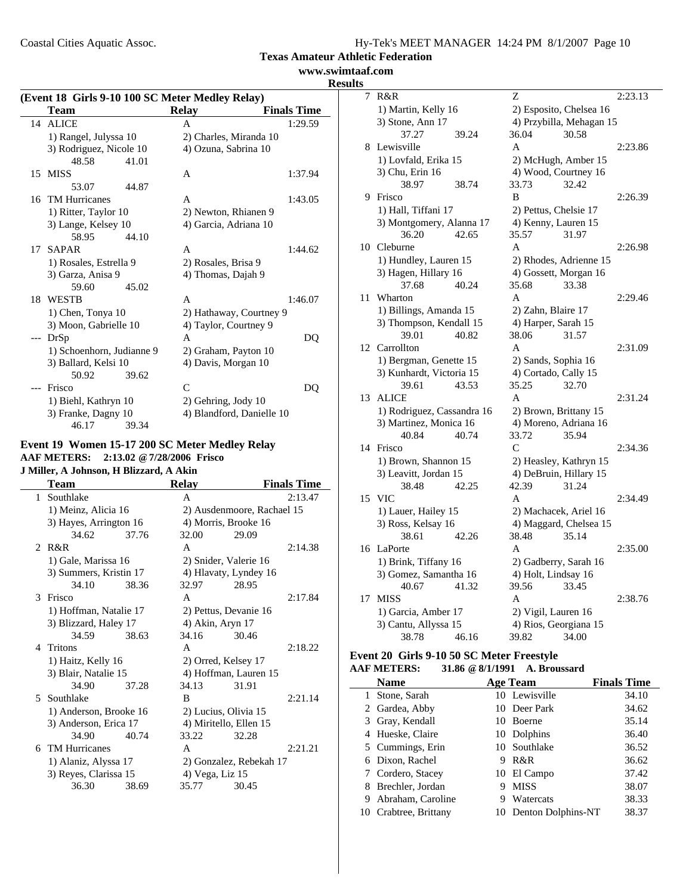Coastal Cities Aquatic Assoc.

| Hy-Tek's MEET MANAGER 14:24 PM 8/1/2007 Page 10 |
|-------------------------------------------------|
|-------------------------------------------------|

**Texas Amateur Athletic Federation**

## **www.swimtaaf.com Results**

|    | (Event 18 Girls 9-10 100 SC Meter Medley Relay) |                         |                           |  |  |  |
|----|-------------------------------------------------|-------------------------|---------------------------|--|--|--|
|    | <b>Team</b>                                     | Relay                   | <b>Finals Time</b>        |  |  |  |
|    | 14 ALICE                                        | A                       | 1:29.59                   |  |  |  |
|    | 1) Rangel, Julyssa 10                           | 2) Charles, Miranda 10  |                           |  |  |  |
|    | 3) Rodriguez, Nicole 10                         | 4) Ozuna, Sabrina 10    |                           |  |  |  |
|    | 48.58<br>41.01                                  |                         |                           |  |  |  |
| 15 | <b>MISS</b>                                     | A                       | 1:37.94                   |  |  |  |
|    | 53.07<br>44.87                                  |                         |                           |  |  |  |
|    | 16 TM Hurricanes                                | A                       | 1:43.05                   |  |  |  |
|    | 1) Ritter, Taylor 10                            | 2) Newton, Rhianen 9    |                           |  |  |  |
|    | 3) Lange, Kelsey 10                             | 4) Garcia, Adriana 10   |                           |  |  |  |
|    | 58.95<br>44.10                                  |                         |                           |  |  |  |
| 17 | SAPAR                                           | A                       | 1:44.62                   |  |  |  |
|    | 1) Rosales, Estrella 9                          | 2) Rosales, Brisa 9     |                           |  |  |  |
|    | 3) Garza, Anisa 9                               | 4) Thomas, Dajah 9      |                           |  |  |  |
|    | 59.60<br>45.02                                  |                         |                           |  |  |  |
|    | 18 WESTB                                        | A                       | 1:46.07                   |  |  |  |
|    | 1) Chen, Tonya 10                               | 2) Hathaway, Courtney 9 |                           |  |  |  |
|    | 3) Moon, Gabrielle 10                           | 4) Taylor, Courtney 9   |                           |  |  |  |
|    | --- DrSp                                        | A                       | DO                        |  |  |  |
|    | 1) Schoenhorn, Judianne 9                       | 2) Graham, Payton 10    |                           |  |  |  |
|    | 3) Ballard, Kelsi 10                            | 4) Davis, Morgan 10     |                           |  |  |  |
|    | 50.92<br>39.62                                  |                         |                           |  |  |  |
|    | <b>Frisco</b>                                   | $\mathsf{C}$            | DO                        |  |  |  |
|    | 1) Biehl, Kathryn 10                            | 2) Gehring, Jody 10     |                           |  |  |  |
|    | 3) Franke, Dagny 10                             |                         | 4) Blandford, Danielle 10 |  |  |  |
|    | 46.17<br>39.34                                  |                         |                           |  |  |  |

#### **Event 19 Women 15-17 200 SC Meter Medley Relay AAF METERS: 2:13.02 @7/28/2006 Frisco J Miller, A Johnson, H Blizzard, A Akin**

|   | <b>Team</b>            |       | <b>Relay</b>               |                         | <b>Finals Time</b> |  |
|---|------------------------|-------|----------------------------|-------------------------|--------------------|--|
| 1 | Southlake              |       | A                          |                         | 2:13.47            |  |
|   | 1) Meinz, Alicia 16    |       | 2) Ausdenmoore, Rachael 15 |                         |                    |  |
|   | 3) Hayes, Arrington 16 |       |                            | 4) Morris, Brooke 16    |                    |  |
|   | 34.62                  | 37.76 | 32.00                      | 29.09                   |                    |  |
|   | 2. $R\&R$              |       | A                          |                         | 2:14.38            |  |
|   | 1) Gale, Marissa 16    |       |                            | 2) Snider, Valerie 16   |                    |  |
|   | 3) Summers, Kristin 17 |       |                            | 4) Hlavaty, Lyndey 16   |                    |  |
|   | 34.10                  | 38.36 | 32.97                      | 28.95                   |                    |  |
|   | 3 Frisco               |       | A                          |                         | 2:17.84            |  |
|   | 1) Hoffman, Natalie 17 |       |                            | 2) Pettus, Devanie 16   |                    |  |
|   | 3) Blizzard, Haley 17  |       | 4) Akin, Aryn 17           |                         |                    |  |
|   | 34.59                  | 38.63 | 34.16                      | 30.46                   |                    |  |
|   | 4 Tritons              |       | A                          |                         | 2:18.22            |  |
|   | 1) Haitz, Kelly 16     |       |                            | 2) Orred, Kelsey 17     |                    |  |
|   | 3) Blair, Natalie 15   |       |                            | 4) Hoffman, Lauren 15   |                    |  |
|   | 34.90                  | 37.28 | 34.13                      | 31.91                   |                    |  |
|   | 5 Southlake            |       | B                          |                         | 2:21.14            |  |
|   | 1) Anderson, Brooke 16 |       |                            | 2) Lucius, Olivia 15    |                    |  |
|   | 3) Anderson, Erica 17  |       |                            | 4) Miritello, Ellen 15  |                    |  |
|   | 34.90                  | 40.74 | 33.22                      | 32.28                   |                    |  |
|   | 6 TM Hurricanes        |       | A                          |                         | 2:21.21            |  |
|   | 1) Alaniz, Alyssa 17   |       |                            | 2) Gonzalez, Rebekah 17 |                    |  |
|   | 3) Reyes, Clarissa 15  |       | 4) Vega, Liz 15            |                         |                    |  |
|   | 36.30                  | 38.69 | 35.77                      | 30.45                   |                    |  |
|   |                        |       |                            |                         |                    |  |

| 7  | R&R                             |       | Z                              |                          | 2:23.13 |
|----|---------------------------------|-------|--------------------------------|--------------------------|---------|
|    | 1) Martin, Kelly 16             |       |                                | 2) Esposito, Chelsea 16  |         |
|    | 3) Stone, Ann 17                |       |                                | 4) Przybilla, Mehagan 15 |         |
|    | 37.27                           | 39.24 | 36.04                          | 30.58                    |         |
| 8  | Lewisville                      |       | A                              |                          | 2:23.86 |
|    | 1) Lovfald, Erika 15            |       | 2) McHugh, Amber 15            |                          |         |
|    | 3) Chu, Erin 16                 |       | 4) Wood, Courtney 16           |                          |         |
|    | 38.97                           | 38.74 | 33.73                          | 32.42                    |         |
| 9  | Frisco                          |       | B                              |                          | 2:26.39 |
|    | 1) Hall, Tiffani 17             |       | 2) Pettus, Chelsie 17          |                          |         |
|    | 3) Montgomery, Alanna 17        |       | 4) Kenny, Lauren 15            |                          |         |
|    | 36.20                           | 42.65 | 35.57                          | 31.97                    |         |
| 10 | Cleburne                        |       | A                              |                          | 2:26.98 |
|    | 1) Hundley, Lauren 15           |       |                                | 2) Rhodes, Adrienne 15   |         |
|    | 3) Hagen, Hillary 16            |       | 4) Gossett, Morgan 16          |                          |         |
|    | 37.68                           | 40.24 | 35.68                          | 33.38                    |         |
| 11 | Wharton                         |       | A                              |                          | 2:29.46 |
|    | 1) Billings, Amanda 15          |       | 2) Zahn, Blaire 17             |                          |         |
|    | 3) Thompson, Kendall 15         |       | 4) Harper, Sarah 15            |                          |         |
|    | 39.01                           | 40.82 | 38.06                          | 31.57                    |         |
|    | 12 Carrollton                   |       | A                              |                          | 2:31.09 |
|    | 1) Bergman, Genette 15          |       | 2) Sands, Sophia 16            |                          |         |
|    | 3) Kunhardt, Victoria 15        |       | 4) Cortado, Cally 15           |                          |         |
|    | 39.61                           | 43.53 | 35.25                          | 32.70                    |         |
| 13 | <b>ALICE</b>                    |       | A                              |                          | 2:31.24 |
|    | 1) Rodriguez, Cassandra 16      |       | 2) Brown, Brittany 15          |                          |         |
|    | 3) Martinez, Monica 16<br>40.84 | 40.74 | 4) Moreno, Adriana 16<br>33.72 | 35.94                    |         |
| 14 | Frisco                          |       | $\mathsf{C}$                   |                          | 2:34.36 |
|    | 1) Brown, Shannon 15            |       | 2) Heasley, Kathryn 15         |                          |         |
|    | 3) Leavitt, Jordan 15           |       | 4) DeBruin, Hillary 15         |                          |         |
|    | 38.48                           | 42.25 | 42.39                          | 31.24                    |         |
| 15 | <b>VIC</b>                      |       | A                              |                          | 2:34.49 |
|    | 1) Lauer, Hailey 15             |       | 2) Machacek, Ariel 16          |                          |         |
|    | 3) Ross, Kelsay 16              |       |                                | 4) Maggard, Chelsea 15   |         |
|    | 38.61                           | 42.26 | 38.48                          | 35.14                    |         |
| 16 | LaPorte                         |       | A                              |                          | 2:35.00 |
|    | 1) Brink, Tiffany 16            |       | 2) Gadberry, Sarah 16          |                          |         |
|    | 3) Gomez, Samantha 16           |       | 4) Holt, Lindsay 16            |                          |         |
|    | 40.67                           | 41.32 | 39.56                          | 33.45                    |         |
| 17 | <b>MISS</b>                     |       | A                              |                          | 2:38.76 |
|    | 1) Garcia, Amber 17             |       | 2) Vigil, Lauren 16            |                          |         |
|    | 3) Cantu, Allyssa 15            |       | 4) Rios, Georgiana 15          |                          |         |
|    | 38.78                           | 46.16 | 39.82                          | 34.00                    |         |

#### **Event 20 Girls 9-10 50 SC Meter Freestyle AAF METERS: 31.86 @8/1/1991 A. Broussard**

|              | <b>Name</b>           |     | Age Team           | <b>Finals Time</b> |
|--------------|-----------------------|-----|--------------------|--------------------|
| $\mathbf{L}$ | Stone, Sarah          |     | 10 Lewisville      | 34.10              |
|              | 2 Gardea, Abby        |     | 10 Deer Park       | 34.62              |
|              | 3 Gray, Kendall       |     | 10 Boerne          | 35.14              |
|              | 4 Hueske, Claire      |     | 10 Dolphins        | 36.40              |
|              | 5 Cummings, Erin      |     | 10 Southlake       | 36.52              |
|              | 6 Dixon, Rachel       | 9   | R&R                | 36.62              |
|              | 7 Cordero, Stacey     |     | 10 El Campo        | 37.42              |
|              | 8 Brechler, Jordan    |     | <b>MISS</b>        | 38.07              |
|              | 9 Abraham, Caroline   |     | Watercats          | 38.33              |
|              | 10 Crabtree, Brittany | 10. | Denton Dolphins-NT | 38.37              |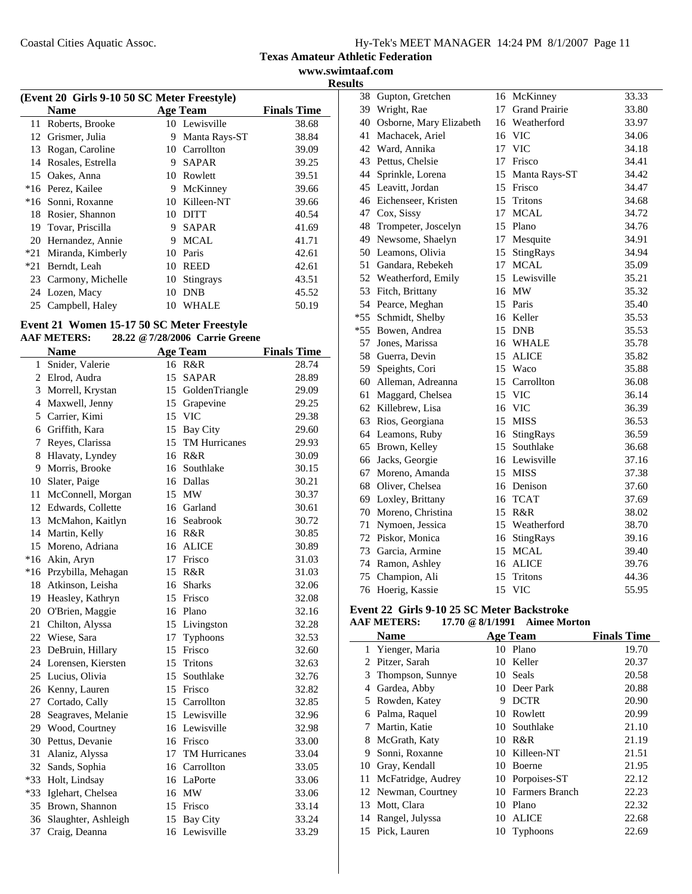#### **Texas Amateur Athletic Federation www.swimtaaf.com**

**Results**

|                                                      | (Event 20 Girls 9-10 50 SC Meter Freestyle) |    |                  |       |  |  |
|------------------------------------------------------|---------------------------------------------|----|------------------|-------|--|--|
| <b>Finals Time</b><br><b>Name</b><br><b>Age Team</b> |                                             |    |                  |       |  |  |
|                                                      | 11 Roberts, Brooke                          |    | 10 Lewisville    | 38.68 |  |  |
|                                                      | 12 Grismer, Julia                           | 9  | Manta Rays-ST    | 38.84 |  |  |
| 13                                                   | Rogan, Caroline                             | 10 | Carrollton       | 39.09 |  |  |
| 14                                                   | Rosales, Estrella                           | 9  | SAPAR            | 39.25 |  |  |
|                                                      | 15 Oakes, Anna                              | 10 | Rowlett          | 39.51 |  |  |
|                                                      | *16 Perez, Kailee                           | 9  | McKinney         | 39.66 |  |  |
|                                                      | *16 Sonni, Roxanne                          |    | 10 Killeen-NT    | 39.66 |  |  |
| 18                                                   | Rosier, Shannon                             | 10 | DITT             | 40.54 |  |  |
| 19                                                   | Tovar, Priscilla                            | 9  | <b>SAPAR</b>     | 41.69 |  |  |
|                                                      | 20 Hernandez, Annie                         | 9  | <b>MCAL</b>      | 41.71 |  |  |
| $*21$                                                | Miranda, Kimberly                           | 10 | Paris            | 42.61 |  |  |
| *21                                                  | Berndt, Leah                                | 10 | <b>REED</b>      | 42.61 |  |  |
|                                                      | 23 Carmony, Michelle                        | 10 | <b>Stingrays</b> | 43.51 |  |  |
|                                                      | 24 Lozen, Macy                              | 10 | DNB              | 45.52 |  |  |
|                                                      | 25 Campbell, Haley                          | 10 | WHALE            | 50.19 |  |  |

# **Event 21 Women 15-17 50 SC Meter Freestyle<br>AAF METERS:** 28.22 @ 7/28/2006 Carrie Gree

**AAF METERS: 28.22 @7/28/2006 Carrie Greene**

|       | <b>Name</b>            | <b>Age Team</b> |                   | <b>Finals Time</b> |
|-------|------------------------|-----------------|-------------------|--------------------|
| 1     | Snider, Valerie        |                 | 16 R&R            | 28.74              |
|       | 2 Elrod, Audra         | 15              | <b>SAPAR</b>      | 28.89              |
|       | 3 Morrell, Krystan     |                 | 15 GoldenTriangle | 29.09              |
|       | 4 Maxwell, Jenny       |                 | 15 Grapevine      | 29.25              |
|       | 5 Carrier, Kimi        |                 | 15 VIC            | 29.38              |
|       | 6 Griffith, Kara       |                 | 15 Bay City       | 29.60              |
| 7     | Reyes, Clarissa        |                 | 15 TM Hurricanes  | 29.93              |
|       | 8 Hlavaty, Lyndey      |                 | 16 R&R            | 30.09              |
| 9     | Morris, Brooke         |                 | 16 Southlake      | 30.15              |
| 10    | Slater, Paige          |                 | 16 Dallas         | 30.21              |
| 11    | McConnell, Morgan      |                 | 15 MW             | 30.37              |
|       | 12 Edwards, Collette   |                 | 16 Garland        | 30.61              |
| 13    | McMahon, Kaitlyn       |                 | 16 Seabrook       | 30.72              |
| 14    | Martin, Kelly          |                 | 16 R&R            | 30.85              |
| 15    | Moreno, Adriana        |                 | 16 ALICE          | 30.89              |
| $*16$ | Akin, Aryn             | 17              | Frisco            | 31.03              |
|       | *16 Przybilla, Mehagan |                 | 15 R&R            | 31.03              |
|       | 18 Atkinson, Leisha    | 16              | <b>Sharks</b>     | 32.06              |
|       | 19 Heasley, Kathryn    |                 | 15 Frisco         | 32.08              |
|       | 20 O'Brien, Maggie     |                 | 16 Plano          | 32.16              |
| 21    | Chilton, Alyssa        |                 | 15 Livingston     | 32.28              |
| 22    | Wiese, Sara            | 17              | Typhoons          | 32.53              |
| 23    | DeBruin, Hillary       |                 | 15 Frisco         | 32.60              |
|       | 24 Lorensen, Kiersten  |                 | 15 Tritons        | 32.63              |
|       | 25 Lucius, Olivia      |                 | 15 Southlake      | 32.76              |
|       | 26 Kenny, Lauren       |                 | 15 Frisco         | 32.82              |
|       | 27 Cortado, Cally      |                 | 15 Carrollton     | 32.85              |
| 28    | Seagraves, Melanie     |                 | 15 Lewisville     | 32.96              |
|       | 29 Wood, Courtney      |                 | 16 Lewisville     | 32.98              |
| 30    | Pettus, Devanie        |                 | 16 Frisco         | 33.00              |
| 31    | Alaniz, Alyssa         |                 | 17 TM Hurricanes  | 33.04              |
|       | 32 Sands, Sophia       |                 | 16 Carrollton     | 33.05              |
|       | *33 Holt, Lindsay      |                 | 16 LaPorte        | 33.06              |
|       | *33 Iglehart, Chelsea  |                 | 16 MW             | 33.06              |
|       | 35 Brown, Shannon      |                 | 15 Frisco         | 33.14              |
|       | 36 Slaughter, Ashleigh |                 | 15 Bay City       | 33.24              |
| 37    | Craig, Deanna          |                 | 16 Lewisville     | 33.29              |

| 38    | Gupton, Gretchen        | 16 | McKinney             | 33.33 |
|-------|-------------------------|----|----------------------|-------|
| 39    | Wright, Rae             | 17 | <b>Grand Prairie</b> | 33.80 |
| 40    | Osborne, Mary Elizabeth |    | 16 Weatherford       | 33.97 |
| 41    | Machacek, Ariel         |    | 16 VIC               | 34.06 |
| 42    | Ward, Annika            | 17 | <b>VIC</b>           | 34.18 |
|       | 43 Pettus, Chelsie      | 17 | Frisco               | 34.41 |
| 44    | Sprinkle, Lorena        | 15 | Manta Rays-ST        | 34.42 |
|       | 45 Leavitt, Jordan      | 15 | Frisco               | 34.47 |
|       | 46 Eichenseer, Kristen  | 15 | Tritons              | 34.68 |
| 47    | Cox, Sissy              | 17 | <b>MCAL</b>          | 34.72 |
| 48    | Trompeter, Joscelyn     | 15 | Plano                | 34.76 |
| 49    | Newsome, Shaelyn        | 17 | Mesquite             | 34.91 |
|       | 50 Leamons, Olivia      | 15 | StingRays            | 34.94 |
| 51    | Gandara, Rebekeh        | 17 | <b>MCAL</b>          | 35.09 |
|       | 52 Weatherford, Emily   |    | 15 Lewisville        | 35.21 |
| 53    | Fitch, Brittany         |    | 16 MW                | 35.32 |
|       | 54 Pearce, Meghan       | 15 | Paris                | 35.40 |
| $*55$ | Schmidt, Shelby         |    | 16 Keller            | 35.53 |
| $*55$ | Bowen, Andrea           | 15 | <b>DNB</b>           | 35.53 |
| 57    | Jones, Marissa          | 16 | <b>WHALE</b>         | 35.78 |
| 58    | Guerra, Devin           | 15 | <b>ALICE</b>         | 35.82 |
| 59.   | Speights, Cori          | 15 | Waco                 | 35.88 |
| 60    | Alleman, Adreanna       | 15 | Carrollton           | 36.08 |
| 61    | Maggard, Chelsea        | 15 | <b>VIC</b>           | 36.14 |
| 62    | Killebrew, Lisa         | 16 | <b>VIC</b>           | 36.39 |
| 63    | Rios, Georgiana         | 15 | <b>MISS</b>          | 36.53 |
|       | 64 Leamons, Ruby        | 16 | StingRays            | 36.59 |
| 65    | Brown, Kelley           | 15 | Southlake            | 36.68 |
| 66    | Jacks, Georgie          |    | 16 Lewisville        | 37.16 |
| 67    | Moreno, Amanda          |    | 15 MISS              | 37.38 |
| 68    | Oliver, Chelsea         |    | 16 Denison           | 37.60 |
| 69    | Loxley, Brittany        | 16 | <b>TCAT</b>          | 37.69 |
| 70    | Moreno, Christina       | 15 | R&R                  | 38.02 |
| 71    | Nymoen, Jessica         | 15 | Weatherford          | 38.70 |
|       | 72 Piskor, Monica       | 16 | StingRays            | 39.16 |
|       | 73 Garcia, Armine       | 15 | <b>MCAL</b>          | 39.40 |
|       | 74 Ramon, Ashley        | 16 | <b>ALICE</b>         | 39.76 |
| 75    | Champion, Ali           | 15 | <b>Tritons</b>       | 44.36 |
| 76    | Hoerig, Kassie          | 15 | <b>VIC</b>           | 55.95 |

#### **Event 22 Girls 9-10 25 SC Meter Backstroke AAF METERS: 17.70 @8/1/1991 Aimee Morton**

|    | <b>Name</b>         |    | <b>Age Team</b>   | <b>Finals Time</b> |
|----|---------------------|----|-------------------|--------------------|
| 1  | Yienger, Maria      |    | 10 Plano          | 19.70              |
| 2  | Pitzer, Sarah       |    | 10 Keller         | 20.37              |
| 3  | Thompson, Sunnye    |    | 10 Seals          | 20.58              |
| 4  | Gardea, Abby        |    | 10 Deer Park      | 20.88              |
| 5. | Rowden, Katey       | 9  | <b>DCTR</b>       | 20.90              |
| 6  | Palma, Raquel       |    | 10 Rowlett        | 20.99              |
|    | Martin, Katie       |    | 10 Southlake      | 21.10              |
| 8  | McGrath, Katy       | 10 | R&R               | 21.19              |
| 9  | Sonni, Roxanne      |    | 10 Killeen-NT     | 21.51              |
|    | 10 Gray, Kendall    |    | 10 Boerne         | 21.95              |
| 11 | McFatridge, Audrey  |    | 10 Porpoises-ST   | 22.12              |
|    | 12 Newman, Courtney |    | 10 Farmers Branch | 22.23              |
| 13 | Mott, Clara         | 10 | Plano             | 22.32              |
| 14 | Rangel, Julyssa     | 10 | <b>ALICE</b>      | 22.68              |
|    | 15 Pick, Lauren     |    | 10 Typhoons       | 22.69              |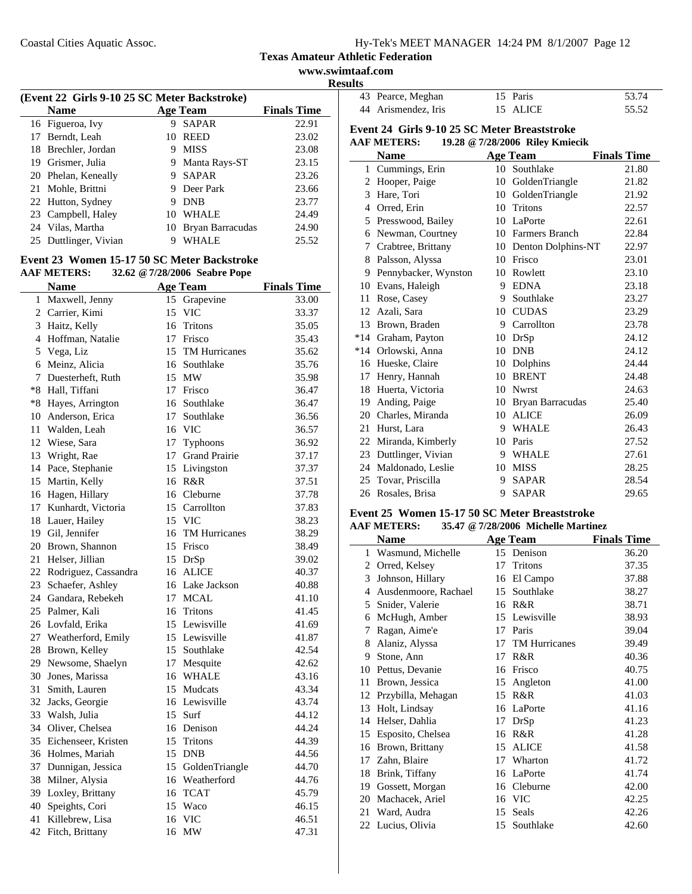$\overline{a}$ 

|  | $Hy-Tek's MEET MANAGER$ 14:24 PM $8/1/2007$ Page 12 |  |  |
|--|-----------------------------------------------------|--|--|
|  |                                                     |  |  |

**Texas Amateur Athletic Federation**

**www.swimtaaf.com Results**

| (Event 22 Girls 9-10 25 SC Meter Backstroke) |    |                     |                    |  |  |  |
|----------------------------------------------|----|---------------------|--------------------|--|--|--|
| <b>Name</b>                                  |    | <b>Age Team</b>     | <b>Finals Time</b> |  |  |  |
| 16 Figueroa, Ivy                             | 9  | <b>SAPAR</b>        | 22.91              |  |  |  |
| 17 Berndt, Leah                              | 10 | REED                | 23.02              |  |  |  |
| 18 Brechler, Jordan                          | 9  | <b>MISS</b>         | 23.08              |  |  |  |
| 19 Grismer, Julia                            | 9  | Manta Rays-ST       | 23.15              |  |  |  |
| 20 Phelan, Keneally                          | 9  | <b>SAPAR</b>        | 23.26              |  |  |  |
| 21 Mohle, Brittni                            |    | Deer Park           | 23.66              |  |  |  |
| 22 Hutton, Sydney                            | 9  | <b>DNB</b>          | 23.77              |  |  |  |
| 23 Campbell, Haley                           | 10 | <b>WHALE</b>        | 24.49              |  |  |  |
| 24 Vilas, Martha                             |    | 10 Bryan Barracudas | 24.90              |  |  |  |
| 25 Duttlinger, Vivian                        | 9  | WHALE               | 25.52              |  |  |  |

#### **Event 23 Women 15-17 50 SC Meter Backstroke AAF METERS: 32.62 @7/28/2006 Seabre Pope**

|              | <b>Name</b>             |    | <b>Age Team</b>      | <b>Finals Time</b> |
|--------------|-------------------------|----|----------------------|--------------------|
| $\mathbf{1}$ | Maxwell, Jenny          |    | 15 Grapevine         | 33.00              |
|              | 2 Carrier, Kimi         | 15 | <b>VIC</b>           | 33.37              |
|              | 3 Haitz, Kelly          |    | 16 Tritons           | 35.05              |
|              | 4 Hoffman, Natalie      |    | 17 Frisco            | 35.43              |
| 5            | Vega, Liz               |    | 15 TM Hurricanes     | 35.62              |
|              | 6 Meinz, Alicia         | 16 | Southlake            | 35.76              |
|              | 7 Duesterheft, Ruth     |    | 15 MW                | 35.98              |
|              | *8 Hall, Tiffani        |    | 17 Frisco            | 36.47              |
|              | *8 Hayes, Arrington     | 16 | Southlake            | 36.47              |
|              | 10 Anderson, Erica      | 17 | Southlake            | 36.56              |
|              | 11 Walden, Leah         |    | 16 VIC               | 36.57              |
|              | 12 Wiese, Sara          | 17 | Typhoons             | 36.92              |
|              | 13 Wright, Rae          | 17 | <b>Grand Prairie</b> | 37.17              |
|              | 14 Pace, Stephanie      |    | 15 Livingston        | 37.37              |
|              | 15 Martin, Kelly        |    | 16 R&R               | 37.51              |
|              | 16 Hagen, Hillary       |    | 16 Cleburne          | 37.78              |
|              | 17 Kunhardt, Victoria   |    | 15 Carrollton        | 37.83              |
|              | 18 Lauer, Hailey        |    | 15 VIC               | 38.23              |
|              | 19 Gil, Jennifer        | 16 | <b>TM Hurricanes</b> | 38.29              |
|              | 20 Brown, Shannon       | 15 | Frisco               | 38.49              |
|              | 21 Helser, Jillian      |    | 15 DrSp              | 39.02              |
|              | 22 Rodriguez, Cassandra |    | 16 ALICE             | 40.37              |
|              | 23 Schaefer, Ashley     |    | 16 Lake Jackson      | 40.88              |
|              | 24 Gandara, Rebekeh     |    | 17 MCAL              | 41.10              |
|              | 25 Palmer, Kali         |    | 16 Tritons           | 41.45              |
|              | 26 Lovfald, Erika       |    | 15 Lewisville        | 41.69              |
|              | 27 Weatherford, Emily   |    | 15 Lewisville        | 41.87              |
|              | 28 Brown, Kelley        |    | 15 Southlake         | 42.54              |
|              | 29 Newsome, Shaelyn     | 17 | Mesquite             | 42.62              |
|              | 30 Jones, Marissa       | 16 | WHALE                | 43.16              |
| 31           | Smith, Lauren           |    | 15 Mudcats           | 43.34              |
|              | 32 Jacks, Georgie       |    | 16 Lewisville        | 43.74              |
|              | 33 Walsh, Julia         |    | 15 Surf              | 44.12              |
|              | 34 Oliver, Chelsea      |    | 16 Denison           | 44.24              |
|              | 35 Eichenseer, Kristen  | 15 | <b>Tritons</b>       | 44.39              |
|              | 36 Holmes, Mariah       |    | 15 DNB               | 44.56              |
|              | 37 Dunnigan, Jessica    |    | 15 GoldenTriangle    | 44.70              |
|              | 38 Milner, Alysia       | 16 | Weatherford          | 44.76              |
|              | 39 Loxley, Brittany     |    | 16 TCAT              | 45.79              |
|              | 40 Speights, Cori       |    | 15 Waco              | 46.15              |
| 41           | Killebrew, Lisa         | 16 | <b>VIC</b>           | 46.51              |
|              | 42 Fitch, Brittany      | 16 | <b>MW</b>            | 47.31              |

| 43 Pearce, Meghan   | 15 Paris | 53.74 |
|---------------------|----------|-------|
| 44 Arismendez, Iris | 15 ALICE | 55.52 |

#### **Event 24 Girls 9-10 25 SC Meter Breaststroke AAF METERS: 19.28 @7/28/2006 Riley Kmiecik**

|              | <b>Name</b>          |    | <b>Age Team</b>    | <b>Finals Time</b> |
|--------------|----------------------|----|--------------------|--------------------|
| $\mathbf{1}$ | Cummings, Erin       |    | 10 Southlake       | 21.80              |
| 2            | Hooper, Paige        |    | 10 GoldenTriangle  | 21.82              |
| 3            | Hare, Tori           | 10 | GoldenTriangle     | 21.92              |
| 4            | Orred, Erin          | 10 | <b>Tritons</b>     | 22.57              |
| 5            | Presswood, Bailey    | 10 | LaPorte            | 22.61              |
| 6            | Newman, Courtney     | 10 | Farmers Branch     | 22.84              |
| 7            | Crabtree, Brittany   | 10 | Denton Dolphins-NT | 22.97              |
| 8            | Palsson, Alyssa      | 10 | Frisco             | 23.01              |
| 9            | Pennybacker, Wynston | 10 | Rowlett            | 23.10              |
| 10           | Evans, Haleigh       | 9  | <b>EDNA</b>        | 23.18              |
| 11           | Rose, Casey          | 9  | Southlake          | 23.27              |
| 12           | Azali, Sara          | 10 | <b>CUDAS</b>       | 23.29              |
| 13           | Brown, Braden        | 9  | Carrollton         | 23.78              |
| $*14$        | Graham, Payton       | 10 | DrSp               | 24.12              |
| $*14$        | Orlowski, Anna       | 10 | <b>DNB</b>         | 24.12              |
| 16           | Hueske, Claire       | 10 | Dolphins           | 24.44              |
| 17           | Henry, Hannah        | 10 | <b>BRENT</b>       | 24.48              |
| 18           | Huerta, Victoria     | 10 | <b>Nwrst</b>       | 24.63              |
| 19           | Anding, Paige        | 10 | Bryan Barracudas   | 25.40              |
| 20           | Charles, Miranda     | 10 | <b>ALICE</b>       | 26.09              |
| 21           | Hurst, Lara          | 9  | <b>WHALE</b>       | 26.43              |
| 22           | Miranda, Kimberly    | 10 | Paris              | 27.52              |
| 23           | Duttlinger, Vivian   | 9  | <b>WHALE</b>       | 27.61              |
| 24           | Maldonado, Leslie    | 10 | <b>MISS</b>        | 28.25              |
| 25           | Tovar, Priscilla     | 9  | <b>SAPAR</b>       | 28.54              |
| 26           | Rosales, Brisa       | 9  | <b>SAPAR</b>       | 29.65              |

## **Event 25 Women 15-17 50 SC Meter Breaststroke**

**AAF METERS: 35.47 @7/28/2006 Michelle Martinez**

|    | Name                 |    | <b>Age Team</b>      | <b>Finals Time</b> |
|----|----------------------|----|----------------------|--------------------|
| 1  | Wasmund, Michelle    |    | 15 Denison           | 36.20              |
| 2  | Orred, Kelsey        | 17 | Tritons              | 37.35              |
| 3  | Johnson, Hillary     | 16 | El Campo             | 37.88              |
| 4  | Ausdenmoore, Rachael | 15 | Southlake            | 38.27              |
| 5  | Snider, Valerie      | 16 | R&R                  | 38.71              |
| 6  | McHugh, Amber        | 15 | Lewisville           | 38.93              |
| 7  | Ragan, Aime'e        | 17 | Paris                | 39.04              |
| 8  | Alaniz, Alyssa       | 17 | <b>TM Hurricanes</b> | 39.49              |
| 9  | Stone, Ann           | 17 | R&R                  | 40.36              |
| 10 | Pettus, Devanie      | 16 | Frisco               | 40.75              |
| 11 | Brown, Jessica       | 15 | Angleton             | 41.00              |
| 12 | Przybilla, Mehagan   | 15 | R&R                  | 41.03              |
| 13 | Holt, Lindsay        | 16 | LaPorte              | 41.16              |
| 14 | Helser, Dahlia       | 17 | DrSp                 | 41.23              |
| 15 | Esposito, Chelsea    | 16 | R&R                  | 41.28              |
| 16 | Brown, Brittany      | 15 | <b>ALICE</b>         | 41.58              |
| 17 | Zahn, Blaire         | 17 | Wharton              | 41.72              |
| 18 | Brink, Tiffany       | 16 | LaPorte              | 41.74              |
| 19 | Gossett, Morgan      | 16 | Cleburne             | 42.00              |
| 20 | Machacek, Ariel      |    | 16 VIC               | 42.25              |
| 21 | Ward, Audra          | 15 | Seals                | 42.26              |
|    | 22 Lucius, Olivia    | 15 | Southlake            | 42.60              |
|    |                      |    |                      |                    |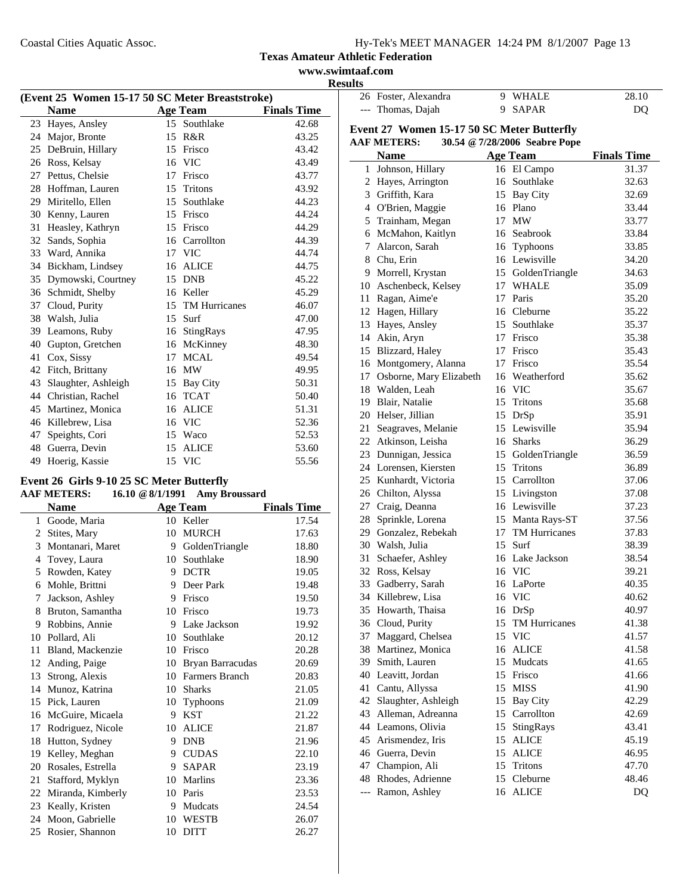**www.swimtaaf.com Results**

|    | (Event 25 Women 15-17 50 SC Meter Breaststroke) |    |                  |                    |  |
|----|-------------------------------------------------|----|------------------|--------------------|--|
|    | <b>Name</b>                                     |    | <b>Age Team</b>  | <b>Finals Time</b> |  |
| 23 | Hayes, Ansley                                   |    | 15 Southlake     | 42.68              |  |
| 24 | Major, Bronte                                   | 15 | R&R              | 43.25              |  |
| 25 | DeBruin, Hillary                                | 15 | Frisco           | 43.42              |  |
| 26 | Ross, Kelsay                                    | 16 | <b>VIC</b>       | 43.49              |  |
| 27 | Pettus, Chelsie                                 | 17 | Frisco           | 43.77              |  |
| 28 | Hoffman, Lauren                                 | 15 | Tritons          | 43.92              |  |
| 29 | Miritello, Ellen                                | 15 | Southlake        | 44.23              |  |
| 30 | Kenny, Lauren                                   | 15 | Frisco           | 44.24              |  |
| 31 | Heasley, Kathryn                                | 15 | Frisco           | 44.29              |  |
| 32 | Sands, Sophia                                   | 16 | Carrollton       | 44.39              |  |
| 33 | Ward, Annika                                    |    | 17 VIC           | 44.74              |  |
| 34 | Bickham, Lindsey                                | 16 | <b>ALICE</b>     | 44.75              |  |
| 35 | Dymowski, Courtney                              | 15 | <b>DNB</b>       | 45.22              |  |
| 36 | Schmidt, Shelby                                 | 16 | Keller           | 45.29              |  |
| 37 | Cloud, Purity                                   |    | 15 TM Hurricanes | 46.07              |  |
| 38 | Walsh, Julia                                    | 15 | Surf             | 47.00              |  |
| 39 | Leamons, Ruby                                   | 16 | StingRays        | 47.95              |  |
| 40 | Gupton, Gretchen                                | 16 | McKinney         | 48.30              |  |
| 41 | Cox, Sissy                                      | 17 | MCAL             | 49.54              |  |
| 42 | Fitch, Brittany                                 | 16 | MW               | 49.95              |  |
| 43 | Slaughter, Ashleigh                             | 15 | <b>Bay City</b>  | 50.31              |  |
| 44 | Christian, Rachel                               | 16 | <b>TCAT</b>      | 50.40              |  |
| 45 | Martinez, Monica                                | 16 | <b>ALICE</b>     | 51.31              |  |
| 46 | Killebrew, Lisa                                 | 16 | <b>VIC</b>       | 52.36              |  |
| 47 | Speights, Cori                                  | 15 | Waco             | 52.53              |  |
| 48 | Guerra, Devin                                   | 15 | <b>ALICE</b>     | 53.60              |  |
| 49 | Hoerig, Kassie                                  | 15 | <b>VIC</b>       | 55.56              |  |

# **Event 26 Girls 9-10 25 SC Meter Butterfly**

# **AAF METERS: 16.10 @8/1/1991 Amy Broussard**

|    | <b>Name</b>       |    | <b>Age Team</b>  | <b>Finals Time</b> |
|----|-------------------|----|------------------|--------------------|
| 1  | Goode, Maria      | 10 | Keller           | 17.54              |
| 2  | Stites, Mary      | 10 | <b>MURCH</b>     | 17.63              |
| 3  | Montanari, Maret  | 9  | GoldenTriangle   | 18.80              |
| 4  | Tovey, Laura      | 10 | Southlake        | 18.90              |
| 5  | Rowden, Katey     | 9  | <b>DCTR</b>      | 19.05              |
| 6  | Mohle, Brittni    | 9  | Deer Park        | 19.48              |
| 7  | Jackson, Ashley   | 9  | Frisco           | 19.50              |
| 8  | Bruton, Samantha  | 10 | Frisco           | 19.73              |
| 9  | Robbins, Annie    | 9  | Lake Jackson     | 19.92              |
| 10 | Pollard, Ali      | 10 | Southlake        | 20.12              |
| 11 | Bland, Mackenzie  | 10 | Frisco           | 20.28              |
| 12 | Anding, Paige     | 10 | Bryan Barracudas | 20.69              |
| 13 | Strong, Alexis    | 10 | Farmers Branch   | 20.83              |
| 14 | Munoz, Katrina    | 10 | <b>Sharks</b>    | 21.05              |
| 15 | Pick, Lauren      | 10 | Typhoons         | 21.09              |
| 16 | McGuire, Micaela  | 9  | <b>KST</b>       | 21.22              |
| 17 | Rodriguez, Nicole | 10 | <b>ALICE</b>     | 21.87              |
| 18 | Hutton, Sydney    | 9  | <b>DNB</b>       | 21.96              |
| 19 | Kelley, Meghan    | 9  | <b>CUDAS</b>     | 22.10              |
| 20 | Rosales, Estrella | 9  | <b>SAPAR</b>     | 23.19              |
| 21 | Stafford, Myklyn  | 10 | <b>Marlins</b>   | 23.36              |
| 22 | Miranda, Kimberly | 10 | Paris            | 23.53              |
| 23 | Keally, Kristen   | 9  | Mudcats          | 24.54              |
| 24 | Moon, Gabrielle   | 10 | <b>WESTB</b>     | 26.07              |
| 25 | Rosier, Shannon   | 10 | <b>DITT</b>      | 26.27              |
|    |                   |    |                  |                    |

| sults |                                            |    |                               |                    |
|-------|--------------------------------------------|----|-------------------------------|--------------------|
|       | 26 Foster, Alexandra                       |    | 9 WHALE                       | 28.10              |
|       | --- Thomas, Dajah                          | 9. | <b>SAPAR</b>                  | DQ                 |
|       | Event 27 Women 15-17 50 SC Meter Butterfly |    |                               |                    |
|       | <b>AAF METERS:</b>                         |    | 30.54 @ 7/28/2006 Seabre Pope |                    |
|       |                                            |    |                               |                    |
|       | <b>Name</b>                                |    | <b>Age Team</b>               | <b>Finals Time</b> |
|       | 1 Johnson, Hillary                         |    | 16 El Campo                   | 31.37              |
|       | 2 Hayes, Arrington                         |    | 16 Southlake                  | 32.63              |
|       | 3 Griffith, Kara                           |    | 15 Bay City                   | 32.69              |
|       | 4 O'Brien, Maggie                          |    | 16 Plano                      | 33.44              |
|       | 5 Trainham, Megan                          |    | 17 MW                         | 33.77              |
|       | 6 McMahon, Kaitlyn                         |    | 16 Seabrook                   | 33.84              |
|       | 7 Alarcon, Sarah                           |    | 16 Typhoons                   | 33.85              |
|       | 8 Chu, Erin                                |    | 16 Lewisville                 | 34.20              |
|       | 9 Morrell, Krystan                         |    | 15 GoldenTriangle             | 34.63              |
|       | 10 Aschenbeck, Kelsey                      |    | 17 WHALE                      | 35.09              |
|       | 11 Ragan, Aime'e                           |    | 17 Paris                      | 35.20              |
|       | 12 Hagen, Hillary                          |    | 16 Cleburne                   | 35.22              |
|       | 13 Hayes, Ansley                           |    | 15 Southlake                  | 35.37              |
|       | 14 Akin, Aryn                              |    | 17 Frisco                     | 35.38              |
|       | 15 Blizzard, Haley                         |    | 17 Frisco                     | 35.43              |
|       | 16 Montgomery, Alanna                      |    | 17 Frisco                     | 35.54              |
|       | 17 Osborne, Mary Elizabeth                 |    | 16 Weatherford                | 35.62              |
|       | 18 Walden, Leah                            |    | 16 VIC                        | 35.67              |
|       | 19 Blair, Natalie                          |    | 15 Tritons                    | 35.68              |
|       | 20 Helser, Jillian                         |    | 15 DrSp                       | 35.91              |
|       | 21 Seagraves, Melanie                      |    | 15 Lewisville                 | 35.94              |
|       | 22 Atkinson, Leisha                        |    | 16 Sharks                     | 36.29              |
|       | 23 Dunnigan, Jessica                       | 15 | GoldenTriangle                | 36.59              |
|       | 24 Lorensen, Kiersten                      | 15 | <b>Tritons</b>                | 36.89              |
|       | 25 Kunhardt, Victoria                      |    | 15 Carrollton                 | 37.06              |
|       | 26 Chilton, Alyssa                         |    | 15 Livingston                 | 37.08              |
|       | 27 Craig, Deanna                           |    | 16 Lewisville                 | 37.23              |
|       | 28 Sprinkle, Lorena                        |    | 15 Manta Rays-ST              | 37.56              |
|       | 29 Gonzalez, Rebekah                       |    | 17 TM Hurricanes              | 37.83              |
|       | 30 Walsh, Julia                            | 15 | Surf                          | 38.39              |
|       | 31 Schaefer, Ashley                        |    | 16 Lake Jackson               | 38.54              |
|       | 32 Ross, Kelsay                            |    | 16 VIC                        | 39.21              |
|       | 33 Gadberry, Sarah                         |    | 16 LaPorte                    | 40.35              |
|       | 34 Killebrew, Lisa                         |    | 16 VIC                        | 40.62              |
|       | 35 Howarth, Thaisa                         |    | 16 DrSp                       | 40.97              |
|       | 36 Cloud, Purity                           | 15 | TM Hurricanes                 | 41.38              |
|       | 37 Maggard, Chelsea                        |    | 15 VIC                        | 41.57              |
|       | 38 Martinez, Monica                        |    | 16 ALICE                      | 41.58              |
|       | 39 Smith, Lauren                           | 15 | Mudcats                       | 41.65              |
|       | 40 Leavitt, Jordan                         |    | 15 Frisco                     | 41.66              |
|       | 41 Cantu, Allyssa                          |    | 15 MISS                       | 41.90              |
|       | 42 Slaughter, Ashleigh                     |    | 15 Bay City                   | 42.29              |
|       | 43 Alleman, Adreanna                       |    | 15 Carrollton                 | 42.69              |
|       | 44 Leamons, Olivia                         | 15 | StingRays                     | 43.41              |
|       | 45 Arismendez, Iris                        | 15 | <b>ALICE</b>                  | 45.19              |
|       | 46 Guerra, Devin                           | 15 | <b>ALICE</b>                  | 46.95              |
|       | 47 Champion, Ali                           | 15 | Tritons                       | 47.70              |
|       | 48 Rhodes, Adrienne                        | 15 | Cleburne                      | 48.46              |
|       | --- Ramon, Ashley                          |    | 16 ALICE                      | DQ                 |
|       |                                            |    |                               |                    |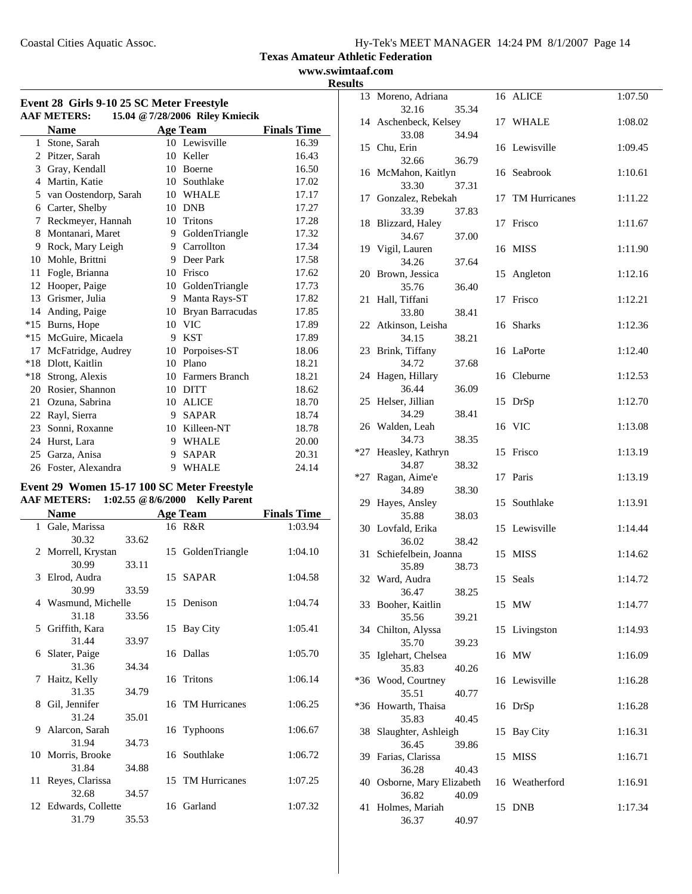**www.swimtaaf.com Results**

| Event 28 Girls 9-10 25 SC Meter Freestyle<br>15.04 @ 7/28/2006 Riley Kmiecik<br><b>AAF METERS:</b> |                       |    |                       |                    |  |  |
|----------------------------------------------------------------------------------------------------|-----------------------|----|-----------------------|--------------------|--|--|
|                                                                                                    | <b>Name</b>           |    | <b>Age Team</b>       | <b>Finals Time</b> |  |  |
|                                                                                                    | 1 Stone, Sarah        |    | 10 Lewisville         | 16.39              |  |  |
| 2                                                                                                  | Pitzer, Sarah         | 10 | Keller                | 16.43              |  |  |
| 3                                                                                                  | Gray, Kendall         | 10 | <b>Boerne</b>         | 16.50              |  |  |
| 4                                                                                                  | Martin, Katie         |    | 10 Southlake          | 17.02              |  |  |
| 5                                                                                                  | van Oostendorp, Sarah |    | 10 WHALE              | 17.17              |  |  |
| 6                                                                                                  | Carter, Shelby        | 10 | <b>DNB</b>            | 17.27              |  |  |
| 7                                                                                                  | Reckmeyer, Hannah     |    | 10 Tritons            | 17.28              |  |  |
| 8                                                                                                  | Montanari, Maret      |    | 9 GoldenTriangle      | 17.32              |  |  |
| 9                                                                                                  | Rock, Mary Leigh      | 9. | Carrollton            | 17.34              |  |  |
| 10                                                                                                 | Mohle, Brittni        |    | 9 Deer Park           | 17.58              |  |  |
| 11                                                                                                 | Fogle, Brianna        | 10 | Frisco                | 17.62              |  |  |
| 12                                                                                                 | Hooper, Paige         |    | 10 GoldenTriangle     | 17.73              |  |  |
| 13                                                                                                 | Grismer, Julia        | 9  | Manta Rays-ST         | 17.82              |  |  |
| 14                                                                                                 | Anding, Paige         | 10 | Bryan Barracudas      | 17.85              |  |  |
| $*15$                                                                                              | Burns, Hope           | 10 | <b>VIC</b>            | 17.89              |  |  |
| $*15$                                                                                              | McGuire, Micaela      | 9  | <b>KST</b>            | 17.89              |  |  |
| 17                                                                                                 | McFatridge, Audrey    | 10 | Porpoises-ST          | 18.06              |  |  |
| $*18$                                                                                              | Dlott, Kaitlin        | 10 | Plano                 | 18.21              |  |  |
| $*18$                                                                                              | Strong, Alexis        | 10 | <b>Farmers Branch</b> | 18.21              |  |  |
| 20                                                                                                 | Rosier, Shannon       | 10 | <b>DITT</b>           | 18.62              |  |  |
| 21                                                                                                 | Ozuna, Sabrina        |    | 10 ALICE              | 18.70              |  |  |
| 22                                                                                                 | Rayl, Sierra          | 9  | <b>SAPAR</b>          | 18.74              |  |  |
| 23                                                                                                 | Sonni, Roxanne        |    | 10 Killeen-NT         | 18.78              |  |  |
| 24                                                                                                 | Hurst, Lara           |    | 9 WHALE               | 20.00              |  |  |
| 25                                                                                                 | Garza, Anisa          | 9  | <b>SAPAR</b>          | 20.31              |  |  |
| 26                                                                                                 | Foster, Alexandra     | 9  | <b>WHALE</b>          | 24.14              |  |  |

# **Event 29 Women 15-17 100 SC Meter Freestyle AAF METERS: 1:02.55 @8/6/2000 Kelly Parent**

|   | Name                 |       | <b>Age Team</b>   | <b>Finals Time</b> |
|---|----------------------|-------|-------------------|--------------------|
|   | 1 Gale, Marissa      |       | 16 R&R            | 1:03.94            |
|   | 30.32                | 33.62 |                   |                    |
|   | 2 Morrell, Krystan   |       | 15 GoldenTriangle | 1:04.10            |
|   | 30.99                | 33.11 |                   |                    |
|   | 3 Elrod, Audra       |       | 15 SAPAR          | 1:04.58            |
|   | 30.99                | 33.59 |                   |                    |
|   | 4 Wasmund, Michelle  |       | 15 Denison        | 1:04.74            |
|   | 31.18                | 33.56 |                   |                    |
|   | 5 Griffith, Kara     |       | 15 Bay City       | 1:05.41            |
|   | 31.44                | 33.97 |                   |                    |
|   | 6 Slater, Paige      |       | 16 Dallas         | 1:05.70            |
|   | 31.36                | 34.34 |                   |                    |
| 7 | Haitz, Kelly         |       | 16 Tritons        | 1:06.14            |
|   | 31.35                | 34.79 |                   |                    |
|   | 8 Gil, Jennifer      |       | 16 TM Hurricanes  | 1:06.25            |
|   | 31.24                | 35.01 |                   |                    |
|   | 9 Alarcon, Sarah     |       | 16 Typhoons       | 1:06.67            |
|   | 31.94                | 34.73 |                   |                    |
|   | 10 Morris, Brooke    |       | 16 Southlake      | 1:06.72            |
|   | 31.84                | 34.88 |                   |                    |
|   | 11 Reyes, Clarissa   |       | 15 TM Hurricanes  | 1:07.25            |
|   | 32.68                | 34.57 |                   |                    |
|   | 12 Edwards, Collette |       | 16 Garland        | 1:07.32            |
|   | 31.79                | 35.53 |                   |                    |

| LJ. |                                     |       |    |                 |         |
|-----|-------------------------------------|-------|----|-----------------|---------|
|     | 13 Moreno, Adriana                  |       |    | 16 ALICE        | 1:07.50 |
|     | 32.16<br>14 Aschenbeck, Kelsey      | 35.34 |    | 17 WHALE        | 1:08.02 |
|     | 33.08                               | 34.94 |    |                 |         |
|     | 15 Chu, Erin                        |       |    | 16 Lewisville   | 1:09.45 |
|     | 32.66                               | 36.79 |    |                 |         |
|     | 16 McMahon, Kaitlyn<br>33.30        | 37.31 |    | 16 Seabrook     | 1:10.61 |
|     | 17 Gonzalez, Rebekah                |       | 17 | TM Hurricanes   | 1:11.22 |
|     | 33.39                               | 37.83 |    |                 |         |
|     | 18 Blizzard, Haley                  |       | 17 | Frisco          | 1:11.67 |
|     | 34.67<br>19 Vigil, Lauren           | 37.00 |    | 16 MISS         | 1:11.90 |
|     | 34.26                               | 37.64 |    |                 |         |
|     | 20 Brown, Jessica                   |       | 15 | Angleton        | 1:12.16 |
|     | 35.76                               | 36.40 |    |                 |         |
| 21  | Hall, Tiffani                       |       | 17 | Frisco          | 1:12.21 |
|     | 33.80<br>22 Atkinson, Leisha        | 38.41 |    | 16 Sharks       | 1:12.36 |
|     | 34.15                               | 38.21 |    |                 |         |
|     | 23 Brink, Tiffany                   |       |    | 16 LaPorte      | 1:12.40 |
|     | 34.72                               | 37.68 |    |                 |         |
| 24  | Hagen, Hillary<br>36.44             | 36.09 |    | 16 Cleburne     | 1:12.53 |
|     | 25 Helser, Jillian                  |       | 15 | DrSp            | 1:12.70 |
|     | 34.29                               | 38.41 |    |                 |         |
|     | 26 Walden, Leah                     |       |    | 16 VIC          | 1:13.08 |
| *27 | 34.73<br>Heasley, Kathryn           | 38.35 |    | 15 Frisco       | 1:13.19 |
|     | 34.87                               | 38.32 |    |                 |         |
| *27 | Ragan, Aime'e                       |       | 17 | Paris           | 1:13.19 |
|     | 34.89                               | 38.30 |    |                 |         |
| 29  | Hayes, Ansley<br>35.88              | 38.03 |    | 15 Southlake    | 1:13.91 |
|     | 30 Lovfald, Erika                   |       |    | 15 Lewisville   | 1:14.44 |
|     | 36.02                               | 38.42 |    |                 |         |
| 31  | Schiefelbein, Joanna                |       |    | 15 MISS         | 1:14.62 |
|     | 35.89<br>32 Ward, Audra             | 38.73 |    | 15 Seals        | 1:14.72 |
|     | 36.47                               | 38.25 |    |                 |         |
|     | 33 Booher, Kaitlin                  |       |    | 15 MW           | 1:14.77 |
|     | 35.56                               | 39.21 |    |                 |         |
|     | 34 Chilton, Alyssa<br>35.70         |       | 15 | Livingston      | 1:14.93 |
|     | 35 Iglehart, Chelsea                | 39.23 |    | 16 MW           | 1:16.09 |
|     | 35.83                               | 40.26 |    |                 |         |
| *36 | Wood, Courtney                      |       |    | 16 Lewisville   | 1:16.28 |
|     | 35.51                               | 40.77 |    |                 |         |
|     | *36 Howarth, Thaisa<br>35.83        | 40.45 |    | 16 DrSp         | 1:16.28 |
|     | 38 Slaughter, Ashleigh              |       | 15 | <b>Bay City</b> | 1:16.31 |
|     | 36.45                               | 39.86 |    |                 |         |
|     | 39 Farias, Clarissa                 |       | 15 | <b>MISS</b>     | 1:16.71 |
|     | 36.28<br>40 Osborne, Mary Elizabeth | 40.43 |    | 16 Weatherford  | 1:16.91 |
|     | 36.82                               | 40.09 |    |                 |         |
| 41  | Holmes, Mariah                      |       |    | 15 DNB          | 1:17.34 |
|     | 36.37                               | 40.97 |    |                 |         |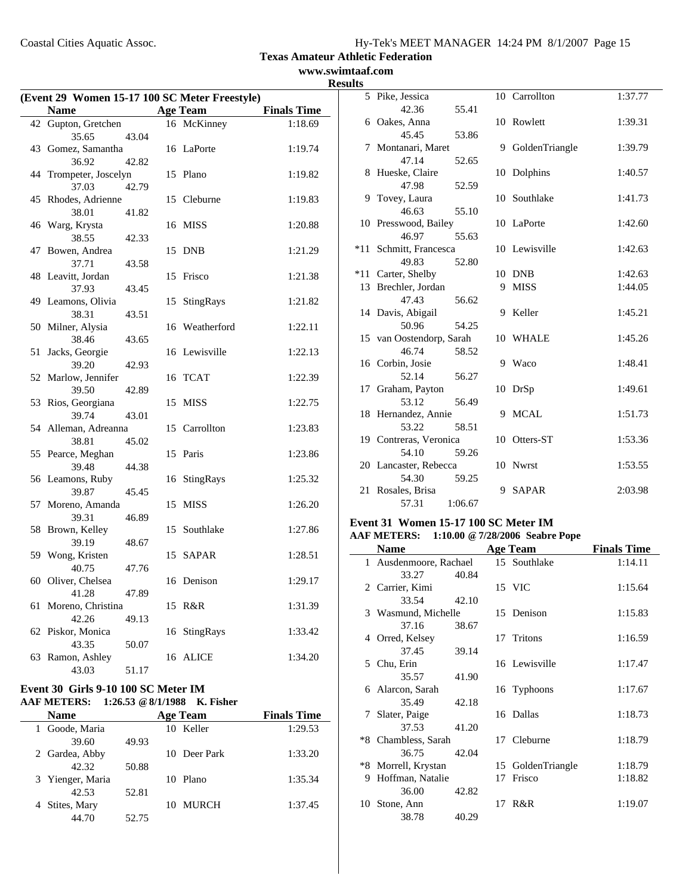**www.swimtaaf.com Results**

|    | (Event 29 Women 15-17 100 SC Meter Freestyle) |       |    |                 |                    |  |
|----|-----------------------------------------------|-------|----|-----------------|--------------------|--|
|    | <b>Name</b>                                   |       |    | <b>Age Team</b> | <b>Finals Time</b> |  |
|    | 42 Gupton, Gretchen                           |       |    | 16 McKinney     | 1:18.69            |  |
|    | 35.65                                         | 43.04 |    |                 |                    |  |
|    | 43 Gomez, Samantha                            |       |    | 16 LaPorte      | 1:19.74            |  |
|    | 36.92                                         | 42.82 |    |                 |                    |  |
| 44 | Trompeter, Joscelyn                           |       | 15 | Plano           | 1:19.82            |  |
|    | 37.03                                         | 42.79 |    |                 |                    |  |
| 45 | Rhodes, Adrienne                              |       | 15 | Cleburne        | 1:19.83            |  |
| 46 | 38.01<br>Warg, Krysta                         | 41.82 | 16 | <b>MISS</b>     | 1:20.88            |  |
|    | 38.55                                         | 42.33 |    |                 |                    |  |
| 47 | Bowen, Andrea                                 |       | 15 | <b>DNB</b>      | 1:21.29            |  |
|    | 37.71                                         | 43.58 |    |                 |                    |  |
|    | 48 Leavitt, Jordan                            |       | 15 | Frisco          | 1:21.38            |  |
|    | 37.93                                         | 43.45 |    |                 |                    |  |
| 49 | Leamons, Olivia                               |       | 15 | StingRays       | 1:21.82            |  |
|    | 38.31                                         | 43.51 |    |                 |                    |  |
|    | 50 Milner, Alysia                             |       |    | 16 Weatherford  | 1:22.11            |  |
|    | 38.46                                         | 43.65 |    |                 |                    |  |
| 51 | Jacks, Georgie                                |       |    | 16 Lewisville   | 1:22.13            |  |
|    | 39.20                                         | 42.93 |    |                 |                    |  |
|    | 52 Marlow, Jennifer                           |       |    | 16 TCAT         | 1:22.39            |  |
|    | 39.50                                         | 42.89 |    |                 |                    |  |
| 53 | Rios, Georgiana                               |       | 15 | <b>MISS</b>     | 1:22.75            |  |
| 54 | 39.74                                         | 43.01 |    | Carrollton      | 1:23.83            |  |
|    | Alleman, Adreanna<br>38.81                    | 45.02 | 15 |                 |                    |  |
|    | 55 Pearce, Meghan                             |       | 15 | Paris           | 1:23.86            |  |
|    | 39.48                                         | 44.38 |    |                 |                    |  |
|    | 56 Leamons, Ruby                              |       | 16 | StingRays       | 1:25.32            |  |
|    | 39.87                                         | 45.45 |    |                 |                    |  |
| 57 | Moreno, Amanda                                |       | 15 | <b>MISS</b>     | 1:26.20            |  |
|    | 39.31                                         | 46.89 |    |                 |                    |  |
| 58 | Brown, Kelley                                 |       | 15 | Southlake       | 1:27.86            |  |
|    | 39.19                                         | 48.67 |    |                 |                    |  |
| 59 | Wong, Kristen                                 |       | 15 | <b>SAPAR</b>    | 1:28.51            |  |
|    | 40.75                                         | 47.76 |    |                 |                    |  |
|    | 60 Oliver, Chelsea                            |       |    | 16 Denison      | 1:29.17            |  |
|    | 41.28                                         | 47.89 |    |                 |                    |  |
| 61 | Moreno, Christina                             |       | 15 | R&R             | 1:31.39            |  |
|    | 42.26                                         | 49.13 |    |                 | 1:33.42            |  |
|    | 62 Piskor, Monica<br>43.35                    | 50.07 | 16 | StingRays       |                    |  |
| 63 | Ramon, Ashley                                 |       | 16 | <b>ALICE</b>    | 1:34.20            |  |
|    | 43.03                                         | 51.17 |    |                 |                    |  |
|    |                                               |       |    |                 |                    |  |

## **Event 30 Girls 9-10 100 SC Meter IM AAF METERS: 1:26.53 @8/1/1988 K. Fisher**

| <b>Name</b>      |       | <b>Age Team</b>    | <b>Finals Time</b> |
|------------------|-------|--------------------|--------------------|
| 1 Goode, Maria   |       | 10 Keller          | 1:29.53            |
| 39.60            | 49.93 |                    |                    |
| 2 Gardea, Abby   |       | 10 Deer Park       | 1:33.20            |
| 42.32            | 50.88 |                    |                    |
| 3 Yienger, Maria |       | Plano<br>10        | 1:35.34            |
| 42.53            | 52.81 |                    |                    |
| 4 Stites, Mary   |       | <b>MURCH</b><br>10 | 1:37.45            |
| 44.70            | 52.75 |                    |                    |

|       | 5 Pike, Jessica          |         |   | 10 Carrollton    | 1:37.77 |
|-------|--------------------------|---------|---|------------------|---------|
|       | 42.36                    | 55.41   |   |                  |         |
|       | 6 Oakes, Anna            |         |   | 10 Rowlett       | 1:39.31 |
|       | 45.45                    | 53.86   |   |                  |         |
|       | 7 Montanari, Maret       |         |   | 9 GoldenTriangle | 1:39.79 |
|       | 47.14                    | 52.65   |   |                  |         |
|       | 8 Hueske, Claire         |         |   | 10 Dolphins      | 1:40.57 |
|       | 47.98                    | 52.59   |   |                  |         |
|       | 9 Tovey, Laura           |         |   | 10 Southlake     | 1:41.73 |
|       | 46.63                    | 55.10   |   |                  |         |
|       | 10 Presswood, Bailey     |         |   | 10 LaPorte       | 1:42.60 |
|       | 46.97                    | 55.63   |   |                  |         |
|       | *11 Schmitt, Francesca   |         |   | 10 Lewisville    | 1:42.63 |
|       | 49.83                    | 52.80   |   |                  |         |
| $*11$ | Carter, Shelby           |         |   | 10 DNB           | 1:42.63 |
|       | 13 Brechler, Jordan      |         | 9 | <b>MISS</b>      | 1:44.05 |
|       | 47.43                    | 56.62   |   |                  |         |
|       | 14 Davis, Abigail        |         | 9 | Keller           | 1:45.21 |
|       | 50.96                    | 54.25   |   |                  |         |
|       | 15 van Oostendorp, Sarah |         |   | 10 WHALE         | 1:45.26 |
|       | 46.74                    | 58.52   |   |                  |         |
|       | 16 Corbin, Josie         |         | 9 | Waco             | 1:48.41 |
|       | 52.14                    | 56.27   |   |                  |         |
|       | 17 Graham, Payton        |         |   | 10 DrSp          | 1:49.61 |
|       | 53.12                    | 56.49   |   |                  |         |
|       | 18 Hernandez, Annie      |         | 9 | MCAL             | 1:51.73 |
|       | 53.22                    | 58.51   |   |                  |         |
|       | 19 Contreras, Veronica   |         |   | 10 Otters-ST     | 1:53.36 |
|       | 54.10                    | 59.26   |   |                  |         |
|       | 20 Lancaster, Rebecca    |         |   | 10 Nwrst         | 1:53.55 |
|       | 54.30                    | 59.25   |   |                  |         |
| 21    | Rosales, Brisa           |         | 9 | <b>SAPAR</b>     | 2:03.98 |
|       | 57.31                    | 1:06.67 |   |                  |         |

#### **Event 31 Women 15-17 100 SC Meter IM AAF METERS: 1:10.00 @7/28/2006 Seabre Pope**

|              | Name                 |       |    | Age Team       | <b>Finals Time</b> |
|--------------|----------------------|-------|----|----------------|--------------------|
| $\mathbf{1}$ | Ausdenmoore, Rachael |       |    | 15 Southlake   | 1:14.11            |
|              | 33.27                | 40.84 |    |                |                    |
|              | 2 Carrier, Kimi      |       |    | 15 VIC         | 1:15.64            |
|              | 33.54                | 42.10 |    |                |                    |
|              | 3 Wasmund, Michelle  |       |    | 15 Denison     | 1:15.83            |
|              | 37.16                | 38.67 |    |                |                    |
|              | 4 Orred, Kelsey      |       |    | 17 Tritons     | 1:16.59            |
|              | 37.45                | 39.14 |    |                |                    |
|              | 5 Chu, Erin          |       |    | 16 Lewisville  | 1:17.47            |
|              | 35.57                | 41.90 |    |                |                    |
|              | 6 Alarcon, Sarah     |       |    | 16 Typhoons    | 1:17.67            |
|              | 35.49                | 42.18 |    |                |                    |
| 7            | Slater, Paige        |       |    | 16 Dallas      | 1:18.73            |
|              | 37.53                | 41.20 |    |                |                    |
|              | *8 Chambless, Sarah  |       |    | 17 Cleburne    | 1:18.79            |
|              | 36.75                | 42.04 |    |                |                    |
|              | *8 Morrell, Krystan  |       | 15 | GoldenTriangle | 1:18.79            |
| 9            | Hoffman, Natalie     |       | 17 | Frisco         | 1:18.82            |
|              | 36.00                | 42.82 |    |                |                    |
|              | 10 Stone, Ann        |       | 17 | R&R            | 1:19.07            |
|              | 38.78                | 40.29 |    |                |                    |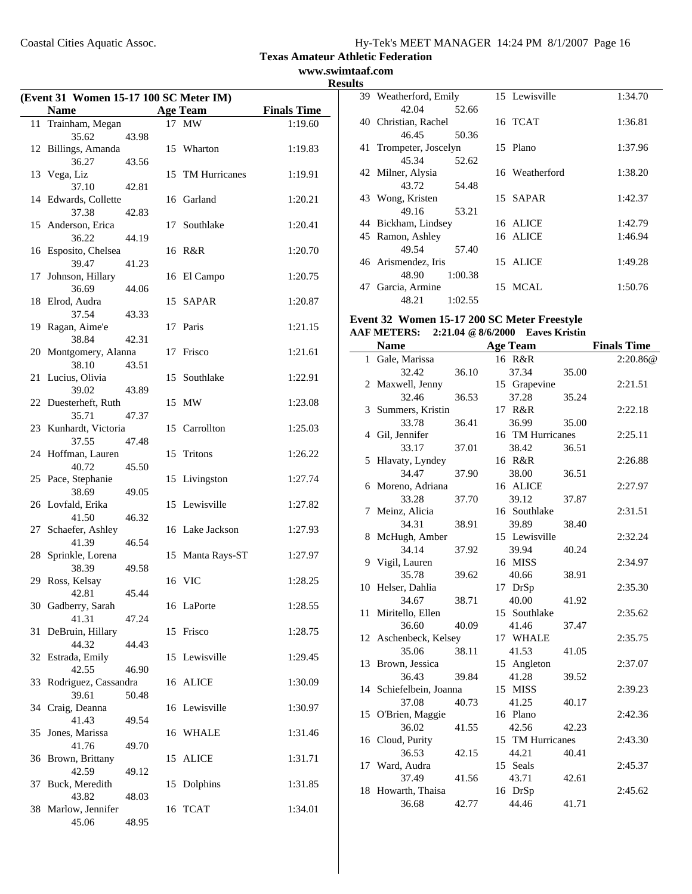**www.swimtaaf.com Results**

| (Event 31 Women 15-17 100 SC Meter IM) |                               |       |    |                  |                    |
|----------------------------------------|-------------------------------|-------|----|------------------|--------------------|
|                                        | <b>Name</b>                   |       |    | <b>Age Team</b>  | <b>Finals Time</b> |
| 11                                     | Trainham, Megan               |       |    | 17 MW            | 1:19.60            |
|                                        | 35.62                         | 43.98 |    |                  |                    |
|                                        | 12 Billings, Amanda           |       |    | 15 Wharton       | 1:19.83            |
|                                        | 36.27                         | 43.56 |    |                  |                    |
|                                        | 13 Vega, Liz                  |       |    | 15 TM Hurricanes | 1:19.91            |
|                                        | 37.10                         | 42.81 |    |                  |                    |
|                                        | 14 Edwards, Collette          |       |    | 16 Garland       | 1:20.21            |
|                                        | 37.38                         | 42.83 |    |                  |                    |
|                                        | 15 Anderson, Erica            |       |    | 17 Southlake     | 1:20.41            |
|                                        | 36.22<br>16 Esposito, Chelsea | 44.19 |    | 16 R&R           | 1:20.70            |
|                                        | 39.47                         | 41.23 |    |                  |                    |
| 17                                     | Johnson, Hillary              |       |    | 16 El Campo      | 1:20.75            |
|                                        | 36.69                         | 44.06 |    |                  |                    |
|                                        | 18 Elrod, Audra               |       |    | 15 SAPAR         | 1:20.87            |
|                                        | 37.54                         | 43.33 |    |                  |                    |
|                                        | 19 Ragan, Aime'e              |       |    | 17 Paris         | 1:21.15            |
|                                        | 38.84                         | 42.31 |    |                  |                    |
|                                        | 20 Montgomery, Alanna         |       |    | 17 Frisco        | 1:21.61            |
|                                        | 38.10                         | 43.51 |    |                  |                    |
| 21                                     | Lucius, Olivia<br>39.02       | 43.89 |    | 15 Southlake     | 1:22.91            |
|                                        | 22 Duesterheft, Ruth          |       |    | 15 MW            | 1:23.08            |
|                                        | 35.71                         | 47.37 |    |                  |                    |
|                                        | 23 Kunhardt, Victoria         |       |    | 15 Carrollton    | 1:25.03            |
|                                        | 37.55                         | 47.48 |    |                  |                    |
|                                        | 24 Hoffman, Lauren            |       | 15 | Tritons          | 1:26.22            |
|                                        | 40.72                         | 45.50 |    |                  |                    |
|                                        | 25 Pace, Stephanie            |       |    | 15 Livingston    | 1:27.74            |
|                                        | 38.69                         | 49.05 |    |                  |                    |
|                                        | 26 Lovfald, Erika<br>41.50    | 46.32 |    | 15 Lewisville    | 1:27.82            |
|                                        | 27 Schaefer, Ashley           |       |    | 16 Lake Jackson  | 1:27.93            |
|                                        | 41.39                         | 46.54 |    |                  |                    |
|                                        | 28 Sprinkle, Lorena           |       | 15 | Manta Rays-ST    | 1:27.97            |
|                                        | 38.39                         | 49.58 |    |                  |                    |
|                                        | 29 Ross, Kelsay               |       |    | 16 VIC           | 1:28.25            |
|                                        | 42.81                         | 45.44 |    |                  |                    |
|                                        | 30 Gadberry, Sarah            |       |    | 16 LaPorte       | 1:28.55            |
|                                        | 41.31                         | 47.24 |    |                  |                    |
| 31                                     | DeBruin, Hillary<br>44.32     | 44.43 |    | 15 Frisco        | 1:28.75            |
|                                        | 32 Estrada, Emily             |       |    | 15 Lewisville    | 1:29.45            |
|                                        | 42.55                         | 46.90 |    |                  |                    |
|                                        | 33 Rodriguez, Cassandra       |       |    | 16 ALICE         | 1:30.09            |
|                                        | 39.61                         | 50.48 |    |                  |                    |
| 34                                     | Craig, Deanna                 |       |    | 16 Lewisville    | 1:30.97            |
|                                        | 41.43                         | 49.54 |    |                  |                    |
| 35                                     | Jones, Marissa                |       |    | 16 WHALE         | 1:31.46            |
|                                        | 41.76                         | 49.70 |    |                  |                    |
|                                        | 36 Brown, Brittany<br>42.59   |       | 15 | <b>ALICE</b>     | 1:31.71            |
| 37                                     | Buck, Meredith                | 49.12 | 15 | Dolphins         | 1:31.85            |
|                                        | 43.82                         | 48.03 |    |                  |                    |
|                                        | 38 Marlow, Jennifer           |       |    | 16 TCAT          | 1:34.01            |
|                                        | 45.06                         | 48.95 |    |                  |                    |

|    | 39 Weatherford, Emily  |         | 15 Lewisville  | 1:34.70 |
|----|------------------------|---------|----------------|---------|
|    | 42.04                  | 52.66   |                |         |
|    | 40 Christian, Rachel   |         | 16 TCAT        | 1:36.81 |
|    | 46.45                  | 50.36   |                |         |
|    | 41 Trompeter, Joscelyn |         | 15 Plano       | 1:37.96 |
|    | 45.34                  | 52.62   |                |         |
|    | 42 Milner, Alysia      |         | 16 Weatherford | 1:38.20 |
|    | 43.72                  | 54.48   |                |         |
|    | 43 Wong, Kristen       |         | 15 SAPAR       | 1:42.37 |
|    | 49.16                  | 53.21   |                |         |
|    | 44 Bickham, Lindsey    |         | 16 ALICE       | 1:42.79 |
|    | 45 Ramon, Ashley       |         | 16 ALICE       | 1:46.94 |
|    | 49.54                  | 57.40   |                |         |
|    | 46 Arismendez, Iris    |         | 15 ALICE       | 1:49.28 |
|    | 48.90                  | 1:00.38 |                |         |
| 47 | Garcia, Armine         |         | 15 MCAL        | 1:50.76 |
|    | 48.21                  | 1:02.55 |                |         |

#### **Event 32 Women 15-17 200 SC Meter Freestyle AAF METERS: 2:21.04 @8/6/2000 Eaves Kristin**

|    | <b>Name</b>             |       | <b>Age Team</b>  |       | <b>Finals Time</b> |
|----|-------------------------|-------|------------------|-------|--------------------|
| 1  | Gale, Marissa           |       | 16 R&R           |       | 2:20.86@           |
|    | 32.42                   | 36.10 | 37.34            | 35.00 |                    |
| 2  | Maxwell, Jenny          |       | 15 Grapevine     |       | 2:21.51            |
|    | 32.46                   | 36.53 | 37.28            | 35.24 |                    |
|    | 3 Summers, Kristin      |       | 17 R&R           |       | 2:22.18            |
|    | 33.78                   | 36.41 | 36.99            | 35.00 |                    |
|    | 4 Gil, Jennifer         |       | 16 TM Hurricanes |       | 2:25.11            |
|    | 33.17                   | 37.01 | 38.42            | 36.51 |                    |
| 5  | Hlavaty, Lyndey         |       | 16 R&R           |       | 2:26.88            |
|    | 34.47                   | 37.90 | 38.00            | 36.51 |                    |
|    | 6 Moreno, Adriana       |       | 16 ALICE         |       | 2:27.97            |
|    | 33.28                   | 37.70 | 39.12            | 37.87 |                    |
| 7  | Meinz, Alicia           |       | 16 Southlake     |       | 2:31.51            |
|    | 34.31                   | 38.91 | 39.89            | 38.40 |                    |
|    | 8 McHugh, Amber         |       | 15 Lewisville    |       | 2:32.24            |
|    | 34.14                   | 37.92 | 39.94            | 40.24 |                    |
| 9  | Vigil, Lauren           |       | 16 MISS          |       | 2:34.97            |
|    | 35.78                   | 39.62 | 40.66            | 38.91 |                    |
|    | 10 Helser, Dahlia       |       | 17 DrSp          |       | 2:35.30            |
|    | 34.67                   | 38.71 | 40.00            | 41.92 |                    |
| 11 | Miritello, Ellen        |       | 15 Southlake     |       | 2:35.62            |
|    | 36.60                   | 40.09 | 41.46            | 37.47 |                    |
|    | 12 Aschenbeck, Kelsey   |       | 17 WHALE         |       | 2:35.75            |
|    | 35.06                   | 38.11 | 41.53            | 41.05 |                    |
|    | 13 Brown, Jessica       |       | 15 Angleton      |       | 2:37.07            |
|    | 36.43                   | 39.84 | 41.28            | 39.52 |                    |
|    | 14 Schiefelbein, Joanna |       | 15 MISS          |       | 2:39.23            |
|    | 37.08                   | 40.73 | 41.25            | 40.17 |                    |
|    | 15 O'Brien, Maggie      |       | 16 Plano         |       | 2:42.36            |
|    | 36.02                   | 41.55 | 42.56            | 42.23 |                    |
|    | 16 Cloud, Purity        |       | 15 TM Hurricanes |       | 2:43.30            |
|    | 36.53                   | 42.15 | 44.21            | 40.41 |                    |
| 17 | Ward, Audra             |       | 15 Seals         |       | 2:45.37            |
|    | 37.49                   | 41.56 | 43.71            | 42.61 |                    |
| 18 | Howarth, Thaisa         |       | 16 DrSp          |       | 2:45.62            |
|    | 36.68                   | 42.77 | 44.46            | 41.71 |                    |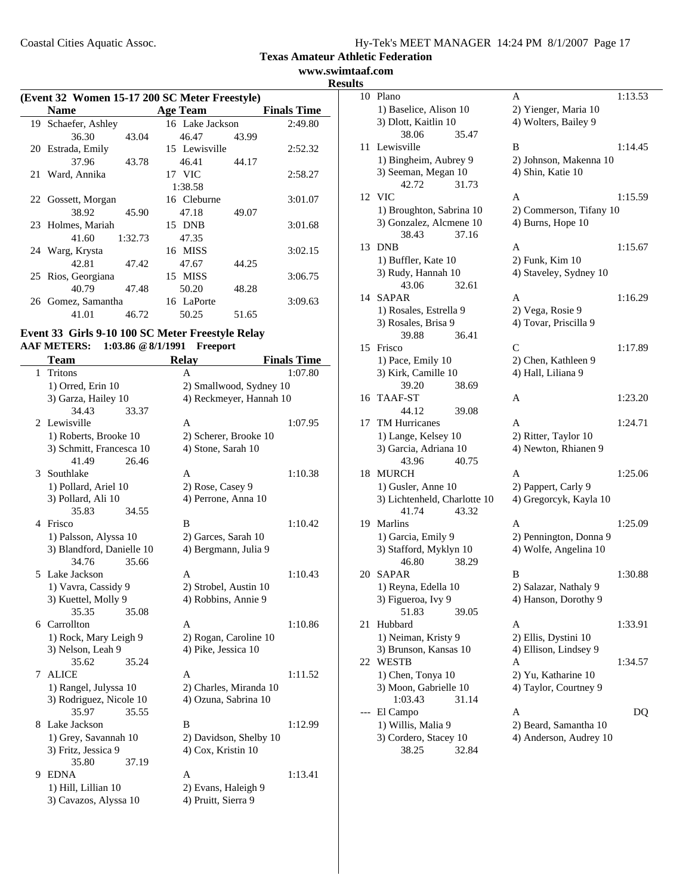**www.swimtaaf.com Results**

| (Event 32 Women 15-17 200 SC Meter Freestyle) |                     |         |                 |       |                    |
|-----------------------------------------------|---------------------|---------|-----------------|-------|--------------------|
|                                               | <b>Name</b>         |         | <b>Age Team</b> |       | <b>Finals Time</b> |
|                                               | 19 Schaefer, Ashley |         | 16 Lake Jackson |       | 2:49.80            |
|                                               | 36.30               | 43.04   | 46.47           | 43.99 |                    |
| 20                                            | Estrada, Emily      |         | 15 Lewisville   |       | 2:52.32            |
|                                               | 37.96               | 43.78   | 46.41           | 44.17 |                    |
|                                               | 21 Ward, Annika     |         | 17 VIC          |       | 2:58.27            |
|                                               |                     |         | 1:38.58         |       |                    |
|                                               | 22 Gossett, Morgan  |         | 16 Cleburne     |       | 3:01.07            |
|                                               | 38.92               | 45.90   | 47.18           | 49.07 |                    |
|                                               | 23 Holmes, Mariah   |         | 15 DNB          |       | 3:01.68            |
|                                               | 41.60               | 1:32.73 | 47.35           |       |                    |
|                                               | 24 Warg, Krysta     |         | 16 MISS         |       | 3:02.15            |
|                                               | 42.81               | 47.42   | 47.67           | 44.25 |                    |
|                                               | 25 Rios, Georgiana  |         | 15 MISS         |       | 3:06.75            |
|                                               | 40.79               | 47.48   | 50.20           | 48.28 |                    |
|                                               | 26 Gomez, Samantha  |         | 16 LaPorte      |       | 3:09.63            |
|                                               | 41.01               | 46.72   | 50.25           | 51.65 |                    |

#### **Event 33 Girls 9-10 100 SC Meter Freestyle Relay AAF METERS: 1:03.86 @8/1/1991 Freeport**

|              | <b>Team</b>                           | <b>Relay</b>            | <b>Finals Time</b> |  |
|--------------|---------------------------------------|-------------------------|--------------------|--|
| $\mathbf{1}$ | <b>Tritons</b>                        | A                       | 1:07.80            |  |
|              | 1) Orred, Erin 10                     | 2) Smallwood, Sydney 10 |                    |  |
|              | 3) Garza, Hailey 10                   | 4) Reckmeyer, Hannah 10 |                    |  |
|              | 34.43<br>33.37                        |                         |                    |  |
|              | 2 Lewisville                          | A                       | 1:07.95            |  |
|              | 1) Roberts, Brooke 10                 | 2) Scherer, Brooke 10   |                    |  |
|              | 3) Schmitt, Francesca 10              | 4) Stone, Sarah 10      |                    |  |
|              | 41.49<br>26.46                        |                         |                    |  |
| 3            | Southlake                             | A                       | 1:10.38            |  |
|              | 1) Pollard, Ariel 10                  | 2) Rose, Casey 9        |                    |  |
|              | 3) Pollard, Ali 10                    | 4) Perrone, Anna 10     |                    |  |
|              | 35.83<br>34.55                        |                         |                    |  |
|              | 4 Frisco                              | B                       | 1:10.42            |  |
|              | 1) Palsson, Alyssa 10                 | 2) Garces, Sarah 10     |                    |  |
|              | 3) Blandford, Danielle 10             | 4) Bergmann, Julia 9    |                    |  |
|              | 34.76<br>35.66                        |                         |                    |  |
|              | 5 Lake Jackson                        | A                       | 1:10.43            |  |
|              | 1) Vavra, Cassidy 9                   | 2) Strobel, Austin 10   |                    |  |
|              | 3) Kuettel, Molly 9                   | 4) Robbins, Annie 9     |                    |  |
|              | 35.35<br>35.08                        |                         |                    |  |
|              | 6 Carrollton                          | A                       | 1:10.86            |  |
|              | 1) Rock, Mary Leigh 9                 | 2) Rogan, Caroline 10   |                    |  |
|              | 3) Nelson, Leah 9                     | 4) Pike, Jessica 10     |                    |  |
|              | 35.24<br>35.62                        |                         |                    |  |
| 7            | <b>ALICE</b>                          | A                       | 1:11.52            |  |
|              | 1) Rangel, Julyssa 10                 | 2) Charles, Miranda 10  |                    |  |
|              | 3) Rodriguez, Nicole 10               | 4) Ozuna, Sabrina 10    |                    |  |
|              | 35.97<br>35.55                        | B                       |                    |  |
|              | 8 Lake Jackson                        |                         | 1:12.99            |  |
|              | 1) Grey, Savannah 10                  | 2) Davidson, Shelby 10  |                    |  |
|              | 3) Fritz, Jessica 9<br>37.19<br>35.80 | 4) Cox, Kristin 10      |                    |  |
| 9            | <b>EDNA</b>                           | A                       | 1:13.41            |  |
|              |                                       |                         |                    |  |
|              | 1) Hill, Lillian 10                   | 2) Evans, Haleigh 9     |                    |  |
|              | 3) Cavazos, Alyssa 10                 | 4) Pruitt, Sierra 9     |                    |  |

| 10 | Plano                        | 1:13.53<br>A            |    |
|----|------------------------------|-------------------------|----|
|    | 1) Baselice, Alison 10       | 2) Yienger, Maria 10    |    |
|    | 3) Dlott, Kaitlin 10         | 4) Wolters, Bailey 9    |    |
|    | 38.06<br>35.47               |                         |    |
| 11 | Lewisville                   | B<br>1:14.45            |    |
|    | 1) Bingheim, Aubrey 9        | 2) Johnson, Makenna 10  |    |
|    | 3) Seeman, Megan 10          | 4) Shin, Katie 10       |    |
|    | 42.72<br>31.73               |                         |    |
| 12 | <b>VIC</b>                   | 1:15.59<br>А            |    |
|    | 1) Broughton, Sabrina 10     | 2) Commerson, Tifany 10 |    |
|    | 3) Gonzalez, Alcmene 10      | 4) Burns, Hope 10       |    |
|    | 38.43<br>37.16               |                         |    |
| 13 | <b>DNB</b>                   | A<br>1:15.67            |    |
|    | 1) Buffler, Kate 10          | 2) Funk, Kim 10         |    |
|    | 3) Rudy, Hannah 10           | 4) Staveley, Sydney 10  |    |
|    | 43.06<br>32.61               |                         |    |
| 14 | <b>SAPAR</b>                 | A<br>1:16.29            |    |
|    | 1) Rosales, Estrella 9       | 2) Vega, Rosie 9        |    |
|    | 3) Rosales, Brisa 9          | 4) Tovar, Priscilla 9   |    |
|    | 36.41<br>39.88               |                         |    |
| 15 | Frisco                       | C<br>1:17.89            |    |
|    | 1) Pace, Emily 10            | 2) Chen, Kathleen 9     |    |
|    | 3) Kirk, Camille 10          | 4) Hall, Liliana 9      |    |
|    | 39.20<br>38.69               |                         |    |
| 16 | TAAF-ST                      | 1:23.20<br>А            |    |
|    | 44.12<br>39.08               |                         |    |
| 17 | <b>TM Hurricanes</b>         | 1:24.71<br>A            |    |
|    | 1) Lange, Kelsey 10          | 2) Ritter, Taylor 10    |    |
|    | 3) Garcia, Adriana 10        | 4) Newton, Rhianen 9    |    |
|    | 40.75<br>43.96               |                         |    |
| 18 | <b>MURCH</b>                 | A<br>1:25.06            |    |
|    | 1) Gusler, Anne 10           | 2) Pappert, Carly 9     |    |
|    | 3) Lichtenheld, Charlotte 10 | 4) Gregorcyk, Kayla 10  |    |
|    | 43.32<br>41.74               |                         |    |
| 19 | Marlins                      | A<br>1:25.09            |    |
|    | 1) Garcia, Emily 9           | 2) Pennington, Donna 9  |    |
|    | 3) Stafford, Myklyn 10       | 4) Wolfe, Angelina 10   |    |
|    | 46.80<br>38.29               |                         |    |
| 20 | <b>SAPAR</b>                 | B<br>1:30.88            |    |
|    | 1) Reyna, Edella 10          | 2) Salazar, Nathaly 9   |    |
|    | 3) Figueroa, Ivy 9           | 4) Hanson, Dorothy 9    |    |
|    | 51.83<br>39.05               |                         |    |
| 21 | Hubbard                      | 1:33.91<br>А            |    |
|    | 1) Neiman, Kristy 9          | 2) Ellis, Dystini 10    |    |
|    | 3) Brunson, Kansas 10        | 4) Ellison, Lindsey 9   |    |
| 22 | <b>WESTB</b>                 | 1:34.57<br>А            |    |
|    | 1) Chen, Tonya 10            | 2) Yu, Katharine 10     |    |
|    | 3) Moon, Gabrielle 10        | 4) Taylor, Courtney 9   |    |
|    | 1:03.43<br>31.14             |                         |    |
|    | El Campo                     | A                       | DQ |
|    | 1) Willis, Malia 9           | 2) Beard, Samantha 10   |    |
|    | 3) Cordero, Stacey 10        | 4) Anderson, Audrey 10  |    |
|    | 38.25<br>32.84               |                         |    |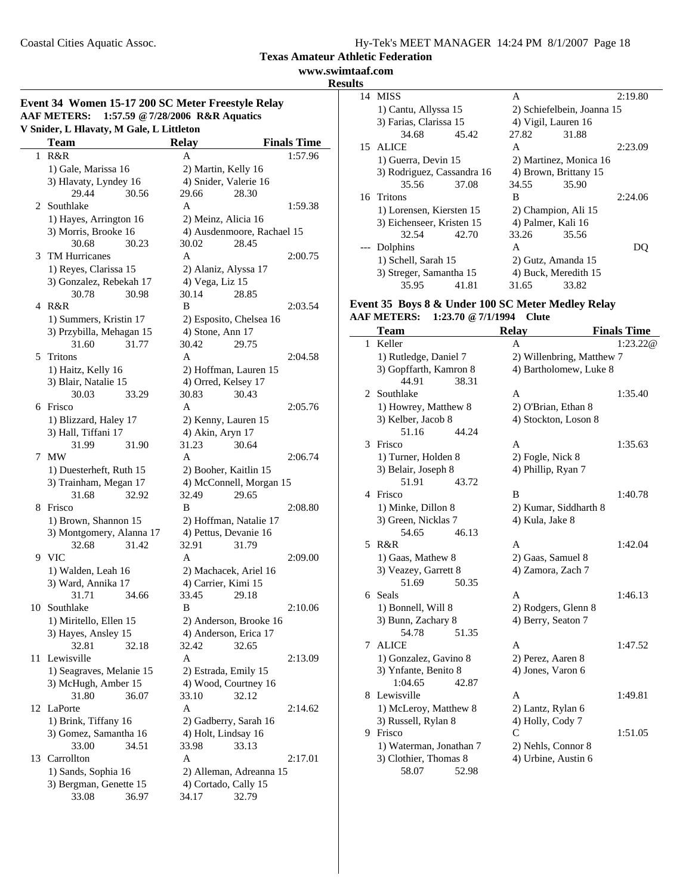**www.swimtaaf.com Results**

 $\overline{\phantom{0}}$ 

|                                          |  |  |  | Event 34 Women 15-17 200 SC Meter Freestyle Relay |  |
|------------------------------------------|--|--|--|---------------------------------------------------|--|
|                                          |  |  |  | AAF METERS: 1:57.59 @ 7/28/2006 R&R Aquatics      |  |
| V Snider, L Hlavaty, M Gale, L Littleton |  |  |  |                                                   |  |

|    | <b>Team</b>                              | <b>Relay</b>                 |                            | <b>Finals Time</b> |
|----|------------------------------------------|------------------------------|----------------------------|--------------------|
| 1  | R&R                                      | A                            |                            | 1:57.96            |
|    | 1) Gale, Marissa 16                      |                              | 2) Martin, Kelly 16        |                    |
|    | 3) Hlavaty, Lyndey 16                    |                              | 4) Snider, Valerie 16      |                    |
|    | 29.44<br>30.56                           | 29.66                        | 28.30                      |                    |
| 2  | Southlake                                | A                            |                            | 1:59.38            |
|    | 1) Hayes, Arrington 16                   |                              | 2) Meinz, Alicia 16        |                    |
|    | 3) Morris, Brooke 16                     |                              | 4) Ausdenmoore, Rachael 15 |                    |
|    | 30.68<br>30.23                           | 30.02                        | 28.45                      |                    |
| 3  | <b>TM Hurricanes</b>                     | A                            |                            | 2:00.75            |
|    | 1) Reyes, Clarissa 15                    |                              | 2) Alaniz, Alyssa 17       |                    |
|    | 3) Gonzalez, Rebekah 17                  | 4) Vega, Liz 15              |                            |                    |
|    | 30.78<br>30.98                           | 30.14                        | 28.85                      |                    |
| 4  | R&R                                      | B                            |                            | 2:03.54            |
|    | 1) Summers, Kristin 17                   |                              | 2) Esposito, Chelsea 16    |                    |
|    | 3) Przybilla, Mehagan 15                 | 4) Stone, Ann 17             |                            |                    |
|    | 31.60<br>31.77                           | 30.42                        | 29.75                      |                    |
|    | 5 Tritons                                | A                            |                            | 2:04.58            |
|    | 1) Haitz, Kelly 16                       |                              | 2) Hoffman, Lauren 15      |                    |
|    | 3) Blair, Natalie 15                     |                              | 4) Orred, Kelsey 17        |                    |
|    | 33.29<br>30.03                           | 30.83                        | 30.43                      |                    |
| 6  | Frisco                                   | A                            |                            | 2:05.76            |
|    | 1) Blizzard, Haley 17                    |                              | 2) Kenny, Lauren 15        |                    |
|    | 3) Hall, Tiffani 17                      | 4) Akin, Aryn 17             |                            |                    |
|    | 31.99<br>31.90                           | 31.23                        | 30.64                      |                    |
| 7  | <b>MW</b>                                | A                            |                            | 2:06.74            |
|    | 1) Duesterheft, Ruth 15                  |                              | 2) Booher, Kaitlin 15      |                    |
|    | 3) Trainham, Megan 17                    |                              | 4) McConnell, Morgan 15    |                    |
|    | 31.68<br>32.92                           | 32.49                        | 29.65                      |                    |
| 8  | Frisco                                   | B                            |                            | 2:08.80            |
|    | 1) Brown, Shannon 15                     |                              | 2) Hoffman, Natalie 17     |                    |
|    | 3) Montgomery, Alanna 17                 |                              | 4) Pettus, Devanie 16      |                    |
|    | 32.68<br>31.42                           | 32.91                        | 31.79                      |                    |
| 9  | <b>VIC</b>                               | A                            |                            | 2:09.00            |
|    | 1) Walden, Leah 16<br>3) Ward, Annika 17 |                              | 2) Machacek, Ariel 16      |                    |
|    | 31.71<br>34.66                           | 4) Carrier, Kimi 15<br>33.45 | 29.18                      |                    |
| 10 | Southlake                                | B                            |                            | 2:10.06            |
|    | 1) Miritello, Ellen 15                   |                              | 2) Anderson, Brooke 16     |                    |
|    | 3) Hayes, Ansley 15                      |                              | 4) Anderson, Erica 17      |                    |
|    | 32.81<br>32.18                           | 32.42                        | 32.65                      |                    |
| 11 | Lewisville                               | A                            |                            | 2:13.09            |
|    | 1) Seagraves, Melanie 15                 |                              | 2) Estrada, Emily 15       |                    |
|    | 3) McHugh, Amber 15                      |                              | 4) Wood, Courtney 16       |                    |
|    | 31.80<br>36.07                           | 33.10                        | 32.12                      |                    |
| 12 | LaPorte                                  | A                            |                            | 2:14.62            |
|    | 1) Brink, Tiffany 16                     |                              | 2) Gadberry, Sarah 16      |                    |
|    | 3) Gomez, Samantha 16                    |                              | 4) Holt, Lindsay 16        |                    |
|    | 33.00<br>34.51                           | 33.98                        | 33.13                      |                    |
| 13 | Carrollton                               | A                            |                            | 2:17.01            |
|    | 1) Sands, Sophia 16                      |                              | 2) Alleman, Adreanna 15    |                    |
|    | 3) Bergman, Genette 15                   |                              | 4) Cortado, Cally 15       |                    |
|    | 33.08<br>36.97                           | 34.17                        | 32.79                      |                    |

| lS |                            |       |       |                            |         |
|----|----------------------------|-------|-------|----------------------------|---------|
|    | 14 MISS                    |       | A     |                            | 2:19.80 |
|    | 1) Cantu, Allyssa 15       |       |       | 2) Schiefelbein, Joanna 15 |         |
|    | 3) Farias, Clarissa 15     |       |       | 4) Vigil, Lauren 16        |         |
|    | 34.68                      | 45.42 | 27.82 | 31.88                      |         |
|    | 15 ALICE                   |       | A     |                            | 2:23.09 |
|    | 1) Guerra, Devin 15        |       |       | 2) Martinez, Monica 16     |         |
|    | 3) Rodriguez, Cassandra 16 |       |       | 4) Brown, Brittany 15      |         |
|    | 35.56                      | 37.08 | 34.55 | 35.90                      |         |
|    | 16 Tritons                 |       | B     |                            | 2:24.06 |
|    | 1) Lorensen, Kiersten 15   |       |       | 2) Champion, Ali 15        |         |
|    | 3) Eichenseer, Kristen 15  |       |       | 4) Palmer, Kali 16         |         |
|    | 32.54                      | 42.70 | 33.26 | 35.56                      |         |
|    | --- Dolphins               |       | A     |                            |         |
|    | 1) Schell, Sarah 15        |       |       | 2) Gutz, Amanda 15         |         |
|    | 3) Streger, Samantha 15    |       |       | 4) Buck, Meredith 15       |         |
|    | 35.95                      | 41.81 | 31.65 | 33.82                      |         |

#### **Event 35 Boys 8 & Under 100 SC Meter Medley Relay AAF METERS: 1:23.70 @7/1/1994 Clute**

|    | <b>Team</b>             | <b>Relay</b>              | <b>Finals Time</b> |
|----|-------------------------|---------------------------|--------------------|
| 1  | Keller                  | A                         | 1:23.22@           |
|    | 1) Rutledge, Daniel 7   | 2) Willenbring, Matthew 7 |                    |
|    | 3) Gopffarth, Kamron 8  | 4) Bartholomew, Luke 8    |                    |
|    | 44.91<br>38.31          |                           |                    |
| 2. | Southlake               | A                         | 1:35.40            |
|    | 1) Howrey, Matthew 8    | 2) O'Brian, Ethan 8       |                    |
|    | 3) Kelber, Jacob 8      | 4) Stockton, Loson 8      |                    |
|    | 51.16<br>44.24          |                           |                    |
| 3  | Frisco                  | A                         | 1:35.63            |
|    | 1) Turner, Holden 8     | 2) Fogle, Nick 8          |                    |
|    | 3) Belair, Joseph 8     | 4) Phillip, Ryan 7        |                    |
|    | 51.91<br>43.72          |                           |                    |
| 4  | Frisco                  | B                         | 1:40.78            |
|    | 1) Minke, Dillon 8      | 2) Kumar, Siddharth 8     |                    |
|    | 3) Green, Nicklas 7     | 4) Kula, Jake 8           |                    |
|    | 54.65<br>46.13          |                           |                    |
| 5. | R&R                     | A                         | 1:42.04            |
|    | 1) Gaas, Mathew 8       | 2) Gaas, Samuel 8         |                    |
|    | 3) Veazey, Garrett 8    | 4) Zamora, Zach 7         |                    |
|    | 51.69<br>50.35          |                           |                    |
|    | 6 Seals                 | A                         | 1:46.13            |
|    | 1) Bonnell, Will 8      | 2) Rodgers, Glenn 8       |                    |
|    | 3) Bunn, Zachary 8      | 4) Berry, Seaton 7        |                    |
|    | 54.78<br>51.35          |                           |                    |
| 7  | <b>ALICE</b>            | A                         | 1:47.52            |
|    | 1) Gonzalez, Gavino 8   | 2) Perez, Aaren 8         |                    |
|    | 3) Ynfante, Benito 8    | 4) Jones, Varon 6         |                    |
|    | 1:04.65<br>42.87        |                           |                    |
|    | 8 Lewisville            | A                         | 1:49.81            |
|    | 1) McLeroy, Matthew 8   | 2) Lantz, Rylan 6         |                    |
|    | 3) Russell, Rylan 8     | 4) Holly, Cody 7          |                    |
| 9. | Frisco                  | $\mathcal{C}$             | 1:51.05            |
|    | 1) Waterman, Jonathan 7 | 2) Nehls, Connor 8        |                    |
|    | 3) Clothier, Thomas 8   | 4) Urbine, Austin 6       |                    |
|    | 58.07<br>52.98          |                           |                    |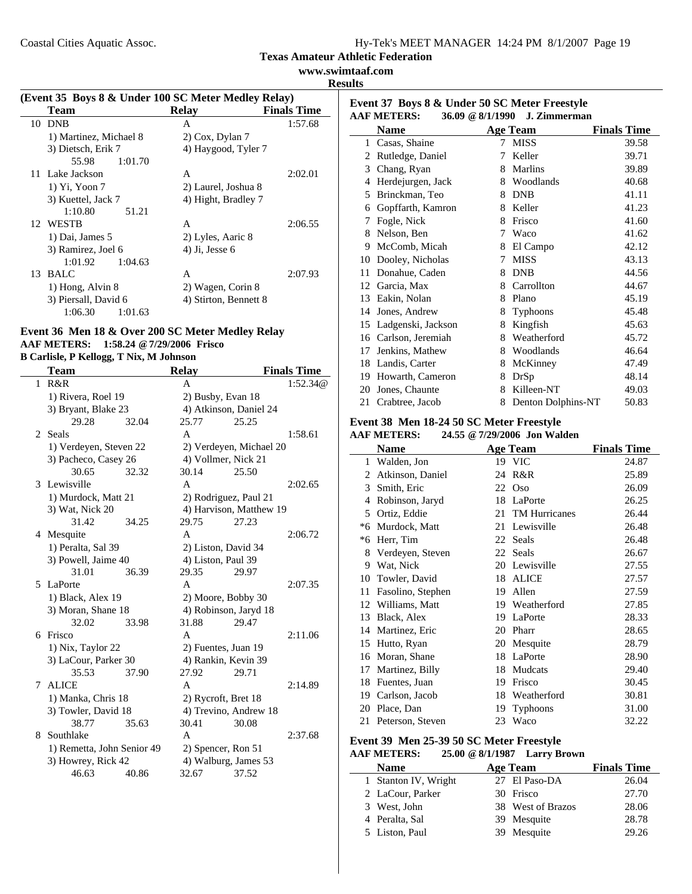**www.swimtaaf.com**

| (Event 35 Boys 8 & Under 100 SC Meter Medley Relay) |  |  |  |  |
|-----------------------------------------------------|--|--|--|--|
|                                                     |  |  |  |  |

|    | <b>Team</b>            | <b>Relay</b>          | <b>Finals Time</b> |
|----|------------------------|-----------------------|--------------------|
| 10 | <b>DNB</b>             | A                     | 1:57.68            |
|    | 1) Martinez, Michael 8 | 2) Cox, Dylan 7       |                    |
|    | 3) Dietsch, Erik 7     | 4) Haygood, Tyler 7   |                    |
|    | 1:01.70<br>55.98       |                       |                    |
|    | 11 Lake Jackson        | A                     | 2:02.01            |
|    | 1) Yi, Yoon 7          | 2) Laurel, Joshua 8   |                    |
|    | 3) Kuettel, Jack 7     | 4) Hight, Bradley 7   |                    |
|    | 1:10.80<br>51.21       |                       |                    |
|    | 12 WESTB               | A                     | 2:06.55            |
|    | 1) Dai, James 5        | 2) Lyles, Aaric 8     |                    |
|    | 3) Ramirez, Joel 6     | $4)$ Ji, Jesse $6$    |                    |
|    | 1:01.92<br>1:04.63     |                       |                    |
| 13 | <b>BALC</b>            | A                     | 2:07.93            |
|    | 1) Hong, Alvin 8       | 2) Wagen, Corin 8     |                    |
|    | 3) Piersall, David 6   | 4) Stirton, Bennett 8 |                    |
|    | 1:06.30<br>1:01.63     |                       |                    |

# **Event 36 Men 18 & Over 200 SC Meter Medley Relay AAF METERS: 1:58.24 @7/29/2006 Frisco**

**B Carlisle, P Kellogg, T Nix, M Johnson**

|    | Team                       |       | <b>Relay</b> |                         | <b>Finals Time</b> |
|----|----------------------------|-------|--------------|-------------------------|--------------------|
| 1  | R&R                        |       | A            |                         | 1:52.34@           |
|    | 1) Rivera, Roel 19         |       |              | 2) Busby, Evan 18       |                    |
|    | 3) Bryant, Blake 23        |       |              | 4) Atkinson, Daniel 24  |                    |
|    | 29.28                      | 32.04 | 25.77        | 25.25                   |                    |
| 2. | Seals                      |       | A            |                         | 1:58.61            |
|    | 1) Verdeyen, Steven 22     |       |              | 2) Verdeyen, Michael 20 |                    |
|    | 3) Pacheco, Casey 26       |       |              | 4) Vollmer, Nick 21     |                    |
|    | 30.65                      | 32.32 | 30.14        | 25.50                   |                    |
| 3  | Lewisville                 |       | A            |                         | 2:02.65            |
|    | 1) Murdock, Matt 21        |       |              | 2) Rodriguez, Paul 21   |                    |
|    | 3) Wat, Nick 20            |       |              | 4) Harvison, Matthew 19 |                    |
|    | 31.42                      | 34.25 | 29.75        | 27.23                   |                    |
|    | 4 Mesquite                 |       | A            |                         | 2:06.72            |
|    | 1) Peralta, Sal 39         |       |              | 2) Liston, David 34     |                    |
|    | 3) Powell, Jaime 40        |       |              | 4) Liston, Paul 39      |                    |
|    | 31.01                      | 36.39 | 29.35        | 29.97                   |                    |
|    | 5 LaPorte                  |       | A            |                         | 2:07.35            |
|    | 1) Black, Alex 19          |       |              | 2) Moore, Bobby 30      |                    |
|    | 3) Moran, Shane 18         |       |              | 4) Robinson, Jaryd 18   |                    |
|    | 32.02                      | 33.98 | 31.88        | 29.47                   |                    |
| 6  | Frisco                     |       | A            |                         | 2:11.06            |
|    | 1) Nix, Taylor 22          |       |              | 2) Fuentes, Juan 19     |                    |
|    | 3) LaCour, Parker 30       |       |              | 4) Rankin, Kevin 39     |                    |
|    | 35.53                      | 37.90 | 27.92        | 29.71                   |                    |
| 7  | <b>ALICE</b>               |       | A            |                         | 2:14.89            |
|    | 1) Manka, Chris 18         |       |              | 2) Rycroft, Bret 18     |                    |
|    | 3) Towler, David 18        |       |              | 4) Trevino, Andrew 18   |                    |
|    | 38.77                      | 35.63 | 30.41        | 30.08                   |                    |
| 8  | Southlake                  |       | A            |                         | 2:37.68            |
|    | 1) Remetta, John Senior 49 |       |              | 2) Spencer, Ron 51      |                    |
|    | 3) Howrey, Rick 42         |       |              | 4) Walburg, James 53    |                    |
|    | 46.63                      | 40.86 | 32.67        | 37.52                   |                    |

|    | Event 37 Boys 8 & Under 50 SC Meter Freestyle<br><b>AAF METERS:</b><br>36.09 @ 8/1/1990 |   | J. Zimmerman       |                    |
|----|-----------------------------------------------------------------------------------------|---|--------------------|--------------------|
|    | Name                                                                                    |   | Age Team           | <b>Finals Time</b> |
| 1  | Casas, Shaine                                                                           | 7 | <b>MISS</b>        | 39.58              |
| 2  | Rutledge, Daniel                                                                        | 7 | Keller             | 39.71              |
| 3  | Chang, Ryan                                                                             | 8 | Marlins            | 39.89              |
| 4  | Herdejurgen, Jack                                                                       | 8 | Woodlands          | 40.68              |
| 5  | Brinckman, Teo                                                                          | 8 | <b>DNB</b>         | 41.11              |
| 6  | Gopffarth, Kamron                                                                       | 8 | Keller             | 41.23              |
| 7  | Fogle, Nick                                                                             | 8 | Frisco             | 41.60              |
| 8  | Nelson, Ben                                                                             | 7 | Waco               | 41.62              |
| 9  | McComb, Micah                                                                           | 8 | El Campo           | 42.12              |
| 10 | Dooley, Nicholas                                                                        | 7 | <b>MISS</b>        | 43.13              |
| 11 | Donahue, Caden                                                                          | 8 | <b>DNB</b>         | 44.56              |
| 12 | Garcia, Max                                                                             | 8 | Carrollton         | 44.67              |
| 13 | Eakin, Nolan                                                                            | 8 | Plano              | 45.19              |
| 14 | Jones, Andrew                                                                           | 8 | <b>Typhoons</b>    | 45.48              |
| 15 | Ladgenski, Jackson                                                                      | 8 | Kingfish           | 45.63              |
| 16 | Carlson, Jeremiah                                                                       | 8 | Weatherford        | 45.72              |
| 17 | Jenkins, Mathew                                                                         | 8 | Woodlands          | 46.64              |
| 18 | Landis, Carter                                                                          | 8 | McKinney           | 47.49              |
| 19 | Howarth, Cameron                                                                        | 8 | DrSp               | 48.14              |
| 20 | Jones, Chaunte                                                                          | 8 | Killeen-NT         | 49.03              |
| 21 | Crabtree, Jacob                                                                         | 8 | Denton Dolphins-NT | 50.83              |

# **Event 38 Men 18-24 50 SC Meter Freestyle**

## **AAF METERS: 24.55 @7/29/2006 Jon Walden**

|    | Name              |    | <b>Age Team</b>      | <b>Finals Time</b> |
|----|-------------------|----|----------------------|--------------------|
| 1  | Walden, Jon       |    | 19 VIC               | 24.87              |
| 2  | Atkinson, Daniel  | 24 | R&R                  | 25.89              |
| 3  | Smith, Eric       | 22 | Oso                  | 26.09              |
| 4  | Robinson, Jaryd   | 18 | LaPorte              | 26.25              |
| 5. | Ortiz, Eddie      | 21 | <b>TM Hurricanes</b> | 26.44              |
| *6 | Murdock, Matt     | 21 | Lewisville           | 26.48              |
| *6 | Herr, Tim         | 22 | Seals                | 26.48              |
| 8  | Verdeyen, Steven  | 22 | Seals                | 26.67              |
| 9  | Wat, Nick         | 20 | Lewisville           | 27.55              |
| 10 | Towler, David     | 18 | <b>ALICE</b>         | 27.57              |
| 11 | Fasolino, Stephen | 19 | Allen                | 27.59              |
| 12 | Williams, Matt    | 19 | Weatherford          | 27.85              |
| 13 | Black, Alex       | 19 | LaPorte              | 28.33              |
| 14 | Martinez, Eric    | 20 | Pharr                | 28.65              |
| 15 | Hutto, Ryan       | 20 | Mesquite             | 28.79              |
| 16 | Moran, Shane      | 18 | LaPorte              | 28.90              |
| 17 | Martinez, Billy   | 18 | Mudcats              | 29.40              |
| 18 | Fuentes, Juan     | 19 | Frisco               | 30.45              |
| 19 | Carlson, Jacob    | 18 | Weatherford          | 30.81              |
| 20 | Place, Dan        | 19 | Typhoons             | 31.00              |
| 21 | Peterson, Steven  | 23 | Waco                 | 32.22              |

#### **Event 39 Men 25-39 50 SC Meter Freestyle AAF METERS: 25.00 @8/1/1987 Larry Brown**

| <b>Name</b>          | Age Team          | <b>Finals Time</b> |
|----------------------|-------------------|--------------------|
| 1 Stanton IV, Wright | 27 El Paso-DA     | 26.04              |
| 2 LaCour, Parker     | 30 Frisco         | 27.70              |
| 3 West, John         | 38 West of Brazos | 28.06              |
| 4 Peralta, Sal       | 39 Mesquite       | 28.78              |
| 5 Liston, Paul       | 39 Mesquite       | 29.26              |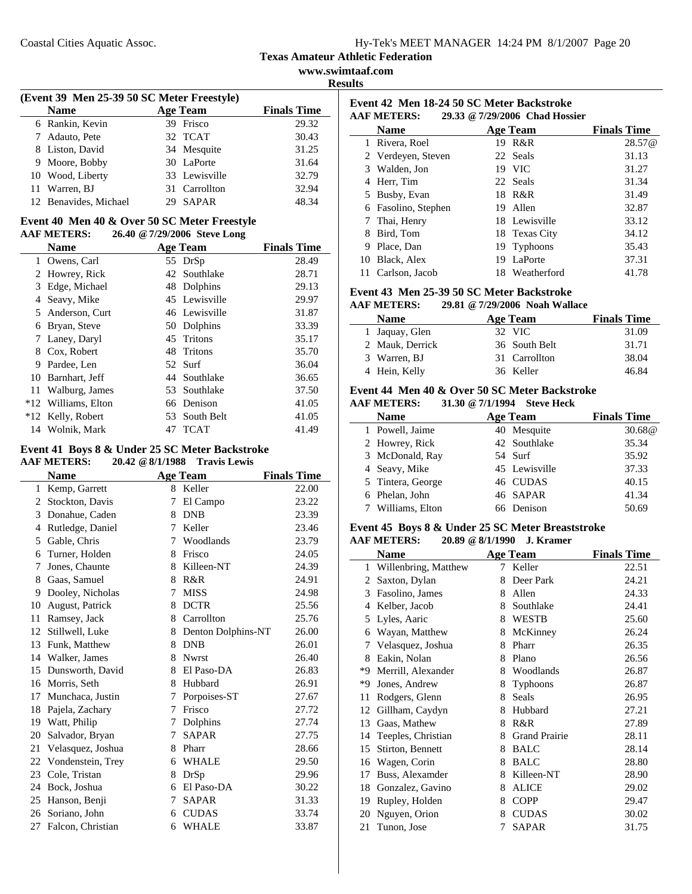|  |  | Hy-Tek's MEET MANAGER 14:24 PM 8/1/2007 Page 20 |  |
|--|--|-------------------------------------------------|--|
|  |  |                                                 |  |

**www.swimtaaf.com**

| ľ<br>ı<br>n<br>৲ |
|------------------|
|------------------|

| (Event 39 Men 25-39 50 SC Meter Freestyle) |                       |                    |                    |  |  |
|--------------------------------------------|-----------------------|--------------------|--------------------|--|--|
|                                            | <b>Name</b>           | <b>Age Team</b>    | <b>Finals Time</b> |  |  |
|                                            | 6 Rankin, Kevin       | 39 Frisco          | 29.32              |  |  |
|                                            | 7 Adauto, Pete        | 32 TCAT            | 30.43              |  |  |
|                                            | 8 Liston, David       | 34 Mesquite        | 31.25              |  |  |
|                                            | 9 Moore, Bobby        | 30 LaPorte         | 31.64              |  |  |
|                                            | 10 Wood, Liberty      | 33 Lewisville      | 32.79              |  |  |
|                                            | 11 Warren, BJ         | 31 Carrollton      | 32.94              |  |  |
|                                            | 12 Benavides, Michael | <b>SAPAR</b><br>29 | 48.34              |  |  |

#### **Event 40 Men 40 & Over 50 SC Meter Freestyle AAF METERS: 26.40 @7/29/2006 Steve Long**

|    | AAF MEILKS:         | $20.40 \times 112912000$ Steve Long |                 |                    |
|----|---------------------|-------------------------------------|-----------------|--------------------|
|    | <b>Name</b>         |                                     | <b>Age Team</b> | <b>Finals Time</b> |
| 1  | Owens, Carl         |                                     | 55 DrSp         | 28.49              |
|    | 2 Howrey, Rick      |                                     | 42 Southlake    | 28.71              |
| 3  | Edge, Michael       |                                     | 48 Dolphins     | 29.13              |
| 4  | Seavy, Mike         |                                     | 45 Lewisville   | 29.97              |
|    | 5 Anderson, Curt    |                                     | 46 Lewisville   | 31.87              |
| 6  | Bryan, Steve        |                                     | 50 Dolphins     | 33.39              |
| 7  | Laney, Daryl        |                                     | 45 Tritons      | 35.17              |
| 8  | Cox, Robert         |                                     | 48 Tritons      | 35.70              |
| 9  | Pardee, Len         |                                     | 52 Surf         | 36.04              |
| 10 | Barnhart, Jeff      |                                     | 44 Southlake    | 36.65              |
| 11 | Walburg, James      |                                     | 53 Southlake    | 37.50              |
|    | *12 Williams, Elton |                                     | 66 Denison      | 41.05              |
|    | *12 Kelly, Robert   |                                     | 53 South Belt   | 41.05              |
|    | 14 Wolnik, Mark     | 47                                  | <b>TCAT</b>     | 41.49              |

#### **Event 41 Boys 8 & Under 25 SC Meter Backstroke AAF METERS: 20.42 @8/1/1988 Travis Lewis**

|    | <b>Name</b>       |   | <b>Age Team</b>    | <b>Finals Time</b> |
|----|-------------------|---|--------------------|--------------------|
| 1  | Kemp, Garrett     | 8 | Keller             | 22.00              |
| 2  | Stockton, Davis   | 7 | El Campo           | 23.22              |
| 3  | Donahue, Caden    | 8 | <b>DNB</b>         | 23.39              |
| 4  | Rutledge, Daniel  | 7 | Keller             | 23.46              |
| 5  | Gable, Chris      | 7 | Woodlands          | 23.79              |
| 6  | Turner, Holden    | 8 | Frisco             | 24.05              |
| 7  | Jones, Chaunte    | 8 | Killeen-NT         | 24.39              |
| 8  | Gaas, Samuel      | 8 | R&R                | 24.91              |
| 9  | Dooley, Nicholas  | 7 | <b>MISS</b>        | 24.98              |
| 10 | August, Patrick   | 8 | <b>DCTR</b>        | 25.56              |
| 11 | Ramsey, Jack      | 8 | Carrollton         | 25.76              |
| 12 | Stillwell, Luke   | 8 | Denton Dolphins-NT | 26.00              |
| 13 | Funk, Matthew     | 8 | <b>DNB</b>         | 26.01              |
| 14 | Walker, James     | 8 | <b>Nwrst</b>       | 26.40              |
| 15 | Dunsworth, David  |   | 8 El Paso-DA       | 26.83              |
| 16 | Morris, Seth      | 8 | Hubbard            | 26.91              |
| 17 | Munchaca, Justin  | 7 | Porpoises-ST       | 27.67              |
| 18 | Pajela, Zachary   | 7 | Frisco             | 27.72              |
| 19 | Watt, Philip      | 7 | Dolphins           | 27.74              |
| 20 | Salvador, Bryan   | 7 | <b>SAPAR</b>       | 27.75              |
| 21 | Velasquez, Joshua | 8 | Pharr              | 28.66              |
| 22 | Vondenstein, Trey | 6 | <b>WHALE</b>       | 29.50              |
| 23 | Cole, Tristan     | 8 | DrSp               | 29.96              |
| 24 | Bock, Joshua      | 6 | El Paso-DA         | 30.22              |
| 25 | Hanson, Benji     | 7 | <b>SAPAR</b>       | 31.33              |
| 26 | Soriano, John     | 6 | <b>CUDAS</b>       | 33.74              |
| 27 | Falcon, Christian | 6 | WHALE              | 33.87              |

| Event 42 Men 18-24 50 SC Meter Backstroke<br>29.33 @ 7/29/2006 Chad Hossier<br><b>AAF METERS:</b> |                    |    |                 |                    |
|---------------------------------------------------------------------------------------------------|--------------------|----|-----------------|--------------------|
|                                                                                                   | Name               |    | <b>Age Team</b> | <b>Finals Time</b> |
| 1                                                                                                 | Rivera, Roel       | 19 | R&R             | 28.57@             |
|                                                                                                   | 2 Verdeyen, Steven |    | 22 Seals        | 31.13              |
| 3                                                                                                 | Walden, Jon        |    | 19 VIC          | 31.27              |
| 4                                                                                                 | Herr, Tim          |    | 22 Seals        | 31.34              |
| 5                                                                                                 | Busby, Evan        | 18 | R&R             | 31.49              |
| 6                                                                                                 | Fasolino, Stephen  | 19 | Allen           | 32.87              |
|                                                                                                   | Thai, Henry        |    | 18 Lewisville   | 33.12              |
| 8                                                                                                 | Bird, Tom          |    | 18 Texas City   | 34.12              |
| 9                                                                                                 | Place, Dan         | 19 | Typhoons        | 35.43              |
| 10                                                                                                | Black, Alex        | 19 | LaPorte         | 37.31              |
| 11                                                                                                | Carlson, Jacob     | 18 | Weatherford     | 41.78              |

# **Event 43 Men 25-39 50 SC Meter Backstroke**

#### **AAF METERS: 29.81 @7/29/2006 Noah Wallace**

| <b>Name</b>     | Age Team      | <b>Finals Time</b> |
|-----------------|---------------|--------------------|
| 1 Jaquay, Glen  | 32 VIC        | 31.09              |
| 2 Mauk, Derrick | 36 South Belt | 31.71              |
| 3 Warren, BJ    | 31 Carrollton | 38.04              |
| 4 Hein, Kelly   | 36 Keller     | 46.84              |

#### **Event 44 Men 40 & Over 50 SC Meter Backstroke AAF METERS: 31.30 @7/1/1994 Steve Heck**

| <b>Name</b>       | <b>Age Team</b> | <b>Finals Time</b> |
|-------------------|-----------------|--------------------|
| 1 Powell, Jaime   | 40 Mesquite     | 30.68@             |
| 2 Howrey, Rick    | 42 Southlake    | 35.34              |
| 3 McDonald, Ray   | 54 Surf         | 35.92              |
| 4 Seavy, Mike     | 45 Lewisville   | 37.33              |
| 5 Tintera, George | 46 CUDAS        | 40.15              |
| 6 Phelan, John    | 46 SAPAR        | 41.34              |
| 7 Williams, Elton | 66 Denison      | 50.69              |

#### **Event 45 Boys 8 & Under 25 SC Meter Breaststroke AAF METERS: 20.89 @8/1/1990 J. Kramer**

| алгиштым».<br>$20.02 \times 0.11170$<br>J. IMAMICI |                      |   |                      |                    |
|----------------------------------------------------|----------------------|---|----------------------|--------------------|
|                                                    | Name                 |   | <b>Age Team</b>      | <b>Finals Time</b> |
| 1                                                  | Willenbring, Matthew | 7 | Keller               | 22.51              |
| 2                                                  | Saxton, Dylan        | 8 | Deer Park            | 24.21              |
| 3                                                  | Fasolino, James      | 8 | Allen                | 24.33              |
| 4                                                  | Kelber, Jacob        | 8 | Southlake            | 24.41              |
| 5                                                  | Lyles, Aaric         | 8 | <b>WESTB</b>         | 25.60              |
| 6                                                  | Wayan, Matthew       | 8 | McKinney             | 26.24              |
| 7                                                  | Velasquez, Joshua    | 8 | Pharr                | 26.35              |
| 8                                                  | Eakin, Nolan         | 8 | Plano                | 26.56              |
| *9                                                 | Merrill, Alexander   | 8 | Woodlands            | 26.87              |
| *9                                                 | Jones, Andrew        | 8 | Typhoons             | 26.87              |
| 11                                                 | Rodgers, Glenn       | 8 | Seals                | 26.95              |
| 12                                                 | Gillham, Caydyn      | 8 | Hubbard              | 27.21              |
| 13                                                 | Gaas, Mathew         | 8 | R&R                  | 27.89              |
| 14                                                 | Teeples, Christian   | 8 | <b>Grand Prairie</b> | 28.11              |
| 15                                                 | Stirton, Bennett     | 8 | <b>BALC</b>          | 28.14              |
| 16                                                 | Wagen, Corin         | 8 | <b>BALC</b>          | 28.80              |
| 17                                                 | Buss, Alexamder      | 8 | Killeen-NT           | 28.90              |
| 18                                                 | Gonzalez, Gavino     | 8 | <b>ALICE</b>         | 29.02              |
| 19                                                 | Rupley, Holden       | 8 | <b>COPP</b>          | 29.47              |
| 20                                                 | Nguyen, Orion        | 8 | <b>CUDAS</b>         | 30.02              |
| 21                                                 | Tunon, Jose          | 7 | <b>SAPAR</b>         | 31.75              |
|                                                    |                      |   |                      |                    |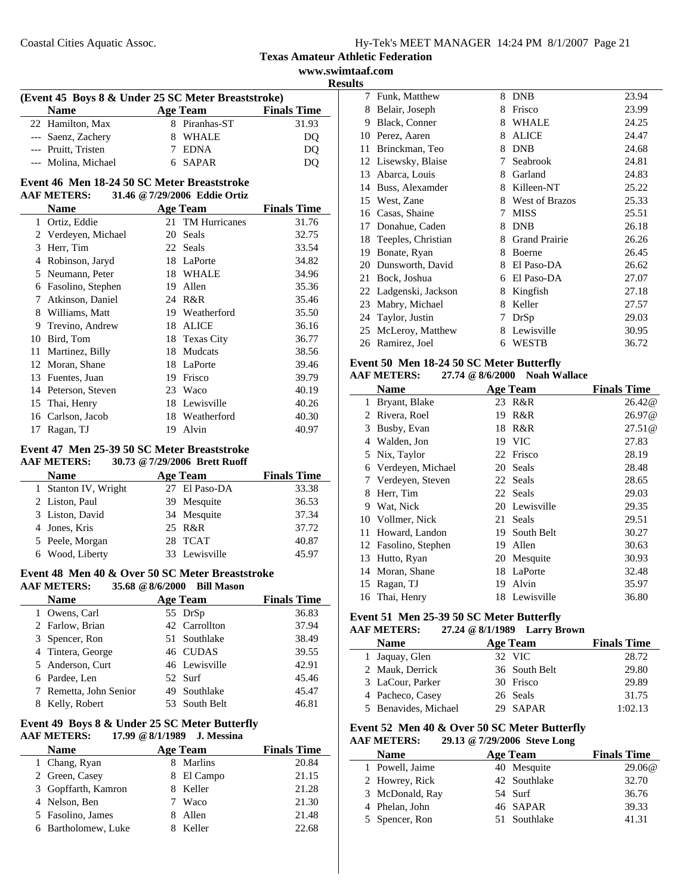Coastal Cities Aquatic Assoc.

## **Texas Amateur Athletic Federation**

**www.swimtaaf.com Results**

| (Event 45 Boys 8 & Under 25 SC Meter Breaststroke) |               |                    |  |  |
|----------------------------------------------------|---------------|--------------------|--|--|
| <b>Name</b>                                        | Age Team      | <b>Finals Time</b> |  |  |
| 22 Hamilton, Max                                   | 8 Piranhas-ST | 31.93              |  |  |
| --- Saenz, Zachery                                 | 8 WHALE       | DO                 |  |  |
| --- Pruitt, Tristen                                | <b>EDNA</b>   | DO                 |  |  |
| --- Molina, Michael                                | 6 SAPAR       | DO                 |  |  |

# **Event 46 Men 18-24 50 SC Meter Breaststroke**

#### **AAF METERS: 31.46 @7/29/2006 Eddie Ortiz**

|              | Name              |    | <b>Age Team</b>      | <b>Finals Time</b> |
|--------------|-------------------|----|----------------------|--------------------|
| $\mathbf{1}$ | Ortiz, Eddie      | 21 | <b>TM Hurricanes</b> | 31.76              |
| 2            | Verdeyen, Michael | 20 | Seals                | 32.75              |
| 3            | Herr, Tim         | 22 | Seals                | 33.54              |
| 4            | Robinson, Jaryd   | 18 | LaPorte              | 34.82              |
| 5            | Neumann, Peter    | 18 | WHALE                | 34.96              |
| 6            | Fasolino, Stephen | 19 | Allen                | 35.36              |
| 7            | Atkinson, Daniel  |    | 24 R&R               | 35.46              |
| 8            | Williams, Matt    | 19 | Weatherford          | 35.50              |
| 9            | Trevino, Andrew   | 18 | <b>ALICE</b>         | 36.16              |
| 10           | Bird, Tom         |    | 18 Texas City        | 36.77              |
| 11           | Martinez, Billy   | 18 | Mudcats              | 38.56              |
| 12           | Moran, Shane      | 18 | LaPorte              | 39.46              |
| 13           | Fuentes, Juan     | 19 | Frisco               | 39.79              |
| 14           | Peterson, Steven  | 23 | Waco                 | 40.19              |
|              | 15 Thai, Henry    | 18 | Lewisville           | 40.26              |
| 16           | Carlson, Jacob    | 18 | Weatherford          | 40.30              |
| 17           | Ragan, TJ         | 19 | Alvin                | 40.97              |

# **Event 47 Men 25-39 50 SC Meter Breaststroke**

# **AAF METERS: 30.73 @7/29/2006 Brett Ruoff Name Age Team Finals Time**<br> **Stanton IV, Wright Paso-DA Paso-DA Paso-DA Paso-DA Particle** *Age Team Paso-DA <i>Paso-DA Particle* 1 Stanton IV, Wright 27 El Paso-DA 33.38

| 2 Liston, Paul  | 39 Mesquite   | 36.53 |
|-----------------|---------------|-------|
| 3 Liston, David | 34 Mesquite   | 37.34 |
| 4 Jones, Kris   | 25 R&R        | 37.72 |
| 5 Peele, Morgan | 28 TCAT       | 40.87 |
| 6 Wood, Liberty | 33 Lewisville | 45.97 |

#### **Event 48 Men 40 & Over 50 SC Meter Breaststroke AAF METERS: 35.68 @8/6/2000 Bill Mason**

| <b>Name</b>            | <b>Age Team</b> | <b>Finals Time</b> |
|------------------------|-----------------|--------------------|
| 1 Owens, Carl          | 55 DrSp         | 36.83              |
| 2 Farlow, Brian        | 42 Carrollton   | 37.94              |
| 3 Spencer, Ron         | 51 Southlake    | 38.49              |
| 4 Tintera, George      | 46 CUDAS        | 39.55              |
| 5 Anderson, Curt       | 46 Lewisville   | 42.91              |
| 6 Pardee, Len          | 52 Surf         | 45.46              |
| 7 Remetta, John Senior | 49 Southlake    | 45.47              |
| 8 Kelly, Robert        | 53 South Belt   | 46.81              |

# **Event 49 Boys 8 & Under 25 SC Meter Butterfly**

**AAF METERS: 17.99 @8/1/1989 J. Messina**

| <b>Name</b>         | <b>Age Team</b> | <b>Finals Time</b> |
|---------------------|-----------------|--------------------|
| 1 Chang, Ryan       | Marlins         | 20.84              |
| 2 Green, Casey      | 8 El Campo      | 21.15              |
| 3 Gopffarth, Kamron | 8 Keller        | 21.28              |
| 4 Nelson, Ben       | Waco            | 21.30              |
| 5 Fasolino, James   | 8 Allen         | 21.48              |
| 6 Bartholomew, Luke | Keller          | 22.68              |

| ເພ |                    |   |                       |       |
|----|--------------------|---|-----------------------|-------|
| 7  | Funk, Matthew      | 8 | <b>DNB</b>            | 23.94 |
| 8  | Belair, Joseph     | 8 | Frisco                | 23.99 |
| 9  | Black, Conner      | 8 | <b>WHALE</b>          | 24.25 |
| 10 | Perez, Aaren       | 8 | <b>ALICE</b>          | 24.47 |
| 11 | Brinckman, Teo     | 8 | <b>DNB</b>            | 24.68 |
| 12 | Lisewsky, Blaise   | 7 | Seabrook              | 24.81 |
| 13 | Abarca, Louis      | 8 | Garland               | 24.83 |
| 14 | Buss, Alexamder    | 8 | Killeen-NT            | 25.22 |
| 15 | West, Zane         | 8 | <b>West of Brazos</b> | 25.33 |
| 16 | Casas, Shaine      | 7 | <b>MISS</b>           | 25.51 |
| 17 | Donahue, Caden     | 8 | <b>DNB</b>            | 26.18 |
| 18 | Teeples, Christian | 8 | <b>Grand Prairie</b>  | 26.26 |
| 19 | Bonate, Ryan       | 8 | Boerne                | 26.45 |
| 20 | Dunsworth, David   | 8 | El Paso-DA            | 26.62 |
| 21 | Bock, Joshua       | 6 | El Paso-DA            | 27.07 |
| 22 | Ladgenski, Jackson | 8 | Kingfish              | 27.18 |
| 23 | Mabry, Michael     | 8 | Keller                | 27.57 |
| 24 | Taylor, Justin     | 7 | DrSp                  | 29.03 |
| 25 | McLeroy, Matthew   | 8 | Lewisville            | 30.95 |
| 26 | Ramirez, Joel      | 6 | WESTB                 | 36.72 |
|    |                    |   |                       |       |

#### **Event 50 Men 18-24 50 SC Meter Butterfly**

## **AAF METERS: 27.74 @8/6/2000 Noah Wallace**

|    | Name              |    | <b>Age Team</b> | <b>Finals Time</b> |
|----|-------------------|----|-----------------|--------------------|
| 1  | Bryant, Blake     | 23 | R&R             | 26.42@             |
| 2  | Rivera, Roel      | 19 | R&R             | 26.97@             |
| 3  | Busby, Evan       |    | 18 R&R          | 27.51@             |
| 4  | Walden, Jon       |    | 19 VIC          | 27.83              |
| 5. | Nix, Taylor       |    | 22 Frisco       | 28.19              |
| 6  | Verdeyen, Michael | 20 | Seals           | 28.48              |
| 7  | Verdeyen, Steven  |    | 22 Seals        | 28.65              |
| 8  | Herr, Tim         |    | 22 Seals        | 29.03              |
| 9  | Wat, Nick         |    | 20 Lewisville   | 29.35              |
|    | 10 Vollmer, Nick  | 21 | <b>Seals</b>    | 29.51              |
| 11 | Howard, Landon    | 19 | South Belt      | 30.27              |
| 12 | Fasolino, Stephen | 19 | Allen           | 30.63              |
| 13 | Hutto, Ryan       |    | 20 Mesquite     | 30.93              |
| 14 | Moran, Shane      | 18 | LaPorte         | 32.48              |
| 15 | Ragan, TJ         | 19 | Alvin           | 35.97              |
|    | 16 Thai, Henry    |    | 18 Lewisville   | 36.80              |

# **Event 51 Men 25-39 50 SC Meter Butterfly**

## **AAF METERS: 27.24 @8/1/1989 Larry Brown**

| <b>Name</b>          | <b>Age Team</b> | <b>Finals Time</b> |
|----------------------|-----------------|--------------------|
| 1 Jaquay, Glen       | 32 VIC          | 28.72              |
| 2 Mauk, Derrick      | 36 South Belt   | 29.80              |
| 3 LaCour, Parker     | 30 Frisco       | 29.89              |
| 4 Pacheco, Casey     | 26 Seals        | 31.75              |
| 5 Benavides, Michael | 29 SAPAR        | 1:02.13            |

#### **Event 52 Men 40 & Over 50 SC Meter Butterfly AAF METERS: 29.13 @7/29/2006 Steve Long**

| <b>Name</b>     | Age Team     | <b>Finals Time</b> |
|-----------------|--------------|--------------------|
| 1 Powell, Jaime | 40 Mesquite  | 29.06@             |
| 2 Howrey, Rick  | 42 Southlake | 32.70              |
| 3 McDonald, Ray | 54 Surf      | 36.76              |
| 4 Phelan, John  | 46 SAPAR     | 39.33              |
| 5 Spencer, Ron  | 51 Southlake | 41.31              |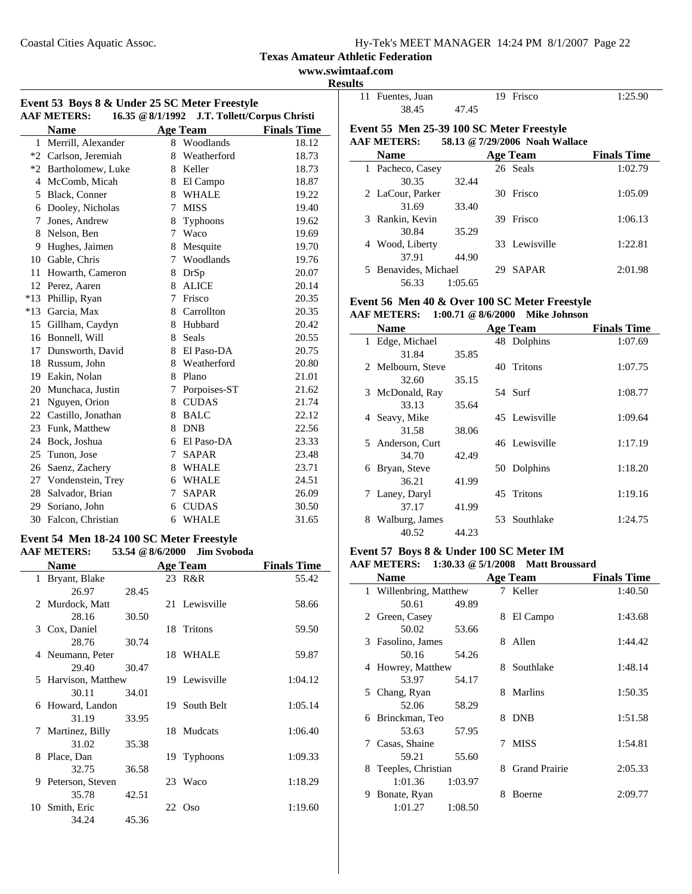#### **www.swimtaaf.com Results**

 $\overline{a}$ 

| Event 53 Boys 8 & Under 25 SC Meter Freestyle<br>16.35 @ 8/1/1992 J.T. Tollett/Corpus Christi |                                   |             |                 |                    |
|-----------------------------------------------------------------------------------------------|-----------------------------------|-------------|-----------------|--------------------|
|                                                                                               | <b>AAF METERS:</b><br><b>Name</b> |             | <b>Age Team</b> | <b>Finals Time</b> |
|                                                                                               | 1 Merrill, Alexander              |             | 8 Woodlands     | 18.12              |
|                                                                                               | *2 Carlson, Jeremiah              |             | 8 Weatherford   | 18.73              |
|                                                                                               | *2 Bartholomew, Luke              |             | 8 Keller        | 18.73              |
|                                                                                               | 4 McComb, Micah                   |             | 8 El Campo      | 18.87              |
|                                                                                               | 5 Black, Conner                   |             | 8 WHALE         | 19.22              |
|                                                                                               | 6 Dooley, Nicholas                | 7           | <b>MISS</b>     | 19.40              |
| 7                                                                                             | Jones, Andrew                     | 8           | Typhoons        | 19.62              |
|                                                                                               | 8 Nelson, Ben                     | 7           | Waco            | 19.69              |
|                                                                                               | 9 Hughes, Jaimen                  |             | 8 Mesquite      | 19.70              |
|                                                                                               | 10 Gable, Chris                   |             | 7 Woodlands     | 19.76              |
| 11                                                                                            | Howarth, Cameron                  |             | 8 DrSp          | 20.07              |
|                                                                                               | 12 Perez, Aaren                   |             | 8 ALICE         | 20.14              |
|                                                                                               | *13 Phillip, Ryan                 | 7           | Frisco          | 20.35              |
|                                                                                               | *13 Garcia, Max                   |             | 8 Carrollton    | 20.35              |
| 15                                                                                            | Gillham, Caydyn                   |             | 8 Hubbard       | 20.42              |
|                                                                                               | 16 Bonnell, Will                  | 8           | <b>Seals</b>    | 20.55              |
|                                                                                               | 17 Dunsworth, David               |             | 8 El Paso-DA    | 20.75              |
|                                                                                               | 18 Russum, John                   |             | 8 Weatherford   | 20.80              |
|                                                                                               | 19 Eakin, Nolan                   |             | 8 Plano         | 21.01              |
|                                                                                               | 20 Munchaca, Justin               | 7           | Porpoises-ST    | 21.62              |
|                                                                                               | 21 Nguyen, Orion                  | 8           | <b>CUDAS</b>    | 21.74              |
|                                                                                               | 22 Castillo, Jonathan             |             | 8 BALC          | 22.12              |
|                                                                                               | 23 Funk, Matthew                  |             | 8 DNB           | 22.56              |
| 24                                                                                            | Bock, Joshua                      |             | 6 El Paso-DA    | 23.33              |
| 25                                                                                            | Tunon, Jose                       | $7^{\circ}$ | <b>SAPAR</b>    | 23.48              |
|                                                                                               | 26 Saenz, Zachery                 |             | 8 WHALE         | 23.71              |
|                                                                                               | 27 Vondenstein, Trey              |             | 6 WHALE         | 24.51              |
|                                                                                               | 28 Salvador, Brian                | 7           | <b>SAPAR</b>    | 26.09              |
| 29                                                                                            | Soriano, John                     | 6           | <b>CUDAS</b>    | 30.50              |
|                                                                                               | 30 Falcon, Christian              |             | 6 WHALE         | 31.65              |

#### **Event 54 Men 18-24 100 SC Meter Freestyle AAF METERS: 53.54 @8/6/2000 Jim Svoboda**

|    | <b>Name</b>         |       | <b>Age Team</b>  | <b>Finals Time</b> |
|----|---------------------|-------|------------------|--------------------|
|    | 1 Bryant, Blake     |       | 23 R&R           | 55.42              |
|    | 26.97               | 28.45 |                  |                    |
|    | 2 Murdock, Matt     |       | 21 Lewisville    | 58.66              |
|    | 28.16               | 30.50 |                  |                    |
|    | 3 Cox, Daniel       |       | 18 Tritons       | 59.50              |
|    | 28.76               | 30.74 |                  |                    |
|    | 4 Neumann, Peter    |       | 18 WHALE         | 59.87              |
|    | 29.40               | 30.47 |                  |                    |
|    | 5 Harvison, Matthew |       | 19 Lewisville    | 1:04.12            |
|    | 30.11               | 34.01 |                  |                    |
|    | 6 Howard, Landon    |       | 19 South Belt    | 1:05.14            |
|    | 31.19               | 33.95 |                  |                    |
|    | 7 Martinez, Billy   |       | 18 Mudcats       | 1:06.40            |
|    | 31.02               | 35.38 |                  |                    |
| 8. | Place, Dan          |       | 19 Typhoons      | 1:09.33            |
|    | 32.75               | 36.58 |                  |                    |
| 9  | Peterson, Steven    |       | 23 Waco          | 1:18.29            |
|    | 35.78               | 42.51 |                  |                    |
|    | 10 Smith, Eric      |       | $22 \text{ Oso}$ | 1:19.60            |
|    | 34.24               | 45.36 |                  |                    |

| . |                  |                                           |         |
|---|------------------|-------------------------------------------|---------|
|   | 11 Fuentes, Juan | 19 Frisco                                 | 1:25.90 |
|   | 38.45            | 4745                                      |         |
|   |                  | Event 55 Men 25-39 100 SC Meter Freestyle |         |

# **AAF METERS: 58.13 @7/29/2006 Noah Wallace**

| <b>Name</b>                    |         |    | <b>Age Team</b> | <b>Finals Time</b> |
|--------------------------------|---------|----|-----------------|--------------------|
| Pacheco, Casey<br>$\mathbf{L}$ |         |    | 26 Seals        | 1:02.79            |
| 30.35                          | 32.44   |    |                 |                    |
| 2 LaCour, Parker               |         | 30 | Frisco          | 1:05.09            |
| 31.69                          | 33.40   |    |                 |                    |
| 3 Rankin, Kevin                |         | 39 | Frisco          | 1:06.13            |
| 30.84                          | 35.29   |    |                 |                    |
| 4 Wood, Liberty                |         |    | 33 Lewisville   | 1:22.81            |
| 37.91                          | 44.90   |    |                 |                    |
| 5 Benavides, Michael           |         | 29 | <b>SAPAR</b>    | 2:01.98            |
| 56.33                          | 1:05.65 |    |                 |                    |

#### **Event 56 Men 40 & Over 100 SC Meter Freestyle AAF METERS: 1:00.71 @8/6/2000 Mike Johnson**

| <b>Name</b>         |       |     | <b>Age Team</b> | <b>Finals Time</b> |
|---------------------|-------|-----|-----------------|--------------------|
| 1 Edge, Michael     |       |     | 48 Dolphins     | 1:07.69            |
| 31.84               | 35.85 |     |                 |                    |
| 2 Melbourn, Steve   |       |     | 40 Tritons      | 1:07.75            |
| 32.60               | 35.15 |     |                 |                    |
| 3 McDonald, Ray     |       |     | 54 Surf         | 1:08.77            |
| 33.13               | 35.64 |     |                 |                    |
| 4 Seavy, Mike       |       |     | 45 Lewisville   | 1:09.64            |
| 31.58               | 38.06 |     |                 |                    |
| 5 Anderson, Curt    |       |     | 46 Lewisville   | 1:17.19            |
| 34.70               | 42.49 |     |                 |                    |
| 6 Bryan, Steve      |       |     | 50 Dolphins     | 1:18.20            |
| 36.21               | 41.99 |     |                 |                    |
| 7 Laney, Daryl      |       |     | 45 Tritons      | 1:19.16            |
| 37.17               | 41.99 |     |                 |                    |
| Walburg, James<br>8 |       | 53. | Southlake       | 1:24.75            |
| 40.52               | 44.23 |     |                 |                    |

# **Event 57 Boys 8 & Under 100 SC Meter IM**

# **AAF METERS: 1:30.33 @5/1/2008 Matt Broussard**

|   | <b>Name</b>            |         |   | <b>Age Team</b>      | <b>Finals Time</b> |
|---|------------------------|---------|---|----------------------|--------------------|
|   | 1 Willenbring, Matthew |         |   | 7 Keller             | 1:40.50            |
|   | 50.61                  | 49.89   |   |                      |                    |
|   | 2 Green, Casey         |         | 8 | El Campo             | 1:43.68            |
|   | 50.02                  | 53.66   |   |                      |                    |
|   | 3 Fasolino, James      |         | 8 | Allen                | 1:44.42            |
|   | 50.16                  | 54.26   |   |                      |                    |
|   | 4 Howrey, Matthew      |         |   | 8 Southlake          | 1:48.14            |
|   | 53.97                  | 54.17   |   |                      |                    |
|   | 5 Chang, Ryan          |         | 8 | <b>Marlins</b>       | 1:50.35            |
|   | 52.06                  | 58.29   |   |                      |                    |
|   | 6 Brinckman, Teo       |         | 8 | <b>DNB</b>           | 1:51.58            |
|   | 53.63                  | 57.95   |   |                      |                    |
|   | 7 Casas, Shaine        |         | 7 | <b>MISS</b>          | 1:54.81            |
|   | 59.21                  | 55.60   |   |                      |                    |
|   | 8 Teeples, Christian   |         | 8 | <b>Grand Prairie</b> | 2:05.33            |
|   | 1:01.36                | 1:03.97 |   |                      |                    |
| 9 | Bonate, Ryan           |         | 8 | Boerne               | 2:09.77            |
|   | 1:01.27                | 1:08.50 |   |                      |                    |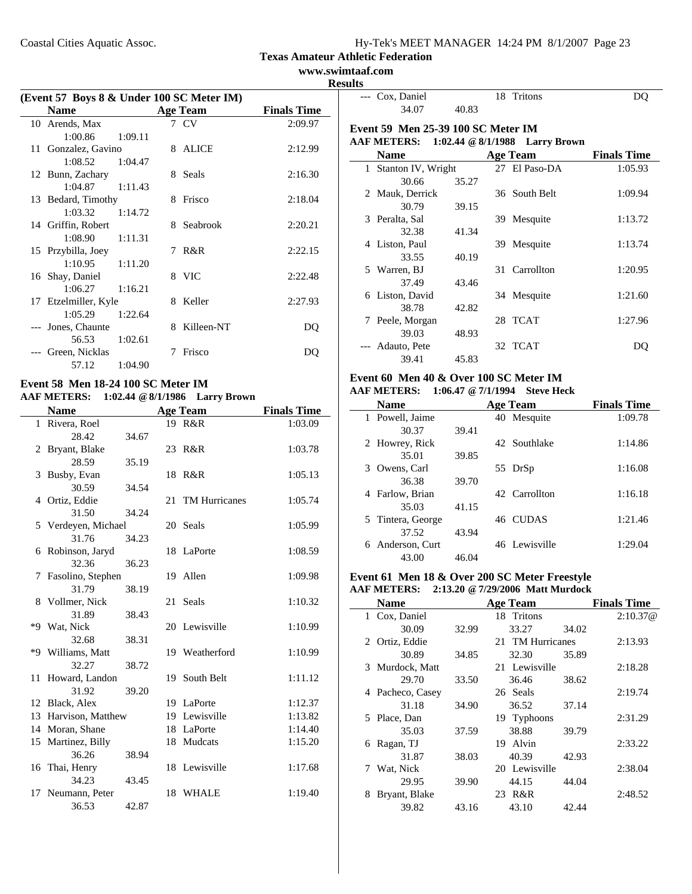| $Hy-Tek's MEET MANAGER$ 14:24 PM $8/1/2007$ Page 23 |  |  |  |  |
|-----------------------------------------------------|--|--|--|--|
|-----------------------------------------------------|--|--|--|--|

**www.swimtaaf.com Results**

| (Event 57 Boys 8 & Under 100 SC Meter IM) |                      |         |   |                 |                    |  |
|-------------------------------------------|----------------------|---------|---|-----------------|--------------------|--|
|                                           | <b>Name</b>          |         |   | <b>Age Team</b> | <b>Finals Time</b> |  |
|                                           | 10 Arends, Max       |         |   | 7 CV            | 2:09.97            |  |
|                                           | 1:00.86              | 1:09.11 |   |                 |                    |  |
|                                           | 11 Gonzalez, Gavino  |         |   | 8 ALICE         | 2:12.99            |  |
|                                           | 1:08.52              | 1:04.47 |   |                 |                    |  |
|                                           | 12 Bunn, Zachary     |         |   | 8 Seals         | 2:16.30            |  |
|                                           | $1:04.87$ $1:11.43$  |         |   |                 |                    |  |
|                                           | 13 Bedard, Timothy   |         |   | 8 Frisco        | 2:18.04            |  |
|                                           | 1:03.32              | 1:14.72 |   |                 |                    |  |
|                                           | 14 Griffin, Robert   |         |   | 8 Seabrook      | 2:20.21            |  |
|                                           | 1:08.90              | 1:11.31 |   |                 |                    |  |
|                                           | 15 Przybilla, Joey   |         |   | 7 R&R           | 2:22.15            |  |
|                                           | $1:10.95$ $1:11.20$  |         |   |                 |                    |  |
|                                           | 16 Shay, Daniel      |         |   | 8 VIC           | 2:22.48            |  |
|                                           | 1:06.27              | 1:16.21 |   |                 |                    |  |
|                                           | 17 Etzelmiller, Kyle |         |   | 8 Keller        | 2:27.93            |  |
|                                           | 1:05.29              | 1:22.64 |   |                 |                    |  |
|                                           | --- Jones, Chaunte   |         | 8 | Killeen-NT      | DQ                 |  |
|                                           | 56.53                | 1:02.61 |   |                 |                    |  |
|                                           | Green, Nicklas       |         | 7 | Frisco          | DO                 |  |
|                                           | 57.12                | 1:04.90 |   |                 |                    |  |

#### **Event 58 Men 18-24 100 SC Meter IM AAF METERS: 1:02.44 @8/1/1986 Larry Brown**

|              | <b>Name</b>          |       |    | <b>Age Team</b>  | <b>Finals Time</b> |
|--------------|----------------------|-------|----|------------------|--------------------|
| $\mathbf{1}$ | Rivera, Roel         |       |    | 19 R&R           | 1:03.09            |
|              | 28.42                | 34.67 |    |                  |                    |
|              | 2 Bryant, Blake      |       |    | 23 R&R           | 1:03.78            |
|              | 28.59                | 35.19 |    |                  |                    |
| 3            | Busby, Evan          |       | 18 | R&R              | 1:05.13            |
|              | 30.59                | 34.54 |    |                  |                    |
|              | 4 Ortiz, Eddie       |       |    | 21 TM Hurricanes | 1:05.74            |
|              | 31.50                | 34.24 |    |                  |                    |
|              | 5 Verdeyen, Michael  |       |    | 20 Seals         | 1:05.99            |
|              | 31.76                | 34.23 |    |                  |                    |
|              | 6 Robinson, Jaryd    |       |    | 18 LaPorte       | 1:08.59            |
|              | 32.36                | 36.23 |    |                  |                    |
|              | 7 Fasolino, Stephen  |       |    | 19 Allen         | 1:09.98            |
|              | 31.79                | 38.19 |    |                  |                    |
|              | 8 Vollmer, Nick      |       |    | 21 Seals         | 1:10.32            |
|              | 31.89                | 38.43 |    |                  |                    |
|              | *9 Wat, Nick         |       |    | 20 Lewisville    | 1:10.99            |
|              | 32.68                | 38.31 |    |                  |                    |
|              | *9 Williams, Matt    |       |    | 19 Weatherford   | 1:10.99            |
|              | 32.27                | 38.72 |    |                  |                    |
| 11           | Howard, Landon       |       |    | 19 South Belt    | 1:11.12            |
|              | 31.92                | 39.20 |    |                  |                    |
|              | 12 Black, Alex       |       |    | 19 LaPorte       | 1:12.37            |
|              | 13 Harvison, Matthew |       |    | 19 Lewisville    | 1:13.82            |
|              | 14 Moran, Shane      |       |    | 18 LaPorte       | 1:14.40            |
|              | 15 Martinez, Billy   |       |    | 18 Mudcats       | 1:15.20            |
|              | 36.26                | 38.94 |    |                  |                    |
|              | 16 Thai, Henry       |       |    | 18 Lewisville    | 1:17.68            |
|              | 34.23                | 43.45 |    |                  |                    |
| 17           | Neumann, Peter       |       |    | 18 WHALE         | 1:19.40            |
|              | 36.53                | 42.87 |    |                  |                    |

|               | --- Cox, Daniel                           |       |     | 18 Tritons                       | DO                 |
|---------------|-------------------------------------------|-------|-----|----------------------------------|--------------------|
|               | 34.07                                     | 40.83 |     |                                  |                    |
|               | <b>Event 59 Men 25-39 100 SC Meter IM</b> |       |     |                                  |                    |
|               | <b>AAF METERS:</b>                        |       |     | 1:02.44 $@ 8/1/1988$ Larry Brown |                    |
|               | <b>Name</b>                               |       |     | <b>Age Team</b>                  | <b>Finals Time</b> |
|               | 1 Stanton IV, Wright                      |       |     | 27 El Paso-DA                    | 1:05.93            |
|               | 30.66                                     | 35.27 |     |                                  |                    |
|               | 2 Mauk, Derrick                           |       |     | 36 South Belt                    | 1:09.94            |
|               | 30.79                                     | 39.15 |     |                                  |                    |
|               | 3 Peralta, Sal                            |       |     | 39 Mesquite                      | 1:13.72            |
|               | 32.38                                     | 41.34 |     |                                  |                    |
|               | 4 Liston, Paul                            |       | 39. | Mesquite                         | 1:13.74            |
|               | 33.55                                     | 40.19 |     |                                  |                    |
|               | 5 Warren, BJ                              |       |     | 31 Carrollton                    | 1:20.95            |
|               | 37.49                                     | 43.46 |     |                                  |                    |
|               | 6 Liston, David                           |       |     | 34 Mesquite                      | 1:21.60            |
|               | 38.78                                     | 42.82 |     |                                  |                    |
| $\frac{1}{2}$ | Peele, Morgan                             |       |     | 28 TCAT                          | 1:27.96            |
|               | 39.03                                     | 48.93 |     |                                  |                    |
|               | --- Adauto, Pete                          |       |     | 32 TCAT                          | DO                 |
|               | 39.41                                     | 45.83 |     |                                  |                    |

#### **Event 60 Men 40 & Over 100 SC Meter IM AAF METERS: 1:06.47 @7/1/1994 Steve Heck**

| <b>Name</b>         |       | <b>Age Team</b> | <b>Finals Time</b> |
|---------------------|-------|-----------------|--------------------|
| 1 Powell, Jaime     |       | 40 Mesquite     | 1:09.78            |
| 30.37               | 39.41 |                 |                    |
| 2 Howrey, Rick      |       | 42. Southlake   | 1:14.86            |
| 35.01               | 39.85 |                 |                    |
| 3 Owens, Carl       |       | 55 DrSp         | 1:16.08            |
| 36.38               | 39.70 |                 |                    |
| 4 Farlow, Brian     |       | 42. Carrollton  | 1:16.18            |
| 35.03               | 41.15 |                 |                    |
| 5 Tintera, George   |       | 46 CUDAS        | 1:21.46            |
| 37.52               | 43.94 |                 |                    |
| Anderson, Curt<br>6 |       | 46 Lewisville   | 1:29.04            |
| 43.00               | 46.04 |                 |                    |

#### **Event 61 Men 18 & Over 200 SC Meter Freestyle AAF METERS: 2:13.20 @7/29/2006 Matt Murdock**

|   | Name             |       | <b>Age Team</b>  |       | <b>Finals Time</b> |
|---|------------------|-------|------------------|-------|--------------------|
|   | 1 Cox, Daniel    |       | 18 Tritons       |       | 2:10.37@           |
|   | 30.09            | 32.99 | 33.27            | 34.02 |                    |
|   | 2 Ortiz, Eddie   |       | 21 TM Hurricanes |       | 2:13.93            |
|   | 30.89            | 34.85 | 32.30            | 35.89 |                    |
|   | 3 Murdock, Matt  |       | 21 Lewisville    |       | 2:18.28            |
|   | 29.70            | 33.50 | 36.46            | 38.62 |                    |
|   | 4 Pacheco, Casey |       | 26 Seals         |       | 2:19.74            |
|   | 31.18            | 34.90 | 36.52            | 37.14 |                    |
|   | 5 Place, Dan     |       | 19 Typhoons      |       | 2:31.29            |
|   | 35.03            | 37.59 | 38.88            | 39.79 |                    |
| 6 | Ragan, TJ        |       | Alvin<br>19      |       | 2:33.22            |
|   | 31.87            | 38.03 | 40.39            | 42.93 |                    |
|   | 7 Wat, Nick      |       | 20 Lewisville    |       | 2:38.04            |
|   | 29.95            | 39.90 | 44.15            | 44.04 |                    |
| 8 | Bryant, Blake    |       | R&R<br>23        |       | 2:48.52            |
|   | 39.82            | 43.16 | 43.10            | 42.44 |                    |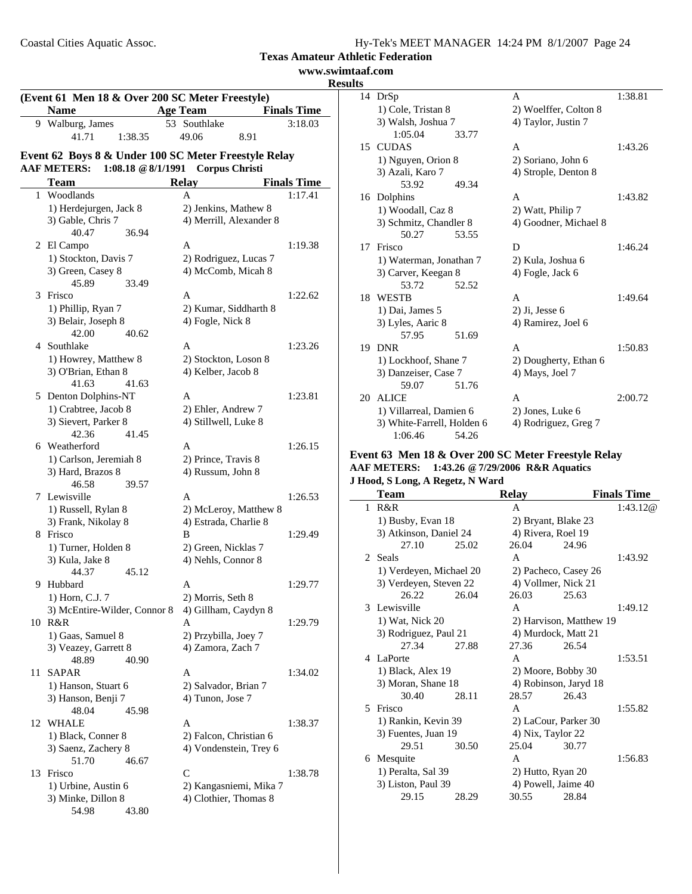|    |                              |                                                      |                    | www.swimtaaf.com<br><b>Results</b> |
|----|------------------------------|------------------------------------------------------|--------------------|------------------------------------|
|    |                              | (Event 61 Men 18 & Over 200 SC Meter Freestyle)      |                    | $\overline{1}4$ DrS <sub>I</sub>   |
|    | <b>Name</b>                  | <b>Age Team</b>                                      | <b>Finals Time</b> | $1)$ C                             |
|    | 9 Walburg, James             | 53 Southlake                                         | 3:18.03            | $3)$ W                             |
|    | 41.71<br>1:38.35             | 49.06<br>8.91                                        |                    | J                                  |
|    |                              |                                                      |                    | 15 CUL                             |
|    |                              | Event 62 Boys 8 & Under 100 SC Meter Freestyle Relay |                    | 1) N                               |
|    | <b>AAF METERS:</b>           | 1:08.18 @ 8/1/1991 Corpus Christi                    |                    | $3)$ A.                            |
|    | <b>Team</b>                  | Relay                                                | <b>Finals Time</b> |                                    |
|    | 1 Woodlands                  | A                                                    | 1:17.41            | 16 Dolp                            |
|    | 1) Herdejurgen, Jack 8       | 2) Jenkins, Mathew 8                                 |                    | $1)$ W                             |
|    | 3) Gable, Chris 7            | 4) Merrill, Alexander 8                              |                    |                                    |
|    | 40.47<br>36.94               |                                                      |                    | $3)$ So                            |
|    | 2 El Campo                   | A                                                    | 1:19.38            |                                    |
|    | 1) Stockton, Davis 7         | 2) Rodriguez, Lucas 7                                |                    | 17 Frisc                           |
|    |                              | 4) McComb, Micah 8                                   |                    | $1)$ W                             |
|    | 3) Green, Casey 8            |                                                      |                    | $3)$ C                             |
|    | 45.89<br>33.49               |                                                      |                    |                                    |
|    | 3 Frisco                     | A                                                    | 1:22.62            | 18 WES                             |
|    | 1) Phillip, Ryan 7           | 2) Kumar, Siddharth 8                                |                    | 1) D                               |
|    | 3) Belair, Joseph 8          | 4) Fogle, Nick 8                                     |                    | $3)$ L <sub>1</sub>                |
|    | 42.00<br>40.62               |                                                      |                    |                                    |
|    | 4 Southlake                  | A                                                    | 1:23.26            | 19 DNF                             |
|    | 1) Howrey, Matthew 8         | 2) Stockton, Loson 8                                 |                    | $1)$ L                             |
|    | 3) O'Brian, Ethan 8          | 4) Kelber, Jacob 8                                   |                    | $3)$ D                             |
|    | 41.63<br>41.63               |                                                      |                    |                                    |
|    | 5 Denton Dolphins-NT         | A                                                    | 1:23.81            | 20 ALI                             |
|    | 1) Crabtree, Jacob 8         | 2) Ehler, Andrew 7                                   |                    | 1)V                                |
|    | 3) Sievert, Parker 8         | 4) Stillwell, Luke 8                                 |                    | $3)$ W                             |
|    | 42.36<br>41.45               |                                                      |                    | ı                                  |
|    | 6 Weatherford                | A                                                    | 1:26.15            |                                    |
|    | 1) Carlson, Jeremiah 8       | 2) Prince, Travis 8                                  |                    | Event 63                           |
|    | 3) Hard, Brazos 8            | 4) Russum, John 8                                    |                    | <b>AAF MET</b>                     |
|    | 46.58<br>39.57               |                                                      |                    | J Hood, S                          |
|    | 7 Lewisville                 | A                                                    | 1:26.53            | Tea                                |
|    | 1) Russell, Rylan 8          | 2) McLeroy, Matthew 8                                |                    | 1 R&F                              |
|    | 3) Frank, Nikolay 8          | 4) Estrada, Charlie 8                                |                    | $1)$ B                             |
|    | 8 Frisco                     | B                                                    | 1:29.49            | $3)$ A                             |
|    | 1) Turner, Holden 8          | 2) Green, Nicklas 7                                  |                    |                                    |
|    | 3) Kula, Jake 8              | 4) Nehls, Connor 8                                   |                    | 2 Seals                            |
|    | 45.12                        |                                                      |                    | 1) V                               |
|    | 44.37<br>9 Hubbard           | A                                                    | 1:29.77            | 3)V                                |
|    |                              |                                                      |                    |                                    |
|    | 1) Horn, C.J. 7              | 2) Morris, Seth 8                                    |                    | 3 Lew                              |
|    | 3) McEntire-Wilder, Connor 8 | 4) Gillham, Caydyn 8                                 |                    | $1)$ W                             |
|    | 10 R&R                       | A                                                    | 1:29.79            | $3)$ R                             |
|    | 1) Gaas, Samuel 8            | 2) Przybilla, Joey 7                                 |                    |                                    |
|    | 3) Veazey, Garrett 8         | 4) Zamora, Zach 7                                    |                    |                                    |
|    | 48.89<br>40.90               |                                                      |                    | 4 LaPo                             |
| 11 | <b>SAPAR</b>                 | A                                                    | 1:34.02            | $1)$ B                             |
|    | 1) Hanson, Stuart 6          | 2) Salvador, Brian 7                                 |                    | $3)$ M                             |
|    | 3) Hanson, Benji 7           | 4) Tunon, Jose 7                                     |                    |                                    |
|    | 48.04<br>45.98               |                                                      |                    | 5 Frisc                            |
|    | 12 WHALE                     | A                                                    | 1:38.37            | 1) R                               |
|    | 1) Black, Conner 8           | 2) Falcon, Christian 6                               |                    | 3) Fi                              |
|    | 3) Saenz, Zachery 8          | 4) Vondenstein, Trey 6                               |                    |                                    |
|    | 51.70<br>46.67               |                                                      |                    | 6 Meso                             |
|    | 13 Frisco                    | $\mathsf{C}$                                         | 1:38.78            | $1)$ $P_0$                         |
|    | 1) Urbine, Austin 6          | 2) Kangasniemi, Mika 7                               |                    | $3)$ Li                            |
|    | 3) Minke, Dillon 8           | 4) Clothier, Thomas 8                                |                    |                                    |
|    | 54.98<br>43.80               |                                                      |                    |                                    |

| 14 | DrSp                       |       | A                     | 1:38.81 |
|----|----------------------------|-------|-----------------------|---------|
|    | 1) Cole, Tristan 8         |       | 2) Woelffer, Colton 8 |         |
|    | 3) Walsh, Joshua 7         |       | 4) Taylor, Justin 7   |         |
|    | 1:05.04                    | 33.77 |                       |         |
| 15 | <b>CUDAS</b>               |       | A                     | 1:43.26 |
|    | 1) Nguyen, Orion 8         |       | 2) Soriano, John 6    |         |
|    | 3) Azali, Karo 7           |       | 4) Strople, Denton 8  |         |
|    | 53.92                      | 49.34 |                       |         |
|    | 16 Dolphins                |       | A                     | 1:43.82 |
|    | 1) Woodall, Caz 8          |       | 2) Watt, Philip 7     |         |
|    | 3) Schmitz, Chandler 8     |       | 4) Goodner, Michael 8 |         |
|    | 50.27                      | 53.55 |                       |         |
|    | 17 Frisco                  |       | D                     | 1:46.24 |
|    | 1) Waterman, Jonathan 7    |       | 2) Kula, Joshua 6     |         |
|    | 3) Carver, Keegan 8        |       | 4) Fogle, Jack 6      |         |
|    | 53.72                      | 52.52 |                       |         |
| 18 | <b>WESTB</b>               |       | A                     | 1:49.64 |
|    | 1) Dai, James 5            |       | $2)$ Ji, Jesse 6      |         |
|    | 3) Lyles, Aaric 8          |       | 4) Ramirez, Joel 6    |         |
|    | 57.95                      | 51.69 |                       |         |
| 19 | <b>DNR</b>                 |       | $\mathsf{A}$          | 1:50.83 |
|    | 1) Lockhoof, Shane 7       |       | 2) Dougherty, Ethan 6 |         |
|    | 3) Danzeiser, Case 7       |       | 4) Mays, Joel 7       |         |
|    | 59.07                      | 51.76 |                       |         |
| 20 | <b>ALICE</b>               |       | A                     | 2:00.72 |
|    | 1) Villarreal, Damien 6    |       | 2) Jones, Luke 6      |         |
|    | 3) White-Farrell, Holden 6 |       | 4) Rodriguez, Greg 7  |         |
|    | 1:06.46                    | 54.26 |                       |         |

#### **Event 63 Men 18 & Over 200 SC Meter Freestyle Relay AAF METERS: 1:43.26 @7/29/2006 R&R Aquatics J Hood, S Long, A Regetz, N Ward**

|              | <b>Team</b>             |       | <b>Relay</b>       |                         | <b>Finals Time</b> |
|--------------|-------------------------|-------|--------------------|-------------------------|--------------------|
| $\mathbf{1}$ | R&R                     |       | A                  |                         | 1:43.12@           |
|              | 1) Busby, Evan 18       |       |                    | 2) Bryant, Blake 23     |                    |
|              | 3) Atkinson, Daniel 24  |       | 4) Rivera, Roel 19 |                         |                    |
|              | 27.10                   | 25.02 | 26.04              | 24.96                   |                    |
| $2^{1}$      | Seals                   |       | A                  |                         | 1:43.92            |
|              | 1) Verdeyen, Michael 20 |       |                    | 2) Pacheco, Casey 26    |                    |
|              | 3) Verdeyen, Steven 22  |       |                    | 4) Vollmer, Nick 21     |                    |
|              | 26.22                   | 26.04 | 26.03              | 25.63                   |                    |
| 3            | Lewisville              |       | $\mathsf{A}$       |                         | 1:49.12            |
|              | 1) Wat, Nick 20         |       |                    | 2) Harvison, Matthew 19 |                    |
|              | 3) Rodriguez, Paul 21   |       |                    | 4) Murdock, Matt 21     |                    |
|              | 27.34                   | 27.88 | 27.36              | 26.54                   |                    |
|              | 4 LaPorte               |       | A                  |                         | 1:53.51            |
|              | 1) Black, Alex 19       |       |                    | 2) Moore, Bobby 30      |                    |
|              | 3) Moran, Shane 18      |       |                    | 4) Robinson, Jaryd 18   |                    |
|              | 30.40                   | 28.11 | 28.57              | 26.43                   |                    |
| 5            | Frisco                  |       | A                  |                         | 1:55.82            |
|              | 1) Rankin, Kevin 39     |       |                    | 2) LaCour, Parker 30    |                    |
|              | 3) Fuentes, Juan 19     |       | 4) Nix, Taylor 22  |                         |                    |
|              | 29.51                   | 30.50 | 25.04              | 30.77                   |                    |
| 6            | Mesquite                |       | A                  |                         | 1:56.83            |
|              | 1) Peralta, Sal 39      |       | 2) Hutto, Ryan 20  |                         |                    |
|              | 3) Liston, Paul 39      |       |                    | 4) Powell, Jaime 40     |                    |
|              | 29.15                   | 28.29 | 30.55              | 28.84                   |                    |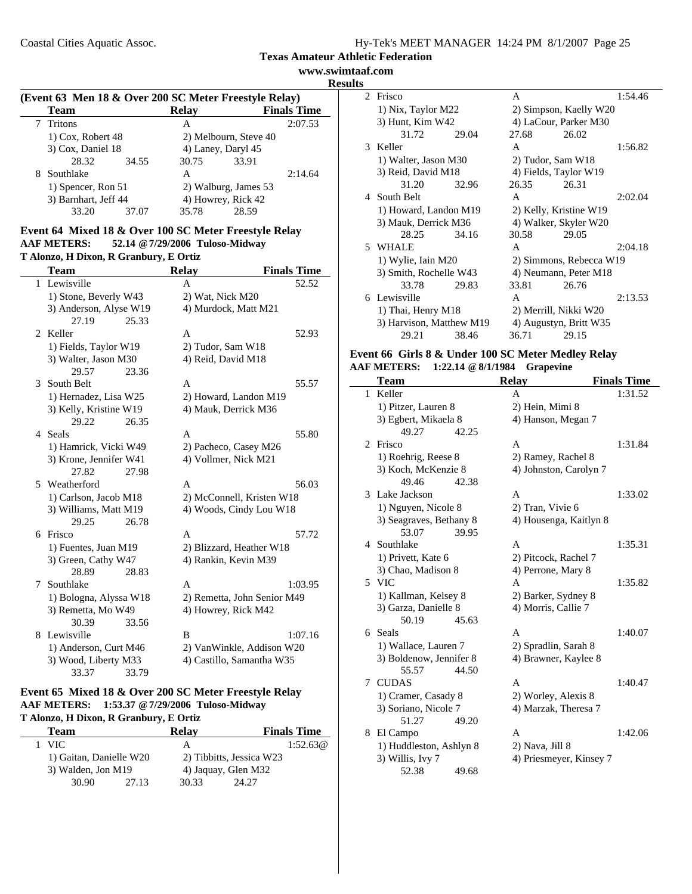**Texas Amateur Athletic Federation**

**www.swimtaaf.com Results**

 $\sim$ 

| (Event 63 Men 18 & Over 200 SC Meter Freestyle Relay) |                      |       |                      |                       |                    |  |
|-------------------------------------------------------|----------------------|-------|----------------------|-----------------------|--------------------|--|
|                                                       | <b>Team</b>          |       | <b>Relay</b>         |                       | <b>Finals Time</b> |  |
|                                                       | Tritons              |       | А                    |                       | 2:07.53            |  |
|                                                       | $1)$ Cox, Robert 48  |       |                      | 2) Melbourn, Steve 40 |                    |  |
|                                                       | 3) Cox, Daniel 18    |       |                      | 4) Laney, Daryl 45    |                    |  |
|                                                       | 28.32                | 34.55 | 30.75                | 33.91                 |                    |  |
| 8                                                     | Southlake            |       | A                    |                       | 2:14.64            |  |
|                                                       | 1) Spencer, Ron 51   |       | 2) Walburg, James 53 |                       |                    |  |
|                                                       | 3) Barnhart, Jeff 44 |       |                      | 4) Howrey, Rick 42    |                    |  |
|                                                       | 33.20                | 37.07 | 35.78                | 28.59                 |                    |  |

#### **Event 64 Mixed 18 & Over 100 SC Meter Freestyle Relay AAF METERS: 52.14 @7/29/2006 Tuloso-Midway T Alonzo, H Dixon, R Granbury, E Ortiz**

|                       | <b>Team</b>            | <b>Relay</b>                | <b>Finals Time</b> |  |
|-----------------------|------------------------|-----------------------------|--------------------|--|
| 1                     | Lewisville             | A                           | 52.52              |  |
|                       | 1) Stone, Beverly W43  | 2) Wat, Nick M20            |                    |  |
|                       | 3) Anderson, Alyse W19 | 4) Murdock, Matt M21        |                    |  |
|                       | 27.19<br>25.33         |                             |                    |  |
| $\mathcal{D}_{\cdot}$ | Keller                 | A                           | 52.93              |  |
|                       | 1) Fields, Taylor W19  | 2) Tudor, Sam W18           |                    |  |
|                       | 3) Walter, Jason M30   | 4) Reid, David M18          |                    |  |
|                       | 29.57<br>23.36         |                             |                    |  |
| 3                     | South Belt             | A                           | 55.57              |  |
|                       | 1) Hernadez, Lisa W25  | 2) Howard, Landon M19       |                    |  |
|                       | 3) Kelly, Kristine W19 | 4) Mauk, Derrick M36        |                    |  |
|                       | 26.35<br>29.22         |                             |                    |  |
|                       | 4 Seals                | A                           | 55.80              |  |
|                       | 1) Hamrick, Vicki W49  | 2) Pacheco, Casey M26       |                    |  |
|                       | 3) Krone, Jennifer W41 | 4) Vollmer, Nick M21        |                    |  |
|                       | 27.82<br>27.98         |                             |                    |  |
|                       | 5 Weatherford          | A                           | 56.03              |  |
|                       | 1) Carlson, Jacob M18  | 2) McConnell, Kristen W18   |                    |  |
|                       | 3) Williams, Matt M19  | 4) Woods, Cindy Lou W18     |                    |  |
|                       | 26.78<br>29.25         |                             |                    |  |
| 6                     | Frisco                 | A                           | 57.72              |  |
|                       | 1) Fuentes, Juan M19   | 2) Blizzard, Heather W18    |                    |  |
|                       | 3) Green, Cathy W47    | 4) Rankin, Kevin M39        |                    |  |
|                       | 28.89<br>28.83         |                             |                    |  |
| 7                     | Southlake              | A                           | 1:03.95            |  |
|                       | 1) Bologna, Alyssa W18 | 2) Remetta, John Senior M49 |                    |  |
|                       | 3) Remetta, Mo W49     | 4) Howrey, Rick M42         |                    |  |
|                       | 30.39<br>33.56         |                             |                    |  |
| 8                     | Lewisville             | B                           | 1:07.16            |  |
|                       | 1) Anderson, Curt M46  | 2) VanWinkle, Addison W20   |                    |  |
|                       | 3) Wood, Liberty M33   | 4) Castillo, Samantha W35   |                    |  |
|                       | 33.37<br>33.79         |                             |                    |  |

# **Event 65 Mixed 18 & Over 200 SC Meter Freestyle Relay AAF METERS: 1:53.37 @7/29/2006 Tuloso-Midway**

|  |  |  |  |  | T Alonzo, H Dixon, R Granbury, E Ortiz |  |  |
|--|--|--|--|--|----------------------------------------|--|--|
|--|--|--|--|--|----------------------------------------|--|--|

| Team                    | Relav                    | <b>Finals Time</b> |
|-------------------------|--------------------------|--------------------|
| 1 VIC                   | А                        | 1:52.63@           |
| 1) Gaitan, Danielle W20 | 2) Tibbitts, Jessica W23 |                    |
| 3) Walden, Jon M19      | 4) Jaquay, Glen M32      |                    |
| 30.90<br>27.13          | 30.33<br>24.27           |                    |

|       |                                                               |                                                                                                                                                                                                                                         |       | 1:54.46                                                                                                               |
|-------|---------------------------------------------------------------|-----------------------------------------------------------------------------------------------------------------------------------------------------------------------------------------------------------------------------------------|-------|-----------------------------------------------------------------------------------------------------------------------|
|       |                                                               | 2) Simpson, Kaelly W20                                                                                                                                                                                                                  |       |                                                                                                                       |
|       |                                                               |                                                                                                                                                                                                                                         |       |                                                                                                                       |
| 31.72 | 29.04                                                         | 27.68                                                                                                                                                                                                                                   | 26.02 |                                                                                                                       |
|       |                                                               | A                                                                                                                                                                                                                                       |       | 1:56.82                                                                                                               |
|       |                                                               |                                                                                                                                                                                                                                         |       |                                                                                                                       |
|       |                                                               |                                                                                                                                                                                                                                         |       |                                                                                                                       |
| 31.20 | 32.96                                                         | 26.35                                                                                                                                                                                                                                   | 26.31 |                                                                                                                       |
|       |                                                               | $\mathsf{A}$                                                                                                                                                                                                                            |       | 2:02.04                                                                                                               |
|       |                                                               | 2) Kelly, Kristine W19                                                                                                                                                                                                                  |       |                                                                                                                       |
|       |                                                               |                                                                                                                                                                                                                                         |       |                                                                                                                       |
| 28.25 | 34.16                                                         | 30.58                                                                                                                                                                                                                                   | 29.05 |                                                                                                                       |
|       |                                                               | A                                                                                                                                                                                                                                       |       | 2:04.18                                                                                                               |
|       |                                                               | 2) Simmons, Rebecca W19<br>4) Neumann, Peter M18                                                                                                                                                                                        |       |                                                                                                                       |
|       |                                                               |                                                                                                                                                                                                                                         |       |                                                                                                                       |
| 33.78 | 29.83                                                         | 33.81                                                                                                                                                                                                                                   | 26.76 |                                                                                                                       |
|       |                                                               | A                                                                                                                                                                                                                                       |       | 2:13.53                                                                                                               |
|       |                                                               |                                                                                                                                                                                                                                         |       |                                                                                                                       |
|       |                                                               | 4) Augustyn, Britt W35                                                                                                                                                                                                                  |       |                                                                                                                       |
| 29.21 | 38.46                                                         | 36.71                                                                                                                                                                                                                                   | 29.15 |                                                                                                                       |
|       | Frisco<br>3 Keller<br>4 South Belt<br>5 WHALE<br>6 Lewisville | 1) Nix, Taylor M22<br>3) Hunt, Kim W42<br>1) Walter, Jason M30<br>3) Reid, David M18<br>1) Howard, Landon M19<br>3) Mauk, Derrick M36<br>1) Wylie, Iain M20<br>3) Smith, Rochelle W43<br>1) Thai, Henry M18<br>3) Harvison, Matthew M19 | A     | 4) LaCour, Parker M30<br>2) Tudor, Sam W18<br>4) Fields, Taylor W19<br>4) Walker, Skyler W20<br>2) Merrill, Nikki W20 |

#### **Event 66 Girls 8 & Under 100 SC Meter Medley Relay AAF METERS: 1:22.14 @8/1/1984 Grapevine**

|                | <b>Team</b>             | <b>Relay</b>            | <b>Finals Time</b> |
|----------------|-------------------------|-------------------------|--------------------|
| 1              | Keller                  | A                       | 1:31.52            |
|                | 1) Pitzer, Lauren 8     | 2) Hein, Mimi 8         |                    |
|                | 3) Egbert, Mikaela 8    | 4) Hanson, Megan 7      |                    |
|                | 49.27<br>42.25          |                         |                    |
| $\overline{2}$ | Frisco                  | A                       | 1:31.84            |
|                | 1) Roehrig, Reese 8     | 2) Ramey, Rachel 8      |                    |
|                | 3) Koch, McKenzie 8     | 4) Johnston, Carolyn 7  |                    |
|                | 49.46<br>42.38          |                         |                    |
|                | 3 Lake Jackson          | A                       | 1:33.02            |
|                | 1) Nguyen, Nicole 8     | 2) Tran, Vivie 6        |                    |
|                | 3) Seagraves, Bethany 8 | 4) Housenga, Kaitlyn 8  |                    |
|                | 53.07<br>39.95          |                         |                    |
| 4              | Southlake               | A                       | 1:35.31            |
|                | 1) Privett, Kate 6      | 2) Pitcock, Rachel 7    |                    |
|                | 3) Chao, Madison 8      | 4) Perrone, Mary 8      |                    |
| 5              | <b>VIC</b>              | A                       | 1:35.82            |
|                | 1) Kallman, Kelsey 8    | 2) Barker, Sydney 8     |                    |
|                | 3) Garza, Danielle 8    | 4) Morris, Callie 7     |                    |
|                | 50.19<br>45.63          |                         |                    |
|                | 6 Seals                 | A                       | 1:40.07            |
|                | 1) Wallace, Lauren 7    | 2) Spradlin, Sarah 8    |                    |
|                | 3) Boldenow, Jennifer 8 | 4) Brawner, Kaylee 8    |                    |
|                | 55.57<br>44.50          |                         |                    |
| 7              | <b>CUDAS</b>            | A                       | 1:40.47            |
|                | 1) Cramer, Casady 8     | 2) Worley, Alexis 8     |                    |
|                | 3) Soriano, Nicole 7    | 4) Marzak, Theresa 7    |                    |
|                | 51.27<br>49.20          |                         |                    |
| 8              | El Campo                | A                       | 1:42.06            |
|                | 1) Huddleston, Ashlyn 8 | 2) Nava, Jill 8         |                    |
|                | 3) Willis, Ivy 7        | 4) Priesmeyer, Kinsey 7 |                    |
|                | 52.38<br>49.68          |                         |                    |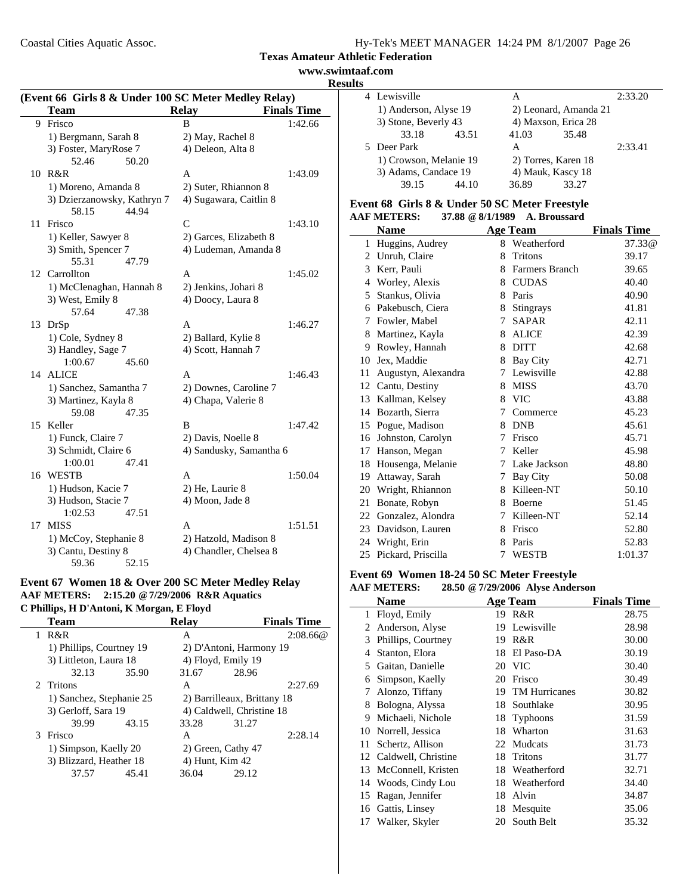Coastal Cities Aquatic Assoc.

|  | Hy-Tek's MEET MANAGER 14:24 PM 8/1/2007 Page 26 |  |  |
|--|-------------------------------------------------|--|--|
|  |                                                 |  |  |

# **Texas Amateur Athletic Federation**

**www.swimtaaf.com**

|    |                                                      |                         |                    | <b>Results</b> |
|----|------------------------------------------------------|-------------------------|--------------------|----------------|
|    | (Event 66 Girls 8 & Under 100 SC Meter Medley Relay) |                         |                    |                |
|    | <b>Team</b>                                          | <b>Relay</b>            | <b>Finals Time</b> |                |
|    | 9 Frisco                                             | <sub>R</sub>            | 1:42.66            |                |
|    | 1) Bergmann, Sarah 8                                 | 2) May, Rachel 8        |                    |                |
|    | 3) Foster, MaryRose 7                                | 4) Deleon, Alta 8       |                    | 5              |
|    | 52.46<br>50.20                                       |                         |                    |                |
|    | 10 R&R                                               | A                       | 1:43.09            |                |
|    | 1) Moreno, Amanda 8                                  | 2) Suter, Rhiannon 8    |                    |                |
|    | 3) Dzierzanowsky, Kathryn 7                          | 4) Sugawara, Caitlin 8  |                    | Eve            |
|    | 58.15<br>44.94                                       |                         |                    | AAI            |
|    | 11 Frisco                                            | C                       | 1:43.10            |                |
|    | 1) Keller, Sawyer 8                                  | 2) Garces, Elizabeth 8  |                    |                |
|    | 3) Smith, Spencer 7                                  | 4) Ludeman, Amanda 8    |                    | 1              |
|    | 55.31<br>47.79                                       |                         |                    | $\frac{2}{3}$  |
|    | 12 Carrollton                                        | A                       | 1:45.02            |                |
|    | 1) McClenaghan, Hannah 8                             | 2) Jenkins, Johari 8    |                    | $\overline{A}$ |
|    | 3) West, Emily 8                                     | 4) Doocy, Laura 8       |                    | 5              |
|    | 57.64<br>47.38                                       |                         |                    | $\epsilon$     |
|    | 13 DrSp                                              | A                       | 1:46.27            | 7              |
|    | 1) Cole, Sydney 8                                    | 2) Ballard, Kylie 8     |                    | 8              |
|    | 3) Handley, Sage 7                                   | 4) Scott, Hannah 7      |                    | S              |
|    | 1:00.67<br>45.60                                     |                         |                    | 10             |
|    | 14 ALICE                                             | A                       | 1:46.43            | 11             |
|    | 1) Sanchez, Samantha 7                               | 2) Downes, Caroline 7   |                    | 12             |
|    | 3) Martinez, Kayla 8                                 | 4) Chapa, Valerie 8     |                    | 13             |
|    | 59.08<br>47.35                                       |                         |                    | 14             |
|    | 15 Keller                                            | B                       | 1:47.42            | 15             |
|    | 1) Funck, Claire 7                                   | 2) Davis, Noelle 8      |                    | 16             |
|    | 3) Schmidt, Claire 6                                 | 4) Sandusky, Samantha 6 |                    | 17             |
|    | 47.41<br>1:00.01                                     |                         |                    | 18             |
|    | 16 WESTB                                             | A                       | 1:50.04            | 19             |
|    | 1) Hudson, Kacie 7                                   | 2) He, Laurie 8         |                    | 20             |
|    | 3) Hudson, Stacie 7                                  | 4) Moon, Jade 8         |                    | 21             |
|    | 1:02.53<br>47.51                                     |                         |                    | 22             |
| 17 | <b>MISS</b>                                          | A                       | 1:51.51            | 23             |
|    | 1) McCoy, Stephanie 8                                | 2) Hatzold, Madison 8   |                    | 24             |
|    | 3) Cantu, Destiny 8                                  | 4) Chandler, Chelsea 8  |                    |                |
|    | 59.36<br>52.15                                       |                         |                    | 25             |

## **Event 67 Women 18 & Over 200 SC Meter Medley Relay AAF METERS: 2:15.20 @7/29/2006 R&R Aquatics C Phillips, H D'Antoni, K Morgan, E Floyd**

| Team                    |       | <b>Relav</b>                                                                                                                   |       | <b>Finals Time</b>                                                                                                                                 |
|-------------------------|-------|--------------------------------------------------------------------------------------------------------------------------------|-------|----------------------------------------------------------------------------------------------------------------------------------------------------|
| R&R<br>1                |       | A                                                                                                                              |       | 2:08.66@                                                                                                                                           |
|                         |       |                                                                                                                                |       |                                                                                                                                                    |
|                         |       |                                                                                                                                |       |                                                                                                                                                    |
| 32.13                   | 35.90 | 31.67                                                                                                                          | 28.96 |                                                                                                                                                    |
| 2. Tritons              |       | A                                                                                                                              |       | 2:27.69                                                                                                                                            |
|                         |       |                                                                                                                                |       |                                                                                                                                                    |
|                         |       |                                                                                                                                |       |                                                                                                                                                    |
| 39.99                   | 43.15 | 33.28                                                                                                                          | 31.27 |                                                                                                                                                    |
| 3 Frisco                |       | А                                                                                                                              |       | 2:28.14                                                                                                                                            |
|                         |       |                                                                                                                                |       |                                                                                                                                                    |
| 3) Blizzard, Heather 18 |       |                                                                                                                                |       |                                                                                                                                                    |
| 37.57                   | 45.41 | 36.04                                                                                                                          | 29.12 |                                                                                                                                                    |
|                         |       | 1) Phillips, Courtney 19<br>3) Littleton, Laura 18<br>1) Sanchez, Stephanie 25<br>3) Gerloff, Sara 19<br>1) Simpson, Kaelly 20 |       | 2) D'Antoni, Harmony 19<br>4) Floyd, Emily 19<br>2) Barrilleaux, Brittany 18<br>4) Caldwell, Christine 18<br>2) Green, Cathy 47<br>4) Hunt, Kim 42 |

| ञ |                                                |       |       |                       |         |
|---|------------------------------------------------|-------|-------|-----------------------|---------|
|   | 4 Lewisville                                   |       | А     |                       |         |
|   | 1) Anderson, Alyse 19                          |       |       | 2) Leonard, Amanda 21 |         |
|   | 3) Stone, Beverly 43                           |       |       | 4) Maxson, Erica 28   |         |
|   | 33.18                                          | 43.51 | 41.03 | 35.48                 |         |
|   | 5 Deer Park                                    |       | A     |                       | 2:33.41 |
|   | 1) Crowson, Melanie 19<br>3) Adams, Candace 19 |       |       | 2) Torres, Karen 18   |         |
|   |                                                |       |       | 4) Mauk, Kascy 18     |         |
|   | 39.15                                          | 44 10 | 36.89 | 33.27                 |         |

#### **Event 68 Girls 8 & Under 50 SC Meter Freestyle AAF METERS: 37.88 @8/1/1989 A. Broussard**

|    | Name                |   | <b>Age Team</b>       | <b>Finals Time</b> |
|----|---------------------|---|-----------------------|--------------------|
| 1  | Huggins, Audrey     | 8 | Weatherford           | 37.33 <sub>@</sub> |
| 2  | Unruh, Claire       | 8 | <b>Tritons</b>        | 39.17              |
| 3  | Kerr, Pauli         | 8 | <b>Farmers Branch</b> | 39.65              |
| 4  | Worley, Alexis      | 8 | <b>CUDAS</b>          | 40.40              |
| 5  | Stankus, Olivia     | 8 | Paris                 | 40.90              |
| 6  | Pakebusch, Ciera    | 8 | <b>Stingrays</b>      | 41.81              |
| 7  | Fowler, Mabel       | 7 | <b>SAPAR</b>          | 42.11              |
| 8  | Martinez, Kayla     | 8 | <b>ALICE</b>          | 42.39              |
| 9  | Rowley, Hannah      | 8 | <b>DITT</b>           | 42.68              |
| 10 | Jex, Maddie         | 8 | Bay City              | 42.71              |
| 11 | Augustyn, Alexandra | 7 | Lewisville            | 42.88              |
| 12 | Cantu, Destiny      | 8 | <b>MISS</b>           | 43.70              |
| 13 | Kallman, Kelsey     | 8 | <b>VIC</b>            | 43.88              |
| 14 | Bozarth, Sierra     | 7 | Commerce              | 45.23              |
| 15 | Pogue, Madison      | 8 | <b>DNB</b>            | 45.61              |
| 16 | Johnston, Carolyn   | 7 | Frisco                | 45.71              |
| 17 | Hanson, Megan       | 7 | Keller                | 45.98              |
| 18 | Housenga, Melanie   | 7 | Lake Jackson          | 48.80              |
| 19 | Attaway, Sarah      | 7 | Bay City              | 50.08              |
| 20 | Wright, Rhiannon    | 8 | Killeen-NT            | 50.10              |
| 21 | Bonate, Robyn       | 8 | Boerne                | 51.45              |
| 22 | Gonzalez, Alondra   | 7 | Killeen-NT            | 52.14              |
| 23 | Davidson, Lauren    | 8 | Frisco                | 52.80              |
| 24 | Wright, Erin        | 8 | Paris                 | 52.83              |
| 25 | Pickard, Priscilla  | 7 | <b>WESTB</b>          | 1:01.37            |

# **Event 69 Women 18-24 50 SC Meter Freestyle**

#### **AAF METERS: 28.50 @7/29/2006 Alyse Anderson**

|    | <b>Name</b>         |    | <b>Age Team</b>  | <b>Finals Time</b> |
|----|---------------------|----|------------------|--------------------|
| 1  | Floyd, Emily        | 19 | R&R              | 28.75              |
| 2  | Anderson, Alyse     | 19 | Lewisville       | 28.98              |
| 3  | Phillips, Courtney  | 19 | R&R              | 30.00              |
| 4  | Stanton, Elora      | 18 | El Paso-DA       | 30.19              |
| 5  | Gaitan, Danielle    | 20 | <b>VIC</b>       | 30.40              |
| 6  | Simpson, Kaelly     | 20 | Frisco           | 30.49              |
| 7  | Alonzo, Tiffany     |    | 19 TM Hurricanes | 30.82              |
| 8  | Bologna, Alyssa     | 18 | Southlake        | 30.95              |
| 9  | Michaeli, Nichole   | 18 | <b>Typhoons</b>  | 31.59              |
| 10 | Norrell, Jessica    | 18 | Wharton          | 31.63              |
| 11 | Schertz, Allison    | 22 | Mudcats          | 31.73              |
| 12 | Caldwell, Christine | 18 | <b>Tritons</b>   | 31.77              |
| 13 | McConnell, Kristen  | 18 | Weatherford      | 32.71              |
| 14 | Woods, Cindy Lou    | 18 | Weatherford      | 34.40              |
| 15 | Ragan, Jennifer     | 18 | Alvin            | 34.87              |
| 16 | Gattis, Linsey      | 18 | Mesquite         | 35.06              |
| 17 | Walker, Skyler      | 20 | South Belt       | 35.32              |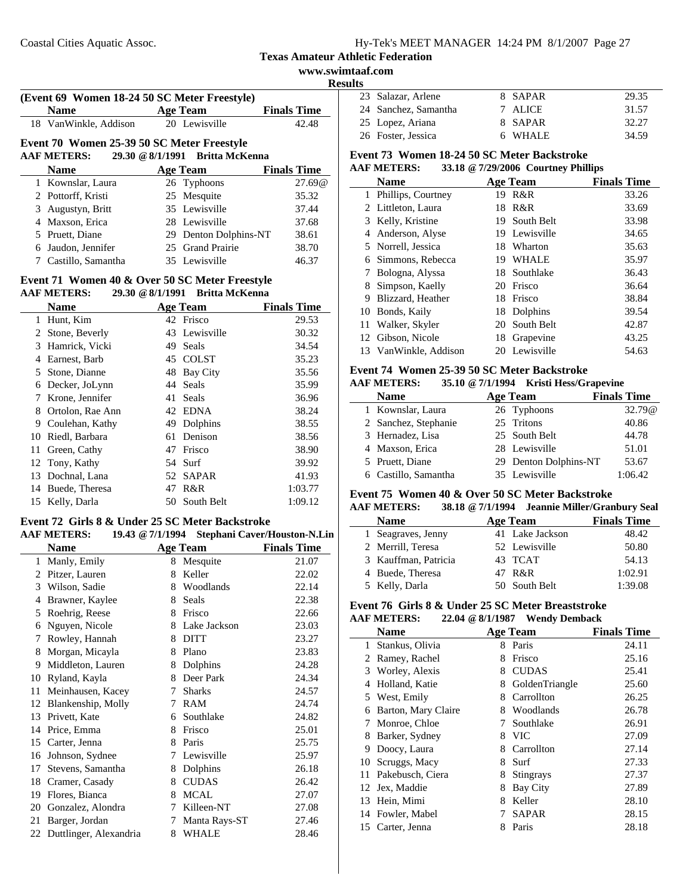$\overline{\phantom{a}}$ 

|    |                                                                      |    |                                 |                    | www.swimtaaf.com |
|----|----------------------------------------------------------------------|----|---------------------------------|--------------------|------------------|
|    |                                                                      |    |                                 |                    | <b>Results</b>   |
|    | (Event 69 Women 18-24 50 SC Meter Freestyle)                         |    |                                 |                    | Sala<br>23       |
|    | <b>Name</b>                                                          |    | <b>Age Team</b>                 | <b>Finals Time</b> | 24 Sanc          |
|    | 18 VanWinkle, Addison                                                |    | 20 Lewisville                   | 42.48              | 25 Lope          |
|    | Event 70 Women 25-39 50 SC Meter Freestyle                           |    |                                 |                    | 26 Fost          |
|    | 29.30 @ 8/1/1991<br><b>AAF METERS:</b>                               |    | <b>Britta McKenna</b>           |                    | Event 73         |
|    | <b>Name</b>                                                          |    | <b>Age Team</b>                 | <b>Finals Time</b> | <b>AAF MET</b>   |
|    | 1 Kownslar, Laura                                                    |    | 26 Typhoons                     | 27.69@             | Nan              |
|    | 2 Pottorff, Kristi                                                   | 25 | Mesquite                        | 35.32              | 1 Phill          |
| 3  | Augustyn, Britt                                                      |    | 35 Lewisville                   | 37.44              | Littl<br>2       |
|    | 4 Maxson, Erica                                                      |    | 28 Lewisville                   | 37.68              | Kell<br>3        |
|    | 5 Pruett, Diane                                                      |    | 29 Denton Dolphins-NT           | 38.61              | And<br>4         |
| 6  | Jaudon, Jennifer                                                     |    | 25 Grand Prairie                | 38.70              | Norr<br>5        |
|    | 7 Castillo, Samantha                                                 |    | 35 Lewisville                   | 46.37              | Sim<br>6         |
|    |                                                                      |    |                                 |                    | <b>Bolc</b><br>7 |
|    | Event 71 Women 40 & Over 50 SC Meter Freestyle<br><b>AAF METERS:</b> |    | 29.30 @ 8/1/1991 Britta McKenna |                    | Sim<br>8         |
|    |                                                                      |    |                                 |                    | <b>Bliz</b><br>9 |
|    | <b>Name</b>                                                          |    | <b>Age Team</b><br>42 Frisco    | <b>Finals Time</b> | 10<br>Bon        |
|    | 1 Hunt, Kim                                                          |    |                                 | 29.53              | 11<br>Wall       |
| 2  | Stone, Beverly                                                       |    | 43 Lewisville                   | 30.32              | 12<br>Gibs       |
|    | 3 Hamrick, Vicki                                                     | 49 | Seals                           | 34.54              | 13 Van           |
|    | 4 Earnest, Barb                                                      |    | 45 COLST                        | 35.23              | Event 74         |
| 5  | Stone, Dianne                                                        |    | 48 Bay City                     | 35.56              | <b>AAF MET</b>   |
| 6  | Decker, JoLynn                                                       |    | 44 Seals                        | 35.99              | Nan              |
| 7  | Krone, Jennifer                                                      | 41 | Seals                           | 36.96              |                  |
| 8  | Ortolon, Rae Ann                                                     | 42 | <b>EDNA</b>                     | 38.24              | 1 Kow            |
| 9  | Coulehan, Kathy                                                      | 49 | Dolphins                        | 38.55              | Sanc<br>2        |
| 10 | Riedl, Barbara                                                       |    | 61 Denison                      | 38.56              | Herr<br>3        |
| 11 | Green, Cathy                                                         |    | 47 Frisco                       | 38.90              | Max<br>4         |
| 12 | Tony, Kathy                                                          | 54 | Surf                            | 39.92              | Prue<br>5        |
| 13 | Dochnal, Lana                                                        | 52 | <b>SAPAR</b>                    | 41.93              | 6 Cast           |
| 14 | Buede, Theresa                                                       | 47 | R&R                             | 1:03.77            | Event 75         |
|    | 15 Kelly, Darla                                                      |    | 50 South Belt                   | 1:09.12            | A A F MET        |

#### **Event 72 Girls 8 & Under 25 SC Meter Backstroke AAF METERS: 19.43 @7/1/1994 Stephani Caver/Houston-N.Lin**

| <b>Name</b> |                        |   | <b>Age Team</b> | <b>Finals Time</b> |  |  |
|-------------|------------------------|---|-----------------|--------------------|--|--|
| 1           | Manly, Emily           | 8 | Mesquite        | 21.07              |  |  |
| 2           | Pitzer, Lauren         | 8 | Keller          | 22.02              |  |  |
| 3           | Wilson, Sadie          | 8 | Woodlands       | 22.14              |  |  |
| 4           | Brawner, Kaylee        | 8 | Seals           | 22.38              |  |  |
| 5           | Roehrig, Reese         | 8 | Frisco          | 22.66              |  |  |
| 6           | Nguyen, Nicole         | 8 | Lake Jackson    | 23.03              |  |  |
| 7           | Rowley, Hannah         | 8 | <b>DITT</b>     | 23.27              |  |  |
| 8           | Morgan, Micayla        | 8 | Plano           | 23.83              |  |  |
| 9           | Middleton, Lauren      | 8 | Dolphins        | 24.28              |  |  |
| 10          | Ryland, Kayla          | 8 | Deer Park       | 24.34              |  |  |
| 11          | Meinhausen, Kacey      | 7 | <b>Sharks</b>   | 24.57              |  |  |
| 12          | Blankenship, Molly     | 7 | RAM             | 24.74              |  |  |
| 13          | Privett, Kate          | 6 | Southlake       | 24.82              |  |  |
| 14          | Price, Emma            | 8 | Frisco          | 25.01              |  |  |
| 15          | Carter, Jenna          | 8 | Paris           | 25.75              |  |  |
| 16          | Johnson, Sydnee        | 7 | Lewisville      | 25.97              |  |  |
| 17          | Stevens, Samantha      | 8 | Dolphins        | 26.18              |  |  |
| 18          | Cramer, Casady         | 8 | <b>CUDAS</b>    | 26.42              |  |  |
| 19          | Flores, Bianca         | 8 | <b>MCAL</b>     | 27.07              |  |  |
| 20          | Gonzalez, Alondra      | 7 | Killeen-NT      | 27.08              |  |  |
| 21          | Barger, Jordan         | 7 | Manta Rays-ST   | 27.46              |  |  |
| 22          | Duttlinger, Alexandria | 8 | <b>WHALE</b>    | 28.46              |  |  |

| <b>desults</b> |                      |         |       |
|----------------|----------------------|---------|-------|
|                | 23 Salazar, Arlene   | 8 SAPAR | 29.35 |
|                | 24 Sanchez, Samantha | 7 ALICE | 31.57 |
|                | 25 Lopez, Ariana     | 8 SAPAR | 32.27 |
|                | 26 Foster, Jessica   | 6 WHALE | 34.59 |

# **Event 73 Women 18-24 50 SC Meter Backstroke**

|    | <b>AAF METERS:</b> |     | 33.18 @ 7/29/2006 Courtney Phillips |                    |
|----|--------------------|-----|-------------------------------------|--------------------|
|    | <b>Name</b>        |     | Age Team                            | <b>Finals Time</b> |
| 1  | Phillips, Courtney | 19  | R&R                                 | 33.26              |
|    | 2 Littleton, Laura | 18. | R&R                                 | 33.69              |
| 3  | Kelly, Kristine    |     | 19 South Belt                       | 33.98              |
| 4  | Anderson, Alyse    |     | 19 Lewisville                       | 34.65              |
|    | 5 Norrell, Jessica |     | 18 Wharton                          | 35.63              |
| 6  | Simmons, Rebecca   | 19. | WHALE                               | 35.97              |
|    | Bologna, Alyssa    |     | 18 Southlake                        | 36.43              |
| 8  | Simpson, Kaelly    |     | 20 Frisco                           | 36.64              |
| 9  | Blizzard, Heather  |     | 18 Frisco                           | 38.84              |
| 10 | Bonds, Kaily       |     | 18 Dolphins                         | 39.54              |
| 11 | Walker, Skyler     |     | 20 South Belt                       | 42.87              |
|    | 12 Gibson, Nicole  |     | 18 Grapevine                        | 43.25              |
| 13 | VanWinkle, Addison |     | 20 Lewisville                       | 54.63              |
|    |                    |     |                                     |                    |

# **Event 74 Women 25-39 50 SC Meter Backstroke**

# **AAF METERS: 35.10 @7/1/1994 Kristi Hess/Grapevine**

| <b>Name</b>          | Age Team              | <b>Finals Time</b> |
|----------------------|-----------------------|--------------------|
| 1 Kownslar, Laura    | 26 Typhoons           | 32.79@             |
| 2 Sanchez, Stephanie | 25 Tritons            | 40.86              |
| 3 Hernadez, Lisa     | 25 South Belt         | 44.78              |
| 4 Maxson, Erica      | 28 Lewisville         | 51.01              |
| 5 Pruett, Diane      | 29 Denton Dolphins-NT | 53.67              |
| 6 Castillo, Samantha | 35 Lewisville         | 1:06.42            |

# **Event 75 Women 40 & Over 50 SC Meter Backstroke**<br>AAF METERS: 38.18 @ 7/1/1994 Jeannie Miller/Gran

#### **AAF METERS: 38.18 @7/1/1994 Jeannie Miller/Granbury Seal**

| <b>Name</b>          | Age Team        | <b>Finals Time</b> |
|----------------------|-----------------|--------------------|
| 1 Seagraves, Jenny   | 41 Lake Jackson | 48.42              |
| 2 Merrill, Teresa    | 52 Lewisville   | 50.80              |
| 3 Kauffman, Patricia | 43 TCAT         | 54.13              |
| 4 Buede, Theresa     | 47 R&R          | 1:02.91            |
| 5 Kelly, Darla       | 50 South Belt   | 1:39.08            |

#### **Event 76 Girls 8 & Under 25 SC Meter Breaststroke AAF METERS: 22.04 @8/1/1987 Wendy Demback**

|     | Name                |   | <b>Age Team</b> | <b>Finals Time</b> |
|-----|---------------------|---|-----------------|--------------------|
| 1   | Stankus, Olivia     | 8 | Paris           | 24.11              |
| 2   | Ramey, Rachel       | 8 | Frisco          | 25.16              |
| 3   | Worley, Alexis      | 8 | <b>CUDAS</b>    | 25.41              |
| 4   | Holland, Katie      | 8 | GoldenTriangle  | 25.60              |
| 5   | West, Emily         | 8 | Carrollton      | 26.25              |
| 6   | Barton, Mary Claire | 8 | Woodlands       | 26.78              |
|     | Monroe, Chloe       |   | Southlake       | 26.91              |
| 8   | Barker, Sydney      | 8 | <b>VIC</b>      | 27.09              |
| 9   | Doocy, Laura        | 8 | Carrollton      | 27.14              |
| 10  | Scruggs, Macy       | 8 | Surf            | 27.33              |
| 11. | Pakebusch, Ciera    | 8 | Stingrays       | 27.37              |
|     | 12 Jex, Maddie      | 8 | <b>Bay City</b> | 27.89              |
| 13  | Hein, Mimi          | 8 | Keller          | 28.10              |
|     | 14 Fowler, Mabel    |   | <b>SAPAR</b>    | 28.15              |
|     | 15 Carter, Jenna    | 8 | Paris           | 28.18              |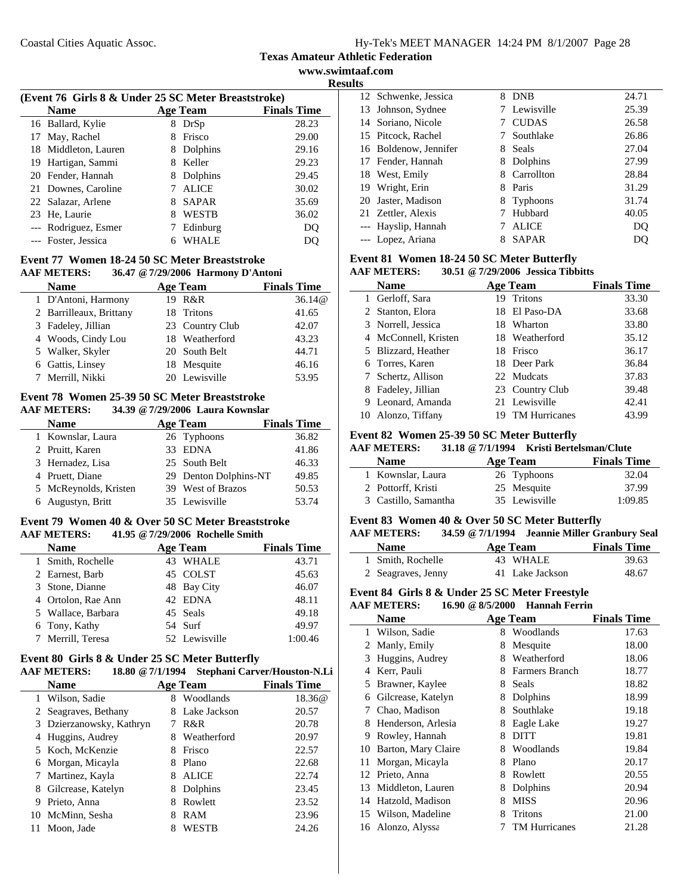**Texas Amateur Athletic Federation**

**www.swimtaaf.com Results**

 $\mathbb{R}^2$ 

 $\overline{\phantom{a}}$ 

| (Event 76 Girls 8 & Under 25 SC Meter Breaststroke) |                      |                   |                    |  |
|-----------------------------------------------------|----------------------|-------------------|--------------------|--|
|                                                     | <b>Name</b>          | <b>Age Team</b>   | <b>Finals Time</b> |  |
|                                                     | 16 Ballard, Kylie    | DrSp<br>8.        | 28.23              |  |
|                                                     | 17 May, Rachel       | Frisco<br>8       | 29.00              |  |
|                                                     | 18 Middleton, Lauren | Dolphins<br>8     | 29.16              |  |
|                                                     | 19 Hartigan, Sammi   | Keller<br>8       | 29.23              |  |
|                                                     | 20 Fender, Hannah    | Dolphins<br>8     | 29.45              |  |
|                                                     | 21 Downes, Caroline  | <b>ALICE</b>      | 30.02              |  |
|                                                     | 22 Salazar, Arlene   | <b>SAPAR</b>      | 35.69              |  |
|                                                     | 23 He, Laurie        | <b>WESTB</b><br>8 | 36.02              |  |
|                                                     | --- Rodriguez, Esmer | Edinburg          | DO                 |  |
|                                                     | --- Foster, Jessica  | WHALE             |                    |  |

#### **Event 77 Women 18-24 50 SC Meter Breaststroke AAF METERS: 36.47 @7/29/2006 Harmony D'Antoni**

| <b>Name</b>             | <b>Age Team</b> | <b>Finals Time</b> |
|-------------------------|-----------------|--------------------|
| 1 D'Antoni, Harmony     | 19 R&R          | 36.14@             |
| 2 Barrilleaux, Brittany | 18 Tritons      | 41.65              |
| 3 Fadeley, Jillian      | 23 Country Club | 42.07              |
| 4 Woods, Cindy Lou      | 18 Weatherford  | 43.23              |
| 5 Walker, Skyler        | 20 South Belt   | 44.71              |
| 6 Gattis, Linsey        | 18 Mesquite     | 46.16              |
| 7 Merrill, Nikki        | 20 Lewisville   | 53.95              |

#### **Event 78 Women 25-39 50 SC Meter Breaststroke AAF METERS: 34.39 @7/29/2006 Laura Kownslar**

| <b>Name</b>           |  | <b>Age Team</b>       | <b>Finals Time</b> |  |  |
|-----------------------|--|-----------------------|--------------------|--|--|
| 1 Kownslar, Laura     |  | 26 Typhoons           | 36.82              |  |  |
| 2 Pruitt, Karen       |  | 33 EDNA               | 41.86              |  |  |
| 3 Hernadez, Lisa      |  | 25 South Belt         | 46.33              |  |  |
| 4 Pruett, Diane       |  | 29 Denton Dolphins-NT | 49.85              |  |  |
| 5 McReynolds, Kristen |  | 39 West of Brazos     | 50.53              |  |  |
| 6 Augustyn, Britt     |  | 35 Lewisville         | 53.74              |  |  |
|                       |  |                       |                    |  |  |

# **Event 79 Women 40 & Over 50 SC Meter Breaststroke AAF METERS: 41.95 @7/29/2006 Rochelle Smith**

| <b>Name</b>        | <b>Age Team</b> | <b>Finals Time</b> |
|--------------------|-----------------|--------------------|
| 1 Smith, Rochelle  | <b>WHALE</b>    | 43.71              |
| 2 Earnest, Barb    | 45 COLST        | 45.63              |
| 3 Stone, Dianne    | 48 Bay City     | 46.07              |
| 4 Ortolon, Rae Ann | 42 EDNA         | 48.11              |
| 5 Wallace, Barbara | 45 Seals        | 49.18              |
| 6 Tony, Kathy      | 54 Surf         | 49.97              |
| 7 Merrill, Teresa  | 52 Lewisville   | 1:00.46            |

#### **Event 80 Girls 8 & Under 25 SC Meter Butterfly**

|   | <b>AAF METERS:</b><br>18.80 @ 7/1/1994 |   |                 | Stephani Carver/Houston-N.Li |
|---|----------------------------------------|---|-----------------|------------------------------|
|   | <b>Name</b>                            |   | <b>Age Team</b> | <b>Finals Time</b>           |
|   | Wilson, Sadie                          | 8 | Woodlands       | 18.36@                       |
|   | 2 Seagraves, Bethany                   | 8 | Lake Jackson    | 20.57                        |
|   | 3 Dzierzanowsky, Kathryn               |   | R&R             | 20.78                        |
| 4 | Huggins, Audrey                        | 8 | Weatherford     | 20.97                        |
|   | 5 Koch, McKenzie                       | 8 | Frisco          | 22.57                        |
|   | 6 Morgan, Micayla                      | 8 | Plano           | 22.68                        |
|   | Martinez, Kayla                        | 8 | <b>ALICE</b>    | 22.74                        |
| 8 | Gilcrease, Katelyn                     | 8 | Dolphins        | 23.45                        |
| 9 | Prieto, Anna                           | 8 | Rowlett         | 23.52                        |
|   | 10 McMinn, Sesha                       | 8 | RAM             | 23.96                        |
|   | Moon, Jade                             | 8 | WESTB           | 24.26                        |
|   |                                        |   |                 |                              |

|    | 12 Schwenke, Jessica  | 8 | <b>DNB</b>   | 24.71 |
|----|-----------------------|---|--------------|-------|
|    | 13 Johnson, Sydnee    |   | 7 Lewisville | 25.39 |
|    | 14 Soriano, Nicole    |   | <b>CUDAS</b> | 26.58 |
|    | 15 Pitcock, Rachel    |   | Southlake    | 26.86 |
|    | 16 Boldenow, Jennifer | 8 | <b>Seals</b> | 27.04 |
|    | 17 Fender, Hannah     |   | Dolphins     | 27.99 |
|    | 18 West, Emily        | 8 | Carrollton   | 28.84 |
| 19 | Wright, Erin          | 8 | Paris        | 31.29 |
| 20 | Jaster, Madison       | 8 | Typhoons     | 31.74 |
|    | 21 Zettler, Alexis    |   | Hubbard      | 40.05 |
|    | --- Hayslip, Hannah   |   | <b>ALICE</b> | DO    |
|    | --- Lopez, Ariana     |   | SAPAR        | DQ    |

# **Event 81 Women 18-24 50 SC Meter Butterfly**

| <b>AAF METERS:</b> |  | 30.51 @ 7/29/2006 Jessica Tibbitts |
|--------------------|--|------------------------------------|
|                    |  |                                    |

| Name                 |    | Age Team             | <b>Finals Time</b> |
|----------------------|----|----------------------|--------------------|
| 1 Gerloff, Sara      |    | 19 Tritons           | 33.30              |
| 2 Stanton, Elora     |    | 18 El Paso-DA        | 33.68              |
| 3 Norrell, Jessica   |    | 18 Wharton           | 33.80              |
| 4 McConnell, Kristen |    | 18 Weatherford       | 35.12              |
| 5 Blizzard, Heather  |    | 18 Frisco            | 36.17              |
| 6 Torres, Karen      |    | 18 Deer Park         | 36.84              |
| 7 Schertz, Allison   |    | 22 Mudcats           | 37.83              |
| 8 Fadeley, Jillian   |    | 23 Country Club      | 39.48              |
| 9 Leonard, Amanda    |    | 21 Lewisville        | 42.41              |
| 10 Alonzo, Tiffany   | 19 | <b>TM Hurricanes</b> | 43.99              |

#### **Event 82 Women 25-39 50 SC Meter Butterfly**

#### **AAF METERS: 31.18 @7/1/1994 Kristi Bertelsman/Clute**

| <b>Name</b>          | Age Team      | <b>Finals Time</b> |
|----------------------|---------------|--------------------|
| 1 Kownslar, Laura    | 26 Typhoons   | 32.04              |
| 2 Pottorff, Kristi   | 25 Mesquite   | 37.99              |
| 3 Castillo, Samantha | 35 Lewisville | 1:09.85            |

# **Event 83 Women 40 & Over 50 SC Meter Butterfly**

# **AAF METERS: 34.59 @7/1/1994 Jeannie Miller Granbury Seal**

| <b>Name</b>        | Age Team        | <b>Finals Time</b> |
|--------------------|-----------------|--------------------|
| 1 Smith, Rochelle  | 43 WHALE        | 39.63              |
| 2 Seagraves, Jenny | 41 Lake Jackson | 48.67              |

## **Event 84 Girls 8 & Under 25 SC Meter Freestyle**

#### **AAF METERS: 16.90 @8/5/2000 Hannah Ferrin**

|              | Name                |   | <b>Age Team</b>      | <b>Finals Time</b> |
|--------------|---------------------|---|----------------------|--------------------|
| $\mathbf{1}$ | Wilson, Sadie       | 8 | Woodlands            | 17.63              |
|              | 2 Manly, Emily      | 8 | Mesquite             | 18.00              |
| 3            | Huggins, Audrey     | 8 | Weatherford          | 18.06              |
| 4            | Kerr, Pauli         | 8 | Farmers Branch       | 18.77              |
| 5            | Brawner, Kaylee     | 8 | Seals                | 18.82              |
| 6            | Gilcrease, Katelyn  | 8 | Dolphins             | 18.99              |
| 7            | Chao, Madison       | 8 | Southlake            | 19.18              |
| 8            | Henderson, Arlesia  | 8 | Eagle Lake           | 19.27              |
| 9            | Rowley, Hannah      | 8 | <b>DITT</b>          | 19.81              |
| 10           | Barton, Mary Claire | 8 | Woodlands            | 19.84              |
| 11           | Morgan, Micayla     | 8 | Plano                | 20.17              |
|              | 12 Prieto, Anna     | 8 | Rowlett              | 20.55              |
| 13           | Middleton, Lauren   | 8 | Dolphins             | 20.94              |
| 14           | Hatzold, Madison    | 8 | <b>MISS</b>          | 20.96              |
|              | 15 Wilson, Madeline | 8 | Tritons              | 21.00              |
|              | 16 Alonzo, Alyssa   |   | <b>TM Hurricanes</b> | 21.28              |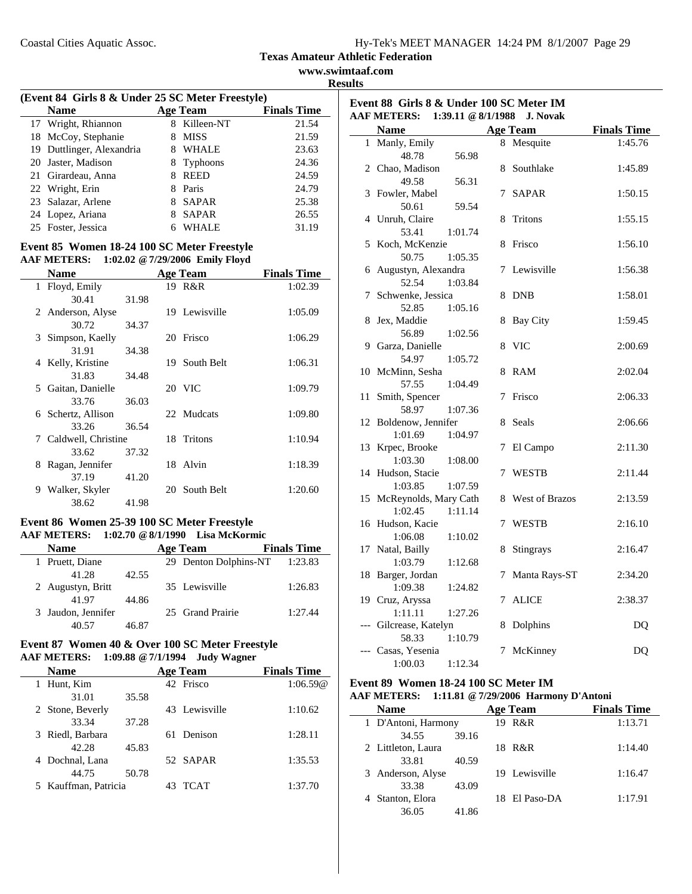**www.swimtaaf.com Results**

| (Event 84 Girls 8 & Under 25 SC Meter Freestyle) |              |                    |
|--------------------------------------------------|--------------|--------------------|
| <b>Name</b>                                      | Age Team     | <b>Finals Time</b> |
| 17 Wright Rhiannon                               | 8 Killeen-NT | 21.54              |

| 17 Wright, Rhiannon       |    | 8 Killeen-NT | 21.54 |
|---------------------------|----|--------------|-------|
| 18 McCoy, Stephanie       | 8  | MISS         | 21.59 |
| 19 Duttlinger, Alexandria |    | 8 WHALE      | 23.63 |
| 20 Jaster, Madison        |    | 8 Typhoons   | 24.36 |
| 21 Girardeau, Anna        | 8. | REED         | 24.59 |
| 22 Wright, Erin           |    | 8 Paris      | 24.79 |
| 23 Salazar, Arlene        |    | 8 SAPAR      | 25.38 |
| 24 Lopez, Ariana          |    | 8 SAPAR      | 26.55 |
| 25 Foster, Jessica        |    | 6 WHALE      | 31.19 |
|                           |    |              |       |

#### **Event 85 Women 18-24 100 SC Meter Freestyle AAF METERS: 1:02.02 @7/29/2006 Emily Floyd**

|   | <b>Name</b>           |       |    | <b>Age Team</b> | <b>Finals Time</b> |
|---|-----------------------|-------|----|-----------------|--------------------|
|   | 1 Floyd, Emily        |       |    | 19 R&R          | 1:02.39            |
|   | 30.41                 | 31.98 |    |                 |                    |
|   | 2 Anderson, Alyse     |       |    | 19 Lewisville   | 1:05.09            |
|   | 30.72                 | 34.37 |    |                 |                    |
|   | 3 Simpson, Kaelly     |       | 20 | Frisco          | 1:06.29            |
|   | 31.91                 | 34.38 |    |                 |                    |
|   | 4 Kelly, Kristine     |       | 19 | South Belt      | 1:06.31            |
|   | 31.83                 | 34.48 |    |                 |                    |
|   | 5 Gaitan, Danielle    |       |    | 20 VIC          | 1:09.79            |
|   | 33.76                 | 36.03 |    |                 |                    |
|   | 6 Schertz, Allison    |       |    | 22 Mudcats      | 1:09.80            |
|   | 33.26                 | 36.54 |    |                 |                    |
|   | 7 Caldwell, Christine |       |    | 18 Tritons      | 1:10.94            |
|   | 33.62                 | 37.32 |    |                 |                    |
| 8 | Ragan, Jennifer       |       |    | 18 Alvin        | 1:18.39            |
|   | 37.19                 | 41.20 |    |                 |                    |
| 9 | Walker, Skyler        |       | 20 | South Belt      | 1:20.60            |
|   | 38.62                 | 41.98 |    |                 |                    |

# **Event 86 Women 25-39 100 SC Meter Freestyle AAF METERS: 1:02.70 @8/1/1990 Lisa McKormic**

| <b>Name</b>        |       | <b>Age Team</b>       | <b>Finals Time</b> |
|--------------------|-------|-----------------------|--------------------|
| 1 Pruett, Diane    |       | 29 Denton Dolphins-NT | 1:23.83            |
| 41.28              | 42.55 |                       |                    |
| 2 Augustyn, Britt  |       | 35 Lewisville         | 1:26.83            |
| 41.97              | 44.86 |                       |                    |
| 3 Jaudon, Jennifer |       | 25 Grand Prairie      | 1:27.44            |
|                    | 46.87 |                       |                    |

#### **Event 87 Women 40 & Over 100 SC Meter Freestyle AAF METERS: 1:09.88 @7/1/1994 Judy Wagner**

| <b>Name</b>          |       |    | <b>Age Team</b> | <b>Finals Time</b> |
|----------------------|-------|----|-----------------|--------------------|
| Hunt, Kim<br>1       |       |    | 42 Frisco       | 1:06.59@           |
| 31.01                | 35.58 |    |                 |                    |
| 2 Stone, Beverly     |       |    | 43 Lewisville   | 1:10.62            |
| 33.34                | 37.28 |    |                 |                    |
| Riedl, Barbara<br>3  |       | 61 | Denison         | 1:28.11            |
| 42.28                | 45.83 |    |                 |                    |
| Dochnal, Lana<br>4   |       |    | 52 SAPAR        | 1:35.53            |
| 44.75                | 50.78 |    |                 |                    |
| 5 Kauffman, Patricia |       |    | <b>TCAT</b>     | 1:37.70            |
|                      |       |    |                 |                    |

|    | Event 88 Girls 8 & Under 100 SC Meter IM<br><b>AAF METERS:</b> | 1:39.11 @ 8/1/1988 |   | <b>J. Novak</b> |                    |
|----|----------------------------------------------------------------|--------------------|---|-----------------|--------------------|
|    | <b>Name</b>                                                    |                    |   | <b>Age Team</b> | <b>Finals Time</b> |
|    | 1 Manly, Emily                                                 |                    |   | 8 Mesquite      | 1:45.76            |
|    | 48.78                                                          | 56.98              |   |                 |                    |
|    | 2 Chao, Madison                                                |                    | 8 | Southlake       | 1:45.89            |
|    | 49.58                                                          | 56.31              |   |                 |                    |
| 3  | Fowler, Mabel                                                  |                    | 7 | <b>SAPAR</b>    | 1:50.15            |
|    | 50.61                                                          | 59.54              |   |                 |                    |
|    | 4 Unruh, Claire                                                |                    | 8 | Tritons         | 1:55.15            |
|    | 53.41                                                          | 1:01.74            |   |                 |                    |
| 5  | Koch, McKenzie                                                 |                    | 8 | Frisco          | 1:56.10            |
|    | 50.75                                                          | 1:05.35            |   |                 |                    |
| 6  | Augustyn, Alexandra                                            |                    | 7 | Lewisville      | 1:56.38            |
|    | 52.54                                                          | 1:03.84            |   |                 |                    |
| 7  | Schwenke, Jessica                                              |                    | 8 | <b>DNB</b>      | 1:58.01            |
|    | 52.85                                                          | 1:05.16            |   |                 |                    |
| 8  | Jex, Maddie                                                    |                    | 8 | <b>Bay City</b> | 1:59.45            |
|    | 56.89                                                          | 1:02.56            |   |                 |                    |
|    | 9 Garza, Danielle                                              |                    | 8 | <b>VIC</b>      | 2:00.69            |
|    | 54.97                                                          | 1:05.72            |   |                 |                    |
|    | 10 McMinn, Sesha                                               |                    | 8 | RAM             | 2:02.04            |
|    | 57.55                                                          | 1:04.49            |   |                 |                    |
| 11 | Smith, Spencer                                                 |                    | 7 | Frisco          | 2:06.33            |
|    | 58.97                                                          | 1:07.36            |   |                 |                    |
| 12 | Boldenow, Jennifer                                             |                    | 8 | Seals           | 2:06.66            |
|    | 1:01.69                                                        | 1:04.97            |   |                 |                    |
| 13 | Krpec, Brooke                                                  |                    | 7 | El Campo        | 2:11.30            |
|    | 1:03.30                                                        | 1:08.00            |   |                 |                    |
|    | 14 Hudson, Stacie                                              |                    | 7 | <b>WESTB</b>    | 2:11.44            |
|    | 1:03.85                                                        | 1:07.59            |   |                 |                    |
| 15 | McReynolds, Mary Cath                                          |                    | 8 | West of Brazos  | 2:13.59            |
|    | 1:02.45                                                        | 1:11.14            |   |                 |                    |
|    | 16 Hudson, Kacie                                               |                    | 7 | WESTB           | 2:16.10            |
|    | 1:06.08                                                        | 1:10.02            |   |                 |                    |
|    | 17 Natal, Bailly                                               |                    | 8 | Stingrays       | 2:16.47            |
|    | 1:03.79                                                        | 1:12.68            |   |                 |                    |
| 18 | Barger, Jordan                                                 |                    | 7 | Manta Rays-ST   | 2:34.20            |
|    | 1:09.38                                                        | 1:24.82            |   |                 |                    |
|    | 19 Cruz, Aryssa                                                |                    | 7 | <b>ALICE</b>    | 2:38.37            |
|    | 1:11.11                                                        | 1:27.26            |   |                 |                    |
|    | --- Gilcrease, Katelyn                                         |                    | 8 | Dolphins        | D <sub>O</sub>     |
|    | 58.33                                                          | 1:10.79            |   |                 |                    |
|    | --- Casas, Yesenia                                             |                    | 7 | McKinney        | DQ                 |
|    | 1:00.03                                                        | 1:12.34            |   |                 |                    |

# **Event 89 Women 18-24 100 SC Meter IM**

# **AAF METERS: 1:11.81 @7/29/2006 Harmony D'Antoni**

| <b>Name</b>         |       | <b>Age Team</b> | <b>Finals Time</b> |
|---------------------|-------|-----------------|--------------------|
| 1 D'Antoni, Harmony |       | 19 R&R          | 1:13.71            |
| 34.55               | 39.16 |                 |                    |
| 2 Littleton, Laura  |       | 18 R&R          | 1:14.40            |
| 33.81               | 40.59 |                 |                    |
| 3 Anderson, Alyse   |       | 19 Lewisville   | 1:16.47            |
| 33.38               | 43.09 |                 |                    |
| 4 Stanton, Elora    |       | 18 El Paso-DA   | 1:17.91            |
| 36.05               | 41.86 |                 |                    |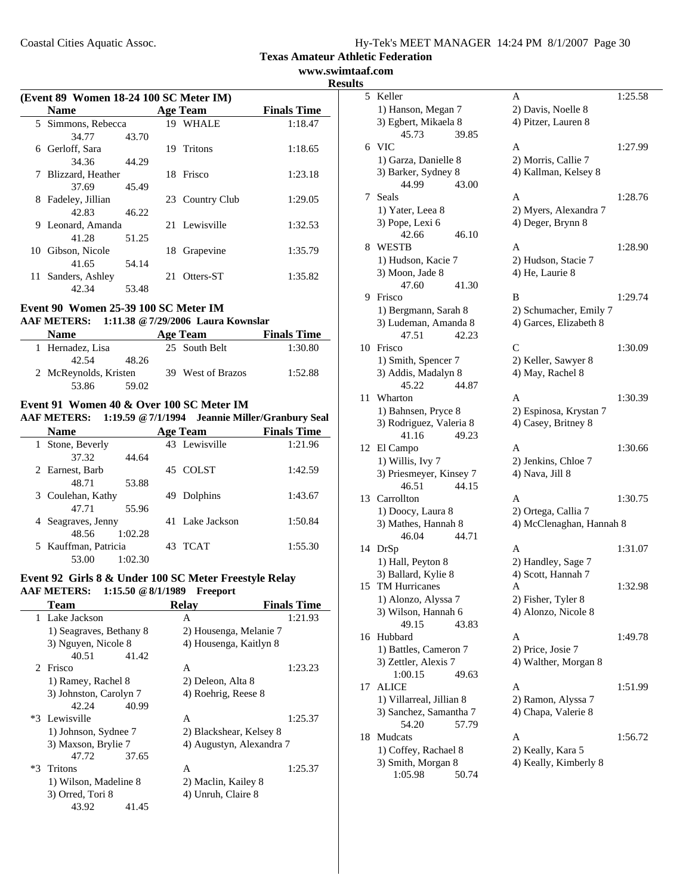**www.swimtaaf.com Results**

|    | (Event 89 Women 18-24 100 SC Meter IM) |       |     |                 |                    |  |
|----|----------------------------------------|-------|-----|-----------------|--------------------|--|
|    | <b>Name</b>                            |       |     | <b>Age Team</b> | <b>Finals Time</b> |  |
|    | 5 Simmons, Rebecca                     |       |     | 19 WHALE        | 1:18.47            |  |
|    | 34.77                                  | 43.70 |     |                 |                    |  |
| 6  | Gerloff, Sara                          |       |     | 19 Tritons      | 1:18.65            |  |
|    | 34.36                                  | 44.29 |     |                 |                    |  |
| 7  | Blizzard, Heather                      |       |     | 18 Frisco       | 1:23.18            |  |
|    | 37.69                                  | 45.49 |     |                 |                    |  |
| 8  | Fadeley, Jillian                       |       |     | 23 Country Club | 1:29.05            |  |
|    | 42.83                                  | 46.22 |     |                 |                    |  |
| 9  | Leonard, Amanda                        |       |     | 21 Lewisville   | 1:32.53            |  |
|    | 41.28                                  | 51.25 |     |                 |                    |  |
| 10 | Gibson, Nicole                         |       | 18  | Grapevine       | 1:35.79            |  |
|    | 41.65                                  | 54.14 |     |                 |                    |  |
| 11 | Sanders, Ashley                        |       | 21. | Otters-ST       | 1:35.82            |  |
|    | 42.34                                  | 53.48 |     |                 |                    |  |

#### **Event 90 Women 25-39 100 SC Meter IM**

## **AAF METERS: 1:11.38 @7/29/2006 Laura Kownslar**

| <b>Name</b>           | Age Team          | <b>Finals Time</b> |
|-----------------------|-------------------|--------------------|
| 1 Hernadez, Lisa      | 25 South Belt     | 1:30.80            |
| 48.26<br>42.54        |                   |                    |
| 2 McReynolds, Kristen | 39 West of Brazos | 1:52.88            |
| 53.86<br>59.02        |                   |                    |

# **Event 91 Women 40 & Over 100 SC Meter IM**

## **AAF METERS: 1:19.59 @7/1/1994 Jeannie Miller/Granbury Seal**

| <b>Name</b>          |         |     | <b>Age Team</b> | <b>Finals Time</b> |
|----------------------|---------|-----|-----------------|--------------------|
| 1 Stone, Beverly     |         |     | 43 Lewisville   | 1:21.96            |
| 37.32                | 44.64   |     |                 |                    |
| 2 Earnest, Barb      |         | 45. | <b>COLST</b>    | 1:42.59            |
| 48.71                | 53.88   |     |                 |                    |
| 3 Coulehan, Kathy    |         | 49  | Dolphins        | 1:43.67            |
| 47.71                | 55.96   |     |                 |                    |
| 4 Seagraves, Jenny   |         |     | 41 Lake Jackson | 1:50.84            |
| 48.56                | 1:02.28 |     |                 |                    |
| 5 Kauffman, Patricia |         | 43  | <b>TCAT</b>     | 1:55.30            |
| 53.00                | 1:02.30 |     |                 |                    |

# **Event 92 Girls 8 & Under 100 SC Meter Freestyle Relay AAF METERS: 1:15.50 @8/1/1989 Freeport**

| Team |                         |       | <b>Relav</b>             | <b>Finals Time</b> |
|------|-------------------------|-------|--------------------------|--------------------|
|      | 1 Lake Jackson          |       | A                        | 1:21.93            |
|      | 1) Seagraves, Bethany 8 |       | 2) Housenga, Melanie 7   |                    |
|      | 3) Nguyen, Nicole 8     |       | 4) Housenga, Kaitlyn 8   |                    |
|      | 40.51                   | 41.42 |                          |                    |
|      | 2 Frisco                |       | A                        | 1:23.23            |
|      | 1) Ramey, Rachel 8      |       | 2) Deleon, Alta 8        |                    |
|      | 3) Johnston, Carolyn 7  |       | 4) Roehrig, Reese 8      |                    |
|      | 42.24                   | 40.99 |                          |                    |
|      | *3 Lewisville           |       | A                        | 1:25.37            |
|      | 1) Johnson, Sydnee 7    |       | 2) Blackshear, Kelsey 8  |                    |
|      | 3) Maxson, Brylie 7     |       | 4) Augustyn, Alexandra 7 |                    |
|      | 47.72                   | 37.65 |                          |                    |
|      | *3 Tritons              |       | A                        | 1:25.37            |
|      | 1) Wilson, Madeline 8   |       | 2) Maclin, Kailey 8      |                    |
|      | 3) Orred, Tori 8        |       | 4) Unruh, Claire 8       |                    |
|      | 43.92                   | 41.45 |                          |                    |
|      |                         |       |                          |                    |

| 5  | Keller                        |       | Α                        | 1:25.58 |
|----|-------------------------------|-------|--------------------------|---------|
|    | 1) Hanson, Megan 7            |       | 2) Davis, Noelle 8       |         |
|    | 3) Egbert, Mikaela 8          |       | 4) Pitzer, Lauren 8      |         |
|    | 45.73                         | 39.85 |                          |         |
|    | 6 VIC                         |       | A                        | 1:27.99 |
|    | 1) Garza, Danielle 8          |       | 2) Morris, Callie 7      |         |
|    | 3) Barker, Sydney 8           |       | 4) Kallman, Kelsey 8     |         |
|    | 44.99                         | 43.00 |                          |         |
| 7  | Seals                         |       | A                        | 1:28.76 |
|    | 1) Yater, Leea 8              |       | 2) Myers, Alexandra 7    |         |
|    | 3) Pope, Lexi 6               |       | 4) Deger, Brynn 8        |         |
|    | 42.66                         | 46.10 |                          |         |
| 8  | WESTB                         |       | А                        | 1:28.90 |
|    | 1) Hudson, Kacie 7            |       | 2) Hudson, Stacie 7      |         |
|    | 3) Moon, Jade 8               |       | 4) He, Laurie 8          |         |
|    | 47.60                         | 41.30 |                          |         |
| 9. | Frisco                        |       | B                        | 1:29.74 |
|    | 1) Bergmann, Sarah 8          |       | 2) Schumacher, Emily 7   |         |
|    | 3) Ludeman, Amanda 8          |       | 4) Garces, Elizabeth 8   |         |
|    | 47.51                         | 42.23 |                          |         |
| 10 | Frisco                        |       | $\overline{C}$           | 1:30.09 |
|    | 1) Smith, Spencer 7           |       | 2) Keller, Sawyer 8      |         |
|    | 3) Addis, Madalyn 8           |       | 4) May, Rachel 8         |         |
|    | 45.22                         | 44.87 |                          |         |
| 11 | Wharton                       |       | A                        | 1:30.39 |
|    | 1) Bahnsen, Pryce 8           |       | 2) Espinosa, Krystan 7   |         |
|    | 3) Rodriguez, Valeria 8       |       | 4) Casey, Britney 8      |         |
|    | 41.16                         | 49.23 |                          |         |
| 12 | El Campo                      |       | A                        | 1:30.66 |
|    | 1) Willis, Ivy 7              |       | 2) Jenkins, Chloe 7      |         |
|    | 3) Priesmeyer, Kinsey 7       |       | 4) Nava, Jill 8          |         |
|    | 46.51                         | 44.15 |                          |         |
| 13 | Carrollton                    |       | A                        | 1:30.75 |
|    | 1) Doocy, Laura 8             |       | 2) Ortega, Callia 7      |         |
|    | 3) Mathes, Hannah 8           |       | 4) McClenaghan, Hannah 8 |         |
|    | 46.04                         | 44.71 |                          |         |
| 14 | DrSp                          |       | A                        | 1:31.07 |
|    | 1) Hall, Peyton 8             |       | 2) Handley, Sage 7       |         |
|    | 3) Ballard, Kylie 8           |       | 4) Scott, Hannah 7       |         |
| 15 | TM Hurricanes                 |       | Α                        | 1:32.98 |
|    | 1) Alonzo, Alyssa 7           |       | 2) Fisher, Tyler 8       |         |
|    | 3) Wilson, Hannah 6           |       | 4) Alonzo, Nicole 8      |         |
|    | 49.15                         | 43.83 |                          |         |
| 16 | Hubbard                       |       | A                        | 1:49.78 |
|    | 1) Battles, Cameron 7         |       | 2) Price, Josie 7        |         |
|    | 3) Zettler, Alexis 7          |       | 4) Walther, Morgan 8     |         |
|    | 1:00.15                       | 49.63 |                          |         |
| 17 | ALICE                         |       | A                        | 1:51.99 |
|    | 1) Villarreal, Jillian 8      |       | 2) Ramon, Alyssa 7       |         |
|    | 3) Sanchez, Samantha 7        |       | 4) Chapa, Valerie 8      |         |
|    | 54.20                         | 57.79 |                          |         |
| 18 | Mudcats                       |       | A                        | 1:56.72 |
|    | 1) Coffey, Rachael 8          |       | 2) Keally, Kara 5        |         |
|    | 3) Smith, Morgan 8<br>1:05.98 | 50.74 | 4) Keally, Kimberly 8    |         |
|    |                               |       |                          |         |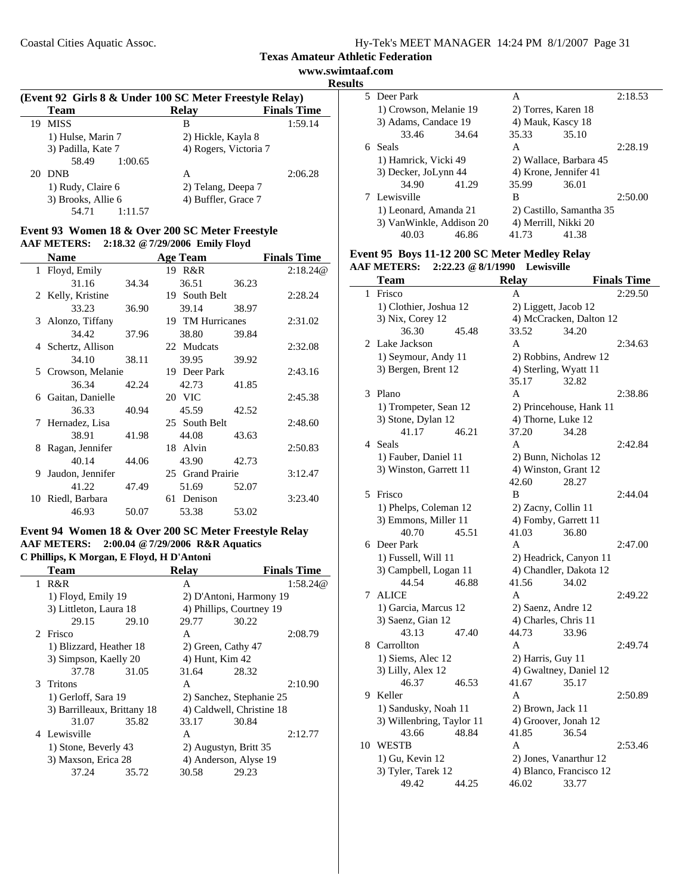**www.swimtaaf.com Results**

| (Event 92 Girls 8 & Under 100 SC Meter Freestyle Relay) |                    |                       |                    |  |  |
|---------------------------------------------------------|--------------------|-----------------------|--------------------|--|--|
|                                                         | <b>Team</b>        | <b>Relay</b>          | <b>Finals Time</b> |  |  |
| 19                                                      | <b>MISS</b>        | В                     | 1:59.14            |  |  |
|                                                         | 1) Hulse, Marin 7  | 2) Hickle, Kayla 8    |                    |  |  |
|                                                         | 3) Padilla, Kate 7 | 4) Rogers, Victoria 7 |                    |  |  |
|                                                         | 58.49<br>1:00.65   |                       |                    |  |  |
| 20                                                      | <b>DNB</b>         | А                     | 2:06.28            |  |  |
|                                                         | 1) Rudy, Claire 6  | 2) Telang, Deepa 7    |                    |  |  |
|                                                         | 3) Brooks, Allie 6 | 4) Buffler, Grace 7   |                    |  |  |
|                                                         | 1:11.57<br>54.71   |                       |                    |  |  |

## **Event 93 Women 18 & Over 200 SC Meter Freestyle AAF METERS: 2:18.32 @7/29/2006 Emily Floyd**

|   | <b>Name</b>        |       |    | <b>Age Team</b>  |       | <b>Finals Time</b> |
|---|--------------------|-------|----|------------------|-------|--------------------|
|   | 1 Floyd, Emily     |       |    | 19 R&R           |       | 2:18.24@           |
|   | 31.16              | 34.34 |    | 36.51            | 36.23 |                    |
|   | 2 Kelly, Kristine  |       | 19 | South Belt       |       | 2:28.24            |
|   | 33.23              | 36.90 |    | 39.14            | 38.97 |                    |
|   | 3 Alonzo, Tiffany  |       |    | 19 TM Hurricanes |       | 2:31.02            |
|   | 34.42              | 37.96 |    | 38.80            | 39.84 |                    |
|   | 4 Schertz, Allison |       |    | 22 Mudcats       |       | 2:32.08            |
|   | 34.10              | 38.11 |    | 39.95            | 39.92 |                    |
|   | 5 Crowson, Melanie |       |    | 19 Deer Park     |       | 2:43.16            |
|   | 36.34              | 42.24 |    | 42.73            | 41.85 |                    |
|   | 6 Gaitan, Danielle |       |    | 20 VIC           |       | 2:45.38            |
|   | 36.33              | 40.94 |    | 45.59            | 42.52 |                    |
| 7 | Hernadez, Lisa     |       |    | 25 South Belt    |       | 2:48.60            |
|   | 38.91              | 41.98 |    | 44.08            | 43.63 |                    |
| 8 | Ragan, Jennifer    |       |    | 18 Alvin         |       | 2:50.83            |
|   | 40.14              | 44.06 |    | 43.90            | 42.73 |                    |
| 9 | Jaudon, Jennifer   |       |    | 25 Grand Prairie |       | 3:12.47            |
|   | 41.22              | 47.49 |    | 51.69            | 52.07 |                    |
|   | 10 Riedl, Barbara  |       |    | 61 Denison       |       | 3:23.40            |
|   | 46.93              | 50.07 |    | 53.38            | 53.02 |                    |

## **Event 94 Women 18 & Over 200 SC Meter Freestyle Relay AAF METERS: 2:00.04 @7/29/2006 R&R Aquatics C Phillips, K Morgan, E Floyd, H D'Antoni**

|              | Team                                        |       | <b>Relay</b>       | <b>Finals Time</b>        |  |
|--------------|---------------------------------------------|-------|--------------------|---------------------------|--|
| $\mathbf{1}$ | R&R                                         |       | A                  | 1:58.24@                  |  |
|              | 1) Floyd, Emily 19                          |       |                    | 2) D'Antoni, Harmony 19   |  |
|              | 3) Littleton, Laura 18                      |       |                    | 4) Phillips, Courtney 19  |  |
|              | 29.15                                       | 29.10 | 29.77              | 30.22                     |  |
|              | 2 Frisco                                    |       | A                  | 2:08.79                   |  |
|              | 1) Blizzard, Heather 18                     |       | 2) Green, Cathy 47 |                           |  |
|              | 3) Simpson, Kaelly 20                       |       | 4) Hunt, Kim 42    |                           |  |
|              | 37.78                                       | 31.05 | 31.64              | 28.32                     |  |
|              | 3 Tritons                                   |       | A                  | 2:10.90                   |  |
|              | 1) Gerloff, Sara 19                         |       |                    | 2) Sanchez, Stephanie 25  |  |
|              | 3) Barrilleaux, Brittany 18                 |       |                    | 4) Caldwell, Christine 18 |  |
|              | 31.07                                       | 35.82 | 33.17              | 30.84                     |  |
|              | 4 Lewisville                                |       | A                  | 2:12.77                   |  |
|              | 1) Stone, Beverly 43<br>3) Maxson, Erica 28 |       |                    | 2) Augustyn, Britt 35     |  |
|              |                                             |       |                    | 4) Anderson, Alyse 19     |  |
|              | 37.24                                       | 35.72 | 30.58              | 29.23                     |  |
|              |                                             |       |                    |                           |  |

| c |                          |       |                          |                        |         |
|---|--------------------------|-------|--------------------------|------------------------|---------|
|   | 5 Deer Park              |       | А                        |                        | 2:18.53 |
|   | 1) Crowson, Melanie 19   |       |                          | 2) Torres, Karen 18    |         |
|   | 3) Adams, Candace 19     |       |                          | 4) Mauk, Kascy 18      |         |
|   | 33.46                    | 34.64 | 35.33                    | 35.10                  |         |
|   | 6 Seals                  |       | A                        |                        | 2:28.19 |
|   | 1) Hamrick, Vicki 49     |       |                          | 2) Wallace, Barbara 45 |         |
|   | 3) Decker, JoLynn 44     |       | 4) Krone, Jennifer 41    |                        |         |
|   | 34.90                    | 41.29 | 35.99                    | 36.01                  |         |
|   | 7 Lewisville             |       | B                        |                        | 2:50.00 |
|   | 1) Leonard, Amanda 21    |       | 2) Castillo, Samantha 35 |                        |         |
|   | 3) VanWinkle, Addison 20 |       | 4) Merrill, Nikki 20     |                        |         |
|   | 40.03                    | 46.86 | 41.73                    | 41.38                  |         |

#### **Event 95 Boys 11-12 200 SC Meter Medley Relay AAF METERS: 2:22.23 @8/1/1990 Lewisville**

|                | <b>Team</b><br><b>Relay</b> |                         | <b>Finals Time</b> |
|----------------|-----------------------------|-------------------------|--------------------|
| 1              | Frisco                      | A                       | 2:29.50            |
|                | 1) Clothier, Joshua 12      | 2) Liggett, Jacob 12    |                    |
|                | 3) Nix, Corey 12            | 4) McCracken, Dalton 12 |                    |
|                | 36.30                       | 33.52<br>34.20<br>45.48 |                    |
| $\mathfrak{D}$ | Lake Jackson                | A                       | 2:34.63            |
|                | 1) Seymour, Andy 11         | 2) Robbins, Andrew 12   |                    |
|                | 3) Bergen, Brent 12         | 4) Sterling, Wyatt 11   |                    |
|                |                             | 35.17<br>32.82          |                    |
| 3              | Plano                       | A                       | 2:38.86            |
|                | 1) Trompeter, Sean 12       | 2) Princehouse, Hank 11 |                    |
|                | 3) Stone, Dylan 12          | 4) Thorne, Luke 12      |                    |
|                | 41.17                       | 37.20<br>46.21<br>34.28 |                    |
|                | 4 Seals                     | A                       | 2:42.84            |
|                | 1) Fauber, Daniel 11        | 2) Bunn, Nicholas 12    |                    |
|                | 3) Winston, Garrett 11      | 4) Winston, Grant 12    |                    |
|                |                             | 42.60<br>28.27          |                    |
| 5              | Frisco                      | B                       | 2:44.04            |
|                | 1) Phelps, Coleman 12       | 2) Zacny, Collin 11     |                    |
|                | 3) Emmons, Miller 11        | 4) Fomby, Garrett 11    |                    |
|                | 40.70                       | 45.51<br>41.03<br>36.80 |                    |
|                | 6 Deer Park                 | A                       | 2:47.00            |
|                | 1) Fussell, Will 11         | 2) Headrick, Canyon 11  |                    |
|                | 3) Campbell, Logan 11       | 4) Chandler, Dakota 12  |                    |
|                | 44.54                       | 46.88<br>41.56<br>34.02 |                    |
| 7              | <b>ALICE</b>                | A                       | 2:49.22            |
|                | 1) Garcia, Marcus 12        | 2) Saenz, Andre 12      |                    |
|                | 3) Saenz, Gian 12           | 4) Charles, Chris 11    |                    |
|                | 43.13                       | 47.40<br>44.73<br>33.96 |                    |
| 8.             | Carrollton                  | A                       | 2:49.74            |
|                | 1) Siems, Alec 12           | 2) Harris, Guy 11       |                    |
|                | 3) Lilly, Alex 12           | 4) Gwaltney, Daniel 12  |                    |
|                | 46.37                       | 41.67<br>35.17<br>46.53 |                    |
| 9              | Keller                      | A                       | 2:50.89            |
|                | 1) Sandusky, Noah 11        | 2) Brown, Jack 11       |                    |
|                | 3) Willenbring, Taylor 11   | 4) Groover, Jonah 12    |                    |
|                | 43.66                       | 48.84<br>41.85<br>36.54 |                    |
| 10             | <b>WESTB</b>                | A                       | 2:53.46            |
|                | 1) Gu, Kevin 12             | 2) Jones, Vanarthur 12  |                    |
|                | 3) Tyler, Tarek 12          | 4) Blanco, Francisco 12 |                    |
|                | 49.42                       | 44.25<br>46.02<br>33.77 |                    |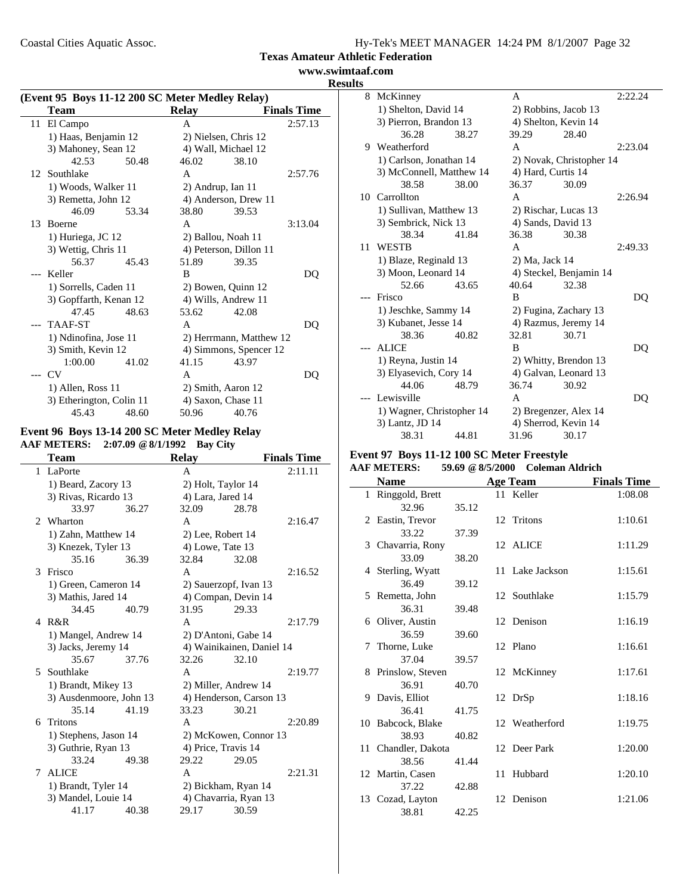Coastal Cities Aquatic Assoc.

| Hy-Tek's MEET MANAGER 14:24 PM 8/1/2007 Page 32 |
|-------------------------------------------------|
|-------------------------------------------------|

**Texas Amateur Athletic Federation**

**www.swimtaaf.com Results**

|     | (Event 95 Boys 11-12 200 SC Meter Medley Relay) |       |                   |                         |                    |
|-----|-------------------------------------------------|-------|-------------------|-------------------------|--------------------|
|     | Team                                            |       | <b>Relay</b>      |                         | <b>Finals Time</b> |
| 11  | El Campo                                        |       | A                 |                         | 2:57.13            |
|     | 1) Haas, Benjamin 12                            |       |                   | 2) Nielsen, Chris 12    |                    |
|     | 3) Mahoney, Sean 12                             |       |                   | 4) Wall, Michael 12     |                    |
|     | 42.53                                           | 50.48 | 46.02             | 38.10                   |                    |
|     | 12 Southlake                                    |       | A                 |                         | 2:57.76            |
|     | 1) Woods, Walker 11                             |       | 2) Andrup, Ian 11 |                         |                    |
|     | 3) Remetta, John 12                             |       |                   | 4) Anderson, Drew 11    |                    |
|     | 46.09                                           | 53.34 | 38.80             | 39.53                   |                    |
| 13  | Boerne                                          |       | A                 |                         | 3:13.04            |
|     | 1) Huriega, JC 12                               |       |                   | 2) Ballou, Noah 11      |                    |
|     | 3) Wettig, Chris 11                             |       |                   | 4) Peterson, Dillon 11  |                    |
|     | 56.37                                           | 45.43 | 51.89             | 39.35                   |                    |
| --- | Keller                                          |       | B                 |                         | DO                 |
|     | 1) Sorrells, Caden 11                           |       |                   | 2) Bowen, Quinn 12      |                    |
|     | 3) Gopffarth, Kenan 12                          |       |                   | 4) Wills, Andrew 11     |                    |
|     | 47.45                                           | 48.63 | 53.62             | 42.08                   |                    |
|     | <b>TAAF-ST</b>                                  |       | A                 |                         | DQ                 |
|     | 1) Ndinofina, Jose 11                           |       |                   | 2) Herrmann, Matthew 12 |                    |
|     | 3) Smith, Kevin 12                              |       |                   | 4) Simmons, Spencer 12  |                    |
|     | 1:00.00                                         | 41.02 | 41.15             | 43.97                   |                    |
|     | CV <sub></sub>                                  |       | A                 |                         | DO                 |
|     | 1) Allen, Ross 11                               |       |                   | 2) Smith, Aaron 12      |                    |
|     | 3) Etherington, Colin 11                        |       |                   | 4) Saxon, Chase 11      |                    |
|     | 45.43                                           | 48.60 | 50.96             | 40.76                   |                    |

#### **Event 96 Boys 13-14 200 SC Meter Medley Relay AAF METERS: 2:07.09 @8/1/1992 Bay City**

| <b>Team</b>    |                         |       | <b>Relay</b>            |                           | <b>Finals Time</b> |
|----------------|-------------------------|-------|-------------------------|---------------------------|--------------------|
| 1              | LaPorte                 |       | A                       |                           | 2:11.11            |
|                | 1) Beard, Zacory 13     |       |                         | 2) Holt, Taylor 14        |                    |
|                | 3) Rivas, Ricardo 13    |       |                         | 4) Lara, Jared 14         |                    |
|                | 33.97                   | 36.27 | 32.09                   | 28.78                     |                    |
| $\mathfrak{D}$ | Wharton                 |       | A                       |                           | 2:16.47            |
|                | 1) Zahn, Matthew 14     |       |                         | 2) Lee, Robert 14         |                    |
|                | 3) Knezek, Tyler 13     |       |                         | 4) Lowe, Tate 13          |                    |
|                | 35.16                   | 36.39 | 32.84                   | 32.08                     |                    |
| 3              | Frisco                  |       | A                       |                           | 2:16.52            |
|                | 1) Green, Cameron 14    |       |                         | 2) Sauerzopf, Ivan 13     |                    |
|                | 3) Mathis, Jared 14     |       |                         | 4) Compan, Devin 14       |                    |
|                | 34.45                   | 40.79 | 31.95                   | 29.33                     |                    |
|                | 4 R&R                   |       | A                       |                           | 2:17.79            |
|                | 1) Mangel, Andrew 14    |       |                         | 2) D'Antoni, Gabe 14      |                    |
|                | 3) Jacks, Jeremy 14     |       |                         | 4) Wainikainen, Daniel 14 |                    |
|                | 35.67                   | 37.76 | 32.26                   | 32.10                     |                    |
| 5              | Southlake               |       | A                       |                           | 2:19.77            |
|                | 1) Brandt, Mikey 13     |       | 2) Miller, Andrew 14    |                           |                    |
|                | 3) Ausdenmoore, John 13 |       | 4) Henderson, Carson 13 |                           |                    |
|                | 35.14                   | 41.19 | 33.23                   | 30.21                     |                    |
| 6              | <b>Tritons</b>          |       | A                       |                           | 2:20.89            |
|                | 1) Stephens, Jason 14   |       | 2) McKowen, Connor 13   |                           |                    |
|                | 3) Guthrie, Ryan 13     |       |                         | 4) Price, Travis 14       |                    |
|                | 33.24                   | 49.38 | 29.22                   | 29.05                     |                    |
| 7              | <b>ALICE</b>            |       | A                       |                           | 2:21.31            |
|                | 1) Brandt, Tyler 14     |       |                         | 2) Bickham, Ryan 14       |                    |
|                | 3) Mandel, Louie 14     |       |                         | 4) Chavarria, Ryan 13     |                    |
|                | 41.17                   | 40.38 | 29.17                   | 30.59                     |                    |

| ບມ |                           |       |                       |                          |         |
|----|---------------------------|-------|-----------------------|--------------------------|---------|
|    | 8 McKinney                |       | A                     |                          | 2:22.24 |
|    | 1) Shelton, David 14      |       |                       | 2) Robbins, Jacob 13     |         |
|    | 3) Pierron, Brandon 13    |       |                       | 4) Shelton, Kevin 14     |         |
|    | 36.28                     | 38.27 | 39.29                 | 28.40                    |         |
|    | 9 Weatherford             |       | A                     |                          | 2:23.04 |
|    | 1) Carlson, Jonathan 14   |       |                       | 2) Novak, Christopher 14 |         |
|    | 3) McConnell, Matthew 14  |       |                       | 4) Hard, Curtis 14       |         |
|    | 38.58                     | 38.00 | 36.37                 | 30.09                    |         |
|    | 10 Carrollton             |       | A                     |                          | 2:26.94 |
|    | 1) Sullivan, Matthew 13   |       |                       | 2) Rischar, Lucas 13     |         |
|    | 3) Sembrick, Nick 13      |       |                       | 4) Sands, David 13       |         |
|    | 38.34                     | 41.84 | 36.38                 | 30.38                    |         |
| 11 | <b>WESTB</b>              |       | A                     |                          | 2:49.33 |
|    | 1) Blaze, Reginald 13     |       | 2) Ma, Jack 14        |                          |         |
|    | 3) Moon, Leonard 14       |       |                       | 4) Steckel, Benjamin 14  |         |
|    | 52.66                     | 43.65 | 40.64                 | 32.38                    |         |
|    | Frisco                    |       | B                     |                          | DQ      |
|    | 1) Jeschke, Sammy 14      |       |                       | 2) Fugina, Zachary 13    |         |
|    | 3) Kubanet, Jesse 14      |       |                       | 4) Razmus, Jeremy 14     |         |
|    | 38.36                     | 40.82 | 32.81                 | 30.71                    |         |
|    | <b>ALICE</b>              |       | B                     |                          | DO      |
|    | 1) Reyna, Justin 14       |       | 2) Whitty, Brendon 13 |                          |         |
|    | 3) Elyasevich, Cory 14    |       |                       | 4) Galvan, Leonard 13    |         |
|    | 44.06                     | 48.79 | 36.74                 | 30.92                    |         |
|    | Lewisville                |       | A                     |                          | DO      |
|    | 1) Wagner, Christopher 14 |       |                       | 2) Bregenzer, Alex 14    |         |
|    | 3) Lantz, JD 14           |       |                       | 4) Sherrod, Kevin 14     |         |
|    | 38.31                     | 44.81 | 31.96                 | 30.17                    |         |

# **Event 97 Boys 11-12 100 SC Meter Freestyle**

#### **AAF METERS: 59.69 @8/5/2000 Coleman Aldrich**

| <b>Name</b>         |       | <b>Age Team</b> | <b>Finals Time</b> |
|---------------------|-------|-----------------|--------------------|
| 1 Ringgold, Brett   |       | 11 Keller       | 1:08.08            |
| 32.96               | 35.12 |                 |                    |
| 2 Eastin, Trevor    |       | 12 Tritons      | 1:10.61            |
| 33.22               | 37.39 |                 |                    |
| 3 Chavarria, Rony   |       | 12 ALICE        | 1:11.29            |
| 33.09               | 38.20 |                 |                    |
| 4 Sterling, Wyatt   |       | 11 Lake Jackson | 1:15.61            |
| 36.49               | 39.12 |                 |                    |
| 5 Remetta, John     |       | 12 Southlake    | 1:15.79            |
| 36.31               | 39.48 |                 |                    |
| 6 Oliver, Austin    |       | 12 Denison      | 1:16.19            |
| 36.59               | 39.60 |                 |                    |
| 7 Thorne, Luke      |       | 12 Plano        | 1:16.61            |
| 37.04               | 39.57 |                 |                    |
| 8 Prinslow, Steven  |       | 12 McKinney     | 1:17.61            |
| 36.91               | 40.70 |                 |                    |
| 9 Davis, Elliot     |       | 12 DrSp         | 1:18.16            |
| 36.41               | 41.75 |                 |                    |
| 10 Babcock, Blake   |       | 12 Weatherford  | 1:19.75            |
| 38.93               | 40.82 |                 |                    |
| 11 Chandler, Dakota |       | 12 Deer Park    | 1:20.00            |
| 38.56               | 41.44 |                 |                    |
| 12 Martin, Casen    |       | 11 Hubbard      | 1:20.10            |
| 37.22               | 42.88 |                 |                    |
| 13 Cozad, Layton    |       | 12 Denison      | 1:21.06            |
| 38.81               | 42.25 |                 |                    |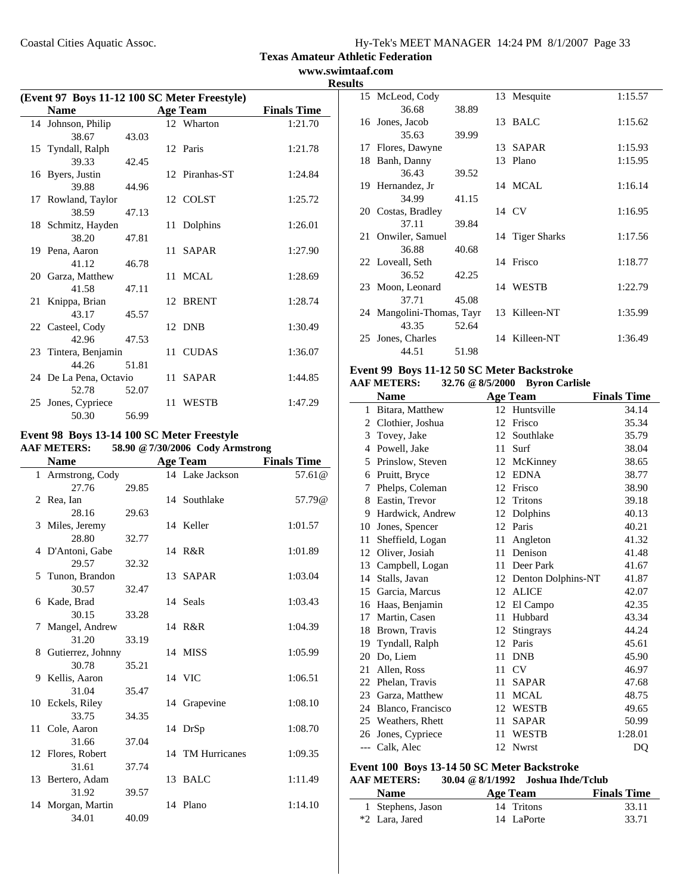**www.swimtaaf.com Results**

| <b>Name</b><br><b>Finals Time</b><br><b>Age Team</b><br>12 Wharton<br>14 Johnson, Philip<br>1:21.70<br>38.67<br>43.03<br>15 Tyndall, Ralph<br>1:21.78<br>12 Paris<br>39.33<br>42.45<br>16 Byers, Justin<br>12 Piranhas-ST<br>1:24.84<br>39.88<br>44.96 | (Event 97 Boys 11-12 100 SC Meter Freestyle) |  |  |  |  |
|--------------------------------------------------------------------------------------------------------------------------------------------------------------------------------------------------------------------------------------------------------|----------------------------------------------|--|--|--|--|
|                                                                                                                                                                                                                                                        |                                              |  |  |  |  |
|                                                                                                                                                                                                                                                        |                                              |  |  |  |  |
|                                                                                                                                                                                                                                                        |                                              |  |  |  |  |
|                                                                                                                                                                                                                                                        |                                              |  |  |  |  |
|                                                                                                                                                                                                                                                        |                                              |  |  |  |  |
|                                                                                                                                                                                                                                                        |                                              |  |  |  |  |
|                                                                                                                                                                                                                                                        |                                              |  |  |  |  |
| 17 Rowland, Taylor<br>12 COLST<br>1:25.72                                                                                                                                                                                                              |                                              |  |  |  |  |
| 38.59<br>47.13                                                                                                                                                                                                                                         |                                              |  |  |  |  |
| 18 Schmitz, Hayden<br>11 Dolphins<br>1:26.01                                                                                                                                                                                                           |                                              |  |  |  |  |
| 38.20<br>47.81                                                                                                                                                                                                                                         |                                              |  |  |  |  |
| 19 Pena, Aaron<br>11 SAPAR<br>1:27.90                                                                                                                                                                                                                  |                                              |  |  |  |  |
| 41.12<br>46.78                                                                                                                                                                                                                                         |                                              |  |  |  |  |
| 11 MCAL<br>20 Garza, Matthew<br>1:28.69                                                                                                                                                                                                                |                                              |  |  |  |  |
| 41.58<br>47.11                                                                                                                                                                                                                                         |                                              |  |  |  |  |
| 21 Knippa, Brian<br>12 BRENT<br>1:28.74                                                                                                                                                                                                                |                                              |  |  |  |  |
| 43.17<br>45.57                                                                                                                                                                                                                                         |                                              |  |  |  |  |
| 12 DNB<br>22 Casteel, Cody<br>1:30.49                                                                                                                                                                                                                  |                                              |  |  |  |  |
| 42.96<br>47.53<br>11 CUDAS<br>1:36.07                                                                                                                                                                                                                  |                                              |  |  |  |  |
| 23 Tintera, Benjamin<br>44.26<br>51.81                                                                                                                                                                                                                 |                                              |  |  |  |  |
| 24 De La Pena, Octavio<br>11 SAPAR<br>1:44.85                                                                                                                                                                                                          |                                              |  |  |  |  |
| 52.78<br>52.07                                                                                                                                                                                                                                         |                                              |  |  |  |  |
| 25 Jones, Cypriece<br>11 WESTB<br>1:47.29                                                                                                                                                                                                              |                                              |  |  |  |  |
| 50.30<br>56.99                                                                                                                                                                                                                                         |                                              |  |  |  |  |

#### **Event 98 Boys 13-14 100 SC Meter Freestyle AAF METERS: 58.90 @7/30/2006 Cody Armstrong**

|                     |       | $1.50 \le 1.001 = 000$ couplement on |                    |
|---------------------|-------|--------------------------------------|--------------------|
| <b>Name</b>         |       | <b>Age Team</b>                      | <b>Finals Time</b> |
| 1 Armstrong, Cody   |       | 14 Lake Jackson                      | 57.61 $@$          |
| 27.76               | 29.85 |                                      |                    |
| 2 Rea, Ian          |       | 14 Southlake                         | 57.79@             |
| 28.16               | 29.63 |                                      |                    |
| 3 Miles, Jeremy     |       | 14 Keller                            | 1:01.57            |
| 28.80               | 32.77 |                                      |                    |
| 4 D'Antoni, Gabe    |       | 14 R&R                               | 1:01.89            |
| 29.57               | 32.32 |                                      |                    |
| 5 Tunon, Brandon    |       | 13 SAPAR                             | 1:03.04            |
| 30.57               | 32.47 |                                      |                    |
| 6 Kade, Brad        |       | 14 Seals                             | 1:03.43            |
| 30.15               | 33.28 |                                      |                    |
| 7 Mangel, Andrew    |       | 14 R&R                               | 1:04.39            |
| 31.20               | 33.19 |                                      |                    |
| 8 Gutierrez, Johnny |       | 14 MISS                              | 1:05.99            |
| 30.78               | 35.21 |                                      |                    |
| 9 Kellis, Aaron     |       | 14 VIC                               | 1:06.51            |
| 31.04               | 35.47 |                                      |                    |
| 10 Eckels, Riley    |       | 14 Grapevine                         | 1:08.10            |
| 33.75               | 34.35 |                                      |                    |
| 11 Cole, Aaron      |       | 14 DrSp                              | 1:08.70            |
| 31.66               | 37.04 |                                      |                    |
| 12 Flores, Robert   |       | 14 TM Hurricanes                     | 1:09.35            |
| 31.61               | 37.74 |                                      |                    |
| 13 Bertero, Adam    |       | 13 BALC                              | 1:11.49            |
| 31.92               | 39.57 |                                      |                    |
| 14 Morgan, Martin   |       | 14 Plano                             | 1:14.10            |
| 34.01               | 40.09 |                                      |                    |

| ய   |                           |       |                 |         |
|-----|---------------------------|-------|-----------------|---------|
|     | 15 McLeod, Cody           |       | 13 Mesquite     | 1:15.57 |
|     | 36.68                     | 38.89 |                 |         |
|     | 16 Jones, Jacob           |       | 13 BALC         | 1:15.62 |
|     | 35.63                     | 39.99 |                 |         |
|     | 17 Flores, Dawyne         |       | 13 SAPAR        | 1:15.93 |
| 18. | Banh, Danny               |       | 13 Plano        | 1:15.95 |
|     | 36.43                     | 39.52 |                 |         |
|     | 19 Hernandez, Jr          |       | 14 MCAL         | 1:16.14 |
|     | 34.99                     | 41.15 |                 |         |
|     | 20 Costas, Bradley        |       | 14 CV           | 1:16.95 |
|     | 37.11                     | 39.84 |                 |         |
|     | 21 Onwiler, Samuel        |       | 14 Tiger Sharks | 1:17.56 |
|     | 36.88                     | 40.68 |                 |         |
|     | 22 Loveall, Seth          |       | 14 Frisco       | 1:18.77 |
|     | 36.52                     | 42.25 |                 |         |
|     | 23 Moon, Leonard          |       | 14 WESTB        | 1:22.79 |
|     | 37.71                     | 45.08 |                 |         |
|     | 24 Mangolini-Thomas, Tayr |       | 13 Killeen-NT   | 1:35.99 |
|     | 43.35                     | 52.64 |                 |         |
| 25  | Jones, Charles            |       | 14 Killeen-NT   | 1:36.49 |
|     | 44.51                     | 51.98 |                 |         |

#### **Event 99 Boys 11-12 50 SC Meter Backstroke AAF METERS: 32.76 @8/5/2000 Byron Carlisle**

|    | <b>Name</b>        |                  | <b>Age Team</b>       | <b>Finals Time</b> |
|----|--------------------|------------------|-----------------------|--------------------|
| 1  | Bitara, Matthew    | 12 <sup>12</sup> | Huntsville            | 34.14              |
| 2  | Clothier, Joshua   | 12               | Frisco                | 35.34              |
| 3  | Tovey, Jake        | 12               | Southlake             | 35.79              |
| 4  | Powell, Jake       | 11               | Surf                  | 38.04              |
| 5  | Prinslow, Steven   | 12               | McKinney              | 38.65              |
| 6  | Pruitt, Bryce      | 12               | <b>EDNA</b>           | 38.77              |
| 7  | Phelps, Coleman    | 12               | Frisco                | 38.90              |
| 8  | Eastin, Trevor     | 12               | Tritons               | 39.18              |
| 9  | Hardwick, Andrew   | 12               | Dolphins              | 40.13              |
| 10 | Jones, Spencer     | 12               | Paris                 | 40.21              |
| 11 | Sheffield, Logan   | 11               | Angleton              | 41.32              |
| 12 | Oliver, Josiah     | 11               | Denison               | 41.48              |
| 13 | Campbell, Logan    | 11               | Deer Park             | 41.67              |
| 14 | Stalls, Javan      |                  | 12 Denton Dolphins-NT | 41.87              |
|    | 15 Garcia, Marcus  | 12               | <b>ALICE</b>          | 42.07              |
| 16 | Haas, Benjamin     | 12               | El Campo              | 42.35              |
| 17 | Martin, Casen      | 11               | Hubbard               | 43.34              |
| 18 | Brown, Travis      | 12               | Stingrays             | 44.24              |
| 19 | Tyndall, Ralph     | 12               | Paris                 | 45.61              |
| 20 | Do, Liem           | 11               | <b>DNB</b>            | 45.90              |
| 21 | Allen, Ross        | 11               | CV                    | 46.97              |
| 22 | Phelan, Travis     | 11               | <b>SAPAR</b>          | 47.68              |
|    | 23 Garza, Matthew  | 11               | <b>MCAL</b>           | 48.75              |
| 24 | Blanco, Francisco  | 12               | <b>WESTB</b>          | 49.65              |
|    | 25 Weathers, Rhett | 11               | <b>SAPAR</b>          | 50.99              |
| 26 | Jones, Cypriece    | 11               | <b>WESTB</b>          | 1:28.01            |
|    | --- Calk, Alec     | 12               | <b>Nwrst</b>          | DQ                 |

#### **Event 100 Boys 13-14 50 SC Meter Backstroke AAF METERS: 30.04 @8/1/1992 Joshua Ihde/Tclub**

J.

| <b>Name</b>       | Age Team   | <b>Finals Time</b> |  |  |  |  |
|-------------------|------------|--------------------|--|--|--|--|
| 1 Stephens, Jason | 14 Tritons | 33.11              |  |  |  |  |
| *2 Lara, Jared    | 14 LaPorte | 33.71              |  |  |  |  |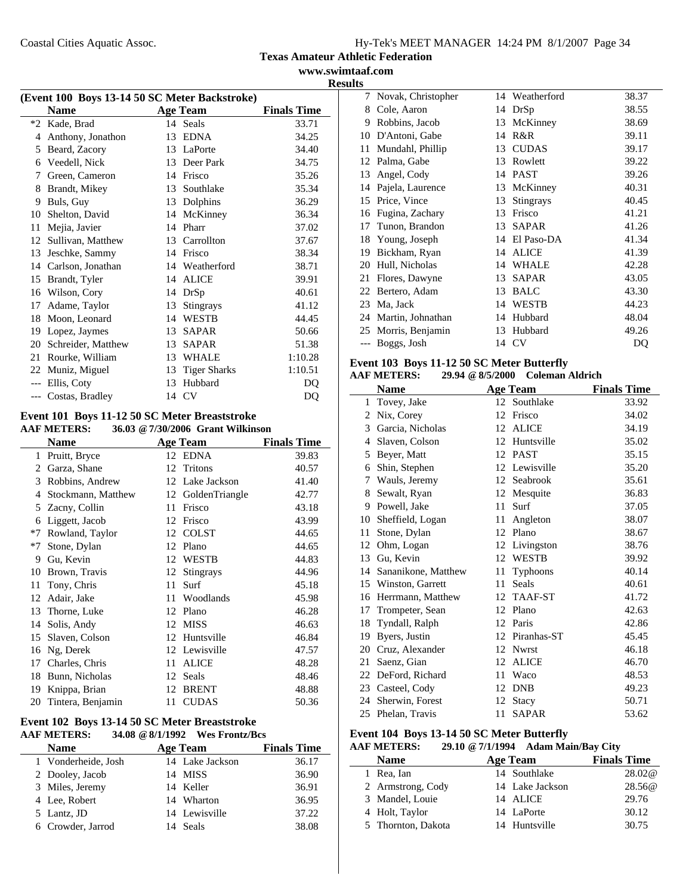#### **Texas Amateur Athletic Federation www.swimtaaf.com**

**Results**

| (Event 100 Boys 13-14 50 SC Meter Backstroke) |                      |    |                     |                    |  |
|-----------------------------------------------|----------------------|----|---------------------|--------------------|--|
|                                               | <b>Name</b>          |    | <b>Age Team</b>     | <b>Finals Time</b> |  |
| $*2$                                          | Kade, Brad           |    | 14 Seals            | 33.71              |  |
| 4                                             | Anthony, Jonathon    | 13 | <b>EDNA</b>         | 34.25              |  |
| 5                                             | Beard, Zacory        |    | 13 LaPorte          | 34.40              |  |
| 6                                             | Veedell, Nick        |    | 13 Deer Park        | 34.75              |  |
| 7                                             | Green, Cameron       | 14 | Frisco              | 35.26              |  |
| 8                                             | Brandt, Mikey        | 13 | Southlake           | 35.34              |  |
| 9                                             | Buls, Guy            | 13 | Dolphins            | 36.29              |  |
| 10                                            | Shelton, David       | 14 | McKinney            | 36.34              |  |
| 11                                            | Mejia, Javier        | 14 | Pharr               | 37.02              |  |
| 12                                            | Sullivan, Matthew    | 13 | Carrollton          | 37.67              |  |
| 13                                            | Jeschke, Sammy       | 14 | Frisco              | 38.34              |  |
|                                               | 14 Carlson, Jonathan |    | 14 Weatherford      | 38.71              |  |
| 15                                            | Brandt, Tyler        | 14 | <b>ALICE</b>        | 39.91              |  |
| 16                                            | Wilson, Cory         | 14 | DrSp                | 40.61              |  |
| 17                                            | Adame, Taylor        | 13 | Stingrays           | 41.12              |  |
| 18                                            | Moon, Leonard        | 14 | <b>WESTB</b>        | 44.45              |  |
| 19                                            | Lopez, Jaymes        | 13 | <b>SAPAR</b>        | 50.66              |  |
| 20                                            | Schreider, Matthew   | 13 | <b>SAPAR</b>        | 51.38              |  |
| 21                                            | Rourke, William      | 13 | <b>WHALE</b>        | 1:10.28            |  |
| 22                                            | Muniz, Miguel        | 13 | <b>Tiger Sharks</b> | 1:10.51            |  |
| $---$                                         | Ellis, Coty          | 13 | Hubbard             | DQ                 |  |
|                                               | --- Costas, Bradley  |    | 14 CV               | DQ                 |  |

#### **Event 101 Boys 11-12 50 SC Meter Breaststroke**<br>AAF METERS: 36.03 @ 7/30/2006 Grant Wilkins **AAF METERS: 36.03 @7/30/2006 Grant Wilkinson**

|      | <b>Name</b>        |    | <b>Age Team</b>  | <b>Finals Time</b> |
|------|--------------------|----|------------------|--------------------|
| 1    | Pruitt, Bryce      |    | 12 EDNA          | 39.83              |
| 2    | Garza, Shane       | 12 | Tritons          | 40.57              |
| 3    | Robbins, Andrew    | 12 | Lake Jackson     | 41.40              |
| 4    | Stockmann, Matthew | 12 | GoldenTriangle   | 42.77              |
| 5    | Zacny, Collin      | 11 | Frisco           | 43.18              |
| 6    | Liggett, Jacob     | 12 | Frisco           | 43.99              |
| $*7$ | Rowland, Taylor    | 12 | <b>COLST</b>     | 44.65              |
| *7   | Stone, Dylan       | 12 | Plano            | 44.65              |
| 9    | Gu, Kevin          | 12 | <b>WESTB</b>     | 44.83              |
| 10   | Brown, Travis      | 12 | <b>Stingrays</b> | 44.96              |
| 11   | Tony, Chris        | 11 | Surf             | 45.18              |
| 12   | Adair, Jake        | 11 | Woodlands        | 45.98              |
| 13   | Thorne, Luke       | 12 | Plano            | 46.28              |
| 14   | Solis, Andy        | 12 | <b>MISS</b>      | 46.63              |
| 15   | Slaven, Colson     | 12 | Huntsville       | 46.84              |
| 16   | Ng, Derek          |    | 12 Lewisville    | 47.57              |
| 17   | Charles, Chris     | 11 | <b>ALICE</b>     | 48.28              |
| 18   | Bunn, Nicholas     | 12 | Seals            | 48.46              |
| 19   | Knippa, Brian      | 12 | <b>BRENT</b>     | 48.88              |
| 20   | Tintera, Benjamin  | 11 | <b>CUDAS</b>     | 50.36              |
|      |                    |    |                  |                    |

#### **Event 102 Boys 13-14 50 SC Meter Breaststroke**<br>AAF METERS: 34.08 @ 8/1/1992 Wes Frontz/B **AAF METERS: 34.08 @8/1/1992 Wes Frontz/Bcs**

| <b>Name</b>         | <b>Age Team</b> |                 | <b>Finals Time</b> |  |  |
|---------------------|-----------------|-----------------|--------------------|--|--|
| 1 Vonderheide, Josh |                 | 14 Lake Jackson | 36.17              |  |  |
| 2 Dooley, Jacob     |                 | 14 MISS         | 36.90              |  |  |
| 3 Miles, Jeremy     |                 | 14 Keller       | 36.91              |  |  |
| 4 Lee, Robert       |                 | 14 Wharton      | 36.95              |  |  |
| 5 Lantz, JD         |                 | 14 Lewisville   | 37.22              |  |  |
| 6 Crowder, Jarrod   |                 | 14 Seals        | 38.08              |  |  |
|                     |                 |                 |                    |  |  |

|    | 7 Novak, Christopher |    | 14 Weatherford | 38.37 |
|----|----------------------|----|----------------|-------|
| 8  | Cole, Aaron          | 14 | DrSp           | 38.55 |
| 9  | Robbins, Jacob       | 13 | McKinney       | 38.69 |
| 10 | D'Antoni, Gabe       | 14 | R&R            | 39.11 |
| 11 | Mundahl, Phillip     | 13 | <b>CUDAS</b>   | 39.17 |
| 12 | Palma, Gabe          | 13 | Rowlett        | 39.22 |
| 13 | Angel, Cody          | 14 | <b>PAST</b>    | 39.26 |
| 14 | Pajela, Laurence     | 13 | McKinney       | 40.31 |
| 15 | Price, Vince         | 13 | Stingrays      | 40.45 |
| 16 | Fugina, Zachary      | 13 | Frisco         | 41.21 |
| 17 | Tunon, Brandon       | 13 | <b>SAPAR</b>   | 41.26 |
| 18 | Young, Joseph        | 14 | El Paso-DA     | 41.34 |
| 19 | Bickham, Ryan        | 14 | <b>ALICE</b>   | 41.39 |
| 20 | Hull, Nicholas       | 14 | WHALE          | 42.28 |
| 21 | Flores, Dawyne       | 13 | <b>SAPAR</b>   | 43.05 |
| 22 | Bertero, Adam        | 13 | <b>BALC</b>    | 43.30 |
| 23 | Ma, Jack             | 14 | <b>WESTB</b>   | 44.23 |
| 24 | Martin, Johnathan    | 14 | Hubbard        | 48.04 |
|    | 25 Morris, Benjamin  | 13 | Hubbard        | 49.26 |
|    | Boggs, Josh          | 14 | CV             | DQ    |
|    |                      |    |                |       |

# **Event 103 Boys 11-12 50 SC Meter Butterfly**

| AAF METERS: | 29.94 @ 8/5/2000 | Coleman Aldrich |
|-------------|------------------|-----------------|
|-------------|------------------|-----------------|

|              | <b>Name</b>         |    | <b>Age Team</b> | <b>Finals Time</b> |
|--------------|---------------------|----|-----------------|--------------------|
| $\mathbf{1}$ | Tovey, Jake         |    | 12 Southlake    | 33.92              |
| 2            | Nix, Corey          | 12 | Frisco          | 34.02              |
| 3            | Garcia, Nicholas    | 12 | <b>ALICE</b>    | 34.19              |
| 4            | Slaven, Colson      | 12 | Huntsville      | 35.02              |
| 5            | Beyer, Matt         |    | 12 PAST         | 35.15              |
| 6            | Shin, Stephen       | 12 | Lewisville      | 35.20              |
| 7            | Wauls, Jeremy       | 12 | Seabrook        | 35.61              |
| 8            | Sewalt, Ryan        | 12 | Mesquite        | 36.83              |
| 9            | Powell, Jake        | 11 | Surf            | 37.05              |
| 10           | Sheffield, Logan    | 11 | Angleton        | 38.07              |
| 11           | Stone, Dylan        | 12 | Plano           | 38.67              |
| 12           | Ohm, Logan          | 12 | Livingston      | 38.76              |
| 13           | Gu, Kevin           | 12 | <b>WESTB</b>    | 39.92              |
| 14           | Sananikone, Matthew | 11 | Typhoons        | 40.14              |
|              | 15 Winston, Garrett | 11 | <b>Seals</b>    | 40.61              |
| 16           | Herrmann, Matthew   | 12 | TAAF-ST         | 41.72              |
| 17           | Trompeter, Sean     | 12 | Plano           | 42.63              |
| 18           | Tyndall, Ralph      | 12 | Paris           | 42.86              |
| 19           | Byers, Justin       | 12 | Piranhas-ST     | 45.45              |
| 20           | Cruz, Alexander     | 12 | <b>Nwrst</b>    | 46.18              |
| 21           | Saenz, Gian         | 12 | <b>ALICE</b>    | 46.70              |
| 22           | DeFord, Richard     | 11 | Waco            | 48.53              |
| 23           | Casteel, Cody       | 12 | <b>DNB</b>      | 49.23              |
| 24           | Sherwin, Forest     | 12 | Stacy           | 50.71              |
| 25           | Phelan, Travis      | 11 | <b>SAPAR</b>    | 53.62              |

## **Event 104 Boys 13-14 50 SC Meter Butterfly**

# **AAF METERS: 29.10 @7/1/1994 Adam Main/Bay City**

| <b>Name</b>        | Age Team        | <b>Finals Time</b> |
|--------------------|-----------------|--------------------|
| 1 Rea, Ian         | 14 Southlake    | 28.02@             |
| 2 Armstrong, Cody  | 14 Lake Jackson | 28.56@             |
| 3 Mandel, Louie    | 14 ALICE        | 29.76              |
| 4 Holt, Taylor     | 14 LaPorte      | 30.12              |
| 5 Thornton, Dakota | 14 Huntsville   | 30.75              |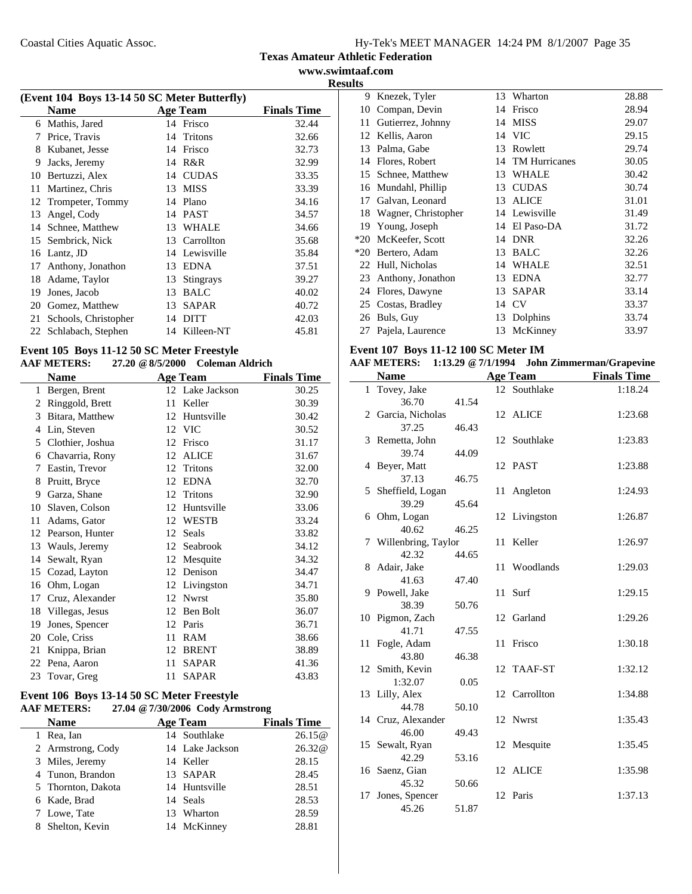#### **Texas Amateur Athletic Federation www.swimtaaf.com**

**Results**

| (Event 104 Boys 13-14 50 SC Meter Butterfly) |                      |    |                  |                    |  |
|----------------------------------------------|----------------------|----|------------------|--------------------|--|
|                                              | <b>Name</b>          |    | <b>Age Team</b>  | <b>Finals Time</b> |  |
| 6                                            | Mathis, Jared        |    | 14 Frisco        | 32.44              |  |
| 7                                            | Price, Travis        |    | 14 Tritons       | 32.66              |  |
| 8                                            | Kubanet, Jesse       | 14 | Frisco           | 32.73              |  |
| 9                                            | Jacks, Jeremy        | 14 | R&R              | 32.99              |  |
| 10                                           | Bertuzzi, Alex       | 14 | <b>CUDAS</b>     | 33.35              |  |
| 11                                           | Martinez, Chris      | 13 | <b>MISS</b>      | 33.39              |  |
| 12                                           | Trompeter, Tommy     |    | 14 Plano         | 34.16              |  |
| 13                                           | Angel, Cody          | 14 | <b>PAST</b>      | 34.57              |  |
| 14                                           | Schnee, Matthew      | 13 | WHALE            | 34.66              |  |
| 15                                           | Sembrick, Nick       | 13 | Carrollton       | 35.68              |  |
| 16                                           | Lantz, JD            |    | 14 Lewisville    | 35.84              |  |
| 17                                           | Anthony, Jonathon    | 13 | <b>EDNA</b>      | 37.51              |  |
| 18                                           | Adame, Taylor        | 13 | <b>Stingrays</b> | 39.27              |  |
| 19                                           | Jones, Jacob         | 13 | <b>BALC</b>      | 40.02              |  |
| 20                                           | Gomez, Matthew       | 13 | <b>SAPAR</b>     | 40.72              |  |
| 21                                           | Schools, Christopher | 14 | <b>DITT</b>      | 42.03              |  |
| 22                                           | Schlabach, Stephen   |    | 14 Killeen-NT    | 45.81              |  |

# **Event 105 Boys 11-12 50 SC Meter Freestyle**

# **AAF METERS: 27.20 @8/5/2000 Coleman Aldrich**

| <b>Name</b> |                  |    | <b>Age Team</b> | <b>Finals Time</b> |
|-------------|------------------|----|-----------------|--------------------|
| 1           | Bergen, Brent    |    | 12 Lake Jackson | 30.25              |
| 2           | Ringgold, Brett  | 11 | Keller          | 30.39              |
| 3           | Bitara, Matthew  | 12 | Huntsville      | 30.42              |
| 4           | Lin, Steven      |    | 12 VIC          | 30.52              |
| 5           | Clothier, Joshua | 12 | Frisco          | 31.17              |
| 6           | Chavarria, Rony  | 12 | <b>ALICE</b>    | 31.67              |
| 7           | Eastin, Trevor   | 12 | <b>Tritons</b>  | 32.00              |
| 8           | Pruitt, Bryce    | 12 | <b>EDNA</b>     | 32.70              |
| 9           | Garza, Shane     | 12 | Tritons         | 32.90              |
| 10          | Slaven, Colson   | 12 | Huntsville      | 33.06              |
| 11          | Adams, Gator     | 12 | <b>WESTB</b>    | 33.24              |
| 12          | Pearson, Hunter  | 12 | Seals           | 33.82              |
| 13          | Wauls, Jeremy    | 12 | Seabrook        | 34.12              |
| 14          | Sewalt, Ryan     | 12 | Mesquite        | 34.32              |
| 15          | Cozad, Layton    | 12 | Denison         | 34.47              |
| 16          | Ohm, Logan       | 12 | Livingston      | 34.71              |
| 17          | Cruz, Alexander  | 12 | <b>Nwrst</b>    | 35.80              |
| 18          | Villegas, Jesus  | 12 | Ben Bolt        | 36.07              |
| 19          | Jones, Spencer   | 12 | Paris           | 36.71              |
| 20          | Cole, Criss      | 11 | <b>RAM</b>      | 38.66              |
| 21          | Knippa, Brian    | 12 | <b>BRENT</b>    | 38.89              |
| 22          | Pena, Aaron      | 11 | <b>SAPAR</b>    | 41.36              |
|             | 23 Tovar, Greg   | 11 | <b>SAPAR</b>    | 43.83              |

#### **Event 106 Boys 13-14 50 SC Meter Freestyle AAF METERS:** 27.04 @ 7/30/2006 Cody Arm **AAF METERS: 27.04 @7/30/2006 Cody Armstrong**

| <b>Name</b>        | <b>Age Team</b> | <b>Finals Time</b> |
|--------------------|-----------------|--------------------|
| 1 Rea, Ian         | 14 Southlake    | 26.15@             |
| 2 Armstrong, Cody  | 14 Lake Jackson | 26.32@             |
| 3 Miles, Jeremy    | 14 Keller       | 28.15              |
| 4 Tunon, Brandon   | 13 SAPAR        | 28.45              |
| 5 Thornton, Dakota | 14 Huntsville   | 28.51              |
| 6 Kade, Brad       | 14 Seals        | 28.53              |
| 7 Lowe, Tate       | 13 Wharton      | 28.59              |
| 8 Shelton, Kevin   | 14 McKinney     | 28.81              |
|                    |                 |                    |

| 9     | Knezek, Tyler       | 13 | Wharton              | 28.88 |
|-------|---------------------|----|----------------------|-------|
| 10    | Compan, Devin       | 14 | Frisco               | 28.94 |
| 11    | Gutierrez, Johnny   | 14 | <b>MISS</b>          | 29.07 |
| 12    | Kellis, Aaron       | 14 | <b>VIC</b>           | 29.15 |
| 13    | Palma, Gabe         | 13 | Rowlett              | 29.74 |
| 14    | Flores, Robert      | 14 | <b>TM</b> Hurricanes | 30.05 |
| 15    | Schnee, Matthew     | 13 | WHALE                | 30.42 |
| 16    | Mundahl, Phillip    | 13 | <b>CUDAS</b>         | 30.74 |
| 17    | Galvan, Leonard     | 13 | <b>ALICE</b>         | 31.01 |
| 18    | Wagner, Christopher | 14 | Lewisville           | 31.49 |
| 19    | Young, Joseph       | 14 | El Paso-DA           | 31.72 |
| $*20$ | McKeefer, Scott     | 14 | <b>DNR</b>           | 32.26 |
| $*20$ | Bertero, Adam       | 13 | <b>BALC</b>          | 32.26 |
| 22    | Hull, Nicholas      | 14 | <b>WHALE</b>         | 32.51 |
| 23    | Anthony, Jonathon   | 13 | <b>EDNA</b>          | 32.77 |
| 24    | Flores, Dawyne      | 13 | <b>SAPAR</b>         | 33.14 |
| 25    | Costas, Bradley     | 14 | CV                   | 33.37 |
| 26    | Buls, Guy           | 13 | Dolphins             | 33.74 |
| 27    | Pajela, Laurence    | 13 | McKinney             | 33.97 |

# **Event 107 Boys 11-12 100 SC Meter IM**

|  |  | AAF METERS: 1:13.29 @ 7/1/1994 John Zimmerman/Grapevine |
|--|--|---------------------------------------------------------|
|--|--|---------------------------------------------------------|

| 1 Tovey, Jake<br>12 Southlake<br>1:18.24<br>36.70<br>41.54<br>2 Garcia, Nicholas<br>12 ALICE<br>1:23.68<br>37.25<br>46.43<br>12 Southlake<br>3 Remetta, John<br>1:23.83<br>39.74<br>44.09<br>12 PAST<br>4 Beyer, Matt<br>1:23.88<br>37.13<br>46.75<br>5 Sheffield, Logan<br>1:24.93<br>11<br>Angleton<br>39.29<br>45.64<br>6 Ohm, Logan<br>12 Livingston<br>1:26.87<br>40.62<br>46.25<br>Keller<br>7 Willenbring, Taylor<br>1:26.97<br>11<br>42.32<br>44.65<br>Woodlands<br>8 Adair, Jake<br>1:29.03<br>11<br>41.63<br>47.40<br>9 Powell, Jake<br>11 Surf<br>1:29.15<br>38.39<br>50.76<br>10 Pigmon, Zach<br>12 Garland<br>1:29.26<br>41.71<br>47.55<br>Frisco<br>Fogle, Adam<br>1:30.18<br>11<br>11<br>43.80<br>46.38<br>12 Smith, Kevin<br>12 TAAF-ST<br>1:32.12<br>1:32.07<br>0.05<br>13 Lilly, Alex<br>12 Carrollton<br>1:34.88<br>44.78<br>50.10 |
|-------------------------------------------------------------------------------------------------------------------------------------------------------------------------------------------------------------------------------------------------------------------------------------------------------------------------------------------------------------------------------------------------------------------------------------------------------------------------------------------------------------------------------------------------------------------------------------------------------------------------------------------------------------------------------------------------------------------------------------------------------------------------------------------------------------------------------------------------------|
|                                                                                                                                                                                                                                                                                                                                                                                                                                                                                                                                                                                                                                                                                                                                                                                                                                                       |
|                                                                                                                                                                                                                                                                                                                                                                                                                                                                                                                                                                                                                                                                                                                                                                                                                                                       |
|                                                                                                                                                                                                                                                                                                                                                                                                                                                                                                                                                                                                                                                                                                                                                                                                                                                       |
|                                                                                                                                                                                                                                                                                                                                                                                                                                                                                                                                                                                                                                                                                                                                                                                                                                                       |
|                                                                                                                                                                                                                                                                                                                                                                                                                                                                                                                                                                                                                                                                                                                                                                                                                                                       |
|                                                                                                                                                                                                                                                                                                                                                                                                                                                                                                                                                                                                                                                                                                                                                                                                                                                       |
|                                                                                                                                                                                                                                                                                                                                                                                                                                                                                                                                                                                                                                                                                                                                                                                                                                                       |
|                                                                                                                                                                                                                                                                                                                                                                                                                                                                                                                                                                                                                                                                                                                                                                                                                                                       |
|                                                                                                                                                                                                                                                                                                                                                                                                                                                                                                                                                                                                                                                                                                                                                                                                                                                       |
|                                                                                                                                                                                                                                                                                                                                                                                                                                                                                                                                                                                                                                                                                                                                                                                                                                                       |
|                                                                                                                                                                                                                                                                                                                                                                                                                                                                                                                                                                                                                                                                                                                                                                                                                                                       |
|                                                                                                                                                                                                                                                                                                                                                                                                                                                                                                                                                                                                                                                                                                                                                                                                                                                       |
|                                                                                                                                                                                                                                                                                                                                                                                                                                                                                                                                                                                                                                                                                                                                                                                                                                                       |
|                                                                                                                                                                                                                                                                                                                                                                                                                                                                                                                                                                                                                                                                                                                                                                                                                                                       |
|                                                                                                                                                                                                                                                                                                                                                                                                                                                                                                                                                                                                                                                                                                                                                                                                                                                       |
|                                                                                                                                                                                                                                                                                                                                                                                                                                                                                                                                                                                                                                                                                                                                                                                                                                                       |
|                                                                                                                                                                                                                                                                                                                                                                                                                                                                                                                                                                                                                                                                                                                                                                                                                                                       |
|                                                                                                                                                                                                                                                                                                                                                                                                                                                                                                                                                                                                                                                                                                                                                                                                                                                       |
|                                                                                                                                                                                                                                                                                                                                                                                                                                                                                                                                                                                                                                                                                                                                                                                                                                                       |
|                                                                                                                                                                                                                                                                                                                                                                                                                                                                                                                                                                                                                                                                                                                                                                                                                                                       |
|                                                                                                                                                                                                                                                                                                                                                                                                                                                                                                                                                                                                                                                                                                                                                                                                                                                       |
|                                                                                                                                                                                                                                                                                                                                                                                                                                                                                                                                                                                                                                                                                                                                                                                                                                                       |
|                                                                                                                                                                                                                                                                                                                                                                                                                                                                                                                                                                                                                                                                                                                                                                                                                                                       |
|                                                                                                                                                                                                                                                                                                                                                                                                                                                                                                                                                                                                                                                                                                                                                                                                                                                       |
|                                                                                                                                                                                                                                                                                                                                                                                                                                                                                                                                                                                                                                                                                                                                                                                                                                                       |
|                                                                                                                                                                                                                                                                                                                                                                                                                                                                                                                                                                                                                                                                                                                                                                                                                                                       |
| 14 Cruz, Alexander<br>12 Nwrst<br>1:35.43<br>46.00                                                                                                                                                                                                                                                                                                                                                                                                                                                                                                                                                                                                                                                                                                                                                                                                    |
| 49.43<br>1:35.45                                                                                                                                                                                                                                                                                                                                                                                                                                                                                                                                                                                                                                                                                                                                                                                                                                      |
| 15 Sewalt, Ryan<br>12 Mesquite<br>42.29                                                                                                                                                                                                                                                                                                                                                                                                                                                                                                                                                                                                                                                                                                                                                                                                               |
| 53.16<br>12 ALICE<br>1:35.98                                                                                                                                                                                                                                                                                                                                                                                                                                                                                                                                                                                                                                                                                                                                                                                                                          |
| 16 Saenz, Gian<br>45.32<br>50.66                                                                                                                                                                                                                                                                                                                                                                                                                                                                                                                                                                                                                                                                                                                                                                                                                      |
| 12 Paris<br>1:37.13<br>17                                                                                                                                                                                                                                                                                                                                                                                                                                                                                                                                                                                                                                                                                                                                                                                                                             |
| Jones, Spencer<br>45.26<br>51.87                                                                                                                                                                                                                                                                                                                                                                                                                                                                                                                                                                                                                                                                                                                                                                                                                      |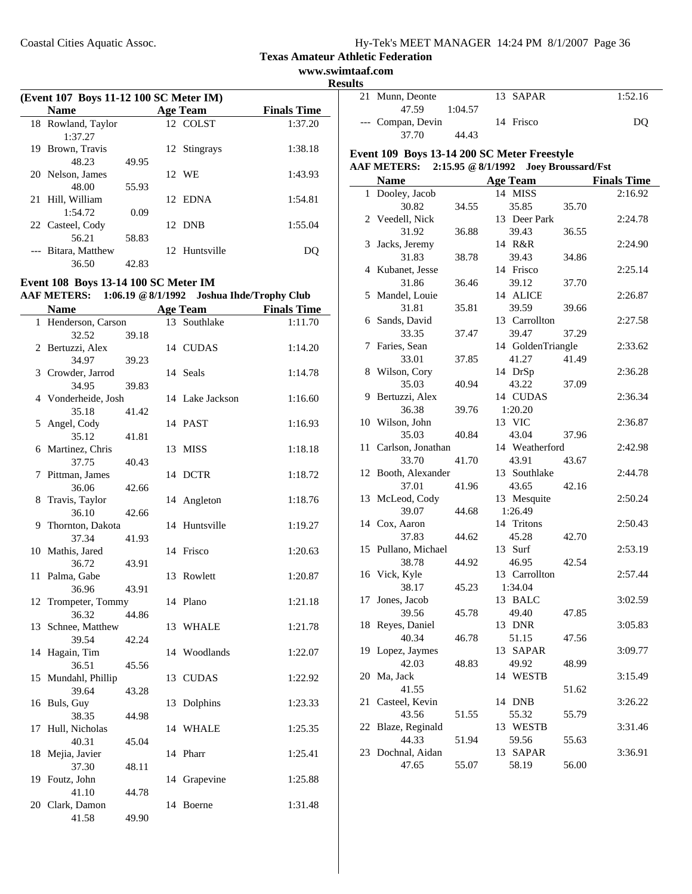**www.swimtaaf.com**

|     | (Event 107 Boys 11-12 100 SC Meter IM) |       |  |                 |                    |  |  |
|-----|----------------------------------------|-------|--|-----------------|--------------------|--|--|
|     | <b>Name</b>                            |       |  | <b>Age Team</b> | <b>Finals Time</b> |  |  |
|     | 18 Rowland, Taylor<br>1:37.27          |       |  | 12 COLST        | 1:37.20            |  |  |
| 19. | Brown, Travis                          |       |  | 12 Stingrays    | 1:38.18            |  |  |
|     | 48.23                                  | 49.95 |  |                 |                    |  |  |
|     | 20 Nelson, James<br>48.00              | 55.93 |  | 12 WE           | 1:43.93            |  |  |
|     | 21 Hill, William                       |       |  | 12 EDNA         | 1:54.81            |  |  |
|     | 1:54.72<br>22 Casteel, Cody            | 0.09  |  | 12 DNB          | 1:55.04            |  |  |
|     | 56.21                                  | 58.83 |  |                 |                    |  |  |
|     | Bitara, Matthew<br>36.50               | 42.83 |  | 12 Huntsville   |                    |  |  |
|     |                                        |       |  |                 |                    |  |  |

# **Event 108 Boys 13-14 100 SC Meter IM**

|      |                   | AAF METERS: 1:06.19 @ 8/1/1992 Joshua Ihde/Trophy Club |
|------|-------------------|--------------------------------------------------------|
| Nome | $\Lambda$ as Toom | Finale Time                                            |

|    | Name                      |       |    | Age Team        | <b>Finals Time</b> |
|----|---------------------------|-------|----|-----------------|--------------------|
| 1  | Henderson, Carson         |       | 13 | Southlake       | 1:11.70            |
|    | 32.52                     | 39.18 |    |                 |                    |
| 2  | Bertuzzi, Alex            |       |    | 14 CUDAS        | 1:14.20            |
|    | 34.97                     | 39.23 |    |                 |                    |
|    | 3 Crowder, Jarrod         |       |    | 14 Seals        | 1:14.78            |
|    | 34.95                     | 39.83 |    |                 |                    |
|    | 4 Vonderheide, Josh       |       |    | 14 Lake Jackson | 1:16.60            |
|    | 35.18                     | 41.42 |    |                 |                    |
| 5  | Angel, Cody               |       |    | 14 PAST         | 1:16.93            |
|    | 35.12                     | 41.81 |    |                 |                    |
| 6  | Martinez, Chris           |       | 13 | <b>MISS</b>     | 1:18.18            |
|    | 37.75                     | 40.43 |    |                 |                    |
| 7  | Pittman, James            |       |    | 14 DCTR         | 1:18.72            |
|    | 36.06                     | 42.66 |    |                 |                    |
| 8  | Travis, Taylor            |       |    | 14 Angleton     | 1:18.76            |
|    | 36.10                     | 42.66 |    |                 |                    |
| 9  | Thornton, Dakota          |       |    | 14 Huntsville   | 1:19.27            |
|    | 37.34                     | 41.93 |    |                 |                    |
|    | 10 Mathis, Jared          |       |    | 14 Frisco       | 1:20.63            |
|    | 36.72                     | 43.91 |    |                 |                    |
| 11 | Palma, Gabe               |       | 13 | Rowlett         | 1:20.87            |
|    | 36.96                     | 43.91 |    |                 |                    |
| 12 | Trompeter, Tommy          |       |    | 14 Plano        | 1:21.18            |
|    | 36.32                     | 44.86 |    |                 |                    |
| 13 | Schnee, Matthew           |       |    | 13 WHALE        | 1:21.78            |
|    | 39.54                     | 42.24 |    |                 |                    |
| 14 | Hagain, Tim<br>36.51      |       |    | 14 Woodlands    | 1:22.07            |
|    |                           | 45.56 |    |                 |                    |
| 15 | Mundahl, Phillip<br>39.64 | 43.28 | 13 | <b>CUDAS</b>    | 1:22.92            |
|    | 16 Buls, Guy              |       | 13 | Dolphins        | 1:23.33            |
|    | 38.35                     | 44.98 |    |                 |                    |
| 17 | Hull, Nicholas            |       |    | 14 WHALE        | 1:25.35            |
|    | 40.31                     | 45.04 |    |                 |                    |
| 18 | Mejia, Javier             |       |    | 14 Pharr        | 1:25.41            |
|    | 37.30                     | 48.11 |    |                 |                    |
| 19 | Foutz, John               |       | 14 | Grapevine       | 1:25.88            |
|    | 41.10                     | 44.78 |    |                 |                    |
|    | 20 Clark, Damon           |       |    | 14 Boerne       | 1:31.48            |
|    | 41.58                     | 49.90 |    |                 |                    |
|    |                           |       |    |                 |                    |

| <b>Results</b> |                               |         |                                                   |                    |
|----------------|-------------------------------|---------|---------------------------------------------------|--------------------|
|                | 21 Munn, Deonte<br>47.59      | 1:04.57 | 13 SAPAR                                          | 1:52.16            |
|                | --- Compan, Devin             |         | 14 Frisco                                         | DQ                 |
|                | 37.70                         | 44.43   |                                                   |                    |
|                |                               |         | Event 109 Boys 13-14 200 SC Meter Freestyle       |                    |
|                |                               |         | AAF METERS: 2:15.95 @ 8/1/1992 Joey Broussard/Fst |                    |
|                | <b>Name</b>                   |         | <b>Age Team</b>                                   | <b>Finals Time</b> |
|                | 1 Dooley, Jacob               |         | 14 MISS                                           | 2:16.92            |
|                | 30.82                         | 34.55   | 35.85<br>35.70                                    |                    |
|                | 2 Veedell, Nick               |         | 13 Deer Park                                      | 2:24.78            |
|                | 31.92                         | 36.88   | 39.43<br>36.55                                    |                    |
|                | 3 Jacks, Jeremy               |         | 14 R&R                                            | 2:24.90            |
|                | 31.83                         | 38.78   | 39.43<br>34.86                                    |                    |
|                | 4 Kubanet, Jesse              |         | 14 Frisco                                         | 2:25.14            |
|                | 31.86                         | 36.46   | 39.12<br>37.70                                    |                    |
|                | 5 Mandel, Louie               |         | 14 ALICE                                          | 2:26.87            |
|                | 31.81                         | 35.81   | 39.59<br>39.66                                    |                    |
|                | 6 Sands, David                |         | 13 Carrollton                                     | 2:27.58            |
|                | 33.35                         | 37.47   | 39.47<br>37.29                                    |                    |
|                | 7 Faries, Sean                |         | 14 GoldenTriangle                                 | 2:33.62            |
|                | 33.01                         | 37.85   | 41.27<br>41.49                                    |                    |
|                | 8 Wilson, Cory                |         | 14 DrSp                                           | 2:36.28            |
|                | 35.03                         | 40.94   | 43.22<br>37.09                                    |                    |
|                | 9 Bertuzzi, Alex              |         | 14 CUDAS                                          | 2:36.34            |
|                | 36.38                         | 39.76   | 1:20.20                                           |                    |
|                | 10 Wilson, John               |         | 13 VIC                                            | 2:36.87            |
|                | 35.03                         | 40.84   | 43.04<br>37.96                                    |                    |
|                | 11 Carlson, Jonathan<br>33.70 | 41.70   | 14 Weatherford                                    | 2:42.98            |
|                |                               |         | 43.91<br>43.67<br>13 Southlake                    | 2:44.78            |
|                | 12 Booth, Alexander<br>37.01  | 41.96   | 42.16<br>43.65                                    |                    |
|                | 13 McLeod, Cody               |         | 13 Mesquite                                       | 2:50.24            |
|                | 39.07                         | 44.68   | 1:26.49                                           |                    |
|                | 14 Cox, Aaron                 |         | 14 Tritons                                        | 2:50.43            |
|                | 37.83                         | 44.62   | 45.28<br>42.70                                    |                    |
|                | 15 Pullano, Michael           |         | 13 Surf                                           | 2:53.19            |
|                | 38.78                         | 44.92   | 46.95<br>42.54                                    |                    |
|                | 16 Vick, Kyle                 |         | 13 Carrollton                                     | 2:57.44            |
|                | 38.17                         | 45.23   | 1:34.04                                           |                    |
| 17             | Jones, Jacob                  |         | 13 BALC                                           | 3:02.59            |
|                | 39.56                         | 45.78   | 49.40<br>47.85                                    |                    |
|                | 18 Reyes, Daniel              |         | 13 DNR                                            | 3:05.83            |
|                | 40.34                         | 46.78   | 51.15<br>47.56                                    |                    |
|                | 19 Lopez, Jaymes              |         | 13 SAPAR                                          | 3:09.77            |
|                | 42.03                         | 48.83   | 49.92<br>48.99                                    |                    |
| 20             | Ma, Jack                      |         | 14 WESTB                                          | 3:15.49            |
|                | 41.55                         |         | 51.62                                             |                    |
| 21             | Casteel, Kevin                |         | 14 DNB                                            | 3:26.22            |
|                | 43.56                         | 51.55   | 55.32<br>55.79                                    |                    |
|                | 22 Blaze, Reginald            |         | 13 WESTB                                          | 3:31.46            |
|                | 44.33                         | 51.94   | 59.56<br>55.63                                    |                    |
|                | 23 Dochnal, Aidan             |         | 13 SAPAR                                          | 3:36.91            |
|                | 47.65                         | 55.07   | 58.19<br>56.00                                    |                    |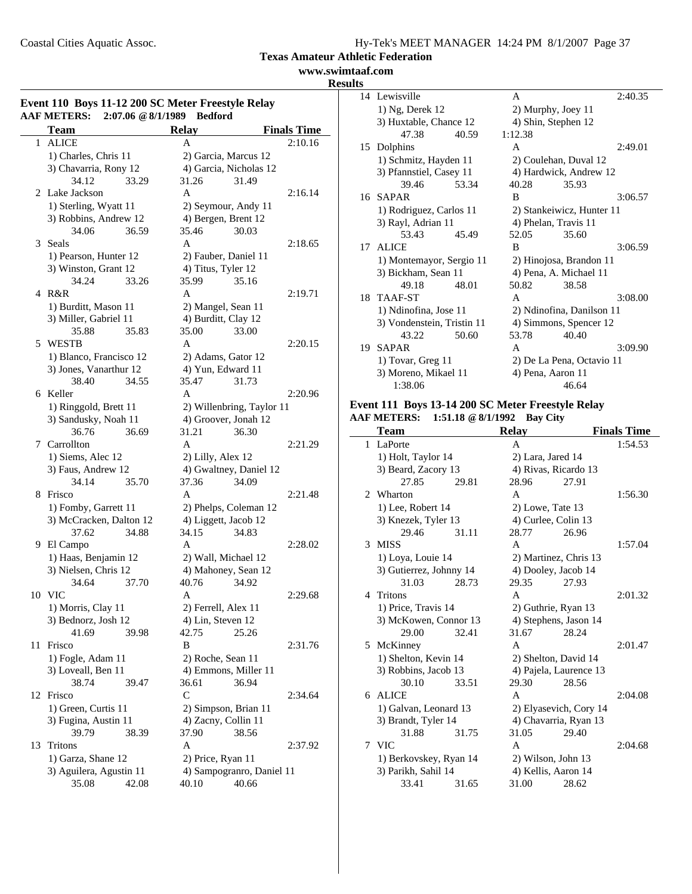**www.swimtaaf.com**

#### **Results**

|    | <b>Team</b>             | <b>Relay</b>                            | <b>Finals Time</b>        |
|----|-------------------------|-----------------------------------------|---------------------------|
|    | 1 ALICE                 | A                                       | 2:10.16                   |
|    | 1) Charles, Chris 11    | 2) Garcia, Marcus 12                    |                           |
|    | 3) Chavarria, Rony 12   | 4) Garcia, Nicholas 12                  |                           |
|    | 34.12<br>33.29          | 31.26                                   | 31.49                     |
|    | 2 Lake Jackson          | A                                       | 2:16.14                   |
|    | 1) Sterling, Wyatt 11   | 2) Seymour, Andy 11                     |                           |
|    | 3) Robbins, Andrew 12   | 4) Bergen, Brent 12                     |                           |
|    | 34.06<br>36.59          | 35.46                                   | 30.03                     |
| 3  | Seals                   | A                                       | 2:18.65                   |
|    | 1) Pearson, Hunter 12   | 2) Fauber, Daniel 11                    |                           |
|    | 3) Winston, Grant 12    | 4) Titus, Tyler 12                      |                           |
|    | 34.24<br>33.26          | 35.99                                   | 35.16                     |
|    | 4 R&R                   | A                                       | 2:19.71                   |
|    | 1) Burditt, Mason 11    | 2) Mangel, Sean 11                      |                           |
|    | 3) Miller, Gabriel 11   | 4) Burditt, Clay 12                     |                           |
|    | 35.88<br>35.83          | 35.00                                   | 33.00                     |
|    | 5 WESTB                 | A                                       | 2:20.15                   |
|    | 1) Blanco, Francisco 12 |                                         |                           |
|    | 3) Jones, Vanarthur 12  | 2) Adams, Gator 12<br>4) Yun, Edward 11 |                           |
|    | 38.40<br>34.55          | 35.47                                   | 31.73                     |
|    |                         |                                         |                           |
|    | 6 Keller                | A                                       | 2:20.96                   |
|    | 1) Ringgold, Brett 11   |                                         | 2) Willenbring, Taylor 11 |
|    | 3) Sandusky, Noah 11    | 4) Groover, Jonah 12                    |                           |
|    | 36.76<br>36.69          | 31.21                                   | 36.30                     |
| 7  | Carrollton              | A                                       | 2:21.29                   |
|    | 1) Siems, Alec 12       | 2) Lilly, Alex 12                       |                           |
|    | 3) Faus, Andrew 12      | 4) Gwaltney, Daniel 12                  |                           |
|    | 34.14<br>35.70          | 37.36                                   | 34.09                     |
| 8  | Frisco                  | A                                       | 2:21.48                   |
|    | 1) Fomby, Garrett 11    | 2) Phelps, Coleman 12                   |                           |
|    | 3) McCracken, Dalton 12 | 4) Liggett, Jacob 12                    |                           |
|    | 37.62<br>34.88          | 34.15                                   | 34.83                     |
|    | 9 El Campo              | A                                       | 2:28.02                   |
|    | 1) Haas, Benjamin 12    | 2) Wall, Michael 12                     |                           |
|    | 3) Nielsen, Chris 12    | 4) Mahoney, Sean 12                     |                           |
|    | 34.64<br>37.70          | 40.76                                   | 34.92                     |
|    | 10 VIC                  | A                                       | 2:29.68                   |
|    | 1) Morris, Clay 11      | 2) Ferrell, Alex 11                     |                           |
|    | 3) Bednorz, Josh 12     | 4) Lin, Steven 12                       |                           |
|    | 41.69<br>39.98          | 42.75                                   | 25.26                     |
| 11 | Frisco                  | B                                       | 2:31.76                   |
|    | 1) Fogle, Adam 11       | 2) Roche, Sean 11                       |                           |
|    | 3) Loveall, Ben 11      | 4) Emmons, Miller 11                    |                           |
|    | 38.74<br>39.47          | 36.61                                   | 36.94                     |
|    | 12 Frisco               | C                                       | 2:34.64                   |
|    | 1) Green, Curtis 11     | 2) Simpson, Brian 11                    |                           |
|    | 3) Fugina, Austin 11    | 4) Zacny, Collin 11                     |                           |
|    | 39.79<br>38.39          | 37.90                                   | 38.56                     |
| 13 | Tritons                 | A                                       | 2:37.92                   |
|    | 1) Garza, Shane 12      | 2) Price, Ryan 11                       |                           |
|    | 3) Aguilera, Agustin 11 |                                         | 4) Sampogranro, Daniel 11 |
|    |                         | 40.10                                   | 40.66                     |
|    | 35.08<br>42.08          |                                         |                           |

| ᄖ  |                            |       |                           |                           |         |
|----|----------------------------|-------|---------------------------|---------------------------|---------|
|    | 14 Lewisville              |       | A                         |                           | 2:40.35 |
|    | 1) Ng, Derek 12            |       |                           | 2) Murphy, Joey 11        |         |
|    | 3) Huxtable, Chance 12     |       |                           | 4) Shin, Stephen 12       |         |
|    | 47.38                      | 40.59 | 1:12.38                   |                           |         |
| 15 | Dolphins                   |       | A                         |                           | 2:49.01 |
|    | 1) Schmitz, Hayden 11      |       |                           | 2) Coulehan, Duval 12     |         |
|    | 3) Pfannstiel, Casey 11    |       |                           | 4) Hardwick, Andrew 12    |         |
|    | 39.46                      | 53.34 | 40.28                     | 35.93                     |         |
|    | 16 SAPAR                   |       | B                         |                           | 3:06.57 |
|    | 1) Rodriguez, Carlos 11    |       | 2) Stankeiwicz, Hunter 11 |                           |         |
|    | 3) Rayl, Adrian 11         |       |                           | 4) Phelan, Travis 11      |         |
|    | 53.43                      | 45.49 | 52.05                     | 35.60                     |         |
| 17 | <b>ALICE</b>               |       | B                         |                           | 3:06.59 |
|    | 1) Montemayor, Sergio 11   |       |                           | 2) Hinojosa, Brandon 11   |         |
|    | 3) Bickham, Sean 11        |       | 4) Pena, A. Michael 11    |                           |         |
|    | 49.18                      | 48.01 | 50.82                     | 38.58                     |         |
|    | 18 TAAF-ST                 |       | A                         |                           | 3:08.00 |
|    | 1) Ndinofina, Jose 11      |       |                           | 2) Ndinofina, Danilson 11 |         |
|    | 3) Vondenstein, Tristin 11 |       |                           | 4) Simmons, Spencer 12    |         |
|    | 43.22                      | 50.60 | 53.78                     | 40.40                     |         |
| 19 | <b>SAPAR</b>               |       | A                         |                           | 3:09.90 |
|    | 1) Tovar, Greg 11          |       | 2) De La Pena, Octavio 11 |                           |         |
|    | 3) Moreno, Mikael 11       |       |                           | 4) Pena, Aaron 11         |         |
|    | 1:38.06                    |       |                           | 46.64                     |         |

#### **Event 111 Boys 13-14 200 SC Meter Freestyle Relay AAF METERS: 1:51.18 @8/1/1992 Bay City**

|                | Team                    |       | <b>Relay</b>        |                        | <b>Finals Time</b> |
|----------------|-------------------------|-------|---------------------|------------------------|--------------------|
| 1              | LaPorte                 |       | A                   |                        | 1:54.53            |
|                | 1) Holt, Taylor 14      |       | 2) Lara, Jared 14   |                        |                    |
|                | 3) Beard, Zacory 13     |       |                     | 4) Rivas, Ricardo 13   |                    |
|                | 27.85                   | 29.81 | 28.96               | 27.91                  |                    |
| $\mathfrak{D}$ | Wharton                 |       | A                   |                        | 1:56.30            |
|                | 1) Lee, Robert 14       |       | 2) Lowe, Tate 13    |                        |                    |
|                | 3) Knezek, Tyler 13     |       | 4) Curlee, Colin 13 |                        |                    |
|                | 29.46                   | 31.11 | 28.77               | 26.96                  |                    |
| 3              | <b>MISS</b>             |       | A                   |                        | 1:57.04            |
|                | 1) Loya, Louie 14       |       |                     | 2) Martinez, Chris 13  |                    |
|                | 3) Gutierrez, Johnny 14 |       | 4) Dooley, Jacob 14 |                        |                    |
|                | 31.03                   | 28.73 | 29.35               | 27.93                  |                    |
| 4              | Tritons                 |       | A                   |                        | 2:01.32            |
|                | 1) Price, Travis 14     |       | 2) Guthrie, Ryan 13 |                        |                    |
|                | 3) McKowen, Connor 13   |       |                     | 4) Stephens, Jason 14  |                    |
|                | 29.00                   | 32.41 | 31.67               | 28.24                  |                    |
|                | 5 McKinney              |       | $\mathsf{A}$        |                        | 2:01.47            |
|                | 1) Shelton, Kevin 14    |       |                     | 2) Shelton, David 14   |                    |
|                | 3) Robbins, Jacob 13    |       |                     | 4) Pajela, Laurence 13 |                    |
|                | 30.10                   | 33.51 | 29.30               | 28.56                  |                    |
|                | 6 ALICE                 |       | $\mathsf{A}$        |                        | 2:04.08            |
|                | 1) Galvan, Leonard 13   |       |                     | 2) Elyasevich, Cory 14 |                    |
|                | 3) Brandt, Tyler 14     |       |                     | 4) Chavarria, Ryan 13  |                    |
|                | 31.88                   | 31.75 | 31.05               | 29.40                  |                    |
|                | 7 VIC                   |       | A                   |                        | 2:04.68            |
|                | 1) Berkovskey, Ryan 14  |       | 2) Wilson, John 13  |                        |                    |
|                | 3) Parikh, Sahil 14     |       | 4) Kellis, Aaron 14 |                        |                    |
|                | 33.41                   | 31.65 | 31.00               | 28.62                  |                    |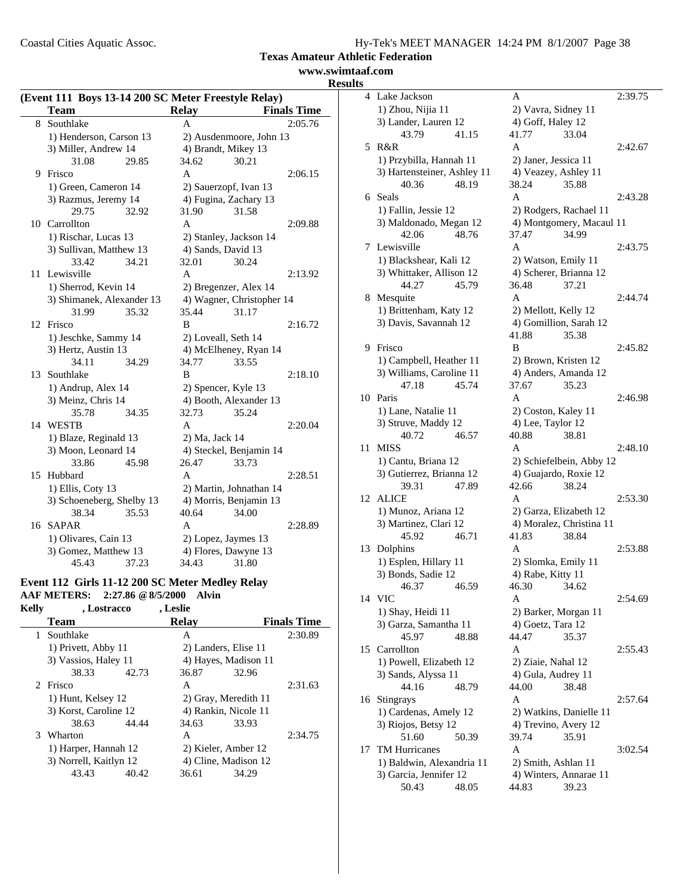Coastal Cities Aquatic Assoc.

j.

|  | Hy-Tek's MEET MANAGER 14:24 PM 8/1/2007 Page 38 |  |  |
|--|-------------------------------------------------|--|--|
|  |                                                 |  |  |

**Texas Amateur Athletic Federation**

# **www.swimtaaf.com Results**

| (Event 111 Boys 13-14 200 SC Meter Freestyle Relay) |                           |       |                |                           |                    |  |  |
|-----------------------------------------------------|---------------------------|-------|----------------|---------------------------|--------------------|--|--|
|                                                     | <b>Team</b>               |       | <b>Relay</b>   |                           | <b>Finals Time</b> |  |  |
| 8                                                   | Southlake                 |       | A              |                           | 2:05.76            |  |  |
|                                                     | 1) Henderson, Carson 13   |       |                | 2) Ausdenmoore, John 13   |                    |  |  |
|                                                     | 3) Miller, Andrew 14      |       |                | 4) Brandt, Mikey 13       |                    |  |  |
|                                                     | 31.08                     | 29.85 | 34.62          | 30.21                     |                    |  |  |
| 9                                                   | Frisco                    |       | $\mathsf{A}$   |                           | 2:06.15            |  |  |
|                                                     | 1) Green, Cameron 14      |       |                | 2) Sauerzopf, Ivan 13     |                    |  |  |
|                                                     | 3) Razmus, Jeremy 14      |       |                | 4) Fugina, Zachary 13     |                    |  |  |
|                                                     | 29.75                     | 32.92 | 31.90          | 31.58                     |                    |  |  |
| 10                                                  | Carrollton                |       | A              |                           | 2:09.88            |  |  |
|                                                     | 1) Rischar, Lucas 13      |       |                | 2) Stanley, Jackson 14    |                    |  |  |
|                                                     | 3) Sullivan, Matthew 13   |       |                | 4) Sands, David 13        |                    |  |  |
|                                                     | 33.42                     | 34.21 | 32.01          | 30.24                     |                    |  |  |
| 11                                                  | Lewisville                |       | A              |                           | 2:13.92            |  |  |
|                                                     | 1) Sherrod, Kevin 14      |       |                | 2) Bregenzer, Alex 14     |                    |  |  |
|                                                     | 3) Shimanek, Alexander 13 |       |                | 4) Wagner, Christopher 14 |                    |  |  |
|                                                     | 31.99                     | 35.32 | 35.44          | 31.17                     |                    |  |  |
| 12                                                  | Frisco                    |       | B              |                           | 2:16.72            |  |  |
|                                                     | 1) Jeschke, Sammy 14      |       |                | 2) Loveall, Seth 14       |                    |  |  |
|                                                     | 3) Hertz, Austin 13       |       |                | 4) McElheney, Ryan 14     |                    |  |  |
|                                                     | 34.11                     | 34.29 | 34.77          | 33.55                     |                    |  |  |
| 13                                                  | Southlake                 |       | B              |                           | 2:18.10            |  |  |
|                                                     | 1) Andrup, Alex 14        |       |                | 2) Spencer, Kyle 13       |                    |  |  |
|                                                     | 3) Meinz, Chris 14        |       |                | 4) Booth, Alexander 13    |                    |  |  |
|                                                     | 35.78                     | 34.35 | 32.73          | 35.24                     |                    |  |  |
| 14                                                  | WESTB                     |       | A              |                           | 2:20.04            |  |  |
|                                                     | 1) Blaze, Reginald 13     |       | 2) Ma, Jack 14 |                           |                    |  |  |
|                                                     | 3) Moon, Leonard 14       |       |                | 4) Steckel, Benjamin 14   |                    |  |  |
|                                                     | 33.86                     | 45.98 | 26.47          | 33.73                     |                    |  |  |
| 15                                                  | Hubbard                   |       | A              |                           | 2:28.51            |  |  |
|                                                     | 1) Ellis, Coty 13         |       |                | 2) Martin, Johnathan 14   |                    |  |  |
|                                                     | 3) Schoeneberg, Shelby 13 |       |                | 4) Morris, Benjamin 13    |                    |  |  |
|                                                     | 38.34                     | 35.53 | 40.64          | 34.00                     |                    |  |  |
| 16                                                  | <b>SAPAR</b>              |       | A              |                           | 2:28.89            |  |  |
|                                                     | 1) Olivares, Cain 13      |       |                | 2) Lopez, Jaymes 13       |                    |  |  |
|                                                     | 3) Gomez, Matthew 13      |       |                | 4) Flores, Dawyne 13      |                    |  |  |
|                                                     | 45.43                     | 37.23 | 34.43          | 31.80                     |                    |  |  |

# **Event 112 Girls 11-12 200 SC Meter Medley Relay**

**AAF METERS: 2:27.86 @8/5/2000 Alvin Kelly , Lostracco , Leslie**

| ******       | , Losa acco            |       | , позн       |                      |                    |
|--------------|------------------------|-------|--------------|----------------------|--------------------|
|              | <b>Team</b>            |       | <b>Relav</b> |                      | <b>Finals Time</b> |
| $\mathbf{1}$ | Southlake              |       | A            |                      | 2:30.89            |
|              | 1) Privett, Abby 11    |       |              | 2) Landers, Elise 11 |                    |
|              | 3) Vassios, Haley 11   |       |              | 4) Hayes, Madison 11 |                    |
|              | 38.33                  | 42.73 | 36.87        | 32.96                |                    |
|              | 2 Frisco               |       | A            |                      | 2:31.63            |
|              | 1) Hunt, Kelsey 12     |       |              | 2) Gray, Meredith 11 |                    |
|              | 3) Korst, Caroline 12  |       |              | 4) Rankin, Nicole 11 |                    |
|              | 38.63                  | 44.44 | 34.63        | 33.93                |                    |
|              | 3 Wharton              |       | A            |                      | 2:34.75            |
|              | 1) Harper, Hannah 12   |       |              | 2) Kieler, Amber 12  |                    |
|              | 3) Norrell, Kaitlyn 12 |       |              | 4) Cline, Madison 12 |                    |
|              | 43.43                  | 40.42 | 36.61        | 34.29                |                    |
|              |                        |       |              |                      |                    |

| 4  | Lake Jackson                | A                                          | 2:39.75 |
|----|-----------------------------|--------------------------------------------|---------|
|    | 1) Zhou, Nijia 11           | 2) Vavra, Sidney 11                        |         |
|    | 3) Lander, Lauren 12        | 4) Goff, Haley 12                          |         |
|    | 43.79<br>41.15              | 41.77<br>33.04                             |         |
| 5  | R&R                         | A                                          | 2:42.67 |
|    | 1) Przybilla, Hannah 11     | 2) Janer, Jessica 11                       |         |
|    | 3) Hartensteiner, Ashley 11 | 4) Veazey, Ashley 11                       |         |
|    | 40.36<br>48.19              | 38.24<br>35.88                             |         |
|    | 6 Seals                     | A                                          | 2:43.28 |
|    | 1) Fallin, Jessie 12        | 2) Rodgers, Rachael 11                     |         |
|    | 3) Maldonado, Megan 12      |                                            |         |
|    | 42.06<br>48.76              | 4) Montgomery, Macaul 11<br>37.47<br>34.99 |         |
|    | Lewisville                  | A                                          |         |
| 7  |                             |                                            | 2:43.75 |
|    | 1) Blackshear, Kali 12      | 2) Watson, Emily 11                        |         |
|    | 3) Whittaker, Allison 12    | 4) Scherer, Brianna 12                     |         |
|    | 44.27<br>45.79              | 36.48<br>37.21                             |         |
| 8. | Mesquite                    | A                                          | 2:44.74 |
|    | 1) Brittenham, Katy 12      | 2) Mellott, Kelly 12                       |         |
|    | 3) Davis, Savannah 12       | 4) Gomillion, Sarah 12                     |         |
|    |                             | 41.88<br>35.38                             |         |
| 9  | Frisco                      | B                                          | 2:45.82 |
|    | 1) Campbell, Heather 11     | 2) Brown, Kristen 12                       |         |
|    | 3) Williams, Caroline 11    | 4) Anders, Amanda 12                       |         |
|    | 47.18<br>45.74              | 37.67<br>35.23                             |         |
| 10 | Paris                       | A                                          | 2:46.98 |
|    | 1) Lane, Natalie 11         | 2) Coston, Kaley 11                        |         |
|    | 3) Struve, Maddy 12         | 4) Lee, Taylor 12                          |         |
|    | 40.72<br>46.57              | 40.88<br>38.81                             |         |
| 11 | <b>MISS</b>                 | A                                          | 2:48.10 |
|    | 1) Cantu, Briana 12         | 2) Schiefelbein, Abby 12                   |         |
|    | 3) Gutierrez, Brianna 12    | 4) Guajardo, Roxie 12                      |         |
|    | 39.31<br>47.89              | 42.66<br>38.24                             |         |
| 12 | <b>ALICE</b>                | A                                          | 2:53.30 |
|    | 1) Munoz, Ariana 12         | 2) Garza, Elizabeth 12                     |         |
|    | 3) Martinez, Clari 12       | 4) Moralez, Christina 11                   |         |
|    | 45.92<br>46.71              | 41.83<br>38.84                             |         |
| 13 | Dolphins                    | A                                          | 2:53.88 |
|    | 1) Esplen, Hillary 11       | 2) Slomka, Emily 11                        |         |
|    | 3) Bonds, Sadie 12          | 4) Rabe, Kitty 11                          |         |
|    | 46.37<br>46.59              | 46.30<br>34.62                             |         |
|    | 14 VIC                      | Α                                          | 2:54.69 |
|    | 1) Shay, Heidi 11           | 2) Barker, Morgan 11                       |         |
|    | 3) Garza, Samantha 11       | 4) Goetz, Tara 12                          |         |
|    | 45.97<br>48.88              | 44.47<br>35.37                             |         |
| 15 | Carrollton                  | Α                                          | 2:55.43 |
|    | 1) Powell, Elizabeth 12     | 2) Ziaie, Nahal 12                         |         |
|    | 3) Sands, Alyssa 11         | 4) Gula, Audrey 11                         |         |
|    | 44.16<br>48.79              | 44.00<br>38.48                             |         |
| 16 | Stingrays                   | Α                                          | 2:57.64 |
|    |                             |                                            |         |
|    | 1) Cardenas, Amely 12       | 2) Watkins, Danielle 11                    |         |
|    | 3) Riojos, Betsy 12         | 4) Trevino, Avery 12                       |         |
|    | 51.60<br>50.39              | 39.74<br>35.91                             |         |
| 17 | <b>TM Hurricanes</b>        | A                                          | 3:02.54 |
|    | 1) Baldwin, Alexandria 11   | 2) Smith, Ashlan 11                        |         |
|    | 3) Garcia, Jennifer 12      | 4) Winters, Annarae 11                     |         |
|    | 50.43<br>48.05              | 44.83<br>39.23                             |         |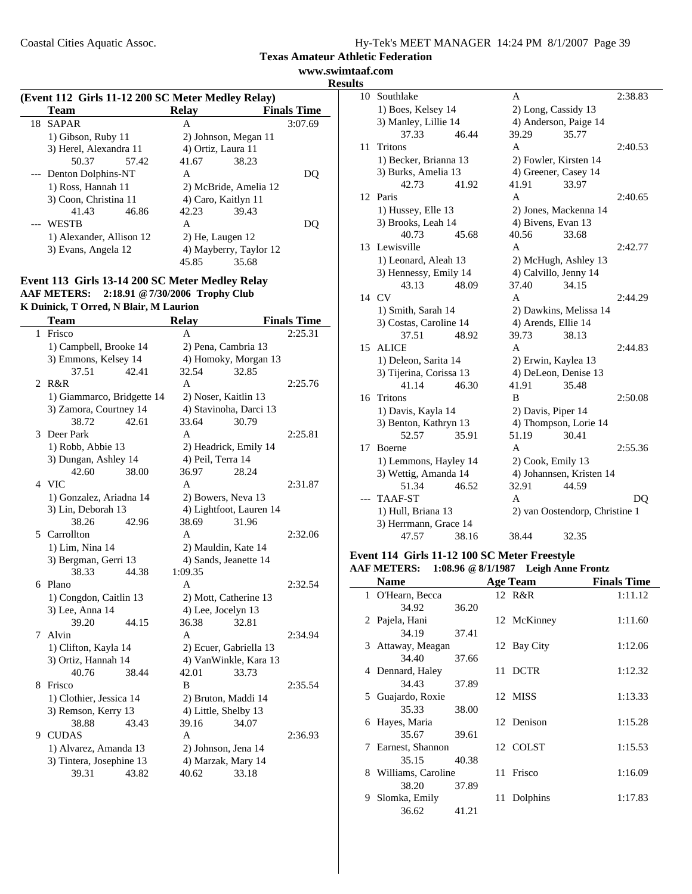**www.swimtaaf.com Results**

| (Event 112 Girls 11-12 200 SC Meter Medley Relay) |                          |       |                  |                        |                    |  |
|---------------------------------------------------|--------------------------|-------|------------------|------------------------|--------------------|--|
|                                                   | <b>Team</b>              |       | <b>Relay</b>     |                        | <b>Finals Time</b> |  |
| 18                                                | SAPAR                    |       | A                |                        | 3:07.69            |  |
|                                                   | 1) Gibson, Ruby 11       |       |                  | 2) Johnson, Megan 11   |                    |  |
|                                                   | 3) Herel, Alexandra 11   |       |                  | 4) Ortiz, Laura 11     |                    |  |
|                                                   | 50.37                    | 57.42 | 41.67            | 38.23                  |                    |  |
|                                                   | --- Denton Dolphins-NT   |       | A                |                        | DO.                |  |
|                                                   | 1) Ross, Hannah 11       |       |                  | 2) McBride, Amelia 12  |                    |  |
|                                                   | 3) Coon, Christina 11    |       |                  | 4) Caro, Kaitlyn 11    |                    |  |
|                                                   | 41.43                    | 46.86 | 42.23            | 39.43                  |                    |  |
|                                                   | WESTB                    |       | A                |                        | DO)                |  |
|                                                   | 1) Alexander, Allison 12 |       | 2) He, Laugen 12 |                        |                    |  |
|                                                   | 3) Evans, Angela 12      |       |                  | 4) Mayberry, Taylor 12 |                    |  |
|                                                   |                          |       | 45.85            | 35.68                  |                    |  |

#### **Event 113 Girls 13-14 200 SC Meter Medley Relay AAF METERS: 2:18.91 @7/30/2006 Trophy Club K Duinick, T Orred, N Blair, M Laurion**

|   | <b>Team</b>                  |       | <b>Relay</b>       |                                | <b>Finals Time</b> |
|---|------------------------------|-------|--------------------|--------------------------------|--------------------|
| 1 | Frisco                       |       | A                  |                                | 2:25.31            |
|   | 1) Campbell, Brooke 14       |       |                    | 2) Pena, Cambria 13            |                    |
|   | 3) Emmons, Kelsey 14         |       |                    | 4) Homoky, Morgan 13           |                    |
|   | 37.51                        | 42.41 | 32.54              | 32.85                          |                    |
| 2 | R&R                          |       | A                  |                                | 2:25.76            |
|   | 1) Giammarco, Bridgette 14   |       |                    | 2) Noser, Kaitlin 13           |                    |
|   | 3) Zamora, Courtney 14       |       |                    | 4) Stavinoha, Darci 13         |                    |
|   | 38.72                        | 42.61 | 33.64              | 30.79                          |                    |
| 3 | Deer Park                    |       | A                  |                                | 2:25.81            |
|   | 1) Robb, Abbie 13            |       |                    | 2) Headrick, Emily 14          |                    |
|   | 3) Dungan, Ashley 14         |       | 4) Peil, Terra 14  |                                |                    |
|   | 42.60                        | 38.00 | 36.97              | 28.24                          |                    |
|   | 4 VIC                        |       | A                  |                                | 2:31.87            |
|   | 1) Gonzalez, Ariadna 14      |       |                    | 2) Bowers, Neva 13             |                    |
|   | 3) Lin, Deborah 13           |       |                    | 4) Lightfoot, Lauren 14        |                    |
|   | 38.26                        | 42.96 | 38.69              | 31.96                          |                    |
| 5 | Carrollton                   |       | A                  |                                | 2:32.06            |
|   | 1) Lim, Nina 14              |       |                    | 2) Mauldin, Kate 14            |                    |
|   | 3) Bergman, Gerri 13         |       |                    | 4) Sands, Jeanette 14          |                    |
|   | 38.33                        | 44.38 | 1:09.35            |                                |                    |
| 6 | Plano                        |       | A                  |                                | 2:32.54            |
|   | 1) Congdon, Caitlin 13       |       |                    | 2) Mott, Catherine 13          |                    |
|   | 3) Lee, Anna 14              |       | 4) Lee, Jocelyn 13 |                                |                    |
|   | 39.20                        | 44.15 | 36.38              | 32.81                          |                    |
| 7 | Alvin                        |       | A                  |                                | 2:34.94            |
|   | 1) Clifton, Kayla 14         |       |                    | 2) Ecuer, Gabriella 13         |                    |
|   | 3) Ortiz, Hannah 14<br>40.76 | 38.44 | 42.01              | 4) VanWinkle, Kara 13<br>33.73 |                    |
| 8 | Frisco                       |       | B                  |                                | 2:35.54            |
|   | 1) Clothier, Jessica 14      |       |                    | 2) Bruton, Maddi 14            |                    |
|   | 3) Remson, Kerry 13          |       |                    | 4) Little, Shelby 13           |                    |
|   | 38.88                        | 43.43 | 39.16              | 34.07                          |                    |
| 9 | <b>CUDAS</b>                 |       | A                  |                                | 2:36.93            |
|   | 1) Alvarez, Amanda 13        |       |                    | 2) Johnson, Jena 14            |                    |
|   | 3) Tintera, Josephine 13     |       |                    | 4) Marzak, Mary 14             |                    |
|   | 39.31                        | 43.82 | 40.62              | 33.18                          |                    |
|   |                              |       |                    |                                |                    |

| 10 | Southlake               |       | A                     |                                | 2:38.83 |
|----|-------------------------|-------|-----------------------|--------------------------------|---------|
|    | 1) Boes, Kelsey 14      |       | 2) Long, Cassidy 13   |                                |         |
|    | 3) Manley, Lillie 14    |       | 4) Anderson, Paige 14 |                                |         |
|    | 37.33                   | 46.44 | 39.29                 | 35.77                          |         |
| 11 | Tritons                 |       | A                     |                                | 2:40.53 |
|    | 1) Becker, Brianna 13   |       | 2) Fowler, Kirsten 14 |                                |         |
|    | 3) Burks, Amelia 13     |       | 4) Greener, Casey 14  |                                |         |
|    | 42.73                   | 41.92 | 41.91                 | 33.97                          |         |
|    | 12 Paris                |       | A                     |                                | 2:40.65 |
|    | 1) Hussey, Elle 13      |       |                       | 2) Jones, Mackenna 14          |         |
|    | 3) Brooks, Leah 14      |       | 4) Bivens, Evan 13    |                                |         |
|    | 40.73                   | 45.68 | 40.56                 | 33.68                          |         |
|    | 13 Lewisville           |       | A                     |                                | 2:42.77 |
|    | 1) Leonard, Aleah 13    |       |                       | 2) McHugh, Ashley 13           |         |
|    | 3) Hennessy, Emily 14   |       | 4) Calvillo, Jenny 14 |                                |         |
|    | 43.13                   | 48.09 | 37.40                 | 34.15                          |         |
| 14 | CV                      |       | A                     |                                | 2:44.29 |
|    | 1) Smith, Sarah 14      |       |                       | 2) Dawkins, Melissa 14         |         |
|    | 3) Costas, Caroline 14  |       | 4) Arends, Ellie 14   |                                |         |
|    | 37.51                   | 48.92 | 39.73                 | 38.13                          |         |
|    | 15 ALICE                |       | A                     |                                | 2:44.83 |
|    | 1) Deleon, Sarita 14    |       | 2) Erwin, Kaylea 13   |                                |         |
|    | 3) Tijerina, Corissa 13 |       | 4) DeLeon, Denise 13  |                                |         |
|    | 41.14                   | 46.30 | 41.91                 | 35.48                          |         |
|    | 16 Tritons              |       | B                     |                                | 2:50.08 |
|    | 1) Davis, Kayla 14      |       | 2) Davis, Piper 14    |                                |         |
|    | 3) Benton, Kathryn 13   |       |                       | 4) Thompson, Lorie 14          |         |
|    | 52.57                   | 35.91 | 51.19                 | 30.41                          |         |
| 17 | <b>Boerne</b>           |       | A                     |                                | 2:55.36 |
|    | 1) Lemmons, Hayley 14   |       | 2) Cook, Emily 13     |                                |         |
|    | 3) Wettig, Amanda 14    |       |                       | 4) Johannsen, Kristen 14       |         |
|    | 51.34                   | 46.52 | 32.91                 | 44.59                          |         |
|    | <b>TAAF-ST</b>          |       | A                     |                                | DQ      |
|    | 1) Hull, Briana 13      |       |                       | 2) van Oostendorp, Christine 1 |         |
|    | 3) Herrmann, Grace 14   |       |                       |                                |         |
|    | 47.57                   | 38.16 | 38.44                 | 32.35                          |         |

# **Event 114 Girls 11-12 100 SC Meter Freestyle**

# **AAF METERS: 1:08.96 @8/1/1987 Leigh Anne Frontz**

| <b>Name</b>           |       |    | <b>Age Team</b> | <b>Finals Time</b> |
|-----------------------|-------|----|-----------------|--------------------|
| 1 O'Hearn, Becca      |       |    | 12 R&R          | 1:11.12            |
| 34.92                 | 36.20 |    |                 |                    |
| 2 Pajela, Hani        |       |    | 12 McKinney     | 1:11.60            |
| 34.19                 | 37.41 |    |                 |                    |
| 3 Attaway, Meagan     |       |    | 12 Bay City     | 1:12.06            |
| 34.40                 | 37.66 |    |                 |                    |
| 4 Dennard, Haley      |       |    | 11 DCTR         | 1:12.32            |
| 34.43                 | 37.89 |    |                 |                    |
| Guajardo, Roxie<br>5  |       |    | 12 MISS         | 1:13.33            |
| 35.33                 | 38.00 |    |                 |                    |
| 6 Hayes, Maria        |       |    | 12 Denison      | 1:15.28            |
| 35.67                 | 39.61 |    |                 |                    |
| Earnest, Shannon<br>7 |       |    | 12 COLST        | 1:15.53            |
| 35.15                 | 40.38 |    |                 |                    |
| 8 Williams, Caroline  |       |    | 11 Frisco       | 1:16.09            |
| 38.20                 | 37.89 |    |                 |                    |
| Slomka, Emily<br>9.   |       | 11 | Dolphins        | 1:17.83            |
| 36.62                 | 41.21 |    |                 |                    |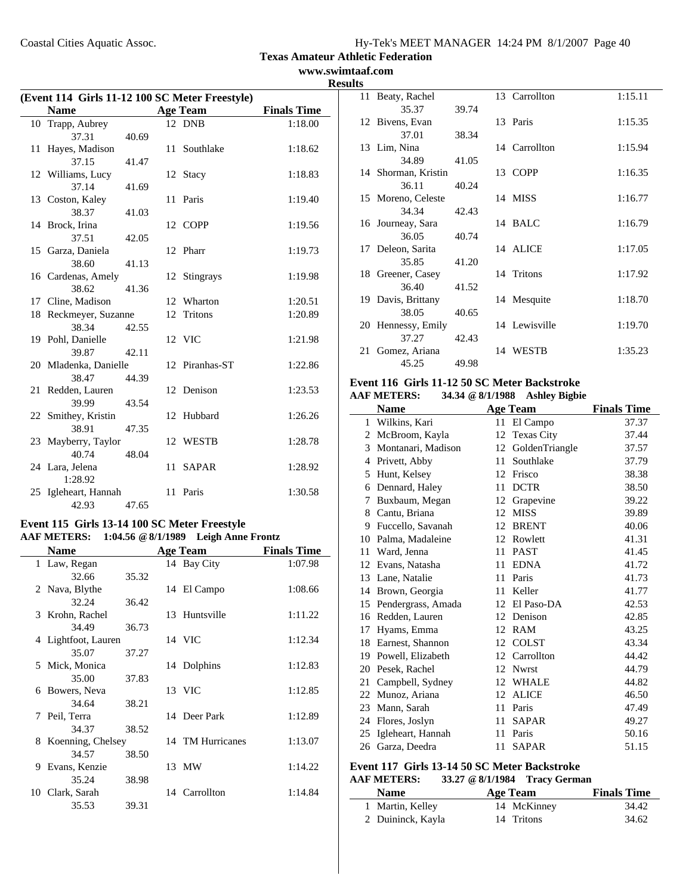**www.swimtaaf.com Results**

| (Event 114 Girls 11-12 100 SC Meter Freestyle) |                       |       |    |                 |                    |
|------------------------------------------------|-----------------------|-------|----|-----------------|--------------------|
|                                                | <b>Name</b>           |       |    | <b>Age Team</b> | <b>Finals Time</b> |
| 10                                             | Trapp, Aubrey         |       |    | 12 DNB          | 1:18.00            |
|                                                | 37.31                 | 40.69 |    |                 |                    |
|                                                | 11 Hayes, Madison     |       |    | 11 Southlake    | 1:18.62            |
|                                                | 37.15                 | 41.47 |    |                 |                    |
|                                                | 12 Williams, Lucy     |       |    | 12 Stacy        | 1:18.83            |
|                                                | 37.14                 | 41.69 |    |                 |                    |
|                                                | 13 Coston, Kaley      |       |    | 11 Paris        | 1:19.40            |
|                                                | 38.37                 | 41.03 |    |                 |                    |
|                                                | 14 Brock, Irina       |       |    | 12 COPP         | 1:19.56            |
|                                                | 37.51                 | 42.05 |    |                 |                    |
|                                                | 15 Garza, Daniela     |       |    | 12 Pharr        | 1:19.73            |
|                                                | 38.60                 | 41.13 |    |                 |                    |
|                                                | 16 Cardenas, Amely    |       |    | 12 Stingrays    | 1:19.98            |
|                                                | 38.62                 | 41.36 |    |                 |                    |
|                                                | 17 Cline, Madison     |       |    | 12 Wharton      | 1:20.51            |
|                                                | 18 Reckmeyer, Suzanne |       | 12 | <b>Tritons</b>  | 1:20.89            |
|                                                | 38.34                 | 42.55 |    |                 |                    |
|                                                | 19 Pohl, Danielle     |       |    | 12 VIC          | 1:21.98            |
|                                                | 39.87                 | 42.11 |    |                 |                    |
|                                                | 20 Mladenka, Danielle |       |    | 12 Piranhas-ST  | 1:22.86            |
|                                                | 38.47                 | 44.39 |    |                 |                    |
|                                                | 21 Redden, Lauren     |       |    | 12 Denison      | 1:23.53            |
|                                                | 39.99                 | 43.54 |    |                 |                    |
|                                                | 22 Smithey, Kristin   |       | 12 | Hubbard         | 1:26.26            |
|                                                | 38.91                 | 47.35 |    |                 |                    |
|                                                | 23 Mayberry, Taylor   |       |    | 12 WESTB        | 1:28.78            |
|                                                | 40.74                 | 48.04 |    |                 |                    |
|                                                | 24 Lara, Jelena       |       |    | 11 SAPAR        | 1:28.92            |
|                                                | 1:28.92               |       |    |                 |                    |
|                                                | 25 Igleheart, Hannah  |       |    | 11 Paris        | 1:30.58            |
|                                                | 42.93                 | 47.65 |    |                 |                    |

# **Event 115 Girls 13-14 100 SC Meter Freestyle AAF METERS: 1:04.56 @8/1/1989 Leigh Anne Frontz**

|   | <b>Name</b>         |       | <b>Age Team</b>  | <b>Finals Time</b> |
|---|---------------------|-------|------------------|--------------------|
|   | 1 Law, Regan        |       | 14 Bay City      | 1:07.98            |
|   | 32.66               | 35.32 |                  |                    |
|   | 2 Nava, Blythe      |       | 14 El Campo      | 1:08.66            |
|   | 32.24               | 36.42 |                  |                    |
|   | 3 Krohn, Rachel     |       | 13 Huntsville    | 1:11.22            |
|   | 34.49               | 36.73 |                  |                    |
|   | 4 Lightfoot, Lauren |       | 14 VIC           | 1:12.34            |
|   | 35.07               | 37.27 |                  |                    |
|   | 5 Mick, Monica      |       | 14 Dolphins      | 1:12.83            |
|   | 35.00               | 37.83 |                  |                    |
|   | 6 Bowers, Neva      |       | 13 VIC           | 1:12.85            |
|   | 34.64               | 38.21 |                  |                    |
|   | 7 Peil, Terra       |       | 14 Deer Park     | 1:12.89            |
|   | 34.37               | 38.52 |                  |                    |
| 8 | Koenning, Chelsey   |       | 14 TM Hurricanes | 1:13.07            |
|   | 34.57               | 38.50 |                  |                    |
| 9 | Evans, Kenzie       |       | 13 MW            | 1:14.22            |
|   | 35.24               | 38.98 |                  |                    |
|   | 10 Clark, Sarah     |       | 14 Carrollton    | 1:14.84            |
|   | 35.53               | 39.31 |                  |                    |

| 11 Beaty, Rachel    |       | 13 Carrollton | 1:15.11 |
|---------------------|-------|---------------|---------|
| 35.37               | 39.74 |               |         |
| 12 Bivens, Evan     |       | 13 Paris      | 1:15.35 |
| 37.01               | 38.34 |               |         |
| 13 Lim, Nina        |       | 14 Carrollton | 1:15.94 |
| 34.89               | 41.05 |               |         |
| 14 Shorman, Kristin |       | 13 COPP       | 1:16.35 |
| 36.11               | 40.24 |               |         |
| 15 Moreno, Celeste  |       | 14 MISS       | 1:16.77 |
| 34.34               | 42.43 |               |         |
| 16 Journeay, Sara   |       | 14 BALC       | 1:16.79 |
| 36.05               | 40.74 |               |         |
| 17 Deleon, Sarita   |       | 14 ALICE      | 1:17.05 |
| 35.85               | 41.20 |               |         |
| 18 Greener, Casey   |       | 14 Tritons    | 1:17.92 |
| 36.40               | 41.52 |               |         |
| 19 Davis, Brittany  |       | 14 Mesquite   | 1:18.70 |
| 38.05               | 40.65 |               |         |
| 20 Hennessy, Emily  |       | 14 Lewisville | 1:19.70 |
| 37.27               | 42.43 |               |         |
| 21 Gomez, Ariana    |       | 14 WESTB      | 1:35.23 |
| 45.25               | 49.98 |               |         |

#### **Event 116 Girls 11-12 50 SC Meter Backstroke AAF METERS: 34.34 @8/1/1988 Ashley Bigbie**

|    | <b>Name</b>        |    | <b>Age Team</b>   | <b>Finals Time</b> |
|----|--------------------|----|-------------------|--------------------|
| 1  | Wilkins, Kari      | 11 | El Campo          | 37.37              |
| 2  | McBroom, Kayla     | 12 | <b>Texas City</b> | 37.44              |
| 3  | Montanari, Madison | 12 | GoldenTriangle    | 37.57              |
| 4  | Privett, Abby      | 11 | Southlake         | 37.79              |
| 5  | Hunt, Kelsey       | 12 | Frisco            | 38.38              |
| 6  | Dennard, Haley     | 11 | <b>DCTR</b>       | 38.50              |
| 7  | Buxbaum, Megan     | 12 | Grapevine         | 39.22              |
| 8  | Cantu, Briana      | 12 | <b>MISS</b>       | 39.89              |
| 9  | Fuccello, Savanah  | 12 | <b>BRENT</b>      | 40.06              |
| 10 | Palma, Madaleine   | 12 | Rowlett           | 41.31              |
| 11 | Ward, Jenna        | 11 | <b>PAST</b>       | 41.45              |
| 12 | Evans, Natasha     | 11 | <b>EDNA</b>       | 41.72              |
| 13 | Lane, Natalie      | 11 | Paris             | 41.73              |
| 14 | Brown, Georgia     | 11 | Keller            | 41.77              |
| 15 | Pendergrass, Amada | 12 | El Paso-DA        | 42.53              |
| 16 | Redden, Lauren     | 12 | Denison           | 42.85              |
| 17 | Hyams, Emma        | 12 | <b>RAM</b>        | 43.25              |
| 18 | Earnest, Shannon   | 12 | <b>COLST</b>      | 43.34              |
| 19 | Powell, Elizabeth  | 12 | Carrollton        | 44.42              |
| 20 | Pesek, Rachel      | 12 | <b>Nwrst</b>      | 44.79              |
| 21 | Campbell, Sydney   | 12 | <b>WHALE</b>      | 44.82              |
| 22 | Munoz, Ariana      | 12 | <b>ALICE</b>      | 46.50              |
| 23 | Mann, Sarah        | 11 | Paris             | 47.49              |
| 24 | Flores, Joslyn     | 11 | <b>SAPAR</b>      | 49.27              |
| 25 | Igleheart, Hannah  | 11 | Paris             | 50.16              |
| 26 | Garza, Deedra      | 11 | <b>SAPAR</b>      | 51.15              |

#### **Event 117 Girls 13-14 50 SC Meter Backstroke AAF METERS: 33.27 @8/1/1984 Tracy German**

| <b>Name</b>       | Age Team    | <b>Finals Time</b> |
|-------------------|-------------|--------------------|
| 1 Martin, Kelley  | 14 McKinney | 34.42              |
| 2 Duininck, Kayla | 14 Tritons  | 34.62              |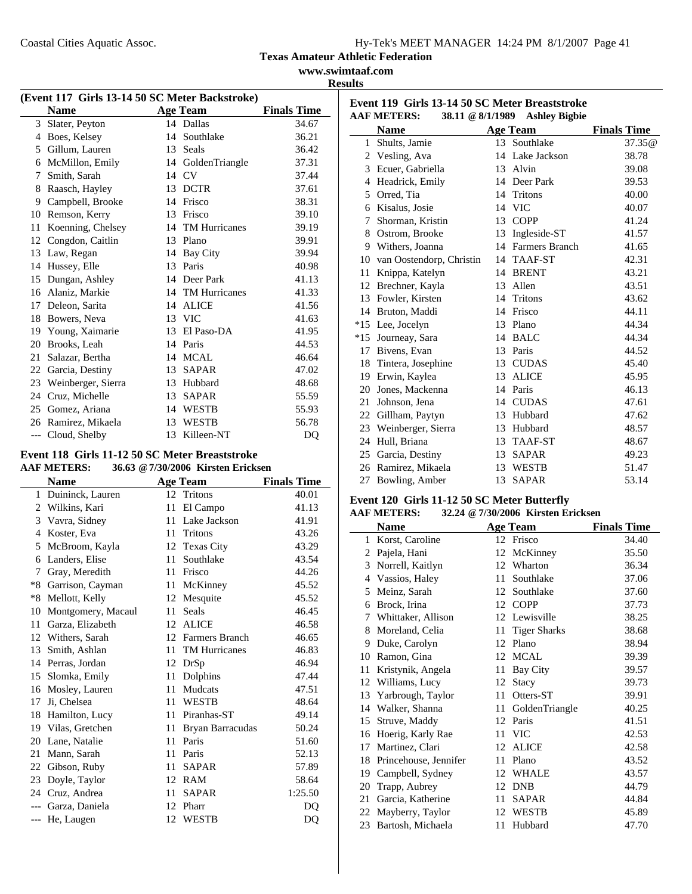**www.swimtaaf.com Results**

|       | (Event 117 Girls 13-14 50 SC Meter Backstroke) |    |                      |                    |  |  |
|-------|------------------------------------------------|----|----------------------|--------------------|--|--|
|       | <b>Name</b>                                    |    | <b>Age Team</b>      | <b>Finals Time</b> |  |  |
|       | 3 Slater, Peyton                               |    | 14 Dallas            | 34.67              |  |  |
| 4     | Boes, Kelsey                                   | 14 | Southlake            | 36.21              |  |  |
| 5     | Gillum, Lauren                                 | 13 | Seals                | 36.42              |  |  |
| 6     | McMillon, Emily                                | 14 | GoldenTriangle       | 37.31              |  |  |
| 7     | Smith, Sarah                                   |    | 14 CV                | 37.44              |  |  |
| 8     | Raasch, Hayley                                 | 13 | <b>DCTR</b>          | 37.61              |  |  |
| 9     | Campbell, Brooke                               | 14 | Frisco               | 38.31              |  |  |
| 10    | Remson, Kerry                                  | 13 | Frisco               | 39.10              |  |  |
| 11    | Koenning, Chelsey                              | 14 | <b>TM Hurricanes</b> | 39.19              |  |  |
| 12    | Congdon, Caitlin                               | 13 | Plano                | 39.91              |  |  |
| 13    | Law, Regan                                     | 14 | Bay City             | 39.94              |  |  |
| 14    | Hussey, Elle                                   | 13 | Paris                | 40.98              |  |  |
| 15    | Dungan, Ashley                                 | 14 | Deer Park            | 41.13              |  |  |
| 16    | Alaniz, Markie                                 |    | 14 TM Hurricanes     | 41.33              |  |  |
| 17    | Deleon, Sarita                                 | 14 | <b>ALICE</b>         | 41.56              |  |  |
| 18    | Bowers, Neva                                   | 13 | <b>VIC</b>           | 41.63              |  |  |
| 19    | Young, Xaimarie                                | 13 | El Paso-DA           | 41.95              |  |  |
| 20    | Brooks, Leah                                   | 14 | Paris                | 44.53              |  |  |
| 21    | Salazar, Bertha                                | 14 | <b>MCAL</b>          | 46.64              |  |  |
| 22    | Garcia, Destiny                                | 13 | <b>SAPAR</b>         | 47.02              |  |  |
| 23    | Weinberger, Sierra                             | 13 | Hubbard              | 48.68              |  |  |
| 24    | Cruz, Michelle                                 | 13 | <b>SAPAR</b>         | 55.59              |  |  |
| 25    | Gomez, Ariana                                  | 14 | WESTB                | 55.93              |  |  |
| 26    | Ramirez, Mikaela                               | 13 | <b>WESTB</b>         | 56.78              |  |  |
| $---$ | Cloud, Shelby                                  | 13 | Killeen-NT           | DQ                 |  |  |

#### **Event 118 Girls 11-12 50 SC Meter Breaststroke AAF METERS: 36.63 @7/30/2006 Kirsten Ericksen**

|       | <b>Name</b>        |    | <b>Age Team</b>      | <b>Finals Time</b> |
|-------|--------------------|----|----------------------|--------------------|
| 1     | Duininck, Lauren   | 12 | Tritons              | 40.01              |
| 2     | Wilkins, Kari      | 11 | El Campo             | 41.13              |
| 3     | Vavra, Sidney      | 11 | Lake Jackson         | 41.91              |
| 4     | Koster, Eva        | 11 | Tritons              | 43.26              |
| 5     | McBroom, Kayla     | 12 | <b>Texas City</b>    | 43.29              |
| 6     | Landers, Elise     | 11 | Southlake            | 43.54              |
| 7     | Gray, Meredith     | 11 | Frisco               | 44.26              |
| $*8$  | Garrison, Cayman   | 11 | McKinney             | 45.52              |
| $*8$  | Mellott, Kelly     | 12 | Mesquite             | 45.52              |
| 10    | Montgomery, Macaul | 11 | <b>Seals</b>         | 46.45              |
| 11    | Garza, Elizabeth   | 12 | <b>ALICE</b>         | 46.58              |
| 12    | Withers, Sarah     | 12 | Farmers Branch       | 46.65              |
| 13    | Smith, Ashlan      | 11 | <b>TM Hurricanes</b> | 46.83              |
| 14    | Perras, Jordan     | 12 | DrSp                 | 46.94              |
| 15    | Slomka, Emily      | 11 | Dolphins             | 47.44              |
| 16    | Mosley, Lauren     | 11 | <b>Mudcats</b>       | 47.51              |
| 17    | Ji, Chelsea        | 11 | <b>WESTB</b>         | 48.64              |
| 18    | Hamilton, Lucy     | 11 | Piranhas-ST          | 49.14              |
| 19    | Vilas, Gretchen    | 11 | Bryan Barracudas     | 50.24              |
| 20    | Lane, Natalie      | 11 | Paris                | 51.60              |
| 21    | Mann, Sarah        | 11 | Paris                | 52.13              |
| 22    | Gibson, Ruby       | 11 | <b>SAPAR</b>         | 57.89              |
| 23    | Doyle, Taylor      | 12 | <b>RAM</b>           | 58.64              |
| 24    | Cruz. Andrea       | 11 | <b>SAPAR</b>         | 1:25.50            |
|       | Garza, Daniela     | 12 | Pharr                | DO                 |
| $---$ | He, Laugen         | 12 | WESTB                | DQ                 |
|       |                    |    |                      |                    |

| Event 119 Girls 13-14 50 SC Meter Breaststroke                 |                             |    |                   |                    |  |  |
|----------------------------------------------------------------|-----------------------------|----|-------------------|--------------------|--|--|
| <b>AAF METERS:</b><br>38.11 @ 8/1/1989<br><b>Ashley Bigbie</b> |                             |    |                   |                    |  |  |
|                                                                | <b>Name</b>                 |    | <b>Age Team</b>   | <b>Finals Time</b> |  |  |
|                                                                | 1 Shults, Jamie             |    | 13 Southlake      | 37.35@             |  |  |
|                                                                | 2 Vesling, Ava              |    | 14 Lake Jackson   | 38.78              |  |  |
|                                                                | 3 Ecuer, Gabriella          |    | 13 Alvin          | 39.08              |  |  |
| 4                                                              | Headrick, Emily             |    | 14 Deer Park      | 39.53              |  |  |
| 5.                                                             | Orred, Tia                  |    | 14 Tritons        | 40.00              |  |  |
| 6                                                              | Kisalus, Josie              |    | 14 VIC            | 40.07              |  |  |
| 7                                                              | Shorman, Kristin            | 13 | <b>COPP</b>       | 41.24              |  |  |
| 8                                                              | Ostrom, Brooke              | 13 | Ingleside-ST      | 41.57              |  |  |
|                                                                | 9 Withers, Joanna           |    | 14 Farmers Branch | 41.65              |  |  |
|                                                                | 10 van Oostendorp, Christin | 14 | TAAF-ST           | 42.31              |  |  |
| 11                                                             | Knippa, Katelyn             | 14 | <b>BRENT</b>      | 43.21              |  |  |
| 12                                                             | Brechner, Kayla             | 13 | Allen             | 43.51              |  |  |
|                                                                | 13 Fowler, Kirsten          |    | 14 Tritons        | 43.62              |  |  |
| 14                                                             | Bruton, Maddi               | 14 | Frisco            | 44.11              |  |  |
|                                                                | *15 Lee, Jocelyn            |    | 13 Plano          | 44.34              |  |  |
| $*15$                                                          | Journeay, Sara              | 14 | <b>BALC</b>       | 44.34              |  |  |
|                                                                | 17 Bivens, Evan             |    | 13 Paris          | 44.52              |  |  |
|                                                                | 18 Tintera, Josephine       | 13 | <b>CUDAS</b>      | 45.40              |  |  |
|                                                                | 19 Erwin, Kaylea            | 13 | <b>ALICE</b>      | 45.95              |  |  |
| 20                                                             | Jones, Mackenna             |    | 14 Paris          | 46.13              |  |  |
| 21                                                             | Johnson, Jena               |    | 14 CUDAS          | 47.61              |  |  |
| 22                                                             | Gillham, Paytyn             | 13 | Hubbard           | 47.62              |  |  |
|                                                                | 23 Weinberger, Sierra       |    | 13 Hubbard        | 48.57              |  |  |
| 24                                                             | Hull, Briana                | 13 | <b>TAAF-ST</b>    | 48.67              |  |  |
|                                                                | 25 Garcia, Destiny          | 13 | <b>SAPAR</b>      | 49.23              |  |  |
|                                                                | 26 Ramirez, Mikaela         | 13 | <b>WESTB</b>      | 51.47              |  |  |
| 27                                                             | Bowling, Amber              | 13 | <b>SAPAR</b>      | 53.14              |  |  |

# **Event 120 Girls 11-12 50 SC Meter Butterfly**

#### **AAF METERS: 32.24 @7/30/2006 Kirsten Ericksen**

|    | <b>Name</b>           |    | <b>Age Team</b>     | <b>Finals Time</b> |
|----|-----------------------|----|---------------------|--------------------|
| 1  | Korst, Caroline       | 12 | Frisco              | 34.40              |
| 2  | Pajela, Hani          | 12 | McKinney            | 35.50              |
| 3  | Norrell, Kaitlyn      | 12 | Wharton             | 36.34              |
| 4  | Vassios, Haley        | 11 | Southlake           | 37.06              |
| 5  | Meinz, Sarah          | 12 | Southlake           | 37.60              |
| 6  | Brock, Irina          | 12 | <b>COPP</b>         | 37.73              |
| 7  | Whittaker, Allison    | 12 | Lewisville          | 38.25              |
| 8  | Moreland, Celia       | 11 | <b>Tiger Sharks</b> | 38.68              |
| 9  | Duke, Carolyn         | 12 | Plano               | 38.94              |
| 10 | Ramon, Gina           | 12 | <b>MCAL</b>         | 39.39              |
| 11 | Kristynik, Angela     | 11 | Bay City            | 39.57              |
| 12 | Williams, Lucy        | 12 | Stacy               | 39.73              |
| 13 | Yarbrough, Taylor     | 11 | Otters-ST           | 39.91              |
| 14 | Walker, Shanna        | 11 | GoldenTriangle      | 40.25              |
| 15 | Struve, Maddy         | 12 | Paris               | 41.51              |
| 16 | Hoerig, Karly Rae     | 11 | <b>VIC</b>          | 42.53              |
| 17 | Martinez, Clari       | 12 | <b>ALICE</b>        | 42.58              |
| 18 | Princehouse, Jennifer | 11 | Plano               | 43.52              |
| 19 | Campbell, Sydney      | 12 | <b>WHALE</b>        | 43.57              |
| 20 | Trapp, Aubrey         | 12 | <b>DNB</b>          | 44.79              |
| 21 | Garcia, Katherine     | 11 | SAPAR               | 44.84              |
| 22 | Mayberry, Taylor      | 12 | <b>WESTB</b>        | 45.89              |
| 23 | Bartosh, Michaela     | 11 | Hubbard             | 47.70              |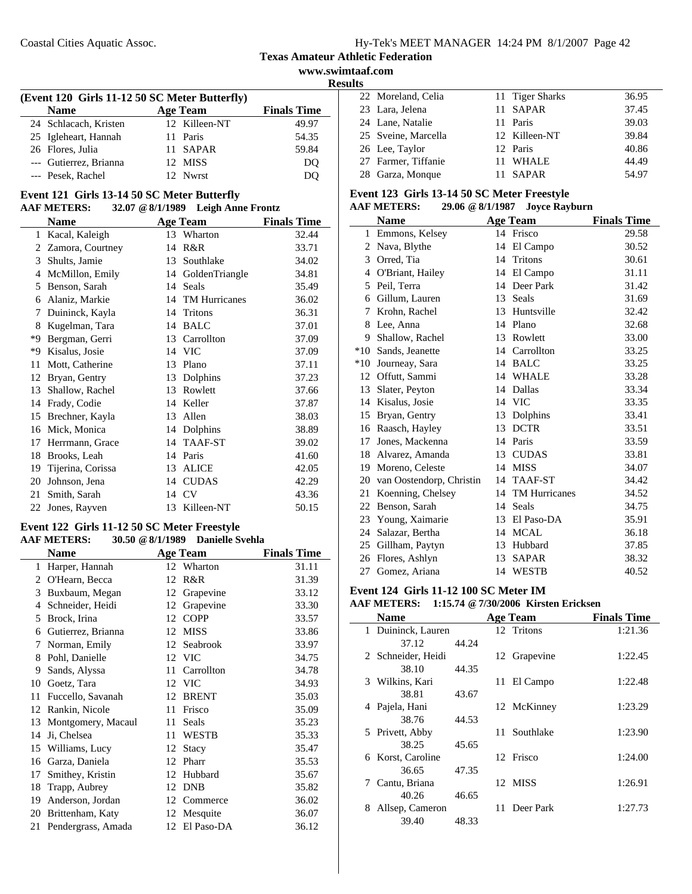**www.swimtaaf.com Results**

| (Event 120 Girls 11-12 50 SC Meter Butterfly) |  |                 |                    |  |  |
|-----------------------------------------------|--|-----------------|--------------------|--|--|
| <b>Name</b>                                   |  | <b>Age Team</b> | <b>Finals Time</b> |  |  |
| 24 Schlacach, Kristen                         |  | 12 Killeen-NT   | 49.97              |  |  |
| 25 Igleheart, Hannah                          |  | 11 Paris        | 54.35              |  |  |
| 26 Flores, Julia                              |  | 11 SAPAR        | 59.84              |  |  |
| --- Gutierrez, Brianna                        |  | 12 MISS         | DO                 |  |  |
| --- Pesek, Rachel                             |  | 12. Nwrst       | DO                 |  |  |
|                                               |  |                 |                    |  |  |

#### **Event 121 Girls 13-14 50 SC Meter Butterfly AAF METERS: 32.07 @8/1/1989 Leigh Anne Frontz**

|    | <b>Name</b>       |    | <b>Age Team</b>      | <b>Finals Time</b> |
|----|-------------------|----|----------------------|--------------------|
| 1  | Kacal, Kaleigh    | 13 | Wharton              | 32.44              |
| 2  | Zamora, Courtney  | 14 | R&R                  | 33.71              |
| 3  | Shults, Jamie     | 13 | Southlake            | 34.02              |
| 4  | McMillon, Emily   | 14 | GoldenTriangle       | 34.81              |
| 5  | Benson, Sarah     | 14 | Seals                | 35.49              |
| 6  | Alaniz, Markie    | 14 | <b>TM Hurricanes</b> | 36.02              |
| 7  | Duininck, Kayla   | 14 | Tritons              | 36.31              |
| 8  | Kugelman, Tara    | 14 | <b>BALC</b>          | 37.01              |
| *9 | Bergman, Gerri    | 13 | Carrollton           | 37.09              |
| *9 | Kisalus, Josie    | 14 | <b>VIC</b>           | 37.09              |
| 11 | Mott, Catherine   | 13 | Plano                | 37.11              |
| 12 | Bryan, Gentry     | 13 | Dolphins             | 37.23              |
| 13 | Shallow, Rachel   | 13 | Rowlett              | 37.66              |
| 14 | Frady, Codie      | 14 | Keller               | 37.87              |
| 15 | Brechner, Kayla   | 13 | Allen                | 38.03              |
| 16 | Mick, Monica      | 14 | Dolphins             | 38.89              |
| 17 | Herrmann, Grace   | 14 | TAAF-ST              | 39.02              |
| 18 | Brooks, Leah      | 14 | Paris                | 41.60              |
| 19 | Tijerina, Corissa | 13 | <b>ALICE</b>         | 42.05              |
| 20 | Johnson, Jena     | 14 | <b>CUDAS</b>         | 42.29              |
| 21 | Smith, Sarah      | 14 | <b>CV</b>            | 43.36              |
| 22 | Jones, Rayven     |    | 13 Killeen-NT        | 50.15              |

#### **Event 122 Girls 11-12 50 SC Meter Freestyle AAF METERS: 30.50 @8/1/1989 Danielle Svehla**

| $\sim$ 01 11 12 02 |                    |    |                 |                    |
|--------------------|--------------------|----|-----------------|--------------------|
|                    | <b>Name</b>        |    | <b>Age Team</b> | <b>Finals Time</b> |
| 1                  | Harper, Hannah     |    | 12 Wharton      | 31.11              |
| 2                  | O'Hearn, Becca     |    | 12 R&R          | 31.39              |
| 3                  | Buxbaum, Megan     | 12 | Grapevine       | 33.12              |
| 4                  | Schneider, Heidi   | 12 | Grapevine       | 33.30              |
| 5                  | Brock, Irina       | 12 | <b>COPP</b>     | 33.57              |
| 6                  | Gutierrez, Brianna | 12 | <b>MISS</b>     | 33.86              |
| 7                  | Norman, Emily      | 12 | Seabrook        | 33.97              |
| 8                  | Pohl, Danielle     |    | 12 VIC          | 34.75              |
| 9                  | Sands, Alyssa      | 11 | Carrollton      | 34.78              |
| 10                 | Goetz, Tara        |    | 12 VIC          | 34.93              |
| 11                 | Fuccello, Savanah  |    | 12 BRENT        | 35.03              |
| 12                 | Rankin, Nicole     | 11 | Frisco          | 35.09              |
| 13                 | Montgomery, Macaul | 11 | Seals           | 35.23              |
| 14                 | Ji, Chelsea        | 11 | <b>WESTB</b>    | 35.33              |
| 15                 | Williams, Lucy     | 12 | Stacy           | 35.47              |
| 16                 | Garza, Daniela     | 12 | Pharr           | 35.53              |
| 17                 | Smithey, Kristin   | 12 | Hubbard         | 35.67              |
| 18                 | Trapp, Aubrey      | 12 | <b>DNB</b>      | 35.82              |
| 19                 | Anderson, Jordan   |    | 12 Commerce     | 36.02              |
| 20                 | Brittenham, Katy   |    | 12 Mesquite     | 36.07              |
| 21                 | Pendergrass, Amada | 12 | El Paso-DA      | 36.12              |
|                    |                    |    |                 |                    |

| шэ |                     |                 |       |
|----|---------------------|-----------------|-------|
|    | 22 Moreland, Celia  | 11 Tiger Sharks | 36.95 |
|    | 23 Lara, Jelena     | 11 SAPAR        | 37.45 |
|    | 24 Lane, Natalie    | 11 Paris        | 39.03 |
|    | 25 Sveine, Marcella | 12 Killeen-NT   | 39.84 |
|    | 26 Lee, Taylor      | 12 Paris        | 40.86 |
|    | 27 Farmer, Tiffanie | 11 WHALE        | 44.49 |
|    | 28 Garza, Monque    | 11 SAPAR        | 54.97 |

# **Event 123 Girls 13-14 50 SC Meter Freestyle**

# **AAF METERS: 29.06 @8/1/1987 Joyce Rayburn**

|              | <b>Name</b>              |    | <b>Age Team</b>      | <b>Finals Time</b> |
|--------------|--------------------------|----|----------------------|--------------------|
| $\mathbf{1}$ | Emmons, Kelsey           |    | 14 Frisco            | 29.58              |
| 2            | Nava, Blythe             |    | 14 El Campo          | 30.52              |
| 3            | Orred, Tia               | 14 | Tritons              | 30.61              |
| 4            | O'Briant, Hailey         | 14 | El Campo             | 31.11              |
| 5            | Peil, Terra              | 14 | Deer Park            | 31.42              |
| 6            | Gillum, Lauren           | 13 | <b>Seals</b>         | 31.69              |
| 7            | Krohn, Rachel            |    | 13 Huntsville        | 32.42              |
| 8            | Lee, Anna                | 14 | Plano                | 32.68              |
| 9            | Shallow, Rachel          | 13 | Rowlett              | 33.00              |
| $*10$        | Sands, Jeanette          |    | 14 Carrollton        | 33.25              |
| $*10$        | Journeay, Sara           | 14 | <b>BALC</b>          | 33.25              |
| 12           | Offutt. Sammi            |    | 14 WHALE             | 33.28              |
| 13           | Slater, Peyton           | 14 | Dallas               | 33.34              |
| 14           | Kisalus, Josie           | 14 | <b>VIC</b>           | 33.35              |
| 15           | Bryan, Gentry            | 13 | Dolphins             | 33.41              |
| 16           | Raasch, Hayley           | 13 | <b>DCTR</b>          | 33.51              |
| 17           | Jones, Mackenna          |    | 14 Paris             | 33.59              |
| 18           | Alvarez, Amanda          | 13 | <b>CUDAS</b>         | 33.81              |
| 19           | Moreno, Celeste          |    | 14 MISS              | 34.07              |
| 20           | van Oostendorp, Christin | 14 | TAAF-ST              | 34.42              |
| 21           | Koenning, Chelsey        | 14 | <b>TM Hurricanes</b> | 34.52              |
| 22           | Benson, Sarah            | 14 | <b>Seals</b>         | 34.75              |
| 23           | Young, Xaimarie          |    | 13 El Paso-DA        | 35.91              |
| 24           | Salazar, Bertha          |    | 14 MCAL              | 36.18              |
| 25           | Gillham, Paytyn          | 13 | Hubbard              | 37.85              |
| 26           | Flores, Ashlyn           | 13 | <b>SAPAR</b>         | 38.32              |
| 27           | Gomez, Ariana            |    | 14 WESTB             | 40.52              |

## **Event 124 Girls 11-12 100 SC Meter IM**

#### **AAF METERS: 1:15.74 @7/30/2006 Kirsten Ericksen**

| <b>Name</b>          |       | <b>Age Team</b> |              | <b>Finals Time</b> |
|----------------------|-------|-----------------|--------------|--------------------|
| 1 Duininck, Lauren   |       | 12 Tritons      |              | 1:21.36            |
| 37.12                | 44.24 |                 |              |                    |
| 2 Schneider, Heidi   |       |                 | 12 Grapevine | 1:22.45            |
| 38.10                | 44.35 |                 |              |                    |
| 3 Wilkins, Kari      |       | 11              | El Campo     | 1:22.48            |
| 38.81                | 43.67 |                 |              |                    |
| 4 Pajela, Hani       |       |                 | 12 McKinney  | 1:23.29            |
| 38.76                | 44.53 |                 |              |                    |
| 5 Privett, Abby      |       |                 | 11 Southlake | 1:23.90            |
| 38.25                | 45.65 |                 |              |                    |
| 6 Korst, Caroline    |       | 12 Frisco       |              | 1:24.00            |
| 36.65                | 47.35 |                 |              |                    |
| Cantu, Briana<br>7   |       | 12 MISS         |              | 1:26.91            |
| 40.26                | 46.65 |                 |              |                    |
| Allsep, Cameron<br>8 |       |                 | 11 Deer Park | 1:27.73            |
| 39.40                | 48.33 |                 |              |                    |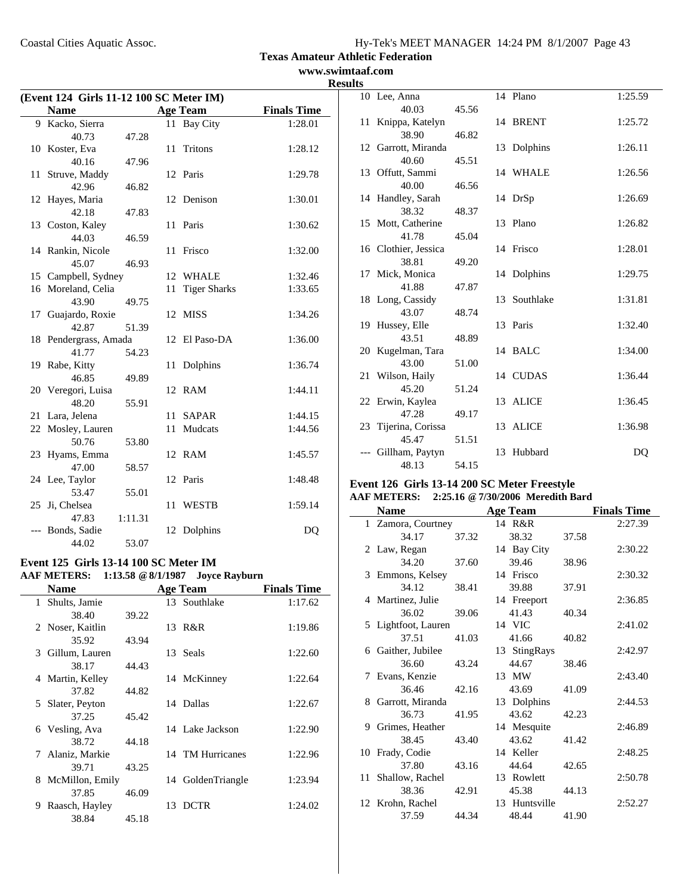Coastal Cities Aquatic Assoc.

**Texas Amateur Athletic Federation**

## **www.swimtaaf.com Results**

| (Event 124 Girls 11-12 100 SC Meter IM) |                       |         |    |                     |                    |
|-----------------------------------------|-----------------------|---------|----|---------------------|--------------------|
|                                         | <b>Name</b>           |         |    | <b>Age Team</b>     | <b>Finals Time</b> |
|                                         | 9 Kacko, Sierra       |         |    | 11 Bay City         | 1:28.01            |
|                                         | 40.73                 | 47.28   |    |                     |                    |
|                                         | 10 Koster, Eva        |         | 11 | Tritons             | 1:28.12            |
|                                         | 40.16                 | 47.96   |    |                     |                    |
|                                         | 11 Struve, Maddy      |         |    | 12 Paris            | 1:29.78            |
|                                         | 42.96                 | 46.82   |    |                     |                    |
|                                         | 12 Hayes, Maria       |         |    | 12 Denison          | 1:30.01            |
|                                         | 42.18                 | 47.83   |    |                     |                    |
|                                         | 13 Coston, Kaley      |         | 11 | Paris               | 1:30.62            |
|                                         | 44.03                 | 46.59   |    |                     |                    |
|                                         | 14 Rankin, Nicole     |         | 11 | Frisco              | 1:32.00            |
|                                         | 45.07                 | 46.93   |    |                     |                    |
|                                         | 15 Campbell, Sydney   |         |    | 12 WHALE            | 1:32.46            |
|                                         | 16 Moreland, Celia    |         | 11 | <b>Tiger Sharks</b> | 1:33.65            |
|                                         | 43.90                 | 49.75   |    |                     |                    |
|                                         | 17 Guajardo, Roxie    |         | 12 | <b>MISS</b>         | 1:34.26            |
|                                         | 42.87                 | 51.39   |    |                     |                    |
|                                         | 18 Pendergrass, Amada |         | 12 | El Paso-DA          | 1:36.00            |
|                                         | 41.77                 | 54.23   |    |                     |                    |
|                                         | 19 Rabe, Kitty        |         | 11 | Dolphins            | 1:36.74            |
|                                         | 46.85                 | 49.89   |    |                     |                    |
|                                         | 20 Veregori, Luisa    |         |    | 12 RAM              | 1:44.11            |
|                                         | 48.20                 | 55.91   |    |                     |                    |
| 21                                      | Lara, Jelena          |         | 11 | <b>SAPAR</b>        | 1:44.15            |
|                                         | 22 Mosley, Lauren     |         | 11 | Mudcats             | 1:44.56            |
|                                         | 50.76                 | 53.80   |    |                     |                    |
|                                         | 23 Hyams, Emma        |         |    | 12 RAM              | 1:45.57            |
|                                         | 47.00                 | 58.57   |    |                     |                    |
|                                         | 24 Lee, Taylor        |         |    | 12 Paris            | 1:48.48            |
|                                         | 53.47                 | 55.01   |    |                     |                    |
| 25                                      | Ji, Chelsea           |         | 11 | <b>WESTB</b>        | 1:59.14            |
|                                         | 47.83                 | 1:11.31 |    |                     |                    |
|                                         | Bonds, Sadie          |         | 12 | Dolphins            | DQ                 |
|                                         | 44.02                 | 53.07   |    |                     |                    |

#### **Event 125 Girls 13-14 100 SC Meter IM AAF METERS: 1:13.58 @8/1/1987 Joyce Rayburn**

|    | <b>Name</b>      |       |    | <b>Age Team</b>   | <b>Finals Time</b> |
|----|------------------|-------|----|-------------------|--------------------|
|    | 1 Shults, Jamie  |       |    | 13 Southlake      | 1:17.62            |
|    | 38.40            | 39.22 |    |                   |                    |
|    | 2 Noser, Kaitlin |       |    | 13 R&R            | 1:19.86            |
|    | 35.92            | 43.94 |    |                   |                    |
|    | 3 Gillum, Lauren |       |    | 13 Seals          | 1:22.60            |
|    | 38.17            | 44.43 |    |                   |                    |
|    | 4 Martin, Kelley |       |    | 14 McKinney       | 1:22.64            |
|    | 37.82            | 44.82 |    |                   |                    |
|    | 5 Slater, Peyton |       |    | 14 Dallas         | 1:22.67            |
|    | 37.25            | 45.42 |    |                   |                    |
|    | 6 Vesling, Ava   |       |    | 14 Lake Jackson   | 1:22.90            |
|    | 38.72            | 44.18 |    |                   |                    |
|    | 7 Alaniz, Markie |       |    | 14 TM Hurricanes  | 1:22.96            |
|    | 39.71            | 43.25 |    |                   |                    |
| 8. | McMillon, Emily  |       |    | 14 GoldenTriangle | 1:23.94            |
|    | 37.85            | 46.09 |    |                   |                    |
| 9  | Raasch, Hayley   |       | 13 | <b>DCTR</b>       | 1:24.02            |
|    | 38.84            | 45.18 |    |                   |                    |

| ∸ັ |                      |       |              |         |
|----|----------------------|-------|--------------|---------|
|    | 10 Lee, Anna         |       | 14 Plano     | 1:25.59 |
|    | 40.03                | 45.56 |              |         |
|    | 11 Knippa, Katelyn   |       | 14 BRENT     | 1:25.72 |
|    | 38.90                | 46.82 |              |         |
|    | 12 Garrott, Miranda  |       | 13 Dolphins  | 1:26.11 |
|    | 40.60                | 45.51 |              |         |
|    | 13 Offutt, Sammi     |       | 14 WHALE     | 1:26.56 |
|    | 40.00                | 46.56 |              |         |
|    | 14 Handley, Sarah    |       | 14 DrSp      | 1:26.69 |
|    | 38.32                | 48.37 |              |         |
|    | 15 Mott, Catherine   |       | 13 Plano     | 1:26.82 |
|    | 41.78                | 45.04 |              |         |
|    | 16 Clothier, Jessica |       | 14 Frisco    | 1:28.01 |
|    | 38.81                | 49.20 |              |         |
|    | 17 Mick, Monica      |       | 14 Dolphins  | 1:29.75 |
|    | 41.88                | 47.87 |              |         |
|    | 18 Long, Cassidy     |       | 13 Southlake | 1:31.81 |
|    | 43.07                | 48.74 |              |         |
|    | 19 Hussey, Elle      |       | 13 Paris     | 1:32.40 |
|    | 43.51                | 48.89 |              |         |
|    | 20 Kugelman, Tara    |       | 14 BALC      | 1:34.00 |
|    | 43.00                | 51.00 |              |         |
|    | 21 Wilson, Haily     |       | 14 CUDAS     | 1:36.44 |
|    | 45.20                | 51.24 |              |         |
|    | 22 Erwin, Kaylea     |       | 13 ALICE     | 1:36.45 |
|    | 47.28                | 49.17 |              |         |
|    | 23 Tijerina, Corissa |       | 13 ALICE     | 1:36.98 |
|    | 45.47                | 51.51 |              |         |
|    | Gillham, Paytyn      |       | 13 Hubbard   | DQ      |
|    | 48.13                | 54.15 |              |         |

## **Event 126 Girls 13-14 200 SC Meter Freestyle AAF METERS: 2:25.16 @7/30/2006 Meredith Bard**

| <b>Name</b> |                     |       | <b>Age Team</b> |       | <b>Finals Time</b> |
|-------------|---------------------|-------|-----------------|-------|--------------------|
|             | 1 Zamora, Courtney  |       | 14 R&R          |       | 2:27.39            |
|             | 34.17               | 37.32 | 38.32           | 37.58 |                    |
|             | 2 Law, Regan        |       | 14 Bay City     |       | 2:30.22            |
|             | 34.20               | 37.60 | 39.46           | 38.96 |                    |
|             | 3 Emmons, Kelsey    |       | 14 Frisco       |       | 2:30.32            |
|             | 34.12               | 38.41 | 39.88           | 37.91 |                    |
|             | 4 Martinez, Julie   |       | 14 Freeport     |       | 2:36.85            |
|             | 36.02               | 39.06 | 41.43           | 40.34 |                    |
|             | 5 Lightfoot, Lauren |       | 14 VIC          |       | 2:41.02            |
|             | 37.51               | 41.03 | 41.66           | 40.82 |                    |
|             | 6 Gaither, Jubilee  |       | 13 StingRays    |       | 2:42.97            |
|             | 36.60               | 43.24 | 44.67           | 38.46 |                    |
|             | 7 Evans, Kenzie     |       | 13 MW           |       | 2:43.40            |
|             | 36.46               | 42.16 | 43.69           | 41.09 |                    |
|             | 8 Garrott, Miranda  |       | 13 Dolphins     |       | 2:44.53            |
|             | 36.73               | 41.95 | 43.62           | 42.23 |                    |
|             | 9 Grimes, Heather   |       | 14 Mesquite     |       | 2:46.89            |
|             | 38.45               | 43.40 | 43.62           | 41.42 |                    |
|             | 10 Frady, Codie     |       | 14 Keller       |       | 2:48.25            |
|             | 37.80               | 43.16 | 44.64           | 42.65 |                    |
|             | 11 Shallow, Rachel  |       | 13 Rowlett      |       | 2:50.78            |
|             | 38.36               | 42.91 | 45.38           | 44.13 |                    |
|             | 12 Krohn, Rachel    |       | 13 Huntsville   |       | 2:52.27            |
|             | 37.59               | 44.34 | 48.44           | 41.90 |                    |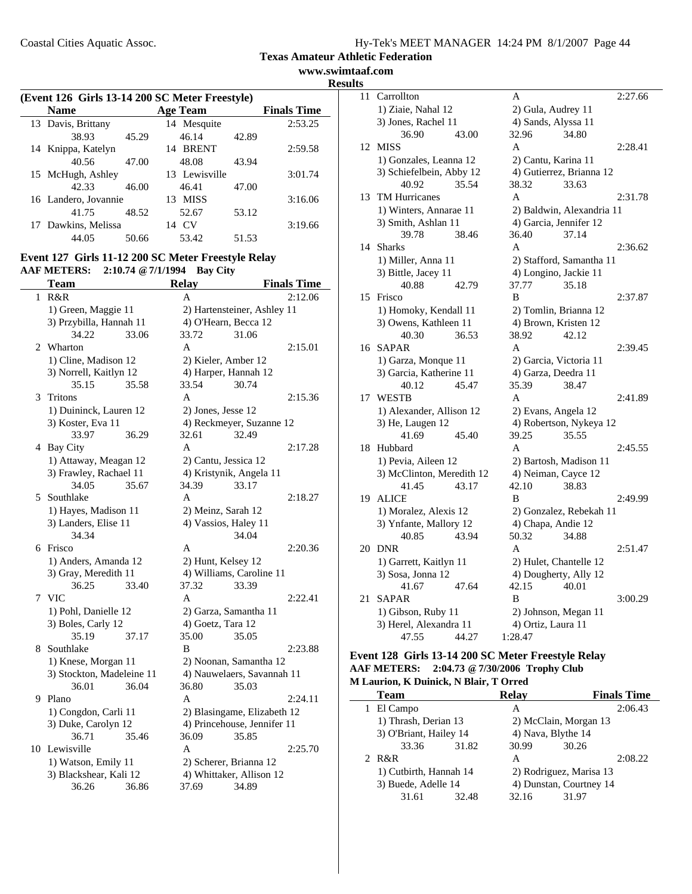**www.swimtaaf.com Results**

| (Event 126 Girls 13-14 200 SC Meter Freestyle)<br>Age Team<br><b>Finals Time</b><br><b>Name</b><br>13 Davis, Brittany<br>2:53.25<br>14 Mesquite<br>38.93<br>46.14<br>45.29<br>42.89 |       |               |       |         |
|-------------------------------------------------------------------------------------------------------------------------------------------------------------------------------------|-------|---------------|-------|---------|
|                                                                                                                                                                                     |       |               |       |         |
|                                                                                                                                                                                     |       |               |       |         |
|                                                                                                                                                                                     |       |               |       |         |
| 14 Knippa, Katelyn                                                                                                                                                                  |       | 14 BRENT      |       | 2:59.58 |
| 40.56                                                                                                                                                                               | 47.00 | 48.08         | 43.94 |         |
| 15 McHugh, Ashley                                                                                                                                                                   |       | 13 Lewisville |       | 3:01.74 |
| 42.33                                                                                                                                                                               | 46.00 | 46.41         | 47.00 |         |
| 16 Landero, Jovannie                                                                                                                                                                |       | 13 MISS       |       | 3:16.06 |
| 41.75                                                                                                                                                                               | 48.52 | 52.67         | 53.12 |         |
| 17 Dawkins, Melissa                                                                                                                                                                 |       | 14 CV         |       | 3:19.66 |
| 44.05                                                                                                                                                                               | 50.66 | 53.42         | 51.53 |         |

#### **Event 127 Girls 11-12 200 SC Meter Freestyle Relay AAF METERS: 2:10.74 @7/1/1994 Bay City**

|    | <b>Team</b>               |       | <b>Relay</b>                |                             | <b>Finals Time</b> |
|----|---------------------------|-------|-----------------------------|-----------------------------|--------------------|
| 1  | R&R                       |       | A                           |                             | 2:12.06            |
|    | 1) Green, Maggie 11       |       | 2) Hartensteiner, Ashley 11 |                             |                    |
|    | 3) Przybilla, Hannah 11   |       |                             | 4) O'Hearn, Becca 12        |                    |
|    | 34.22                     | 33.06 | 33.72                       | 31.06                       |                    |
| 2  | Wharton                   |       | A                           |                             | 2:15.01            |
|    | 1) Cline, Madison 12      |       |                             | 2) Kieler, Amber 12         |                    |
|    | 3) Norrell, Kaitlyn 12    |       |                             | 4) Harper, Hannah 12        |                    |
|    | 35.15                     | 35.58 | 33.54                       | 30.74                       |                    |
| 3  | Tritons                   |       | A                           |                             | 2:15.36            |
|    | 1) Duininck, Lauren 12    |       | 2) Jones, Jesse 12          |                             |                    |
|    | 3) Koster, Eva 11         |       |                             | 4) Reckmeyer, Suzanne 12    |                    |
|    | 33.97                     | 36.29 | 32.61                       | 32.49                       |                    |
|    | 4 Bay City                |       | A                           |                             | 2:17.28            |
|    | 1) Attaway, Meagan 12     |       |                             | 2) Cantu, Jessica 12        |                    |
|    | 3) Frawley, Rachael 11    |       |                             | 4) Kristynik, Angela 11     |                    |
|    | 34.05                     | 35.67 | 34.39                       | 33.17                       |                    |
| 5  | Southlake                 |       | A                           |                             | 2:18.27            |
|    | 1) Hayes, Madison 11      |       |                             | 2) Meinz, Sarah 12          |                    |
|    | 3) Landers, Elise 11      |       |                             | 4) Vassios, Haley 11        |                    |
|    | 34.34                     |       |                             | 34.04                       |                    |
|    | 6 Frisco                  |       | A                           |                             | 2:20.36            |
|    | 1) Anders, Amanda 12      |       |                             | 2) Hunt, Kelsey 12          |                    |
|    | 3) Gray, Meredith 11      |       |                             | 4) Williams, Caroline 11    |                    |
|    | 36.25                     | 33.40 | 37.32                       | 33.39                       |                    |
| 7  | <b>VIC</b>                |       | A                           |                             | 2:22.41            |
|    | 1) Pohl, Danielle 12      |       | 2) Garza, Samantha 11       |                             |                    |
|    | 3) Boles, Carly 12        |       | 4) Goetz, Tara 12           |                             |                    |
|    | 35.19                     | 37.17 | 35.00                       | 35.05                       |                    |
| 8  | Southlake                 |       | B                           |                             | 2:23.88            |
|    | 1) Knese, Morgan 11       |       |                             | 2) Noonan, Samantha 12      |                    |
|    | 3) Stockton, Madeleine 11 |       |                             | 4) Nauwelaers, Savannah 11  |                    |
|    | 36.01                     | 36.04 | 36.80                       | 35.03                       |                    |
| 9  | Plano                     |       | A                           |                             | 2:24.11            |
|    | 1) Congdon, Carli 11      |       |                             | 2) Blasingame, Elizabeth 12 |                    |
|    | 3) Duke, Carolyn 12       |       |                             | 4) Princehouse, Jennifer 11 |                    |
|    | 36.71                     | 35.46 | 36.09                       | 35.85                       |                    |
| 10 | Lewisville                |       | A                           |                             | 2:25.70            |
|    | 1) Watson, Emily 11       |       |                             | 2) Scherer, Brianna 12      |                    |
|    | 3) Blackshear, Kali 12    |       |                             | 4) Whittaker, Allison 12    |                    |
|    | 36.26                     | 36.86 | 37.69                       | 34.89                       |                    |

| ເວ |                           |       |                        |                           |         |
|----|---------------------------|-------|------------------------|---------------------------|---------|
| 11 | Carrollton                |       | A                      |                           | 2:27.66 |
|    | 1) Ziaie, Nahal 12        |       | 2) Gula, Audrey 11     |                           |         |
|    | 3) Jones, Rachel 11       |       | 4) Sands, Alyssa 11    |                           |         |
|    | 36.90                     | 43.00 | 32.96                  | 34.80                     |         |
| 12 | <b>MISS</b>               |       | A                      |                           | 2:28.41 |
|    | 1) Gonzales, Leanna 12    |       | 2) Cantu, Karina 11    |                           |         |
|    | 3) Schiefelbein, Abby 12  |       |                        | 4) Gutierrez, Brianna 12  |         |
|    | 40.92                     | 35.54 | 38.32                  | 33.63                     |         |
| 13 | <b>TM Hurricanes</b>      |       | A                      |                           | 2:31.78 |
|    | 1) Winters, Annarae 11    |       |                        | 2) Baldwin, Alexandria 11 |         |
|    | 3) Smith, Ashlan 11       |       | 4) Garcia, Jennifer 12 |                           |         |
|    | 39.78                     | 38.46 | 36.40                  | 37.14                     |         |
| 14 | <b>Sharks</b>             |       | A                      |                           | 2:36.62 |
|    | 1) Miller, Anna 11        |       |                        | 2) Stafford, Samantha 11  |         |
|    | 3) Bittle, Jacey 11       |       | 4) Longino, Jackie 11  |                           |         |
|    | 40.88                     | 42.79 | 37.77                  | 35.18                     |         |
| 15 | Frisco                    |       | B                      |                           | 2:37.87 |
|    | 1) Homoky, Kendall 11     |       |                        | 2) Tomlin, Brianna 12     |         |
|    | 3) Owens, Kathleen 11     |       | 4) Brown, Kristen 12   |                           |         |
|    | 40.30                     | 36.53 | 38.92                  | 42.12                     |         |
|    | 16 SAPAR                  |       | A                      |                           | 2:39.45 |
|    | 1) Garza, Monque 11       |       | 2) Garcia, Victoria 11 |                           |         |
|    | 3) Garcia, Katherine 11   |       | 4) Garza, Deedra 11    |                           |         |
|    | 40.12                     | 45.47 | 35.39                  | 38.47                     |         |
| 17 | <b>WESTB</b>              |       | A                      |                           | 2:41.89 |
|    | 1) Alexander, Allison 12  |       | 2) Evans, Angela 12    |                           |         |
|    | 3) He, Laugen 12          |       |                        | 4) Robertson, Nykeya 12   |         |
|    | 41.69                     | 45.40 | 39.25                  | 35.55                     |         |
| 18 | Hubbard                   |       | A                      |                           | 2:45.55 |
|    | 1) Pevia, Aileen 12       |       |                        | 2) Bartosh, Madison 11    |         |
|    | 3) McClinton, Meredith 12 |       | 4) Neiman, Cayce 12    |                           |         |
|    | 41.45                     | 43.17 | 42.10                  | 38.83                     |         |
| 19 | <b>ALICE</b>              |       | B                      |                           | 2:49.99 |
|    | 1) Moralez, Alexis 12     |       |                        | 2) Gonzalez, Rebekah 11   |         |
|    | 3) Ynfante, Mallory 12    |       | 4) Chapa, Andie 12     |                           |         |
|    | 40.85                     | 43.94 | 50.32                  | 34.88                     |         |
| 20 | <b>DNR</b>                |       | A                      |                           | 2:51.47 |
|    | 1) Garrett, Kaitlyn 11    |       |                        | 2) Hulet, Chantelle 12    |         |
|    | 3) Sosa, Jonna 12         |       |                        | 4) Dougherty, Ally 12     |         |
|    | 41.67                     | 47.64 | 42.15                  | 40.01                     |         |
| 21 | <b>SAPAR</b>              |       | B                      |                           | 3:00.29 |
|    | 1) Gibson, Ruby 11        |       | 2) Johnson, Megan 11   |                           |         |
|    | 3) Herel, Alexandra 11    |       | 4) Ortiz, Laura 11     |                           |         |
|    | 47.55                     | 44.27 | 1:28.47                |                           |         |

#### **Event 128 Girls 13-14 200 SC Meter Freestyle Relay AAF METERS: 2:04.73 @7/30/2006 Trophy Club M Laurion, K Duinick, N Blair, T Orred**

| <b>Team</b>            |       | <b>Relay</b>            | <b>Finals Time</b> |  |
|------------------------|-------|-------------------------|--------------------|--|
| 1 El Campo             |       | А                       | 2:06.43            |  |
| 1) Thrash, Derian 13   |       | 2) McClain, Morgan 13   |                    |  |
| 3) O'Briant, Hailey 14 |       |                         | 4) Nava, Blythe 14 |  |
| 33.36                  | 31.82 | 30.99                   | 30.26              |  |
| 2 R&R                  |       | A                       | 2:08.22            |  |
| 1) Cutbirth, Hannah 14 |       | 2) Rodriguez, Marisa 13 |                    |  |
| 3) Buede, Adelle 14    |       | 4) Dunstan, Courtney 14 |                    |  |
| 31.61                  | 32.48 | 32.16                   | 31.97              |  |